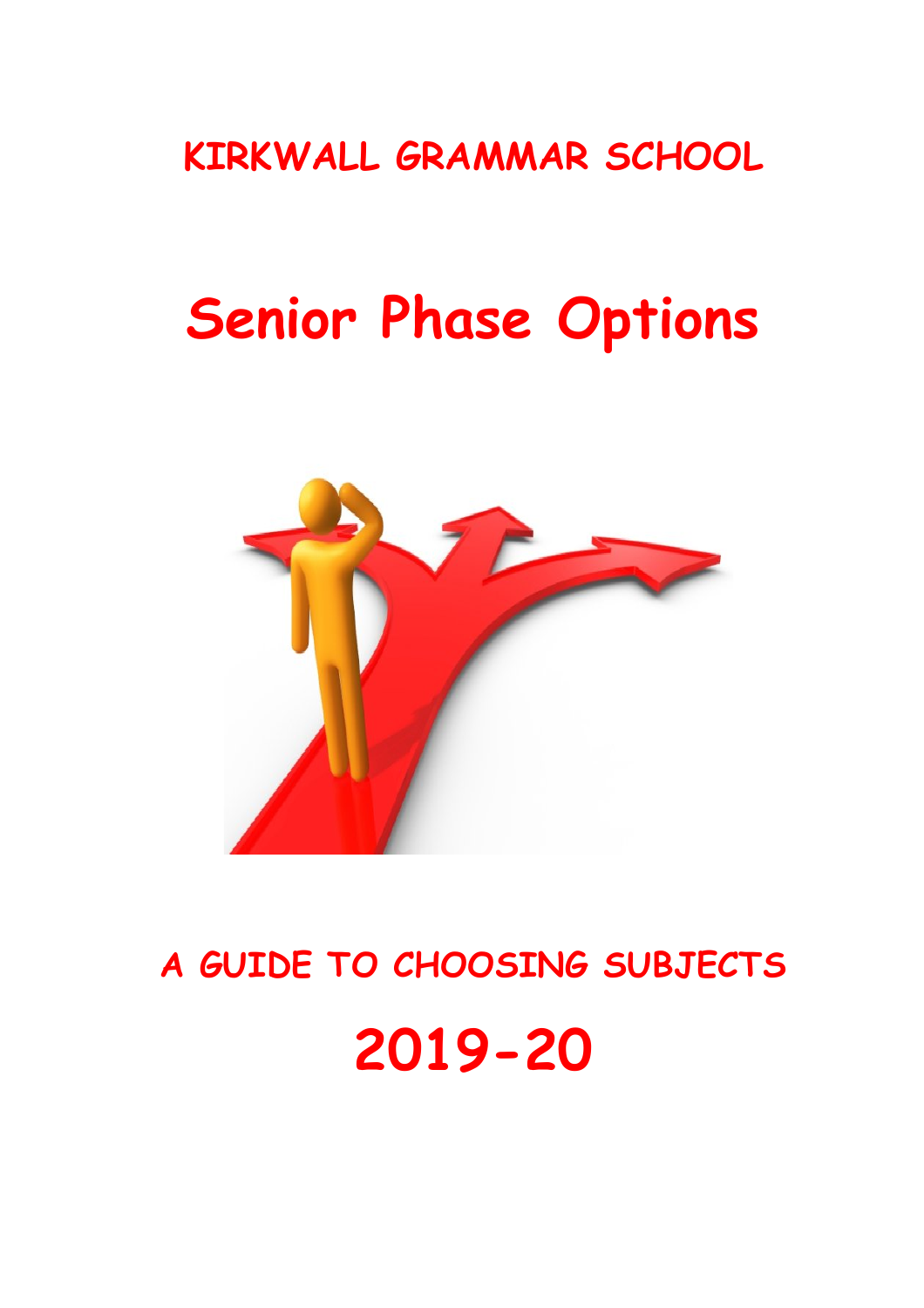## **KIRKWALL GRAMMAR SCHOOL**

# **Senior Phase Options**



**A GUIDE TO CHOOSING SUBJECTS**

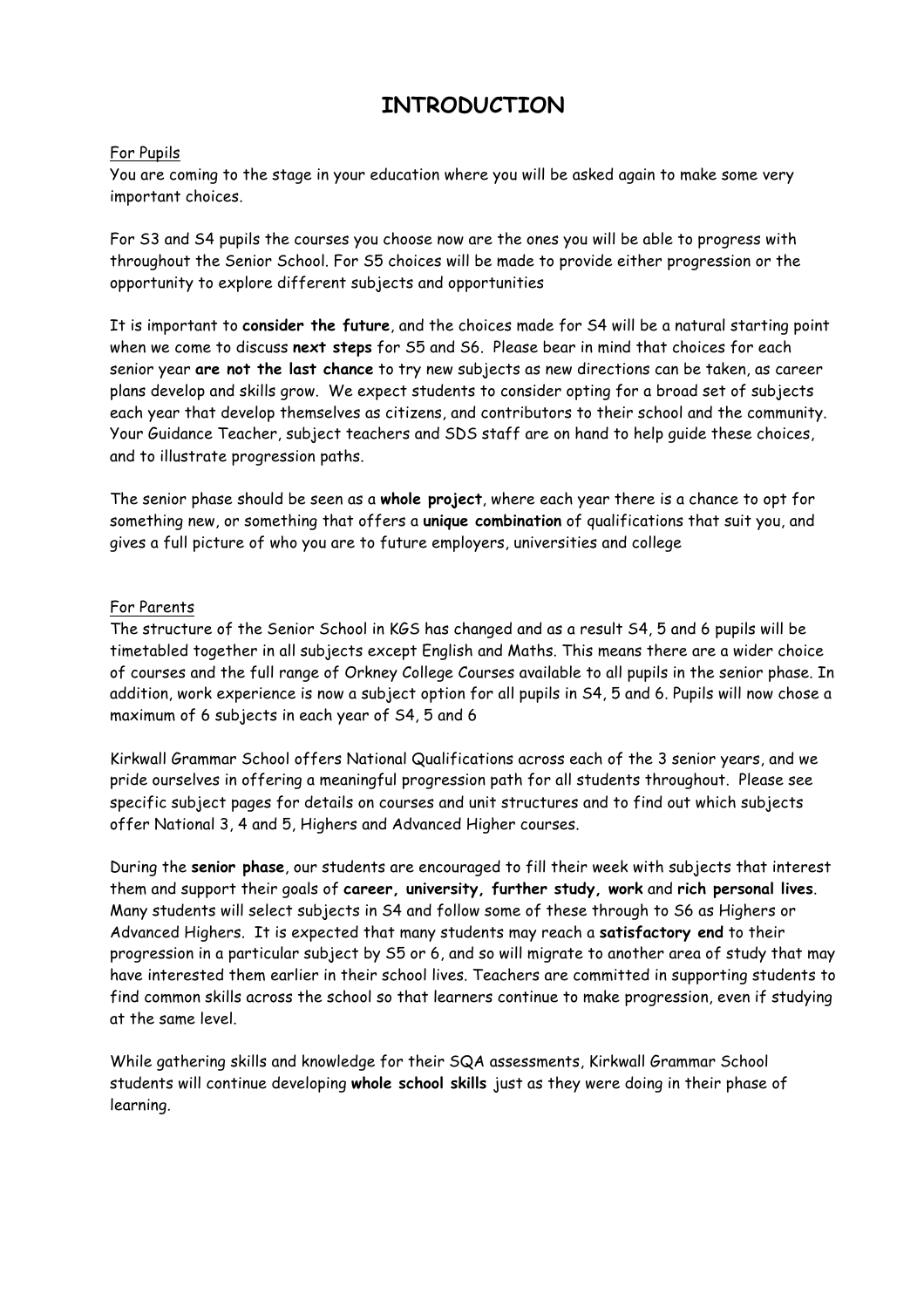## **INTRODUCTION**

#### For Pupils

You are coming to the stage in your education where you will be asked again to make some very important choices.

For S3 and S4 pupils the courses you choose now are the ones you will be able to progress with throughout the Senior School. For S5 choices will be made to provide either progression or the opportunity to explore different subjects and opportunities

It is important to **consider the future**, and the choices made for S4 will be a natural starting point when we come to discuss **next steps** for S5 and S6. Please bear in mind that choices for each senior year **are not the last chance** to try new subjects as new directions can be taken, as career plans develop and skills grow. We expect students to consider opting for a broad set of subjects each year that develop themselves as citizens, and contributors to their school and the community. Your Guidance Teacher, subject teachers and SDS staff are on hand to help guide these choices, and to illustrate progression paths.

The senior phase should be seen as a **whole project**, where each year there is a chance to opt for something new, or something that offers a **unique combination** of qualifications that suit you, and gives a full picture of who you are to future employers, universities and college

#### For Parents

The structure of the Senior School in KGS has changed and as a result S4, 5 and 6 pupils will be timetabled together in all subjects except English and Maths. This means there are a wider choice of courses and the full range of Orkney College Courses available to all pupils in the senior phase. In addition, work experience is now a subject option for all pupils in S4, 5 and 6. Pupils will now chose a maximum of 6 subjects in each year of S4, 5 and 6

Kirkwall Grammar School offers National Qualifications across each of the 3 senior years, and we pride ourselves in offering a meaningful progression path for all students throughout. Please see specific subject pages for details on courses and unit structures and to find out which subjects offer National 3, 4 and 5, Highers and Advanced Higher courses.

During the **senior phase**, our students are encouraged to fill their week with subjects that interest them and support their goals of **career, university, further study, work** and **rich personal lives**. Many students will select subjects in S4 and follow some of these through to S6 as Highers or Advanced Highers. It is expected that many students may reach a **satisfactory end** to their progression in a particular subject by S5 or 6, and so will migrate to another area of study that may have interested them earlier in their school lives. Teachers are committed in supporting students to find common skills across the school so that learners continue to make progression, even if studying at the same level.

While gathering skills and knowledge for their SQA assessments, Kirkwall Grammar School students will continue developing **whole school skills** just as they were doing in their phase of learning.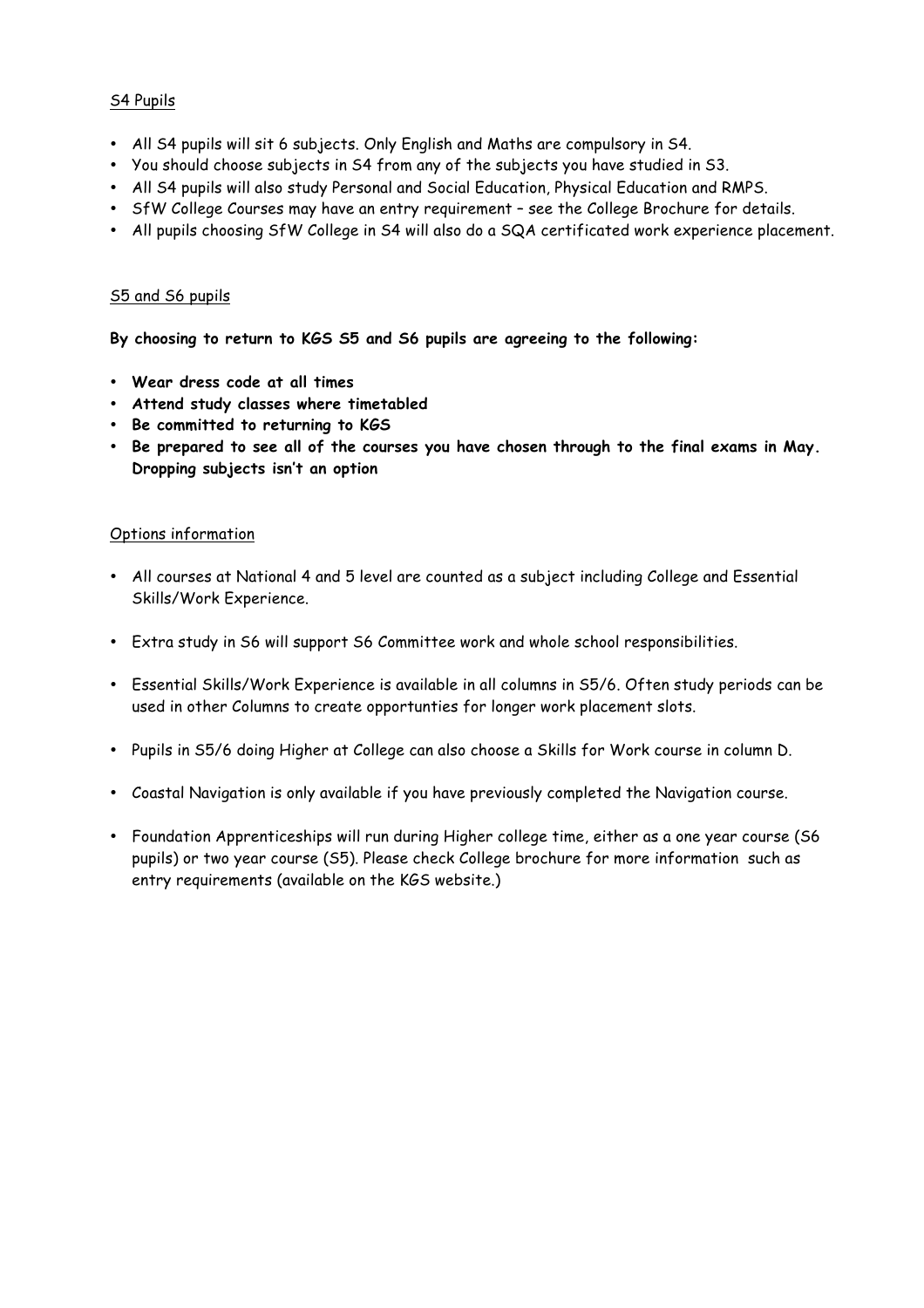#### S4 Pupils

- All S4 pupils will sit 6 subjects. Only English and Maths are compulsory in S4.
- You should choose subjects in S4 from any of the subjects you have studied in S3.
- All S4 pupils will also study Personal and Social Education, Physical Education and RMPS.
- SfW College Courses may have an entry requirement see the College Brochure for details.
- All pupils choosing SfW College in S4 will also do a SQA certificated work experience placement.

#### S5 and S6 pupils

**By choosing to return to KGS S5 and S6 pupils are agreeing to the following:**

- **Wear dress code at all times**
- **Attend study classes where timetabled**
- **Be committed to returning to KGS**
- **Be prepared to see all of the courses you have chosen through to the final exams in May. Dropping subjects isn't an option**

#### Options information

- All courses at National 4 and 5 level are counted as a subject including College and Essential Skills/Work Experience.
- Extra study in S6 will support S6 Committee work and whole school responsibilities.
- Essential Skills/Work Experience is available in all columns in S5/6. Often study periods can be used in other Columns to create opportunties for longer work placement slots.
- Pupils in S5/6 doing Higher at College can also choose a Skills for Work course in column D.
- Coastal Navigation is only available if you have previously completed the Navigation course.
- Foundation Apprenticeships will run during Higher college time, either as a one year course (S6 pupils) or two year course (S5). Please check College brochure for more information such as entry requirements (available on the KGS website.)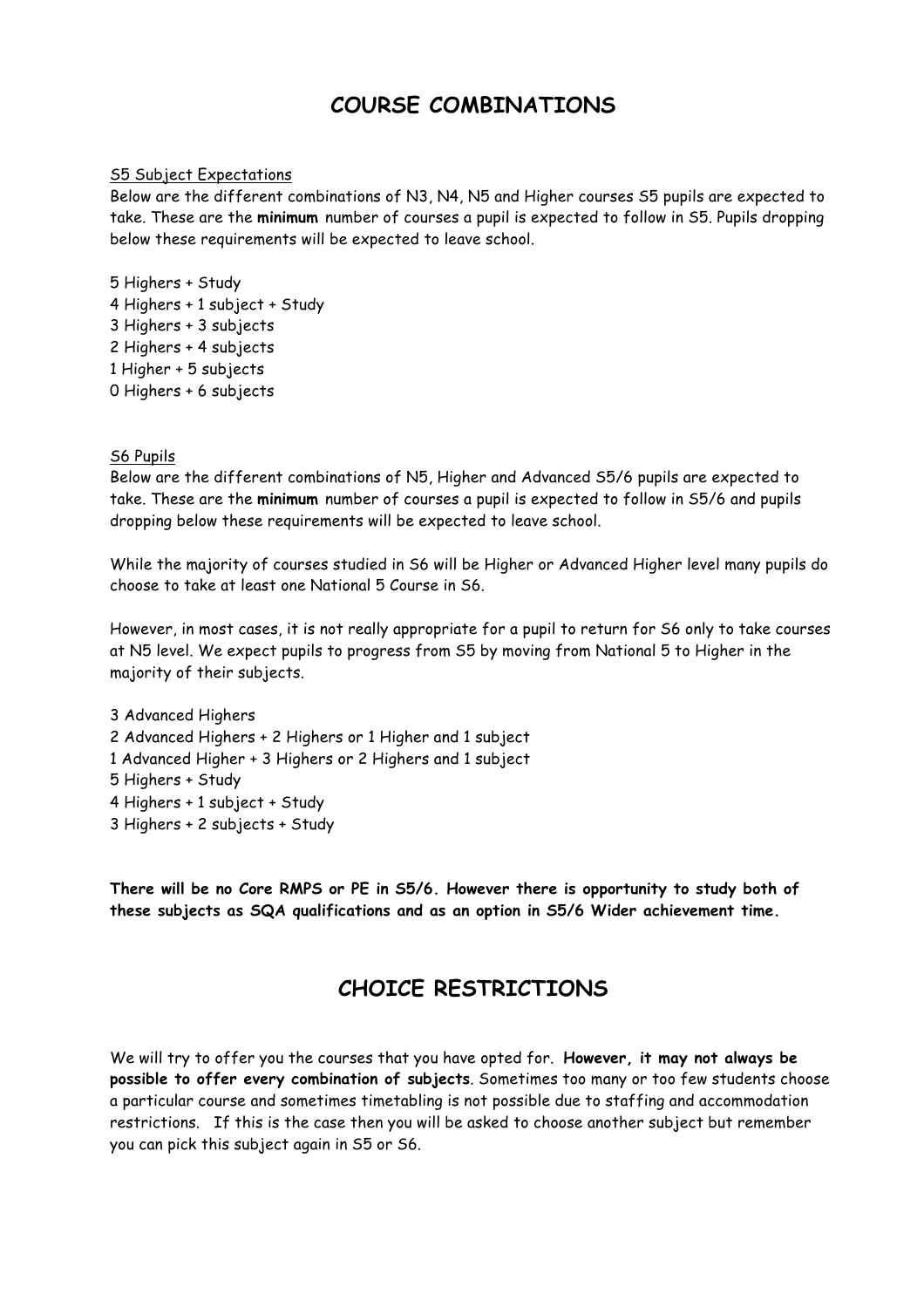## **COURSE COMBINATIONS**

#### S5 Subject Expectations

Below are the different combinations of N3, N4, N5 and Higher courses S5 pupils are expected to take. These are the **minimum** number of courses a pupil is expected to follow in S5. Pupils dropping below these requirements will be expected to leave school.

5 Highers + Study 4 Highers + 1 subject + Study 3 Highers + 3 subjects 2 Highers + 4 subjects 1 Higher + 5 subjects 0 Highers + 6 subjects

#### S6 Pupils

Below are the different combinations of N5, Higher and Advanced S5/6 pupils are expected to take. These are the **minimum** number of courses a pupil is expected to follow in S5/6 and pupils dropping below these requirements will be expected to leave school.

While the majority of courses studied in S6 will be Higher or Advanced Higher level many pupils do choose to take at least one National 5 Course in S6.

However, in most cases, it is not really appropriate for a pupil to return for S6 only to take courses at N5 level. We expect pupils to progress from S5 by moving from National 5 to Higher in the majority of their subjects.

3 Advanced Highers 2 Advanced Highers + 2 Highers or 1 Higher and 1 subject 1 Advanced Higher + 3 Highers or 2 Highers and 1 subject 5 Highers + Study 4 Highers + 1 subject + Study 3 Highers + 2 subjects + Study

**There will be no Core RMPS or PE in S5/6. However there is opportunity to study both of these subjects as SQA qualifications and as an option in S5/6 Wider achievement time.**

## **CHOICE RESTRICTIONS**

We will try to offer you the courses that you have opted for. **However, it may not always be possible to offer every combination of subjects**. Sometimes too many or too few students choose a particular course and sometimes timetabling is not possible due to staffing and accommodation restrictions. If this is the case then you will be asked to choose another subject but remember you can pick this subject again in S5 or S6.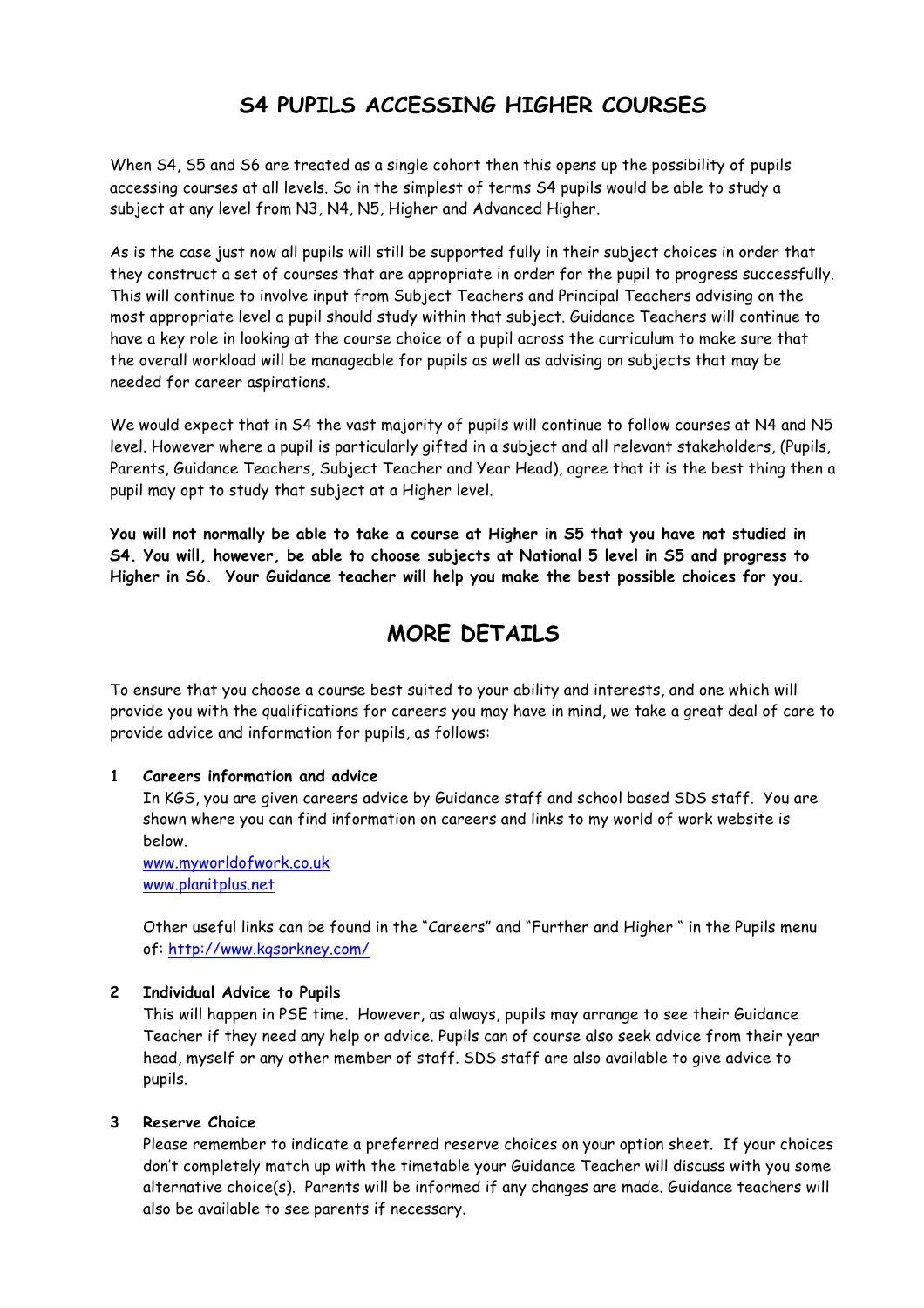## **S4 PUPILS ACCESSING HIGHER COURSES**

When S4, S5 and S6 are treated as a single cohort then this opens up the possibility of pupils accessing courses at all levels. So in the simplest of terms S4 pupils would be able to study a subject at any level from N3, N4, N5, Higher and Advanced Higher.

As is the case just now all pupils will still be supported fully in their subject choices in order that they construct a set of courses that are appropriate in order for the pupil to progress successfully. This will continue to involve input from Subject Teachers and Principal Teachers advising on the most appropriate level a pupil should study within that subject. Guidance Teachers will continue to have a key role in looking at the course choice of a pupil across the curriculum to make sure that the overall workload will be manageable for pupils as well as advising on subjects that may be needed for career aspirations.

We would expect that in S4 the vast majority of pupils will continue to follow courses at N4 and N5 level. However where a pupil is particularly gifted in a subject and all relevant stakeholders, (Pupils, Parents, Guidance Teachers, Subject Teacher and Year Head), agree that it is the best thing then a pupil may opt to study that subject at a Higher level.

**You will not normally be able to take a course at Higher in S5 that you have not studied in S4. You will, however, be able to choose subjects at National 5 level in S5 and progress to Higher in S6. Your Guidance teacher will help you make the best possible choices for you.**

## **MORE DETAILS**

To ensure that you choose a course best suited to your ability and interests, and one which will provide you with the qualifications for careers you may have in mind, we take a great deal of care to provide advice and information for pupils, as follows:

#### **1 Careers information and advice**

In KGS, you are given careers advice by Guidance staff and school based SDS staff. You are shown where you can find information on careers and links to my world of work website is below.

www.myworldofwork.co.uk www.planitplus.net

Other useful links can be found in the "Careers" and "Further and Higher " in the Pupils menu of: http://www.kgsorkney.com/

#### **2 Individual Advice to Pupils**

This will happen in PSE time. However, as always, pupils may arrange to see their Guidance Teacher if they need any help or advice. Pupils can of course also seek advice from their year head, myself or any other member of staff. SDS staff are also available to give advice to pupils.

#### **3 Reserve Choice**

Please remember to indicate a preferred reserve choices on your option sheet. If your choices don't completely match up with the timetable your Guidance Teacher will discuss with you some alternative choice(s). Parents will be informed if any changes are made. Guidance teachers will also be available to see parents if necessary.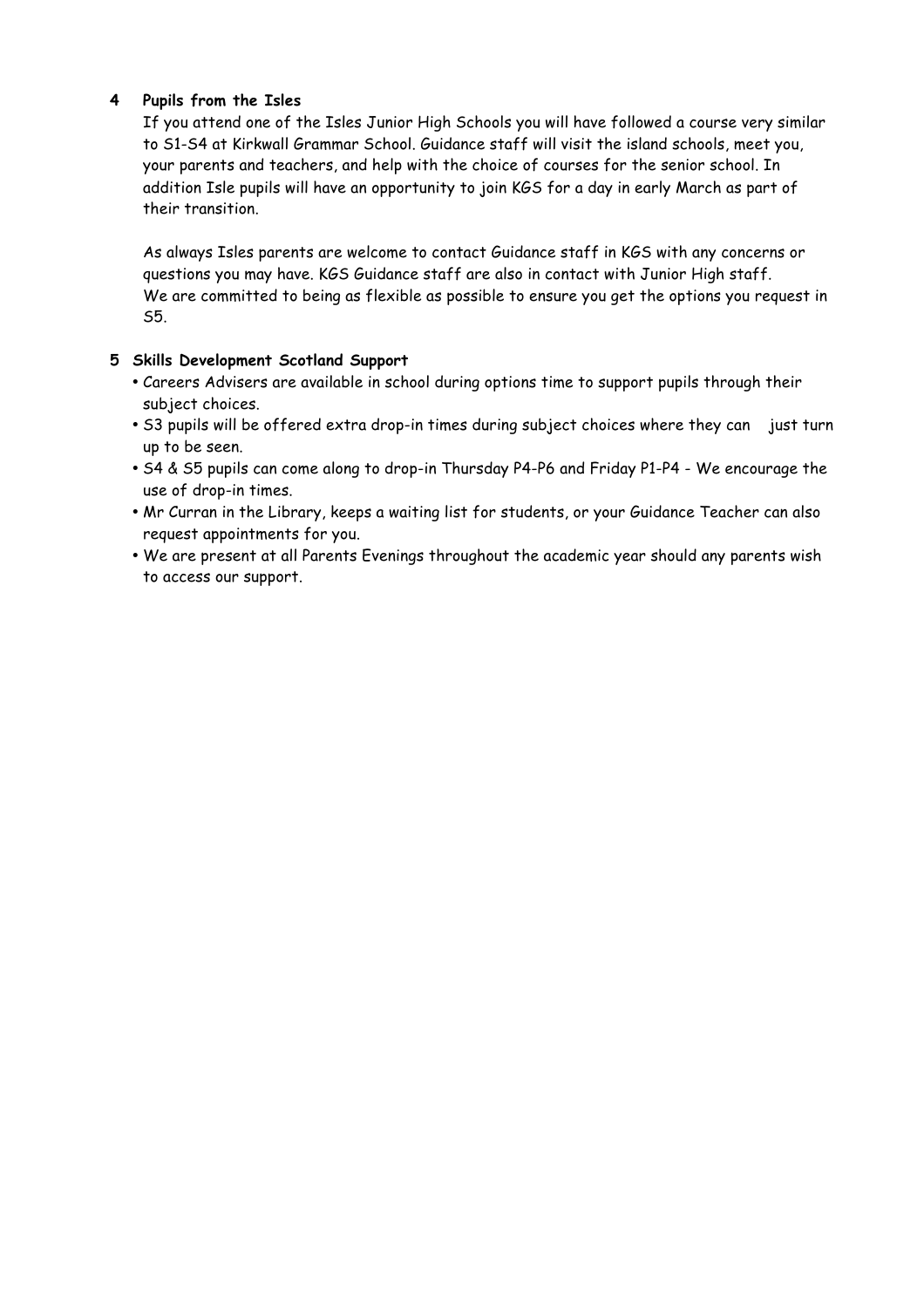#### **4 Pupils from the Isles**

If you attend one of the Isles Junior High Schools you will have followed a course very similar to S1-S4 at Kirkwall Grammar School. Guidance staff will visit the island schools, meet you, your parents and teachers, and help with the choice of courses for the senior school. In addition Isle pupils will have an opportunity to join KGS for a day in early March as part of their transition.

As always Isles parents are welcome to contact Guidance staff in KGS with any concerns or questions you may have. KGS Guidance staff are also in contact with Junior High staff. We are committed to being as flexible as possible to ensure you get the options you request in S5.

#### **5 Skills Development Scotland Support**

- Careers Advisers are available in school during options time to support pupils through their subject choices.
- S3 pupils will be offered extra drop-in times during subject choices where they can just turn up to be seen.
- S4 & S5 pupils can come along to drop-in Thursday P4-P6 and Friday P1-P4 We encourage the use of drop-in times.
- Mr Curran in the Library, keeps a waiting list for students, or your Guidance Teacher can also request appointments for you.
- We are present at all Parents Evenings throughout the academic year should any parents wish to access our support.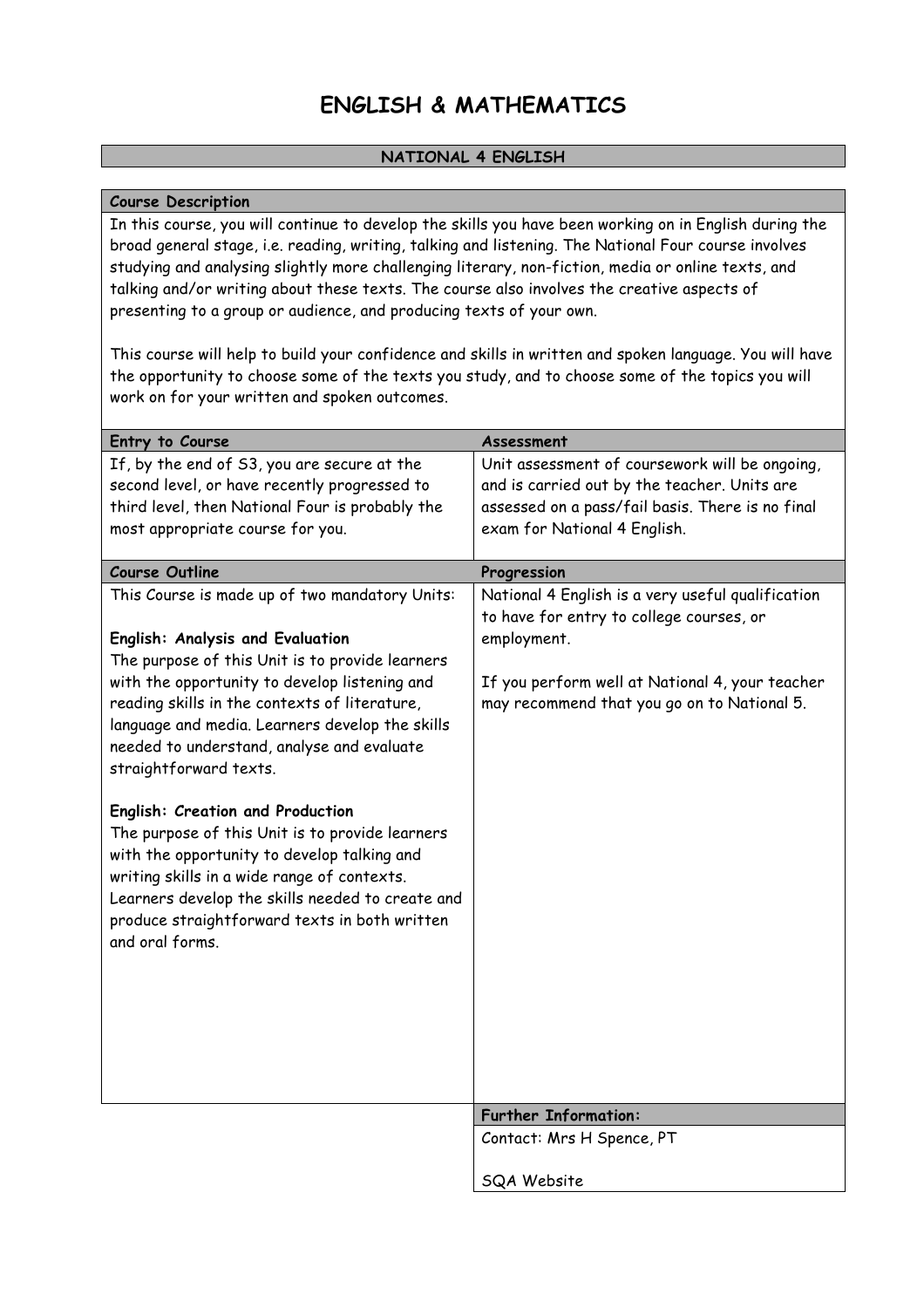## **ENGLISH & MATHEMATICS**

#### **NATIONAL 4 ENGLISH**

#### **Course Description**

In this course, you will continue to develop the skills you have been working on in English during the broad general stage, i.e. reading, writing, talking and listening. The National Four course involves studying and analysing slightly more challenging literary, non-fiction, media or online texts, and talking and/or writing about these texts. The course also involves the creative aspects of presenting to a group or audience, and producing texts of your own.

This course will help to build your confidence and skills in written and spoken language. You will have the opportunity to choose some of the texts you study, and to choose some of the topics you will work on for your written and spoken outcomes.

| Entry to Course                                                                                                                                                                                                                                                                                           | Assessment                                                                                     |
|-----------------------------------------------------------------------------------------------------------------------------------------------------------------------------------------------------------------------------------------------------------------------------------------------------------|------------------------------------------------------------------------------------------------|
| If, by the end of S3, you are secure at the                                                                                                                                                                                                                                                               | Unit assessment of coursework will be ongoing,                                                 |
| second level, or have recently progressed to                                                                                                                                                                                                                                                              | and is carried out by the teacher. Units are                                                   |
| third level, then National Four is probably the                                                                                                                                                                                                                                                           | assessed on a pass/fail basis. There is no final                                               |
| most appropriate course for you.                                                                                                                                                                                                                                                                          | exam for National 4 English.                                                                   |
| <b>Course Outline</b>                                                                                                                                                                                                                                                                                     | Progression                                                                                    |
| This Course is made up of two mandatory Units:                                                                                                                                                                                                                                                            | National 4 English is a very useful qualification<br>to have for entry to college courses, or  |
| English: Analysis and Evaluation                                                                                                                                                                                                                                                                          | employment.                                                                                    |
| The purpose of this Unit is to provide learners                                                                                                                                                                                                                                                           |                                                                                                |
| with the opportunity to develop listening and<br>reading skills in the contexts of literature,<br>language and media. Learners develop the skills<br>needed to understand, analyse and evaluate<br>straightforward texts.                                                                                 | If you perform well at National 4, your teacher<br>may recommend that you go on to National 5. |
| English: Creation and Production<br>The purpose of this Unit is to provide learners<br>with the opportunity to develop talking and<br>writing skills in a wide range of contexts.<br>Learners develop the skills needed to create and<br>produce straightforward texts in both written<br>and oral forms. |                                                                                                |
|                                                                                                                                                                                                                                                                                                           | <b>Further Information:</b>                                                                    |
|                                                                                                                                                                                                                                                                                                           | Contact: Mrs H Spence, PT                                                                      |
|                                                                                                                                                                                                                                                                                                           | <b>SQA Website</b>                                                                             |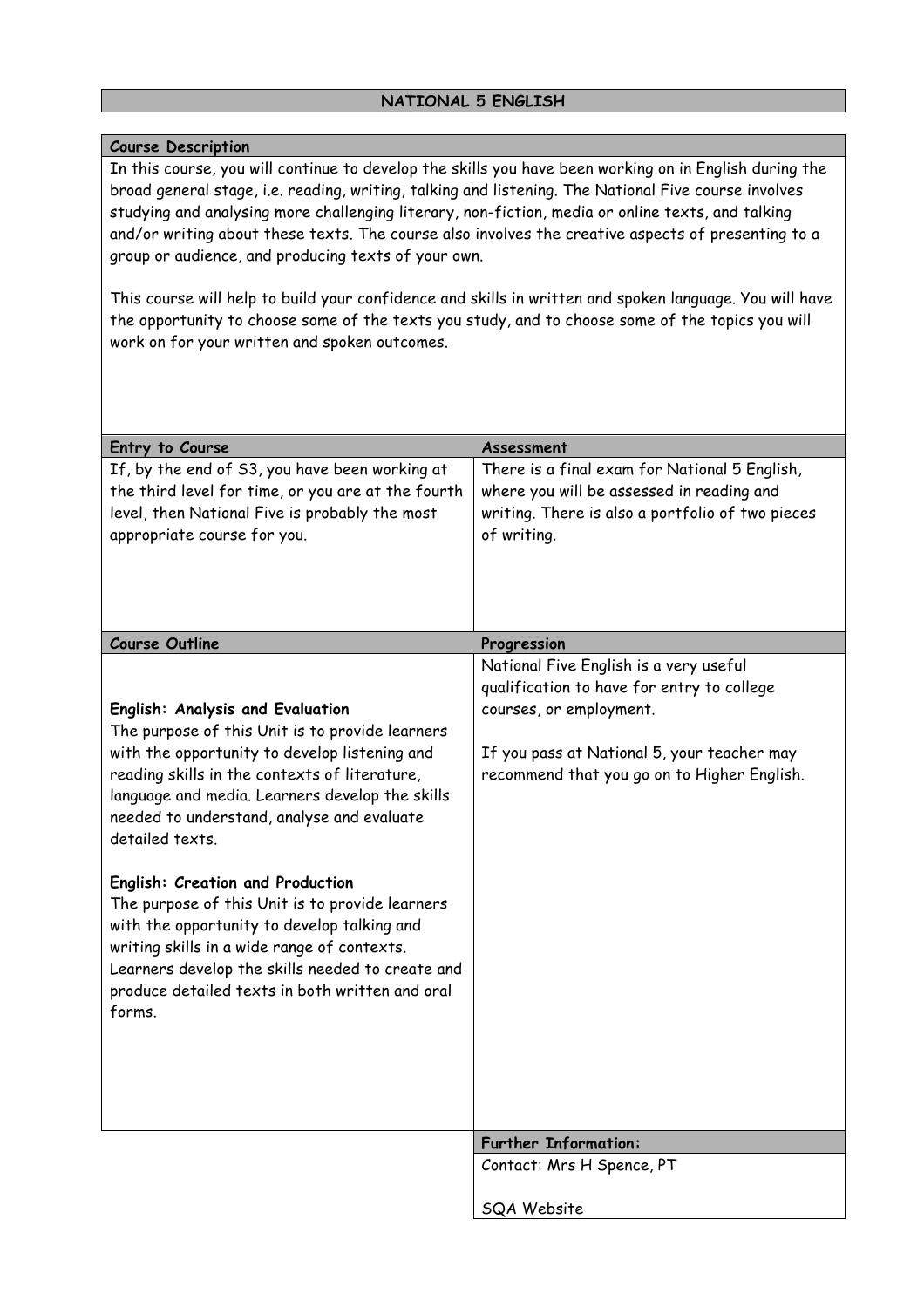#### **Course Description**

In this course, you will continue to develop the skills you have been working on in English during the broad general stage, i.e. reading, writing, talking and listening. The National Five course involves studying and analysing more challenging literary, non-fiction, media or online texts, and talking and/or writing about these texts. The course also involves the creative aspects of presenting to a group or audience, and producing texts of your own.

This course will help to build your confidence and skills in written and spoken language. You will have the opportunity to choose some of the texts you study, and to choose some of the topics you will work on for your written and spoken outcomes.

| Entry to Course                                                                                                                                                                                                                                                                                                                                                                                                                                                                                | Assessment                                                                                                                                                                                                    |
|------------------------------------------------------------------------------------------------------------------------------------------------------------------------------------------------------------------------------------------------------------------------------------------------------------------------------------------------------------------------------------------------------------------------------------------------------------------------------------------------|---------------------------------------------------------------------------------------------------------------------------------------------------------------------------------------------------------------|
| If, by the end of S3, you have been working at<br>the third level for time, or you are at the fourth<br>level, then National Five is probably the most<br>appropriate course for you.                                                                                                                                                                                                                                                                                                          | There is a final exam for National 5 English,<br>where you will be assessed in reading and<br>writing. There is also a portfolio of two pieces<br>of writing.                                                 |
| <b>Course Outline</b>                                                                                                                                                                                                                                                                                                                                                                                                                                                                          | Progression                                                                                                                                                                                                   |
| English: Analysis and Evaluation<br>The purpose of this Unit is to provide learners<br>with the opportunity to develop listening and<br>reading skills in the contexts of literature,<br>language and media. Learners develop the skills<br>needed to understand, analyse and evaluate<br>detailed texts.<br>English: Creation and Production<br>The purpose of this Unit is to provide learners<br>with the opportunity to develop talking and<br>writing skills in a wide range of contexts. | National Five English is a very useful<br>qualification to have for entry to college<br>courses, or employment.<br>If you pass at National 5, your teacher may<br>recommend that you go on to Higher English. |
| Learners develop the skills needed to create and<br>produce detailed texts in both written and oral<br>forms.                                                                                                                                                                                                                                                                                                                                                                                  | <b>Further Information:</b><br>Contact: Mrs H Spence, PT<br><b>SQA Website</b>                                                                                                                                |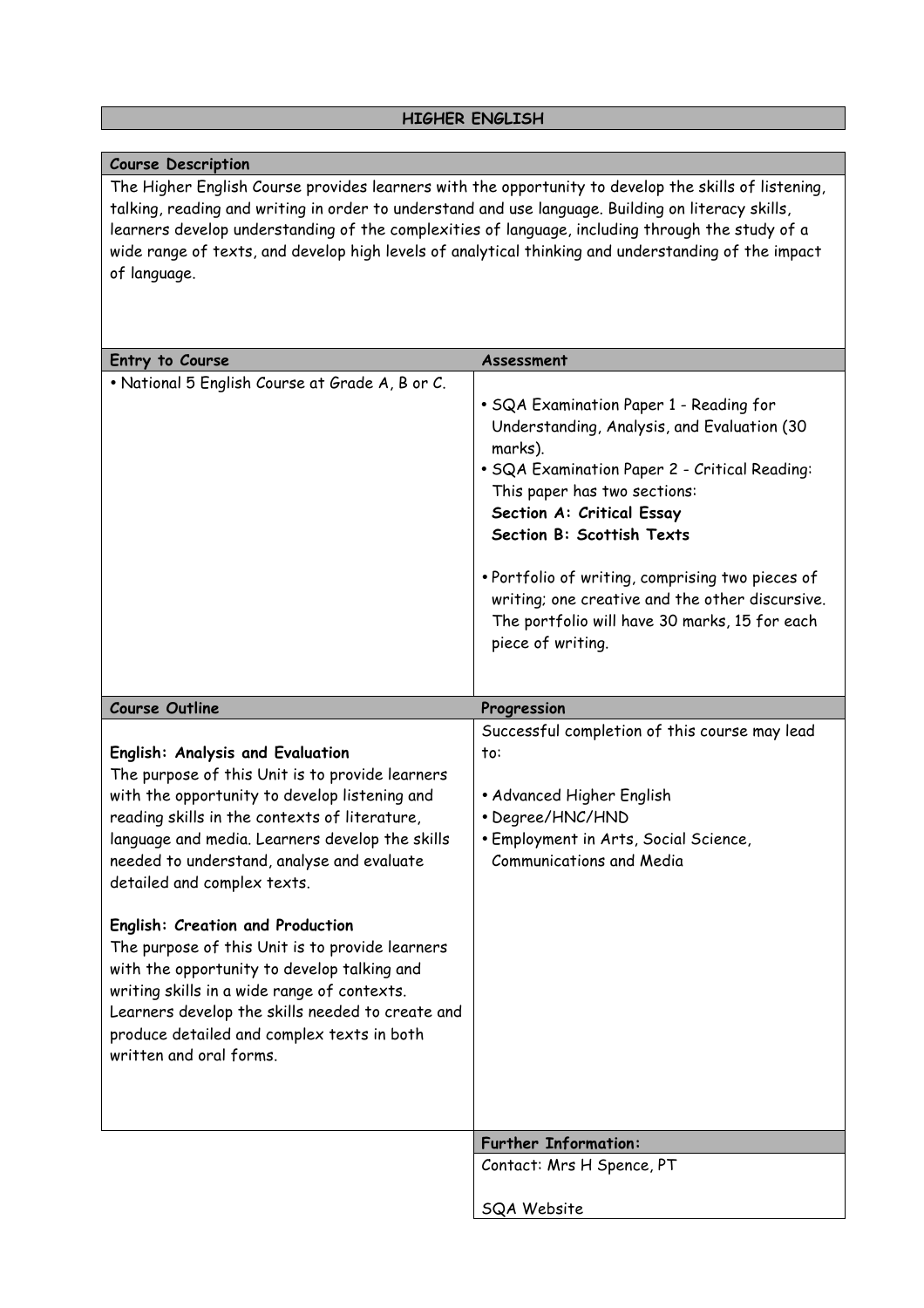#### **HIGHER ENGLISH**

#### **Course Description**

The Higher English Course provides learners with the opportunity to develop the skills of listening, talking, reading and writing in order to understand and use language. Building on literacy skills, learners develop understanding of the complexities of language, including through the study of a wide range of texts, and develop high levels of analytical thinking and understanding of the impact of language.

| Entry to Course                                                                                                                                                                                                                                                                                                                                                                                                                                                                                                                                                                                                                         | Assessment                                                                                                                                                                                                                                                                                                                                                                                                                |
|-----------------------------------------------------------------------------------------------------------------------------------------------------------------------------------------------------------------------------------------------------------------------------------------------------------------------------------------------------------------------------------------------------------------------------------------------------------------------------------------------------------------------------------------------------------------------------------------------------------------------------------------|---------------------------------------------------------------------------------------------------------------------------------------------------------------------------------------------------------------------------------------------------------------------------------------------------------------------------------------------------------------------------------------------------------------------------|
| . National 5 English Course at Grade A, B or C.                                                                                                                                                                                                                                                                                                                                                                                                                                                                                                                                                                                         | · SQA Examination Paper 1 - Reading for<br>Understanding, Analysis, and Evaluation (30<br>marks).<br>• SQA Examination Paper 2 - Critical Reading:<br>This paper has two sections:<br>Section A: Critical Essay<br>Section B: Scottish Texts<br>. Portfolio of writing, comprising two pieces of<br>writing; one creative and the other discursive.<br>The portfolio will have 30 marks, 15 for each<br>piece of writing. |
| <b>Course Outline</b>                                                                                                                                                                                                                                                                                                                                                                                                                                                                                                                                                                                                                   | Progression                                                                                                                                                                                                                                                                                                                                                                                                               |
| English: Analysis and Evaluation<br>The purpose of this Unit is to provide learners<br>with the opportunity to develop listening and<br>reading skills in the contexts of literature,<br>language and media. Learners develop the skills<br>needed to understand, analyse and evaluate<br>detailed and complex texts.<br>English: Creation and Production<br>The purpose of this Unit is to provide learners<br>with the opportunity to develop talking and<br>writing skills in a wide range of contexts.<br>Learners develop the skills needed to create and<br>produce detailed and complex texts in both<br>written and oral forms. | Successful completion of this course may lead<br>to:<br>• Advanced Higher English<br>• Degree/HNC/HND<br>• Employment in Arts, Social Science,<br><b>Communications and Media</b>                                                                                                                                                                                                                                         |
|                                                                                                                                                                                                                                                                                                                                                                                                                                                                                                                                                                                                                                         | <b>Further Information:</b>                                                                                                                                                                                                                                                                                                                                                                                               |
|                                                                                                                                                                                                                                                                                                                                                                                                                                                                                                                                                                                                                                         | Contact: Mrs H Spence, PT                                                                                                                                                                                                                                                                                                                                                                                                 |
|                                                                                                                                                                                                                                                                                                                                                                                                                                                                                                                                                                                                                                         | <b>SQA Website</b>                                                                                                                                                                                                                                                                                                                                                                                                        |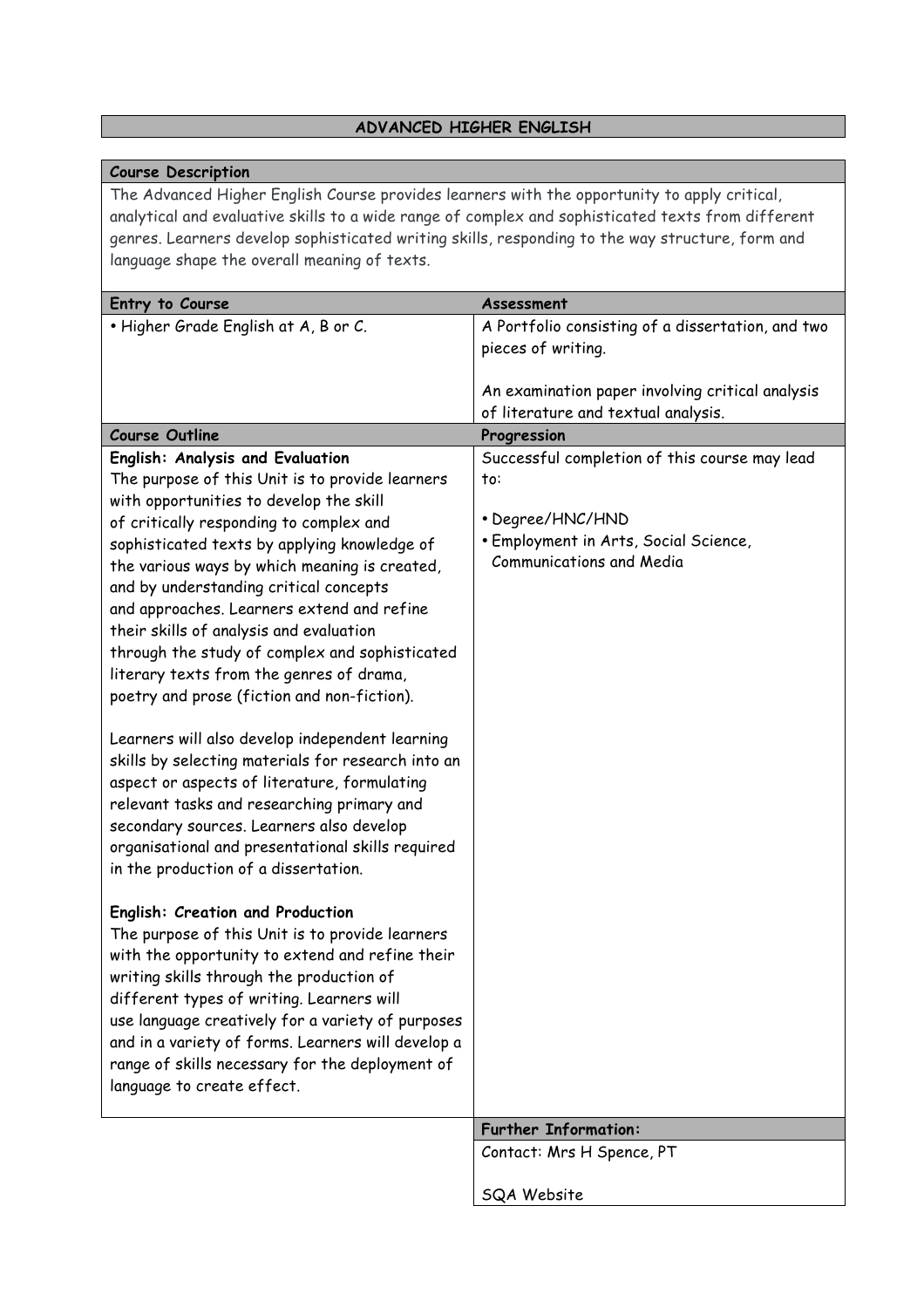#### **ADVANCED HIGHER ENGLISH**

#### **Course Description**

The Advanced Higher English Course provides learners with the opportunity to apply critical, analytical and evaluative skills to a wide range of complex and sophisticated texts from different genres. Learners develop sophisticated writing skills, responding to the way structure, form and language shape the overall meaning of texts.

| Entry to Course                                    | Assessment                                        |
|----------------------------------------------------|---------------------------------------------------|
| . Higher Grade English at A, B or C.               | A Portfolio consisting of a dissertation, and two |
|                                                    | pieces of writing.                                |
|                                                    |                                                   |
|                                                    | An examination paper involving critical analysis  |
|                                                    | of literature and textual analysis.               |
| <b>Course Outline</b>                              | Progression                                       |
| English: Analysis and Evaluation                   | Successful completion of this course may lead     |
| The purpose of this Unit is to provide learners    | to:                                               |
| with opportunities to develop the skill            |                                                   |
| of critically responding to complex and            | • Degree/HNC/HND                                  |
| sophisticated texts by applying knowledge of       | · Employment in Arts, Social Science,             |
| the various ways by which meaning is created,      | <b>Communications and Media</b>                   |
| and by understanding critical concepts             |                                                   |
| and approaches. Learners extend and refine         |                                                   |
|                                                    |                                                   |
| their skills of analysis and evaluation            |                                                   |
| through the study of complex and sophisticated     |                                                   |
| literary texts from the genres of drama,           |                                                   |
| poetry and prose (fiction and non-fiction).        |                                                   |
|                                                    |                                                   |
| Learners will also develop independent learning    |                                                   |
| skills by selecting materials for research into an |                                                   |
| aspect or aspects of literature, formulating       |                                                   |
| relevant tasks and researching primary and         |                                                   |
| secondary sources. Learners also develop           |                                                   |
| organisational and presentational skills required  |                                                   |
| in the production of a dissertation.               |                                                   |
|                                                    |                                                   |
| <b>English: Creation and Production</b>            |                                                   |
| The purpose of this Unit is to provide learners    |                                                   |
| with the opportunity to extend and refine their    |                                                   |
| writing skills through the production of           |                                                   |
| different types of writing. Learners will          |                                                   |
| use language creatively for a variety of purposes  |                                                   |
| and in a variety of forms. Learners will develop a |                                                   |
| range of skills necessary for the deployment of    |                                                   |
|                                                    |                                                   |
| language to create effect.                         |                                                   |
|                                                    | <b>Further Information:</b>                       |
|                                                    | Contact: Mrs H Spence, PT                         |
|                                                    |                                                   |
|                                                    | SQA Website                                       |
|                                                    |                                                   |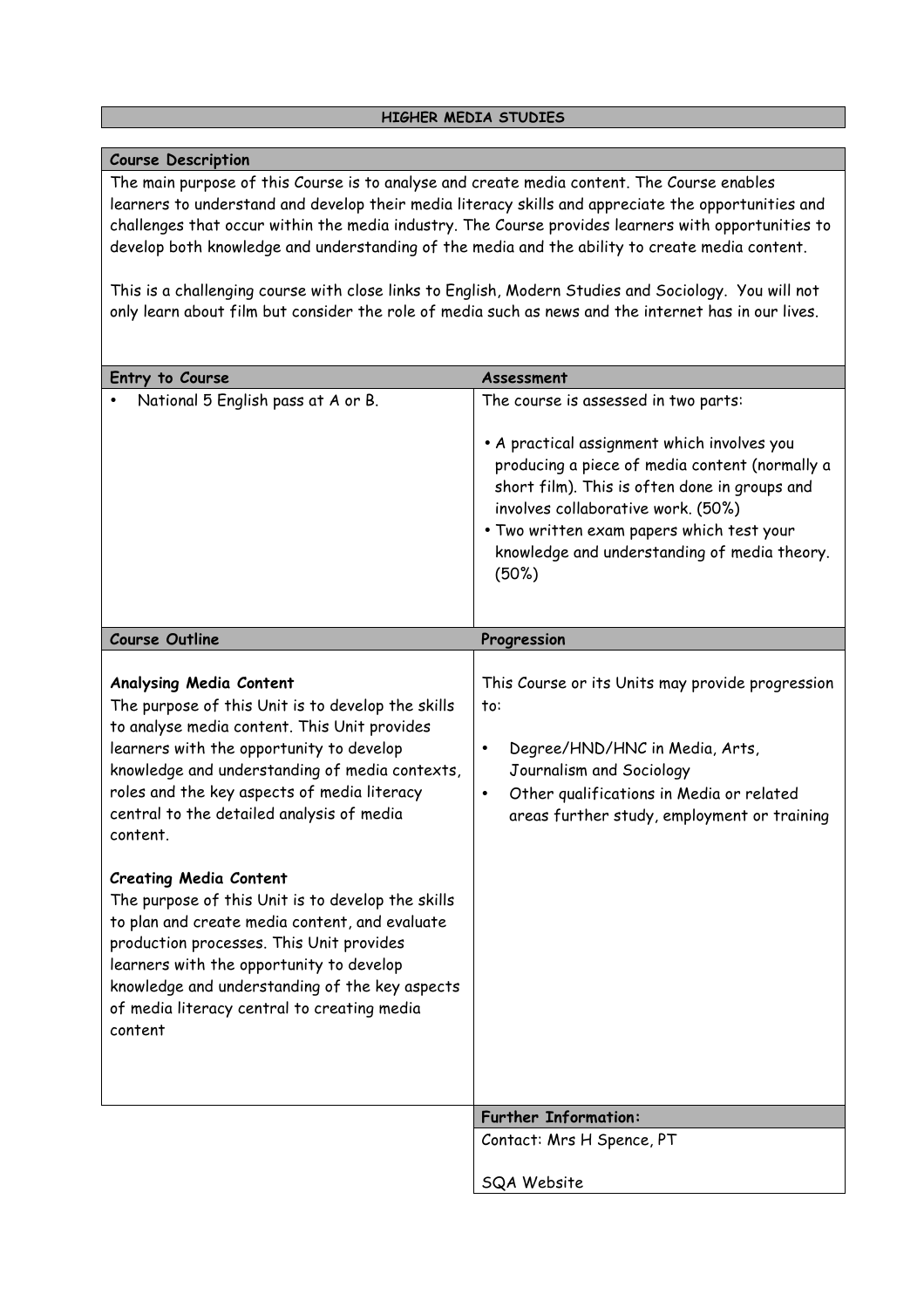#### **Course Description**

The main purpose of this Course is to analyse and create media content. The Course enables learners to understand and develop their media literacy skills and appreciate the opportunities and challenges that occur within the media industry. The Course provides learners with opportunities to develop both knowledge and understanding of the media and the ability to create media content.

This is a challenging course with close links to English, Modern Studies and Sociology. You will not only learn about film but consider the role of media such as news and the internet has in our lives.

| Assessment                                                                                                                                                                                                                                                                                                                         |
|------------------------------------------------------------------------------------------------------------------------------------------------------------------------------------------------------------------------------------------------------------------------------------------------------------------------------------|
| The course is assessed in two parts:<br>• A practical assignment which involves you<br>producing a piece of media content (normally a<br>short film). This is often done in groups and<br>involves collaborative work. (50%)<br>. Two written exam papers which test your<br>knowledge and understanding of media theory.<br>(50%) |
| Progression                                                                                                                                                                                                                                                                                                                        |
| This Course or its Units may provide progression<br>to:<br>Degree/HND/HNC in Media, Arts,<br>$\bullet$<br>Journalism and Sociology<br>Other qualifications in Media or related<br>$\bullet$<br>areas further study, employment or training                                                                                         |
|                                                                                                                                                                                                                                                                                                                                    |
| <b>Further Information:</b>                                                                                                                                                                                                                                                                                                        |
| Contact: Mrs H Spence, PT<br>SQA Website                                                                                                                                                                                                                                                                                           |
|                                                                                                                                                                                                                                                                                                                                    |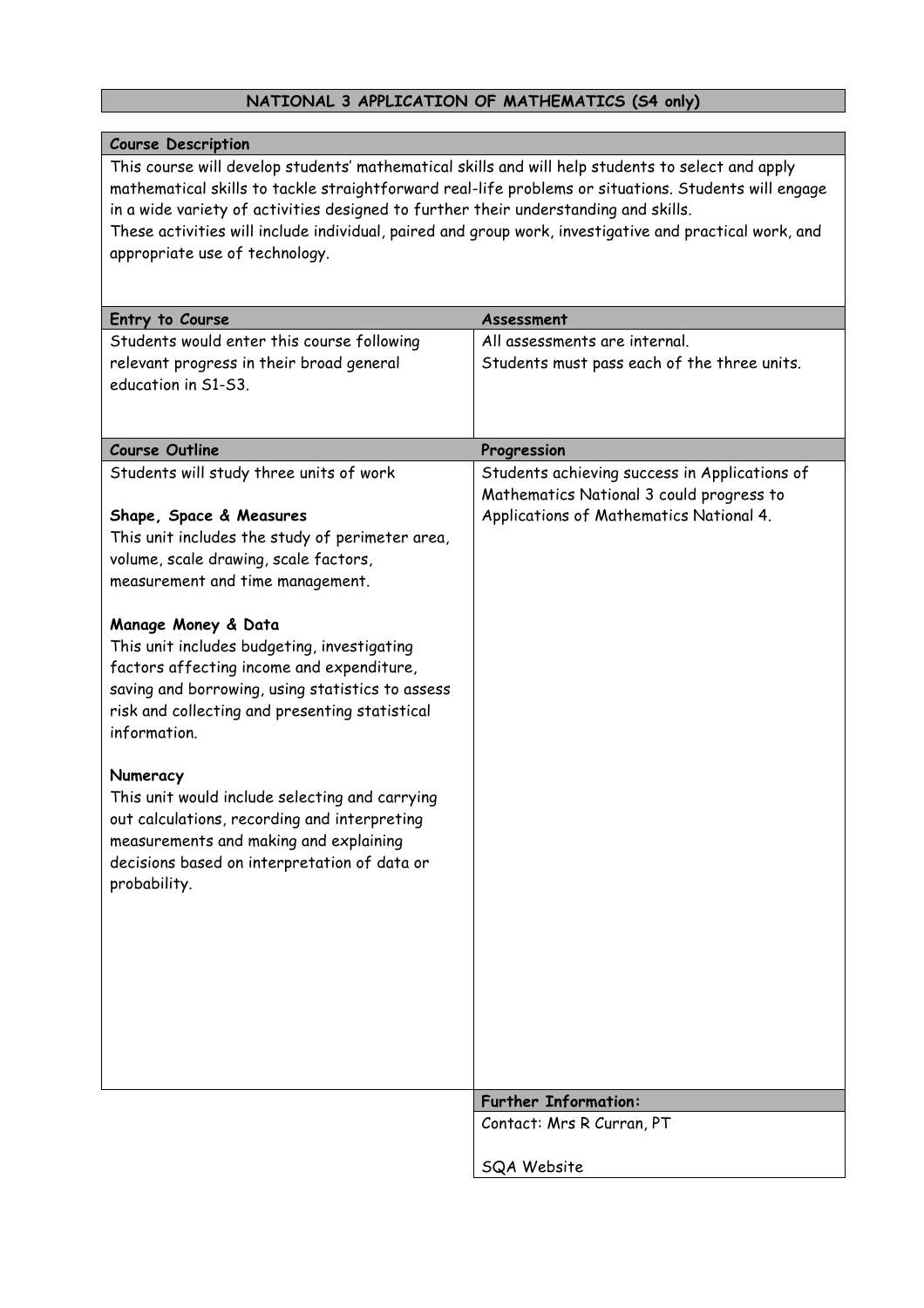## **NATIONAL 3 APPLICATION OF MATHEMATICS (S4 only)**

| <b>Course Description</b>                                                                                                                                                                                                                                                                                                                                                                                                                                                                                                                                                                                                                                           |                                                                                                                                      |
|---------------------------------------------------------------------------------------------------------------------------------------------------------------------------------------------------------------------------------------------------------------------------------------------------------------------------------------------------------------------------------------------------------------------------------------------------------------------------------------------------------------------------------------------------------------------------------------------------------------------------------------------------------------------|--------------------------------------------------------------------------------------------------------------------------------------|
| This course will develop students' mathematical skills and will help students to select and apply<br>mathematical skills to tackle straightforward real-life problems or situations. Students will engage<br>in a wide variety of activities designed to further their understanding and skills.<br>These activities will include individual, paired and group work, investigative and practical work, and<br>appropriate use of technology.                                                                                                                                                                                                                        |                                                                                                                                      |
| Entry to Course                                                                                                                                                                                                                                                                                                                                                                                                                                                                                                                                                                                                                                                     | Assessment                                                                                                                           |
| Students would enter this course following<br>relevant progress in their broad general<br>education in S1-S3.                                                                                                                                                                                                                                                                                                                                                                                                                                                                                                                                                       | All assessments are internal.<br>Students must pass each of the three units.                                                         |
| <b>Course Outline</b>                                                                                                                                                                                                                                                                                                                                                                                                                                                                                                                                                                                                                                               | Progression                                                                                                                          |
| Students will study three units of work<br>Shape, Space & Measures<br>This unit includes the study of perimeter area,<br>volume, scale drawing, scale factors,<br>measurement and time management.<br>Manage Money & Data<br>This unit includes budgeting, investigating<br>factors affecting income and expenditure,<br>saving and borrowing, using statistics to assess<br>risk and collecting and presenting statistical<br>information.<br>Numeracy<br>This unit would include selecting and carrying<br>out calculations, recording and interpreting<br>measurements and making and explaining<br>decisions based on interpretation of data or<br>probability. | Students achieving success in Applications of<br>Mathematics National 3 could progress to<br>Applications of Mathematics National 4. |
|                                                                                                                                                                                                                                                                                                                                                                                                                                                                                                                                                                                                                                                                     | <b>Further Information:</b>                                                                                                          |
|                                                                                                                                                                                                                                                                                                                                                                                                                                                                                                                                                                                                                                                                     | Contact: Mrs R Curran, PT                                                                                                            |
|                                                                                                                                                                                                                                                                                                                                                                                                                                                                                                                                                                                                                                                                     | SQA Website                                                                                                                          |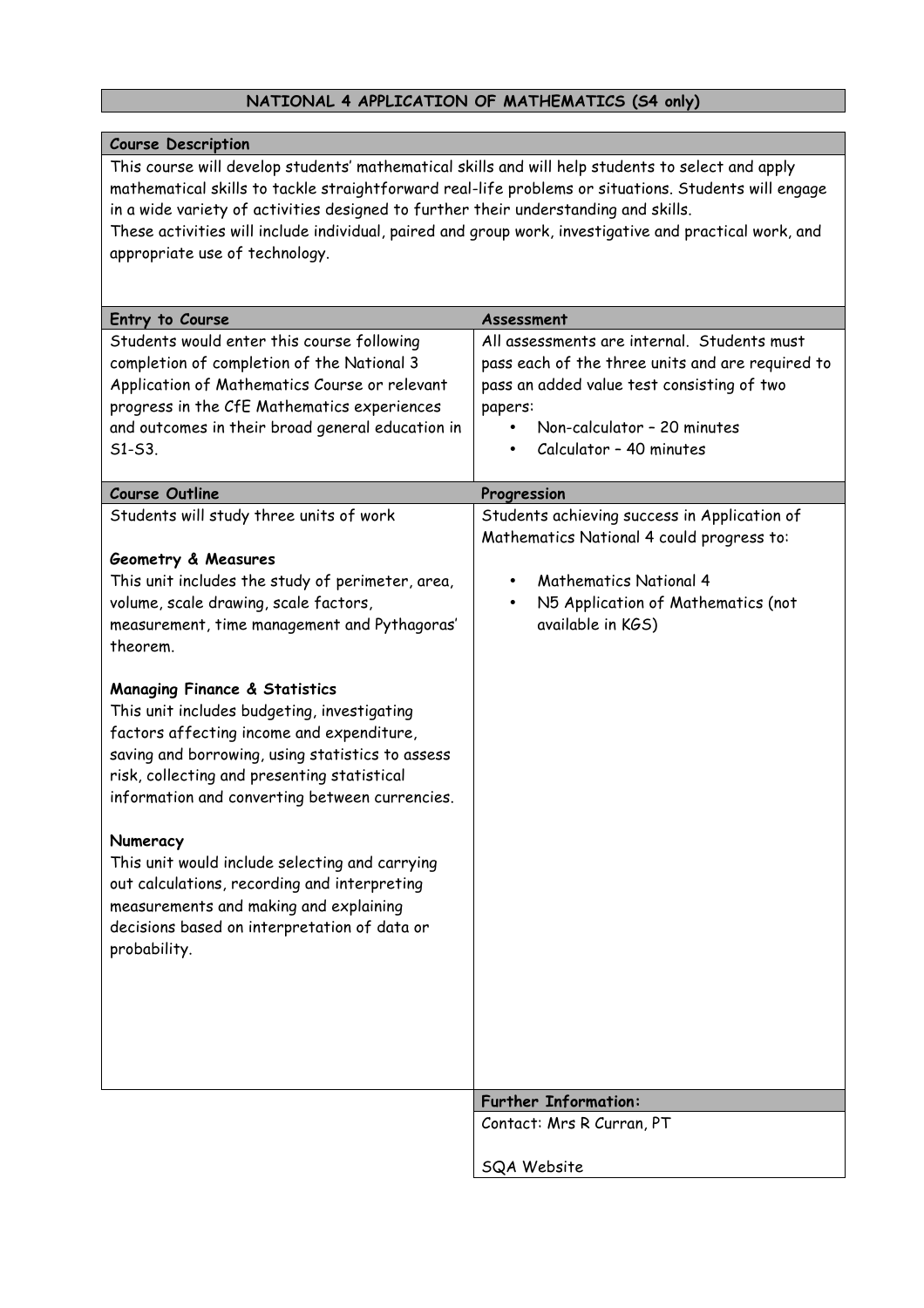## **NATIONAL 4 APPLICATION OF MATHEMATICS (S4 only)**

| <b>Course Description</b>                                                                              |                                                  |
|--------------------------------------------------------------------------------------------------------|--------------------------------------------------|
| This course will develop students' mathematical skills and will help students to select and apply      |                                                  |
| mathematical skills to tackle straightforward real-life problems or situations. Students will engage   |                                                  |
| in a wide variety of activities designed to further their understanding and skills.                    |                                                  |
| These activities will include individual, paired and group work, investigative and practical work, and |                                                  |
| appropriate use of technology.                                                                         |                                                  |
|                                                                                                        |                                                  |
|                                                                                                        | Assessment                                       |
| Entry to Course<br>Students would enter this course following                                          | All assessments are internal. Students must      |
| completion of completion of the National 3                                                             | pass each of the three units and are required to |
| Application of Mathematics Course or relevant                                                          |                                                  |
|                                                                                                        | pass an added value test consisting of two       |
| progress in the CfE Mathematics experiences                                                            | papers:<br>Non-calculator - 20 minutes           |
| and outcomes in their broad general education in<br>$51 - 53$ .                                        | Calculator - 40 minutes                          |
|                                                                                                        |                                                  |
| <b>Course Outline</b>                                                                                  | Progression                                      |
| Students will study three units of work                                                                | Students achieving success in Application of     |
|                                                                                                        | Mathematics National 4 could progress to:        |
| Geometry & Measures                                                                                    |                                                  |
| This unit includes the study of perimeter, area,                                                       | <b>Mathematics National 4</b><br>$\bullet$       |
| volume, scale drawing, scale factors,                                                                  | N5 Application of Mathematics (not               |
| measurement, time management and Pythagoras'                                                           | available in KGS)                                |
| theorem.                                                                                               |                                                  |
|                                                                                                        |                                                  |
| <b>Managing Finance &amp; Statistics</b>                                                               |                                                  |
| This unit includes budgeting, investigating                                                            |                                                  |
| factors affecting income and expenditure,                                                              |                                                  |
| saving and borrowing, using statistics to assess                                                       |                                                  |
| risk, collecting and presenting statistical                                                            |                                                  |
| information and converting between currencies.                                                         |                                                  |
|                                                                                                        |                                                  |
| Numeracy                                                                                               |                                                  |
| This unit would include selecting and carrying                                                         |                                                  |
| out calculations, recording and interpreting                                                           |                                                  |
| measurements and making and explaining                                                                 |                                                  |
| decisions based on interpretation of data or                                                           |                                                  |
| probability.                                                                                           |                                                  |
|                                                                                                        |                                                  |
|                                                                                                        |                                                  |
|                                                                                                        |                                                  |
|                                                                                                        |                                                  |
|                                                                                                        |                                                  |
|                                                                                                        | <b>Further Information:</b>                      |
|                                                                                                        | Contact: Mrs R Curran, PT                        |
|                                                                                                        | SQA Website                                      |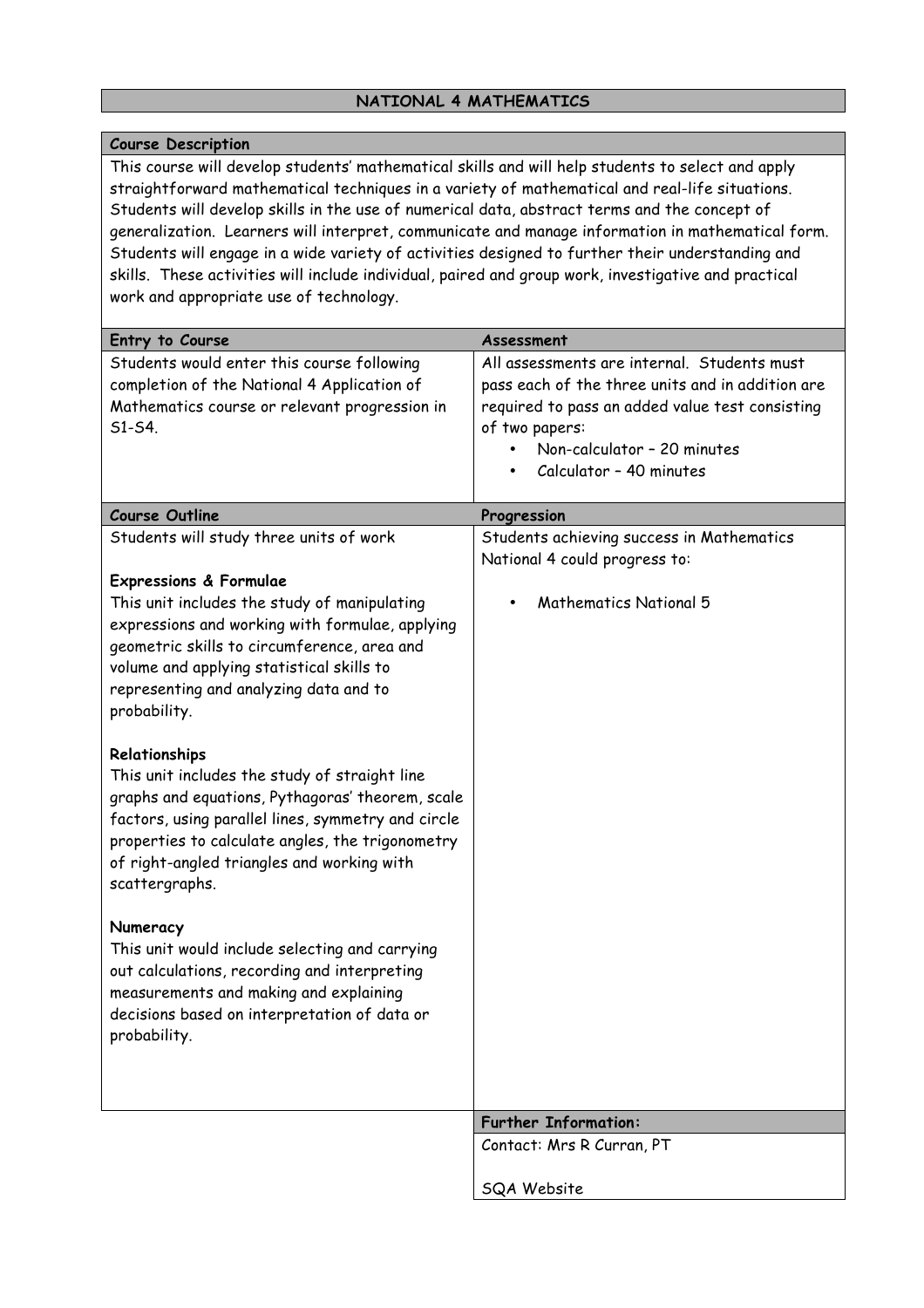#### **NATIONAL 4 MATHEMATICS**

#### **Course Description**

This course will develop students' mathematical skills and will help students to select and apply straightforward mathematical techniques in a variety of mathematical and real-life situations. Students will develop skills in the use of numerical data, abstract terms and the concept of generalization. Learners will interpret, communicate and manage information in mathematical form. Students will engage in a wide variety of activities designed to further their understanding and skills. These activities will include individual, paired and group work, investigative and practical work and appropriate use of technology.

| Entry to Course                                                                           | Assessment                                                                                      |
|-------------------------------------------------------------------------------------------|-------------------------------------------------------------------------------------------------|
| Students would enter this course following<br>completion of the National 4 Application of | All assessments are internal. Students must<br>pass each of the three units and in addition are |
| Mathematics course or relevant progression in                                             | required to pass an added value test consisting                                                 |
| S1-S4.                                                                                    | of two papers:                                                                                  |
|                                                                                           | Non-calculator - 20 minutes                                                                     |
|                                                                                           | Calculator - 40 minutes                                                                         |
|                                                                                           |                                                                                                 |
| <b>Course Outline</b>                                                                     | Progression                                                                                     |
| Students will study three units of work                                                   | Students achieving success in Mathematics                                                       |
|                                                                                           | National 4 could progress to:                                                                   |
| <b>Expressions &amp; Formulae</b>                                                         |                                                                                                 |
| This unit includes the study of manipulating                                              | <b>Mathematics National 5</b>                                                                   |
| expressions and working with formulae, applying                                           |                                                                                                 |
| geometric skills to circumference, area and                                               |                                                                                                 |
| volume and applying statistical skills to                                                 |                                                                                                 |
| representing and analyzing data and to                                                    |                                                                                                 |
| probability.                                                                              |                                                                                                 |
| Relationships                                                                             |                                                                                                 |
| This unit includes the study of straight line                                             |                                                                                                 |
| graphs and equations, Pythagoras' theorem, scale                                          |                                                                                                 |
| factors, using parallel lines, symmetry and circle                                        |                                                                                                 |
| properties to calculate angles, the trigonometry                                          |                                                                                                 |
| of right-angled triangles and working with                                                |                                                                                                 |
| scattergraphs.                                                                            |                                                                                                 |
|                                                                                           |                                                                                                 |
| Numeracy                                                                                  |                                                                                                 |
| This unit would include selecting and carrying                                            |                                                                                                 |
| out calculations, recording and interpreting                                              |                                                                                                 |
| measurements and making and explaining                                                    |                                                                                                 |
| decisions based on interpretation of data or                                              |                                                                                                 |
| probability.                                                                              |                                                                                                 |
|                                                                                           |                                                                                                 |
|                                                                                           |                                                                                                 |
|                                                                                           | <b>Further Information:</b>                                                                     |
|                                                                                           | Contact: Mrs R Curran, PT                                                                       |
|                                                                                           |                                                                                                 |
|                                                                                           | SQA Website                                                                                     |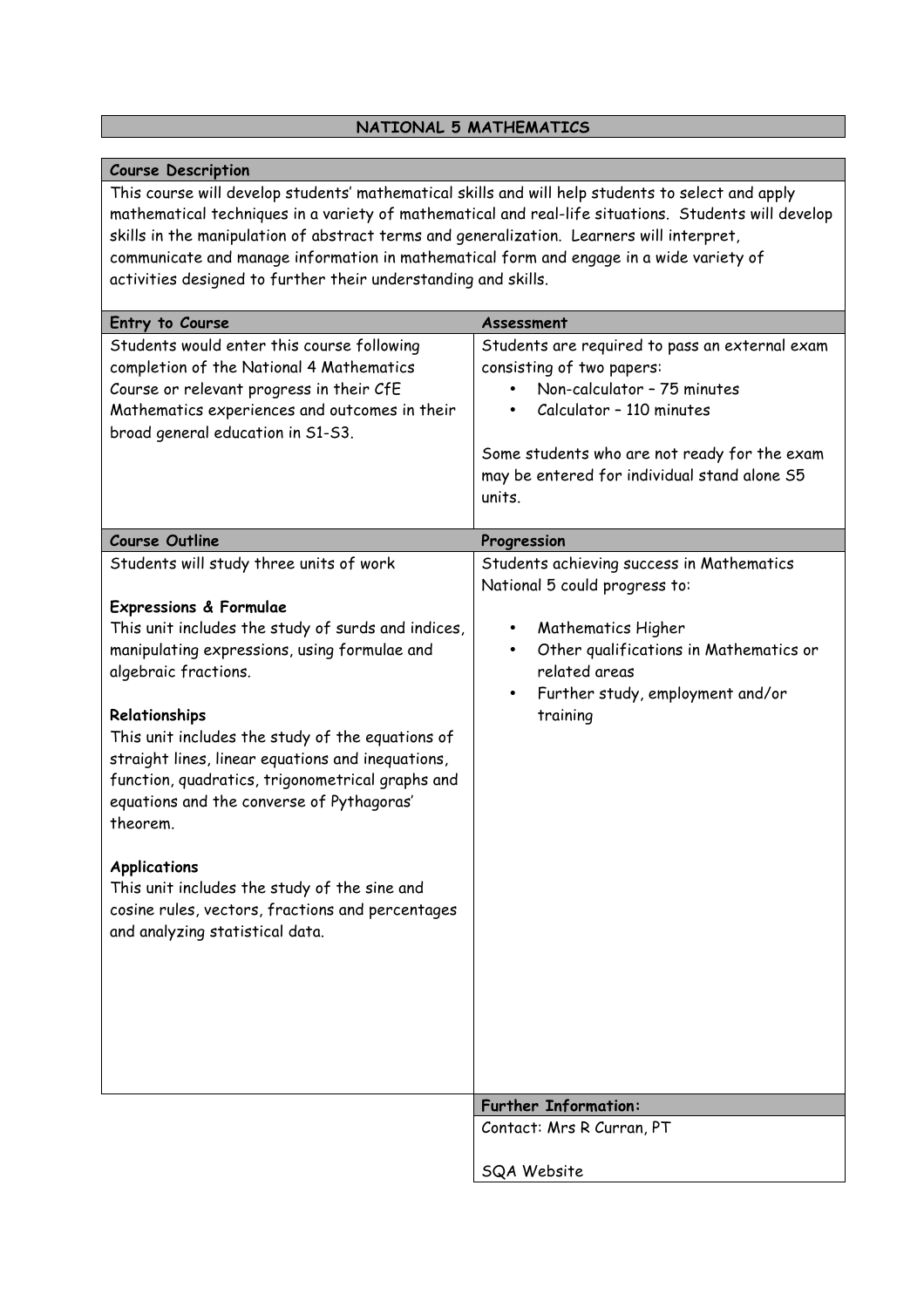## **NATIONAL 5 MATHEMATICS**

| <b>Course Description</b>                                                                                                                                                                                                                                                                              |                                                                                                                                        |
|--------------------------------------------------------------------------------------------------------------------------------------------------------------------------------------------------------------------------------------------------------------------------------------------------------|----------------------------------------------------------------------------------------------------------------------------------------|
| This course will develop students' mathematical skills and will help students to select and apply<br>mathematical techniques in a variety of mathematical and real-life situations. Students will develop<br>skills in the manipulation of abstract terms and generalization. Learners will interpret, |                                                                                                                                        |
| communicate and manage information in mathematical form and engage in a wide variety of                                                                                                                                                                                                                |                                                                                                                                        |
| activities designed to further their understanding and skills.                                                                                                                                                                                                                                         |                                                                                                                                        |
|                                                                                                                                                                                                                                                                                                        |                                                                                                                                        |
| Entry to Course                                                                                                                                                                                                                                                                                        | Assessment                                                                                                                             |
| Students would enter this course following<br>completion of the National 4 Mathematics<br>Course or relevant progress in their CfE<br>Mathematics experiences and outcomes in their                                                                                                                    | Students are required to pass an external exam<br>consisting of two papers:<br>Non-calculator - 75 minutes<br>Calculator - 110 minutes |
| broad general education in S1-S3.                                                                                                                                                                                                                                                                      |                                                                                                                                        |
|                                                                                                                                                                                                                                                                                                        | Some students who are not ready for the exam<br>may be entered for individual stand alone S5<br>units.                                 |
| <b>Course Outline</b>                                                                                                                                                                                                                                                                                  | Progression                                                                                                                            |
| Students will study three units of work<br><b>Expressions &amp; Formulae</b>                                                                                                                                                                                                                           | Students achieving success in Mathematics<br>National 5 could progress to:                                                             |
| This unit includes the study of surds and indices,                                                                                                                                                                                                                                                     | Mathematics Higher<br>٠                                                                                                                |
| manipulating expressions, using formulae and                                                                                                                                                                                                                                                           | Other qualifications in Mathematics or                                                                                                 |
| algebraic fractions.                                                                                                                                                                                                                                                                                   | related areas                                                                                                                          |
|                                                                                                                                                                                                                                                                                                        | Further study, employment and/or<br>$\bullet$                                                                                          |
| Relationships<br>This unit includes the study of the equations of                                                                                                                                                                                                                                      | training                                                                                                                               |
| straight lines, linear equations and inequations,<br>function, quadratics, trigonometrical graphs and                                                                                                                                                                                                  |                                                                                                                                        |
| equations and the converse of Pythagoras'<br>theorem.                                                                                                                                                                                                                                                  |                                                                                                                                        |
| <b>Applications</b>                                                                                                                                                                                                                                                                                    |                                                                                                                                        |
| This unit includes the study of the sine and<br>cosine rules, vectors, fractions and percentages<br>and analyzing statistical data.                                                                                                                                                                    |                                                                                                                                        |
|                                                                                                                                                                                                                                                                                                        |                                                                                                                                        |
|                                                                                                                                                                                                                                                                                                        |                                                                                                                                        |
|                                                                                                                                                                                                                                                                                                        |                                                                                                                                        |
|                                                                                                                                                                                                                                                                                                        |                                                                                                                                        |
|                                                                                                                                                                                                                                                                                                        | <b>Further Information:</b>                                                                                                            |
|                                                                                                                                                                                                                                                                                                        | Contact: Mrs R Curran, PT                                                                                                              |
|                                                                                                                                                                                                                                                                                                        | SQA Website                                                                                                                            |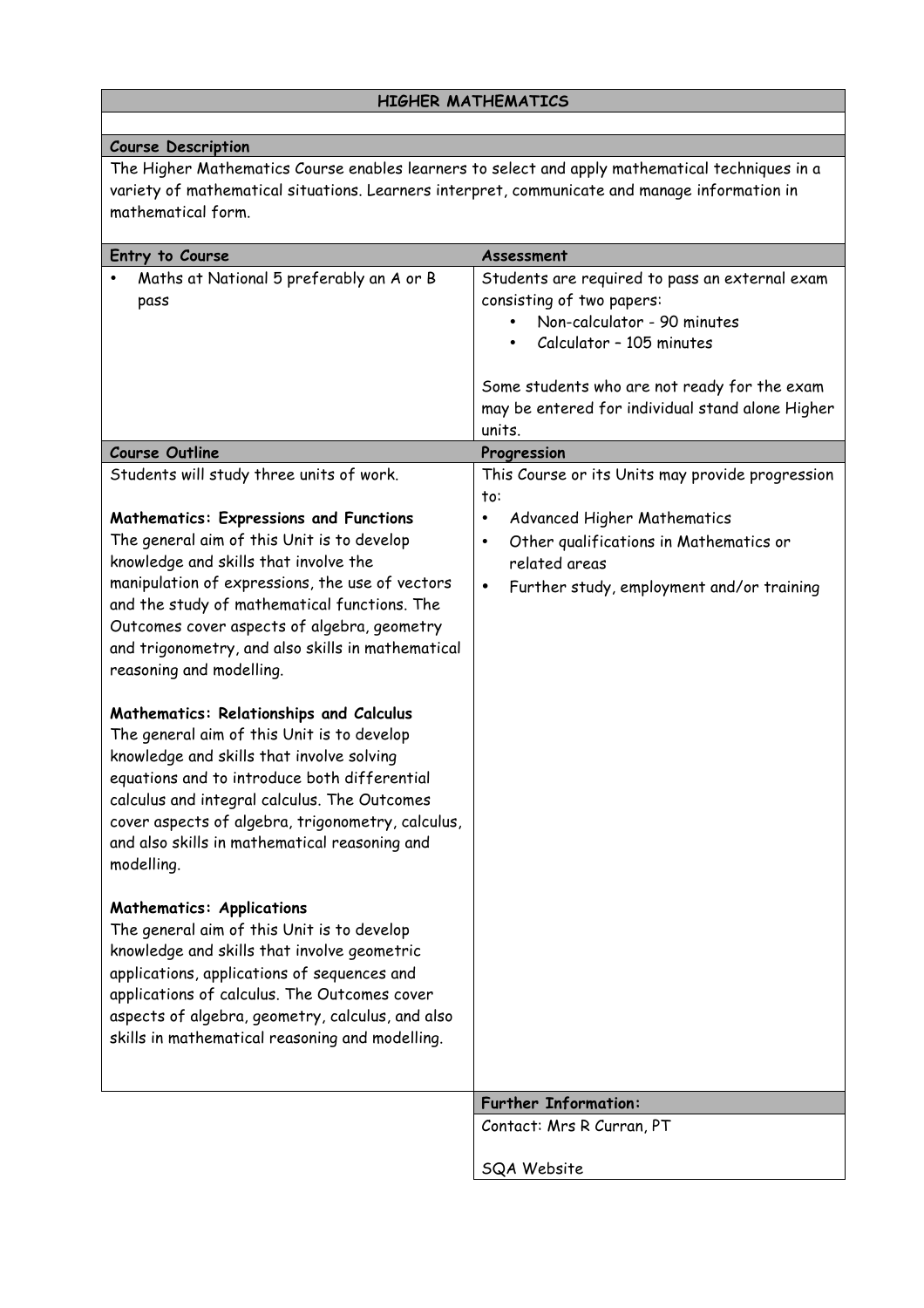#### **HIGHER MATHEMATICS**

#### **Course Description**

The Higher Mathematics Course enables learners to select and apply mathematical techniques in a variety of mathematical situations. Learners interpret, communicate and manage information in mathematical form.

| Entry to Course                                                                                                                                                                                                                                                                                                                                                                                                                                                                                                                                                                                                                                                                                                                                                                                                                                                                                                                                                                                                                                                                                                             | Assessment                                                                                                                                                                                                            |
|-----------------------------------------------------------------------------------------------------------------------------------------------------------------------------------------------------------------------------------------------------------------------------------------------------------------------------------------------------------------------------------------------------------------------------------------------------------------------------------------------------------------------------------------------------------------------------------------------------------------------------------------------------------------------------------------------------------------------------------------------------------------------------------------------------------------------------------------------------------------------------------------------------------------------------------------------------------------------------------------------------------------------------------------------------------------------------------------------------------------------------|-----------------------------------------------------------------------------------------------------------------------------------------------------------------------------------------------------------------------|
| Maths at National 5 preferably an A or B<br>pass                                                                                                                                                                                                                                                                                                                                                                                                                                                                                                                                                                                                                                                                                                                                                                                                                                                                                                                                                                                                                                                                            | Students are required to pass an external exam<br>consisting of two papers:<br>Non-calculator - 90 minutes<br>Calculator - 105 minutes<br>Some students who are not ready for the exam                                |
|                                                                                                                                                                                                                                                                                                                                                                                                                                                                                                                                                                                                                                                                                                                                                                                                                                                                                                                                                                                                                                                                                                                             | may be entered for individual stand alone Higher<br>units.                                                                                                                                                            |
| <b>Course Outline</b>                                                                                                                                                                                                                                                                                                                                                                                                                                                                                                                                                                                                                                                                                                                                                                                                                                                                                                                                                                                                                                                                                                       | Progression                                                                                                                                                                                                           |
| Students will study three units of work.<br><b>Mathematics: Expressions and Functions</b><br>The general aim of this Unit is to develop<br>knowledge and skills that involve the<br>manipulation of expressions, the use of vectors<br>and the study of mathematical functions. The<br>Outcomes cover aspects of algebra, geometry<br>and trigonometry, and also skills in mathematical<br>reasoning and modelling.<br><b>Mathematics: Relationships and Calculus</b><br>The general aim of this Unit is to develop<br>knowledge and skills that involve solving<br>equations and to introduce both differential<br>calculus and integral calculus. The Outcomes<br>cover aspects of algebra, trigonometry, calculus,<br>and also skills in mathematical reasoning and<br>modelling.<br><b>Mathematics: Applications</b><br>The general aim of this Unit is to develop<br>knowledge and skills that involve geometric<br>applications, applications of sequences and<br>applications of calculus. The Outcomes cover<br>aspects of algebra, geometry, calculus, and also<br>skills in mathematical reasoning and modelling. | This Course or its Units may provide progression<br>to:<br>Advanced Higher Mathematics<br>٠<br>Other qualifications in Mathematics or<br>٠<br>related areas<br>Further study, employment and/or training<br>$\bullet$ |
|                                                                                                                                                                                                                                                                                                                                                                                                                                                                                                                                                                                                                                                                                                                                                                                                                                                                                                                                                                                                                                                                                                                             |                                                                                                                                                                                                                       |
|                                                                                                                                                                                                                                                                                                                                                                                                                                                                                                                                                                                                                                                                                                                                                                                                                                                                                                                                                                                                                                                                                                                             | <b>Further Information:</b>                                                                                                                                                                                           |
|                                                                                                                                                                                                                                                                                                                                                                                                                                                                                                                                                                                                                                                                                                                                                                                                                                                                                                                                                                                                                                                                                                                             | Contact: Mrs R Curran, PT                                                                                                                                                                                             |
|                                                                                                                                                                                                                                                                                                                                                                                                                                                                                                                                                                                                                                                                                                                                                                                                                                                                                                                                                                                                                                                                                                                             | SQA Website                                                                                                                                                                                                           |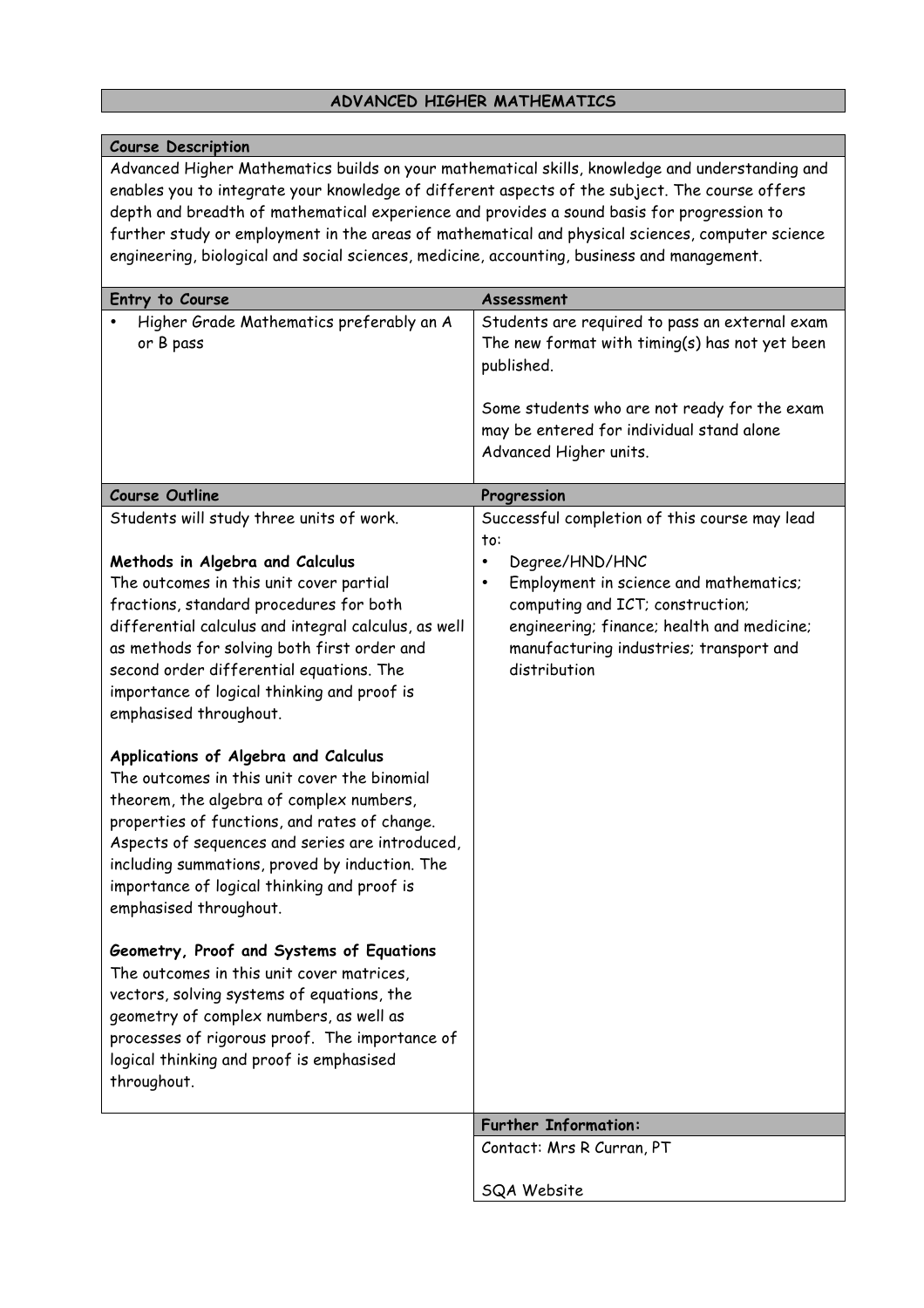## **ADVANCED HIGHER MATHEMATICS**

| <b>Course Description</b>                                                                                                                                                                                                                                                                                                                                                                                                                                                                                                                                                                                                                                                                                                                                        |                                                                                                                                                                                                                                                                                         |
|------------------------------------------------------------------------------------------------------------------------------------------------------------------------------------------------------------------------------------------------------------------------------------------------------------------------------------------------------------------------------------------------------------------------------------------------------------------------------------------------------------------------------------------------------------------------------------------------------------------------------------------------------------------------------------------------------------------------------------------------------------------|-----------------------------------------------------------------------------------------------------------------------------------------------------------------------------------------------------------------------------------------------------------------------------------------|
| Advanced Higher Mathematics builds on your mathematical skills, knowledge and understanding and<br>enables you to integrate your knowledge of different aspects of the subject. The course offers<br>depth and breadth of mathematical experience and provides a sound basis for progression to<br>further study or employment in the areas of mathematical and physical sciences, computer science<br>engineering, biological and social sciences, medicine, accounting, business and management.                                                                                                                                                                                                                                                               |                                                                                                                                                                                                                                                                                         |
| Entry to Course                                                                                                                                                                                                                                                                                                                                                                                                                                                                                                                                                                                                                                                                                                                                                  | Assessment                                                                                                                                                                                                                                                                              |
| Higher Grade Mathematics preferably an A<br>or B pass                                                                                                                                                                                                                                                                                                                                                                                                                                                                                                                                                                                                                                                                                                            | Students are required to pass an external exam<br>The new format with timing(s) has not yet been<br>published.<br>Some students who are not ready for the exam<br>may be entered for individual stand alone<br>Advanced Higher units.                                                   |
| <b>Course Outline</b>                                                                                                                                                                                                                                                                                                                                                                                                                                                                                                                                                                                                                                                                                                                                            | Progression                                                                                                                                                                                                                                                                             |
| Students will study three units of work.<br>Methods in Algebra and Calculus<br>The outcomes in this unit cover partial<br>fractions, standard procedures for both<br>differential calculus and integral calculus, as well<br>as methods for solving both first order and<br>second order differential equations. The<br>importance of logical thinking and proof is<br>emphasised throughout.<br>Applications of Algebra and Calculus<br>The outcomes in this unit cover the binomial<br>theorem, the algebra of complex numbers,<br>properties of functions, and rates of change.<br>Aspects of sequences and series are introduced,<br>including summations, proved by induction. The<br>importance of logical thinking and proof is<br>emphasised throughout. | Successful completion of this course may lead<br>to:<br>Degree/HND/HNC<br>$\bullet$<br>Employment in science and mathematics;<br>$\bullet$<br>computing and ICT; construction;<br>engineering; finance; health and medicine;<br>manufacturing industries; transport and<br>distribution |
| Geometry, Proof and Systems of Equations<br>The outcomes in this unit cover matrices,<br>vectors, solving systems of equations, the<br>geometry of complex numbers, as well as<br>processes of rigorous proof. The importance of<br>logical thinking and proof is emphasised<br>throughout.                                                                                                                                                                                                                                                                                                                                                                                                                                                                      |                                                                                                                                                                                                                                                                                         |
|                                                                                                                                                                                                                                                                                                                                                                                                                                                                                                                                                                                                                                                                                                                                                                  | <b>Further Information:</b>                                                                                                                                                                                                                                                             |
|                                                                                                                                                                                                                                                                                                                                                                                                                                                                                                                                                                                                                                                                                                                                                                  | Contact: Mrs R Curran, PT                                                                                                                                                                                                                                                               |
|                                                                                                                                                                                                                                                                                                                                                                                                                                                                                                                                                                                                                                                                                                                                                                  | SQA Website                                                                                                                                                                                                                                                                             |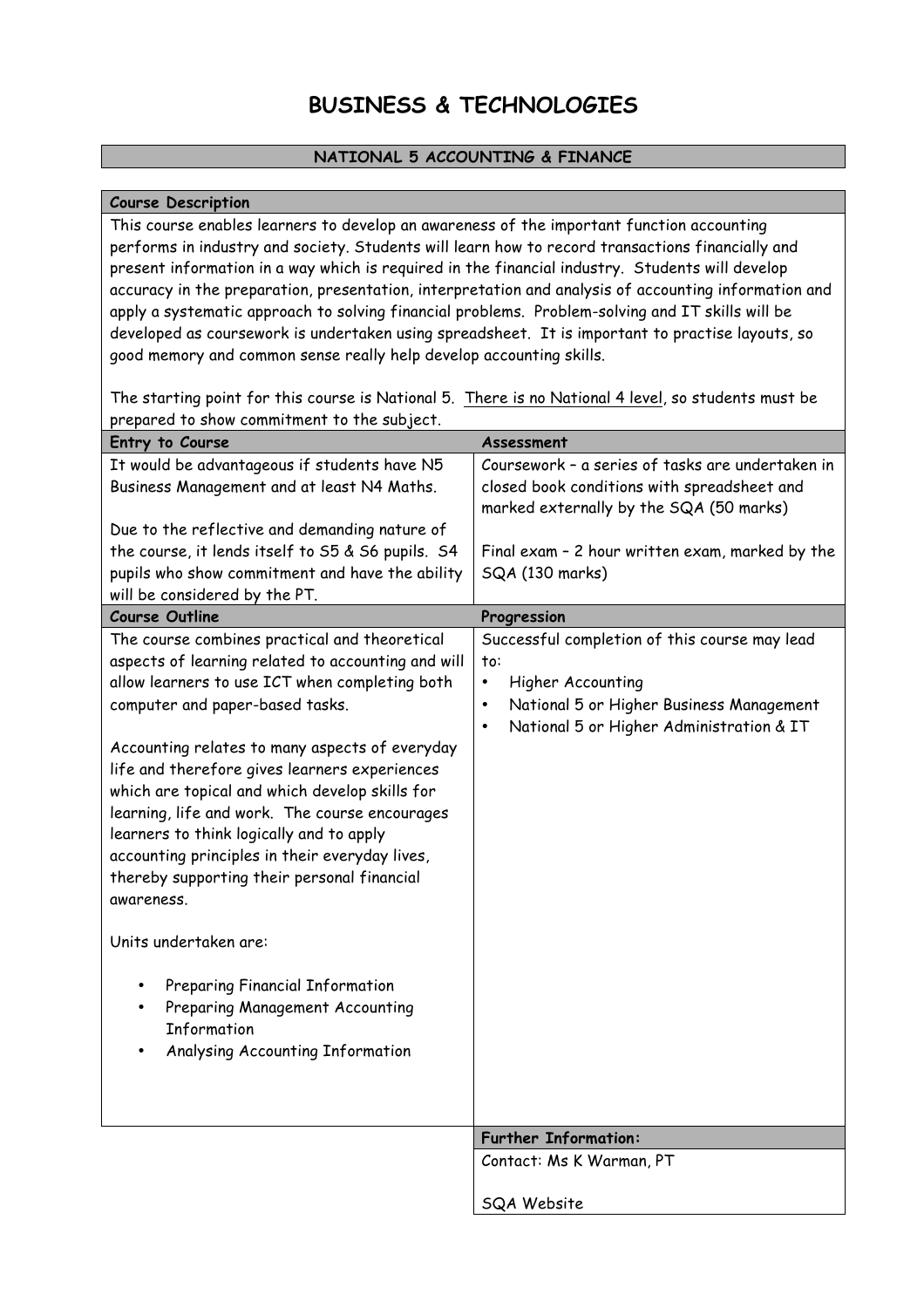## **BUSINESS & TECHNOLOGIES**

#### **NATIONAL 5 ACCOUNTING & FINANCE**

#### **Course Description**

This course enables learners to develop an awareness of the important function accounting performs in industry and society. Students will learn how to record transactions financially and present information in a way which is required in the financial industry. Students will develop accuracy in the preparation, presentation, interpretation and analysis of accounting information and apply a systematic approach to solving financial problems. Problem-solving and IT skills will be developed as coursework is undertaken using spreadsheet. It is important to practise layouts, so good memory and common sense really help develop accounting skills.

The starting point for this course is National 5. There is no National 4 level, so students must be prepared to show commitment to the subject.

| Entry to Course                                    | Assessment                                            |
|----------------------------------------------------|-------------------------------------------------------|
| It would be advantageous if students have N5       | Coursework - a series of tasks are undertaken in      |
| Business Management and at least N4 Maths.         | closed book conditions with spreadsheet and           |
|                                                    | marked externally by the SQA (50 marks)               |
| Due to the reflective and demanding nature of      |                                                       |
| the course, it lends itself to S5 & S6 pupils. S4  | Final exam - 2 hour written exam, marked by the       |
| pupils who show commitment and have the ability    | SQA (130 marks)                                       |
| will be considered by the PT.                      |                                                       |
| <b>Course Outline</b>                              | Progression                                           |
| The course combines practical and theoretical      | Successful completion of this course may lead         |
| aspects of learning related to accounting and will | to:                                                   |
| allow learners to use ICT when completing both     | Higher Accounting<br>$\bullet$                        |
| computer and paper-based tasks.                    | National 5 or Higher Business Management<br>$\bullet$ |
|                                                    | National 5 or Higher Administration & IT<br>$\bullet$ |
| Accounting relates to many aspects of everyday     |                                                       |
| life and therefore gives learners experiences      |                                                       |
| which are topical and which develop skills for     |                                                       |
| learning, life and work. The course encourages     |                                                       |
| learners to think logically and to apply           |                                                       |
| accounting principles in their everyday lives,     |                                                       |
| thereby supporting their personal financial        |                                                       |
| awareness.                                         |                                                       |
| Units undertaken are:                              |                                                       |
|                                                    |                                                       |
| Preparing Financial Information                    |                                                       |
| Preparing Management Accounting                    |                                                       |
| Information                                        |                                                       |
| Analysing Accounting Information                   |                                                       |
|                                                    |                                                       |
|                                                    |                                                       |
|                                                    | <b>Further Information:</b>                           |
|                                                    | Contact: Ms K Warman, PT                              |
|                                                    |                                                       |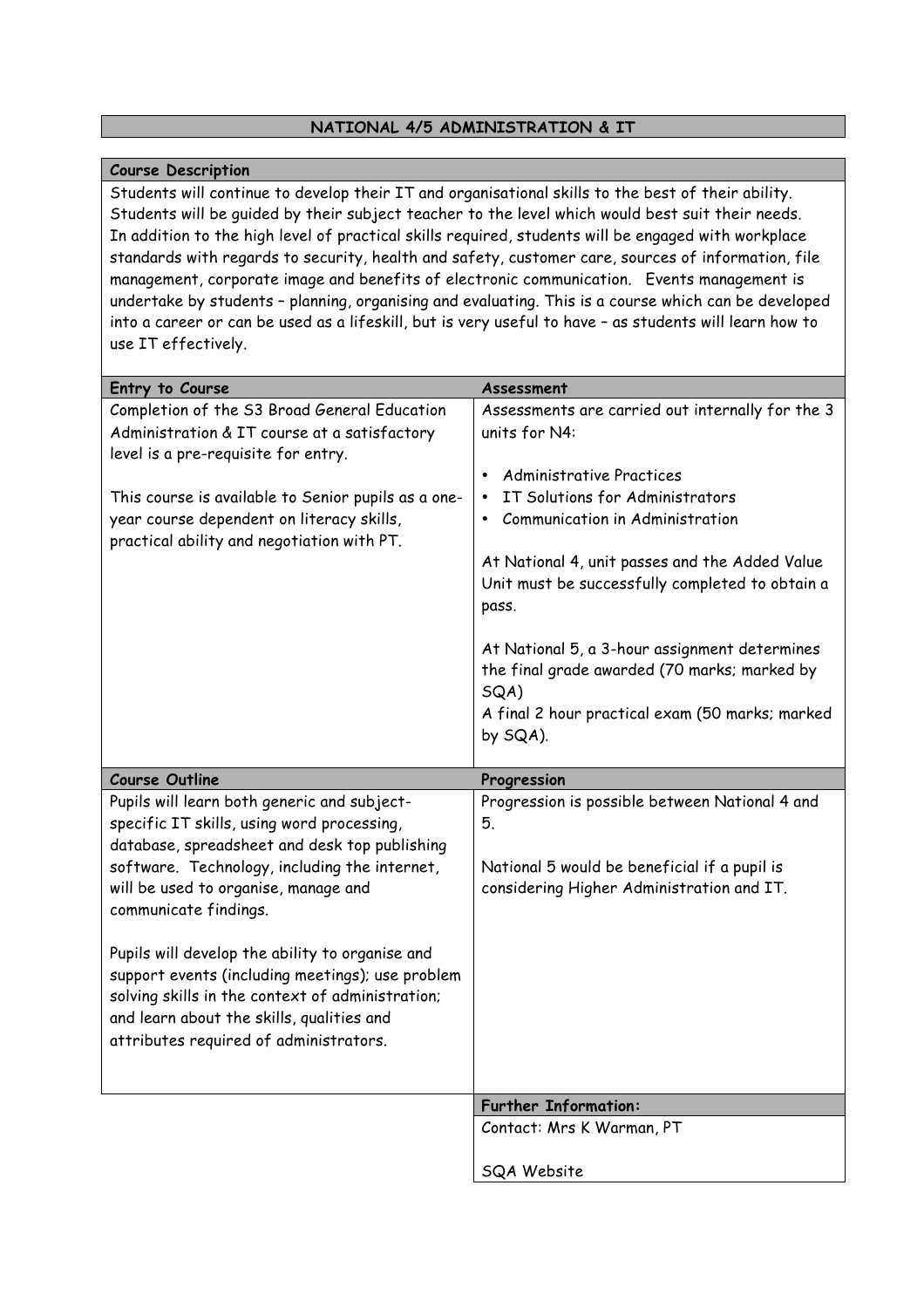#### **NATIONAL 4/5 ADMINISTRATION & IT**

#### **Course Description**

Students will continue to develop their IT and organisational skills to the best of their ability. Students will be guided by their subject teacher to the level which would best suit their needs. In addition to the high level of practical skills required, students will be engaged with workplace standards with regards to security, health and safety, customer care, sources of information, file management, corporate image and benefits of electronic communication. Events management is undertake by students – planning, organising and evaluating. This is a course which can be developed into a career or can be used as a lifeskill, but is very useful to have – as students will learn how to use IT effectively.

| Entry to Course                                                                                  | Assessment                                                         |
|--------------------------------------------------------------------------------------------------|--------------------------------------------------------------------|
| Completion of the S3 Broad General Education                                                     | Assessments are carried out internally for the 3                   |
| Administration & IT course at a satisfactory                                                     | units for N4:                                                      |
| level is a pre-requisite for entry.                                                              |                                                                    |
|                                                                                                  | <b>Administrative Practices</b><br>$\bullet$                       |
| This course is available to Senior pupils as a one-<br>year course dependent on literacy skills, | IT Solutions for Administrators<br>Communication in Administration |
| practical ability and negotiation with PT.                                                       |                                                                    |
|                                                                                                  | At National 4, unit passes and the Added Value                     |
|                                                                                                  | Unit must be successfully completed to obtain a                    |
|                                                                                                  | pass.                                                              |
|                                                                                                  | At National 5, a 3-hour assignment determines                      |
|                                                                                                  | the final grade awarded (70 marks; marked by                       |
|                                                                                                  | SQA)                                                               |
|                                                                                                  | A final 2 hour practical exam (50 marks; marked                    |
|                                                                                                  | by SQA).                                                           |
| <b>Course Outline</b>                                                                            | Progression                                                        |
| Pupils will learn both generic and subject-                                                      | Progression is possible between National 4 and                     |
| specific IT skills, using word processing,                                                       | 5.                                                                 |
| database, spreadsheet and desk top publishing                                                    |                                                                    |
| software. Technology, including the internet,                                                    | National 5 would be beneficial if a pupil is                       |
| will be used to organise, manage and                                                             | considering Higher Administration and IT.                          |
| communicate findings.                                                                            |                                                                    |
| Pupils will develop the ability to organise and                                                  |                                                                    |
| support events (including meetings); use problem                                                 |                                                                    |
| solving skills in the context of administration;                                                 |                                                                    |
| and learn about the skills, qualities and                                                        |                                                                    |
| attributes required of administrators.                                                           |                                                                    |
|                                                                                                  |                                                                    |
|                                                                                                  |                                                                    |
|                                                                                                  | <b>Further Information:</b>                                        |
|                                                                                                  | Contact: Mrs K Warman, PT                                          |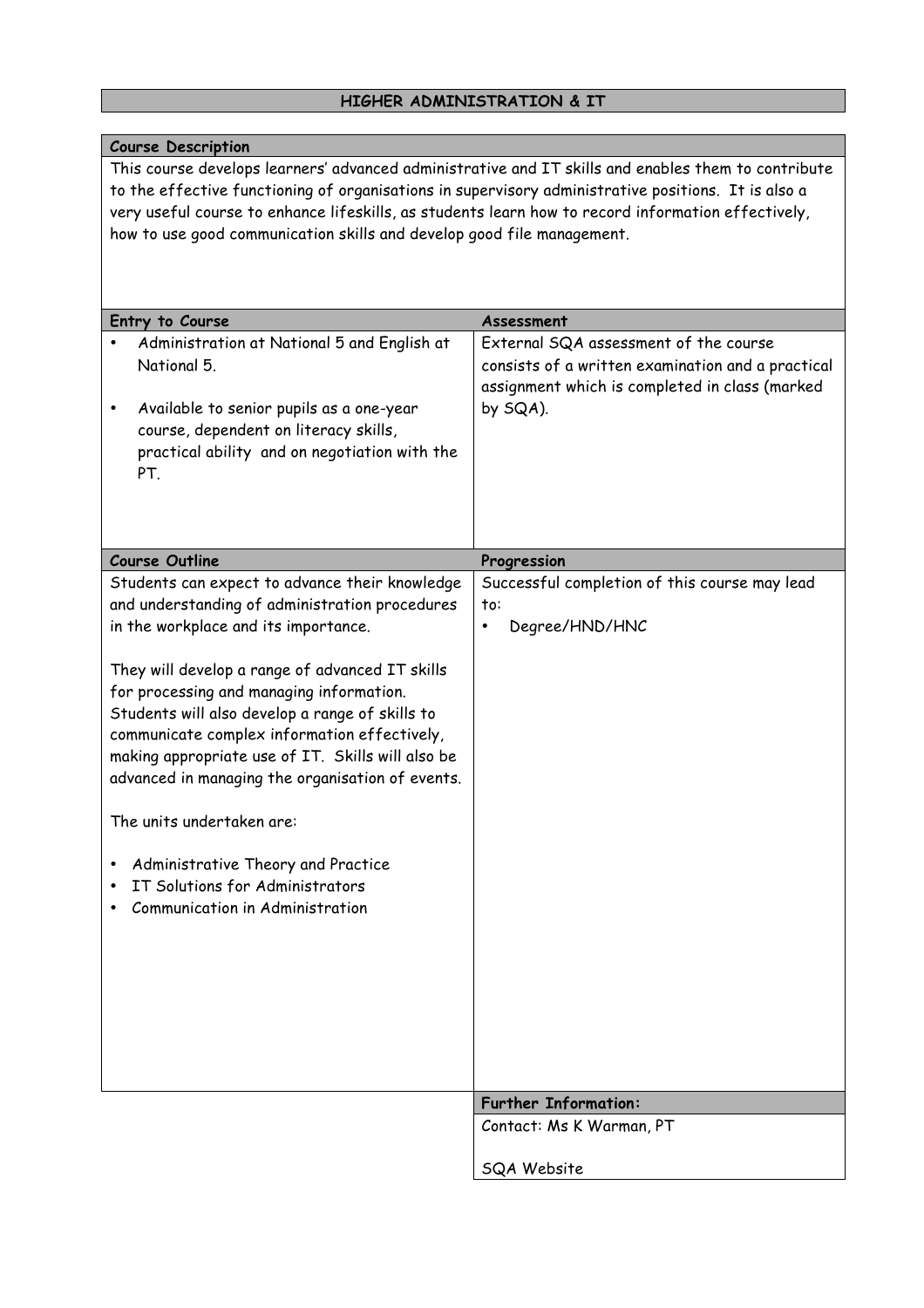## **HIGHER ADMINISTRATION & IT**

| <b>Course Description</b>                                                                                                                                                                                                                                                                                                                                                                                                                                                                                                                                                                    |                                                                                                                                                          |  |
|----------------------------------------------------------------------------------------------------------------------------------------------------------------------------------------------------------------------------------------------------------------------------------------------------------------------------------------------------------------------------------------------------------------------------------------------------------------------------------------------------------------------------------------------------------------------------------------------|----------------------------------------------------------------------------------------------------------------------------------------------------------|--|
| This course develops learners' advanced administrative and IT skills and enables them to contribute<br>to the effective functioning of organisations in supervisory administrative positions. It is also a<br>very useful course to enhance lifeskills, as students learn how to record information effectively,<br>how to use good communication skills and develop good file management.                                                                                                                                                                                                   |                                                                                                                                                          |  |
| Entry to Course                                                                                                                                                                                                                                                                                                                                                                                                                                                                                                                                                                              | Assessment                                                                                                                                               |  |
| Administration at National 5 and English at<br>National 5.<br>Available to senior pupils as a one-year<br>course, dependent on literacy skills,<br>practical ability and on negotiation with the<br>PT.                                                                                                                                                                                                                                                                                                                                                                                      | External SQA assessment of the course<br>consists of a written examination and a practical<br>assignment which is completed in class (marked<br>by SQA). |  |
| <b>Course Outline</b>                                                                                                                                                                                                                                                                                                                                                                                                                                                                                                                                                                        |                                                                                                                                                          |  |
| Students can expect to advance their knowledge<br>and understanding of administration procedures<br>in the workplace and its importance.<br>They will develop a range of advanced IT skills<br>for processing and managing information.<br>Students will also develop a range of skills to<br>communicate complex information effectively,<br>making appropriate use of IT. Skills will also be<br>advanced in managing the organisation of events.<br>The units undertaken are:<br>Administrative Theory and Practice<br>IT Solutions for Administrators<br>Communication in Administration | Progression<br>Successful completion of this course may lead<br>to:<br>Degree/HND/HNC<br>$\bullet$                                                       |  |
|                                                                                                                                                                                                                                                                                                                                                                                                                                                                                                                                                                                              | <b>Further Information:</b>                                                                                                                              |  |
|                                                                                                                                                                                                                                                                                                                                                                                                                                                                                                                                                                                              | Contact: Ms K Warman, PT                                                                                                                                 |  |
|                                                                                                                                                                                                                                                                                                                                                                                                                                                                                                                                                                                              | SQA Website                                                                                                                                              |  |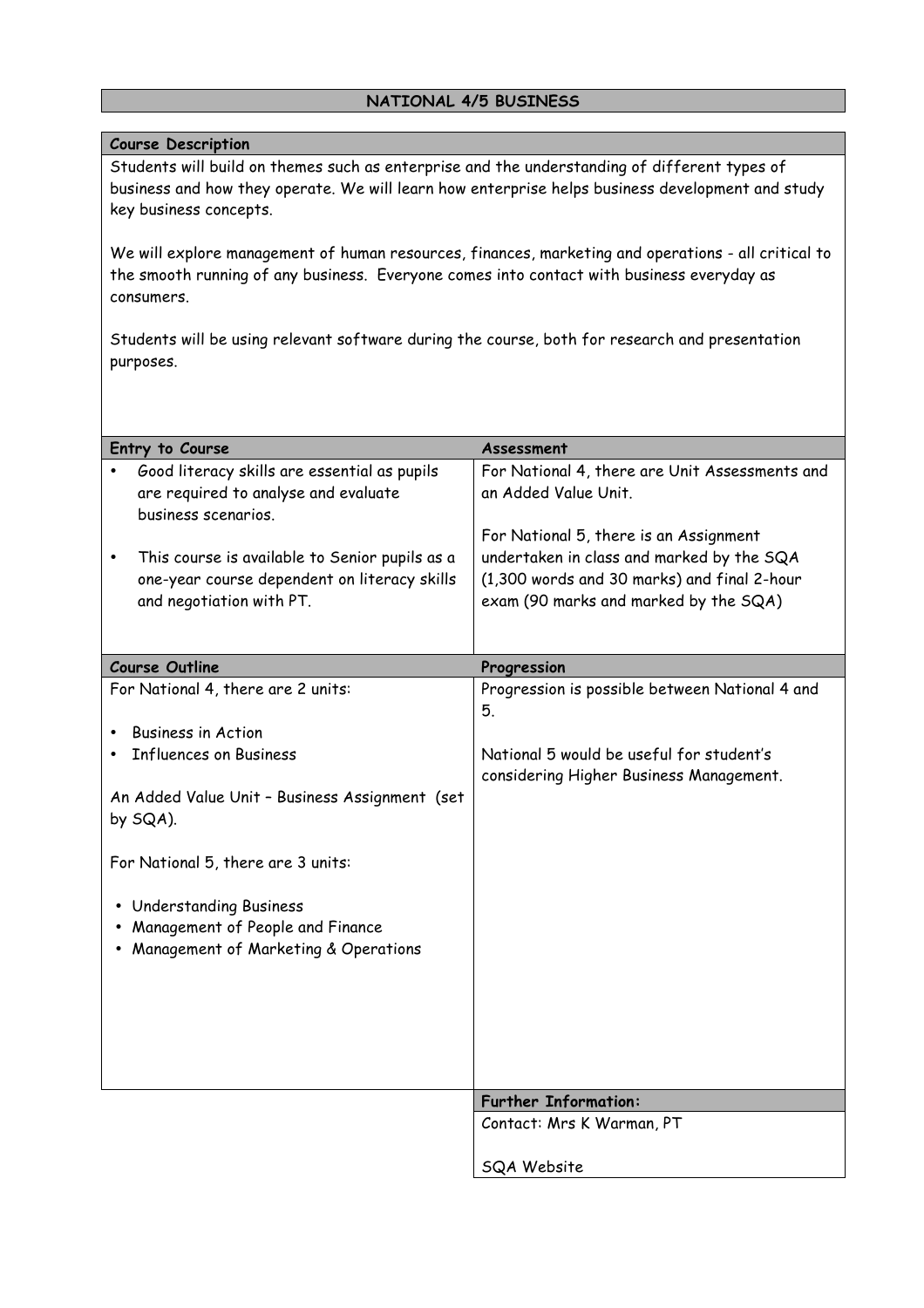#### **NATIONAL 4/5 BUSINESS**

#### **Course Description**

Students will build on themes such as enterprise and the understanding of different types of business and how they operate. We will learn how enterprise helps business development and study key business concepts.

We will explore management of human resources, finances, marketing and operations - all critical to the smooth running of any business. Everyone comes into contact with business everyday as consumers.

Students will be using relevant software during the course, both for research and presentation purposes.

| Entry to Course                                | Assessment                                                                          |
|------------------------------------------------|-------------------------------------------------------------------------------------|
| Good literacy skills are essential as pupils   | For National 4, there are Unit Assessments and                                      |
| are required to analyse and evaluate           | an Added Value Unit.                                                                |
| business scenarios.                            |                                                                                     |
|                                                | For National 5, there is an Assignment                                              |
| This course is available to Senior pupils as a | undertaken in class and marked by the SQA                                           |
| one-year course dependent on literacy skills   | (1,300 words and 30 marks) and final 2-hour                                         |
| and negotiation with PT.                       | exam (90 marks and marked by the SQA)                                               |
|                                                |                                                                                     |
|                                                |                                                                                     |
| <b>Course Outline</b>                          | Progression                                                                         |
| For National 4, there are 2 units:             | Progression is possible between National 4 and<br>5.                                |
| <b>Business in Action</b>                      |                                                                                     |
| <b>Influences on Business</b>                  | National 5 would be useful for student's<br>considering Higher Business Management. |
| An Added Value Unit - Business Assignment (set |                                                                                     |
| by SQA).                                       |                                                                                     |
|                                                |                                                                                     |
| For National 5, there are 3 units:             |                                                                                     |
| <b>Understanding Business</b>                  |                                                                                     |
| Management of People and Finance               |                                                                                     |
| Management of Marketing & Operations           |                                                                                     |
|                                                |                                                                                     |
|                                                |                                                                                     |
|                                                |                                                                                     |
|                                                |                                                                                     |
|                                                |                                                                                     |
|                                                |                                                                                     |
|                                                | <b>Further Information:</b>                                                         |
|                                                | Contact: Mrs K Warman, PT                                                           |
|                                                |                                                                                     |
|                                                | <b>SQA Website</b>                                                                  |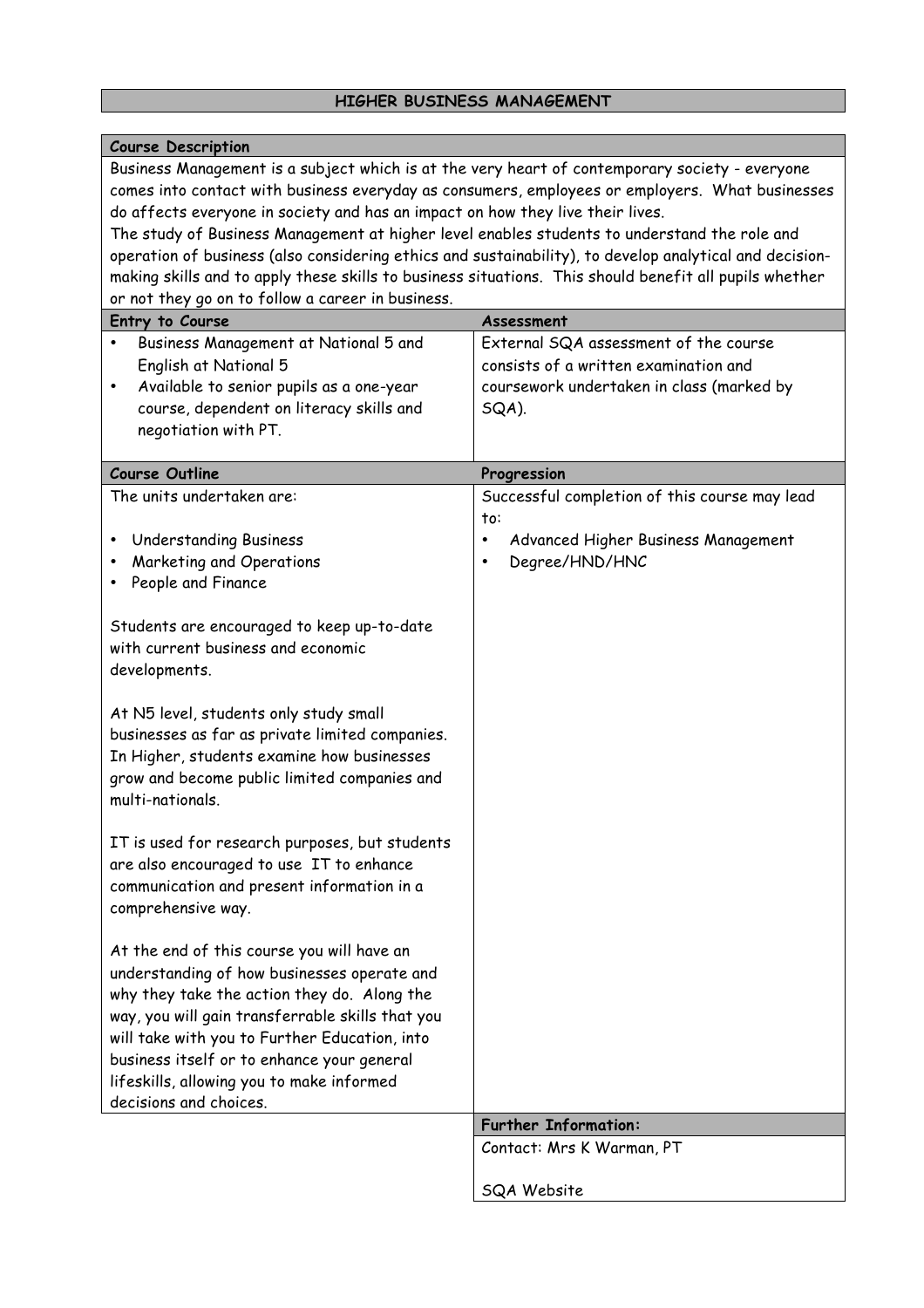### **HIGHER BUSINESS MANAGEMENT**

| <b>Course Description</b>                                                                                                                                                                                                                                                                                                                                                                                                                                                                                                                                                                                                                                                                                                                                                                                                                                                                                                                                                     |                                                                                                                                      |
|-------------------------------------------------------------------------------------------------------------------------------------------------------------------------------------------------------------------------------------------------------------------------------------------------------------------------------------------------------------------------------------------------------------------------------------------------------------------------------------------------------------------------------------------------------------------------------------------------------------------------------------------------------------------------------------------------------------------------------------------------------------------------------------------------------------------------------------------------------------------------------------------------------------------------------------------------------------------------------|--------------------------------------------------------------------------------------------------------------------------------------|
| Business Management is a subject which is at the very heart of contemporary society - everyone<br>comes into contact with business everyday as consumers, employees or employers. What businesses<br>do affects everyone in society and has an impact on how they live their lives.<br>The study of Business Management at higher level enables students to understand the role and<br>operation of business (also considering ethics and sustainability), to develop analytical and decision-<br>making skills and to apply these skills to business situations. This should benefit all pupils whether<br>or not they go on to follow a career in business.                                                                                                                                                                                                                                                                                                                 |                                                                                                                                      |
| Entry to Course                                                                                                                                                                                                                                                                                                                                                                                                                                                                                                                                                                                                                                                                                                                                                                                                                                                                                                                                                               | Assessment                                                                                                                           |
| Business Management at National 5 and<br>English at National 5<br>Available to senior pupils as a one-year<br>٠<br>course, dependent on literacy skills and<br>negotiation with PT.                                                                                                                                                                                                                                                                                                                                                                                                                                                                                                                                                                                                                                                                                                                                                                                           | External SQA assessment of the course<br>consists of a written examination and<br>coursework undertaken in class (marked by<br>SQA). |
| <b>Course Outline</b>                                                                                                                                                                                                                                                                                                                                                                                                                                                                                                                                                                                                                                                                                                                                                                                                                                                                                                                                                         | Progression                                                                                                                          |
| The units undertaken are:<br><b>Understanding Business</b><br>Marketing and Operations<br>People and Finance<br>٠<br>Students are encouraged to keep up-to-date<br>with current business and economic<br>developments.<br>At N5 level, students only study small<br>businesses as far as private limited companies.<br>In Higher, students examine how businesses<br>grow and become public limited companies and<br>multi-nationals.<br>IT is used for research purposes, but students<br>are also encouraged to use IT to enhance<br>communication and present information in a<br>comprehensive way.<br>At the end of this course you will have an<br>understanding of how businesses operate and<br>why they take the action they do. Along the<br>way, you will gain transferrable skills that you<br>will take with you to Further Education, into<br>business itself or to enhance your general<br>lifeskills, allowing you to make informed<br>decisions and choices. | Successful completion of this course may lead<br>to:<br>Advanced Higher Business Management<br>$\bullet$<br>Degree/HND/HNC<br>٠      |
|                                                                                                                                                                                                                                                                                                                                                                                                                                                                                                                                                                                                                                                                                                                                                                                                                                                                                                                                                                               | <b>Further Information:</b>                                                                                                          |
|                                                                                                                                                                                                                                                                                                                                                                                                                                                                                                                                                                                                                                                                                                                                                                                                                                                                                                                                                                               | Contact: Mrs K Warman, PT                                                                                                            |
|                                                                                                                                                                                                                                                                                                                                                                                                                                                                                                                                                                                                                                                                                                                                                                                                                                                                                                                                                                               | SQA Website                                                                                                                          |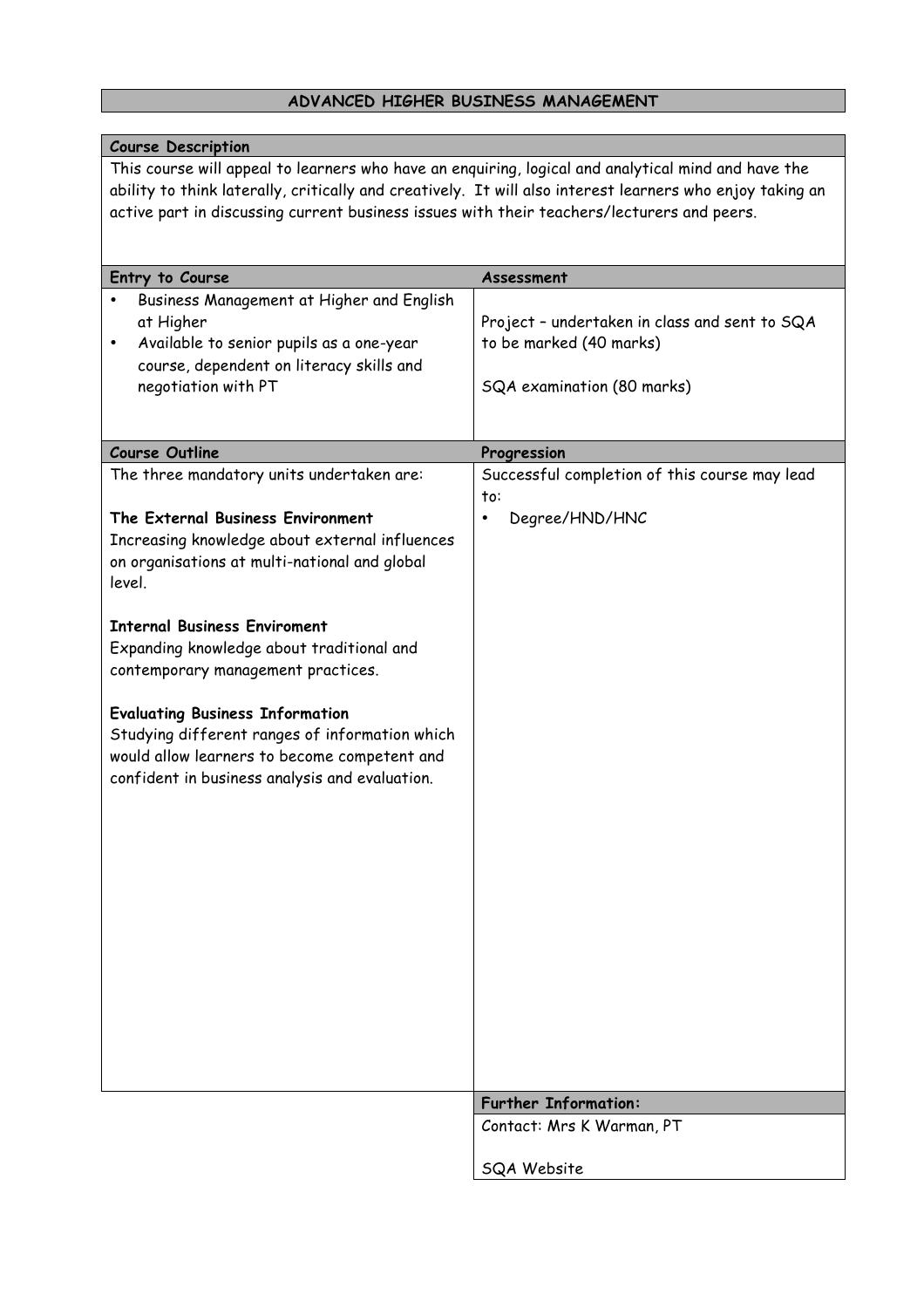## **ADVANCED HIGHER BUSINESS MANAGEMENT**

| <b>Course Description</b>                                                                                                                                                                                                                                                                                      |                                                                                                        |
|----------------------------------------------------------------------------------------------------------------------------------------------------------------------------------------------------------------------------------------------------------------------------------------------------------------|--------------------------------------------------------------------------------------------------------|
| This course will appeal to learners who have an enguiring, logical and analytical mind and have the<br>ability to think laterally, critically and creatively. It will also interest learners who enjoy taking an<br>active part in discussing current business issues with their teachers/lecturers and peers. |                                                                                                        |
| Entry to Course                                                                                                                                                                                                                                                                                                | Assessment                                                                                             |
| Business Management at Higher and English<br>at Higher<br>Available to senior pupils as a one-year<br>$\bullet$<br>course, dependent on literacy skills and<br>negotiation with PT                                                                                                                             | Project - undertaken in class and sent to SQA<br>to be marked (40 marks)<br>SQA examination (80 marks) |
|                                                                                                                                                                                                                                                                                                                |                                                                                                        |
| <b>Course Outline</b>                                                                                                                                                                                                                                                                                          | Progression                                                                                            |
| The three mandatory units undertaken are:<br>The External Business Environment                                                                                                                                                                                                                                 | Successful completion of this course may lead<br>to:<br>Degree/HND/HNC<br>$\bullet$                    |
| Increasing knowledge about external influences<br>on organisations at multi-national and global<br>level.                                                                                                                                                                                                      |                                                                                                        |
| <b>Internal Business Enviroment</b><br>Expanding knowledge about traditional and<br>contemporary management practices.                                                                                                                                                                                         |                                                                                                        |
| <b>Evaluating Business Information</b><br>Studying different ranges of information which<br>would allow learners to become competent and<br>confident in business analysis and evaluation.                                                                                                                     |                                                                                                        |
|                                                                                                                                                                                                                                                                                                                |                                                                                                        |
|                                                                                                                                                                                                                                                                                                                |                                                                                                        |
|                                                                                                                                                                                                                                                                                                                |                                                                                                        |
|                                                                                                                                                                                                                                                                                                                | <b>Further Information:</b>                                                                            |
|                                                                                                                                                                                                                                                                                                                | Contact: Mrs K Warman, PT                                                                              |
|                                                                                                                                                                                                                                                                                                                | SQA Website                                                                                            |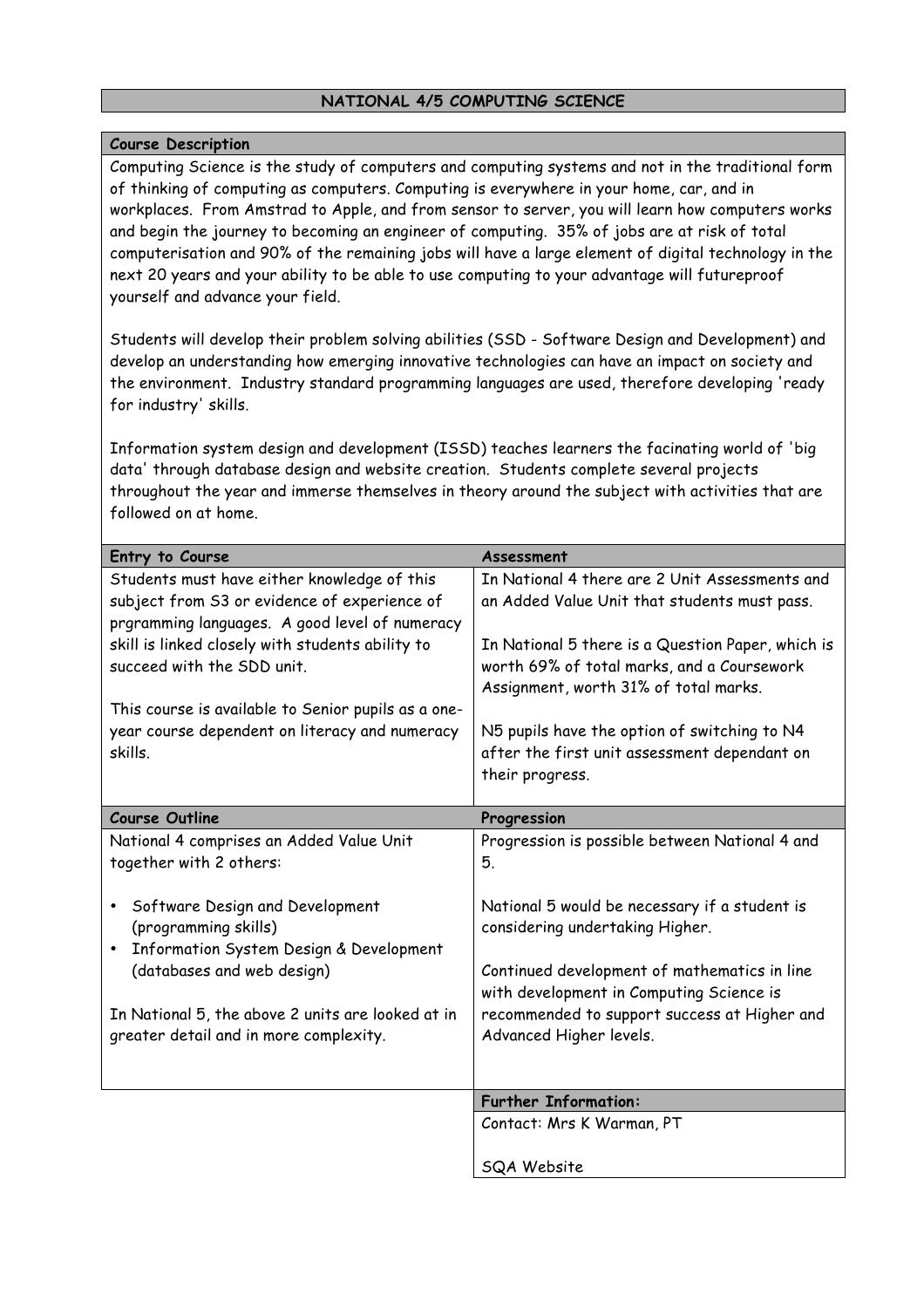#### **NATIONAL 4/5 COMPUTING SCIENCE**

#### **Course Description**

Computing Science is the study of computers and computing systems and not in the traditional form of thinking of computing as computers. Computing is everywhere in your home, car, and in workplaces. From Amstrad to Apple, and from sensor to server, you will learn how computers works and begin the journey to becoming an engineer of computing. 35% of jobs are at risk of total computerisation and 90% of the remaining jobs will have a large element of digital technology in the next 20 years and your ability to be able to use computing to your advantage will futureproof yourself and advance your field.

Students will develop their problem solving abilities (SSD - Software Design and Development) and develop an understanding how emerging innovative technologies can have an impact on society and the environment. Industry standard programming languages are used, therefore developing 'ready for industry' skills.

Information system design and development (ISSD) teaches learners the facinating world of 'big data' through database design and website creation. Students complete several projects throughout the year and immerse themselves in theory around the subject with activities that are followed on at home.

| Entry to Course                                     | Assessment                                        |
|-----------------------------------------------------|---------------------------------------------------|
| Students must have either knowledge of this         | In National 4 there are 2 Unit Assessments and    |
| subject from S3 or evidence of experience of        | an Added Value Unit that students must pass.      |
| prgramming languages. A good level of numeracy      |                                                   |
| skill is linked closely with students ability to    | In National 5 there is a Question Paper, which is |
| succeed with the SDD unit.                          | worth 69% of total marks, and a Coursework        |
|                                                     | Assignment, worth 31% of total marks.             |
| This course is available to Senior pupils as a one- |                                                   |
| year course dependent on literacy and numeracy      | N5 pupils have the option of switching to N4      |
| skills.                                             | after the first unit assessment dependant on      |
|                                                     | their progress.                                   |
|                                                     |                                                   |
| <b>Course Outline</b>                               | Progression                                       |
| National 4 comprises an Added Value Unit            | Progression is possible between National 4 and    |
| together with 2 others:                             | 5.                                                |
|                                                     |                                                   |
| Software Design and Development                     | National 5 would be necessary if a student is     |
| (programming skills)                                | considering undertaking Higher.                   |
| Information System Design & Development             |                                                   |
| (databases and web design)                          | Continued development of mathematics in line      |
|                                                     | with development in Computing Science is          |
| In National 5, the above 2 units are looked at in   | recommended to support success at Higher and      |
| greater detail and in more complexity.              | Advanced Higher levels.                           |
|                                                     |                                                   |
|                                                     | <b>Further Information:</b>                       |
|                                                     |                                                   |
|                                                     | Contact: Mrs K Warman, PT                         |
|                                                     | SQA Website                                       |
|                                                     |                                                   |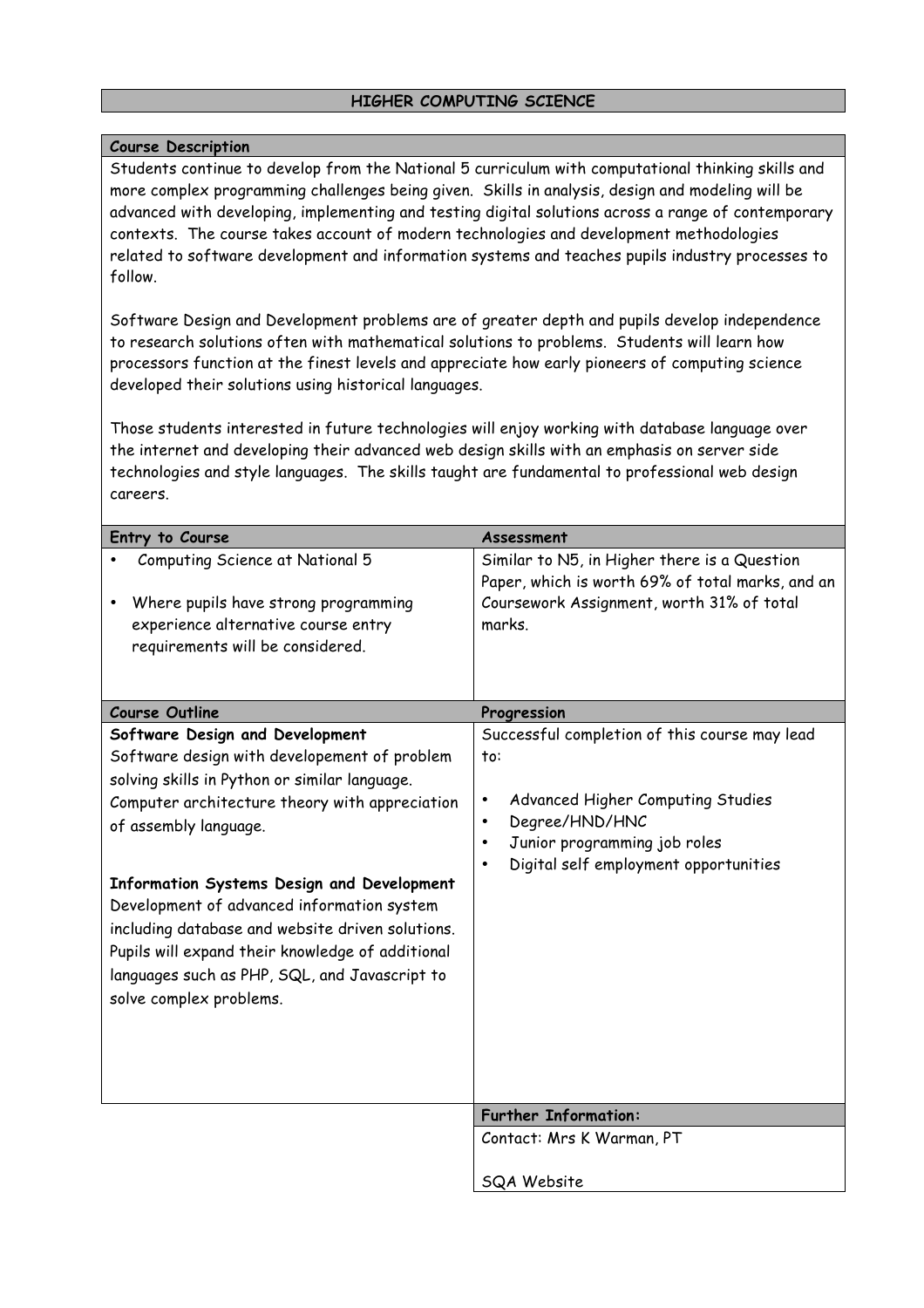#### **HIGHER COMPUTING SCIENCE**

#### **Course Description**

Students continue to develop from the National 5 curriculum with computational thinking skills and more complex programming challenges being given. Skills in analysis, design and modeling will be advanced with developing, implementing and testing digital solutions across a range of contemporary contexts. The course takes account of modern technologies and development methodologies related to software development and information systems and teaches pupils industry processes to follow.

Software Design and Development problems are of greater depth and pupils develop independence to research solutions often with mathematical solutions to problems. Students will learn how processors function at the finest levels and appreciate how early pioneers of computing science developed their solutions using historical languages.

Those students interested in future technologies will enjoy working with database language over the internet and developing their advanced web design skills with an emphasis on server side technologies and style languages. The skills taught are fundamental to professional web design careers.

| Entry to Course                                                                                                                                                                                                                                                              | Assessment                                                                                                                                              |
|------------------------------------------------------------------------------------------------------------------------------------------------------------------------------------------------------------------------------------------------------------------------------|---------------------------------------------------------------------------------------------------------------------------------------------------------|
| Computing Science at National 5<br>Where pupils have strong programming<br>experience alternative course entry<br>requirements will be considered.                                                                                                                           | Similar to N5, in Higher there is a Question<br>Paper, which is worth 69% of total marks, and an<br>Coursework Assignment, worth 31% of total<br>marks. |
| <b>Course Outline</b>                                                                                                                                                                                                                                                        | Progression                                                                                                                                             |
| Software Design and Development<br>Software design with developement of problem<br>solving skills in Python or similar language.<br>Computer architecture theory with appreciation<br>of assembly language.                                                                  | Successful completion of this course may lead<br>to:<br>Advanced Higher Computing Studies<br>$\bullet$<br>Degree/HND/HNC<br>$\bullet$                   |
| Information Systems Design and Development<br>Development of advanced information system<br>including database and website driven solutions.<br>Pupils will expand their knowledge of additional<br>languages such as PHP, SQL, and Javascript to<br>solve complex problems. | Junior programming job roles<br>$\bullet$<br>Digital self employment opportunities<br>$\bullet$                                                         |
|                                                                                                                                                                                                                                                                              | <b>Further Information:</b>                                                                                                                             |
|                                                                                                                                                                                                                                                                              | Contact: Mrs K Warman, PT                                                                                                                               |
|                                                                                                                                                                                                                                                                              | <b>SQA Website</b>                                                                                                                                      |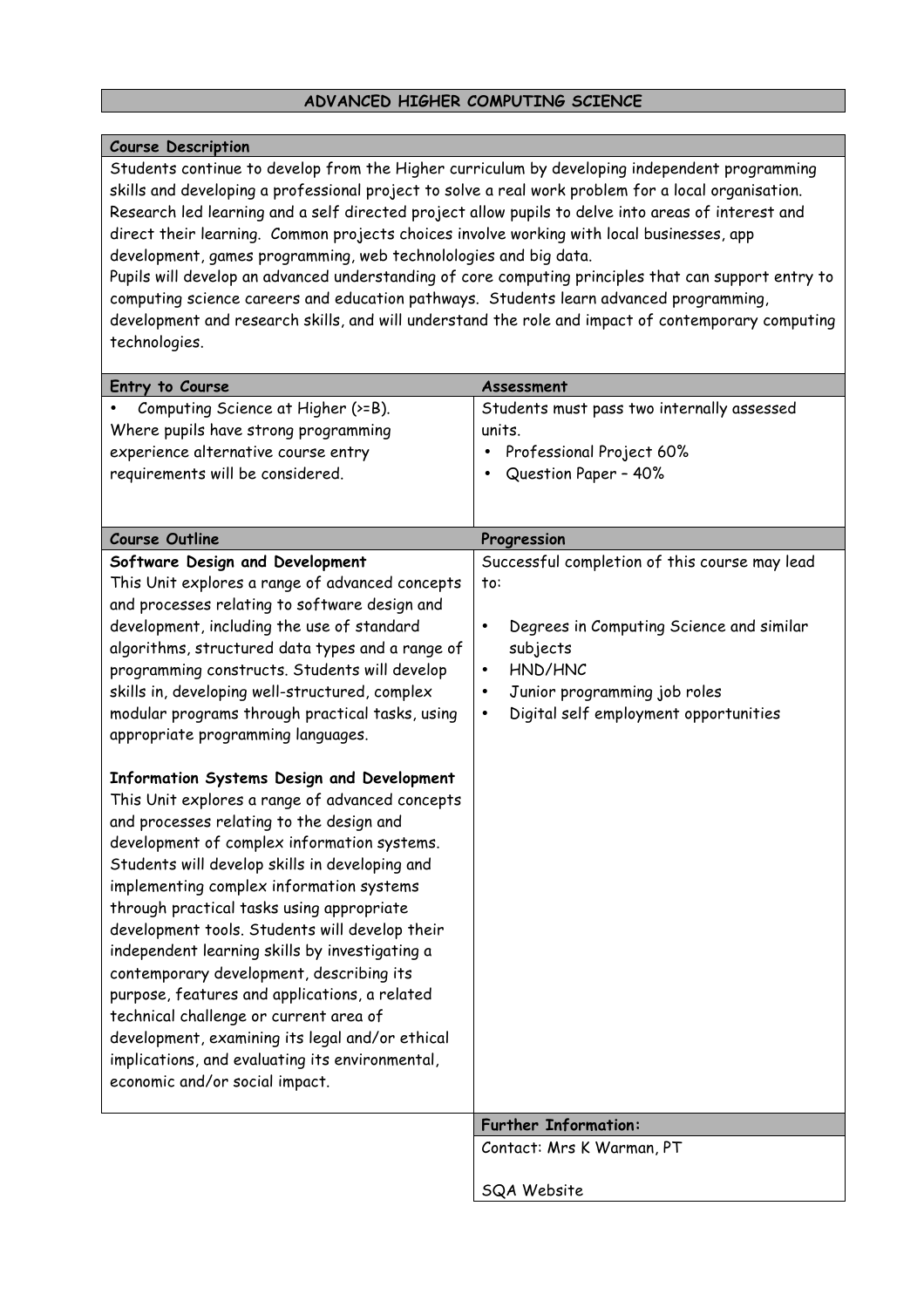#### **ADVANCED HIGHER COMPUTING SCIENCE**

#### **Course Description**

Students continue to develop from the Higher curriculum by developing independent programming skills and developing a professional project to solve a real work problem for a local organisation. Research led learning and a self directed project allow pupils to delve into areas of interest and direct their learning. Common projects choices involve working with local businesses, app development, games programming, web technolologies and big data.

Pupils will develop an advanced understanding of core computing principles that can support entry to computing science careers and education pathways. Students learn advanced programming, development and research skills, and will understand the role and impact of contemporary computing technologies.

| Entry to Course                                                                                                                                                                                                                                                                                                                                                                                                                                                                                                                                                                                                                                                                                                        | Assessment                                            |
|------------------------------------------------------------------------------------------------------------------------------------------------------------------------------------------------------------------------------------------------------------------------------------------------------------------------------------------------------------------------------------------------------------------------------------------------------------------------------------------------------------------------------------------------------------------------------------------------------------------------------------------------------------------------------------------------------------------------|-------------------------------------------------------|
| Computing Science at Higher (>=B).                                                                                                                                                                                                                                                                                                                                                                                                                                                                                                                                                                                                                                                                                     | Students must pass two internally assessed            |
| Where pupils have strong programming                                                                                                                                                                                                                                                                                                                                                                                                                                                                                                                                                                                                                                                                                   | units.                                                |
| experience alternative course entry                                                                                                                                                                                                                                                                                                                                                                                                                                                                                                                                                                                                                                                                                    | Professional Project 60%<br>$\bullet$                 |
| requirements will be considered.                                                                                                                                                                                                                                                                                                                                                                                                                                                                                                                                                                                                                                                                                       | Question Paper - 40%                                  |
|                                                                                                                                                                                                                                                                                                                                                                                                                                                                                                                                                                                                                                                                                                                        |                                                       |
|                                                                                                                                                                                                                                                                                                                                                                                                                                                                                                                                                                                                                                                                                                                        |                                                       |
| <b>Course Outline</b>                                                                                                                                                                                                                                                                                                                                                                                                                                                                                                                                                                                                                                                                                                  | Progression                                           |
| Software Design and Development                                                                                                                                                                                                                                                                                                                                                                                                                                                                                                                                                                                                                                                                                        | Successful completion of this course may lead         |
| This Unit explores a range of advanced concepts                                                                                                                                                                                                                                                                                                                                                                                                                                                                                                                                                                                                                                                                        | to:                                                   |
| and processes relating to software design and                                                                                                                                                                                                                                                                                                                                                                                                                                                                                                                                                                                                                                                                          |                                                       |
| development, including the use of standard                                                                                                                                                                                                                                                                                                                                                                                                                                                                                                                                                                                                                                                                             | Degrees in Computing Science and similar<br>$\bullet$ |
| algorithms, structured data types and a range of                                                                                                                                                                                                                                                                                                                                                                                                                                                                                                                                                                                                                                                                       | subjects                                              |
| programming constructs. Students will develop                                                                                                                                                                                                                                                                                                                                                                                                                                                                                                                                                                                                                                                                          | HND/HNC<br>$\bullet$                                  |
| skills in, developing well-structured, complex                                                                                                                                                                                                                                                                                                                                                                                                                                                                                                                                                                                                                                                                         | Junior programming job roles<br>$\bullet$             |
| modular programs through practical tasks, using                                                                                                                                                                                                                                                                                                                                                                                                                                                                                                                                                                                                                                                                        | Digital self employment opportunities<br>$\bullet$    |
| appropriate programming languages.                                                                                                                                                                                                                                                                                                                                                                                                                                                                                                                                                                                                                                                                                     |                                                       |
| Information Systems Design and Development<br>This Unit explores a range of advanced concepts<br>and processes relating to the design and<br>development of complex information systems.<br>Students will develop skills in developing and<br>implementing complex information systems<br>through practical tasks using appropriate<br>development tools. Students will develop their<br>independent learning skills by investigating a<br>contemporary development, describing its<br>purpose, features and applications, a related<br>technical challenge or current area of<br>development, examining its legal and/or ethical<br>implications, and evaluating its environmental,<br>economic and/or social impact. |                                                       |
|                                                                                                                                                                                                                                                                                                                                                                                                                                                                                                                                                                                                                                                                                                                        | <b>Further Information:</b>                           |
|                                                                                                                                                                                                                                                                                                                                                                                                                                                                                                                                                                                                                                                                                                                        | Contact: Mrs K Warman, PT                             |
|                                                                                                                                                                                                                                                                                                                                                                                                                                                                                                                                                                                                                                                                                                                        | SQA Website                                           |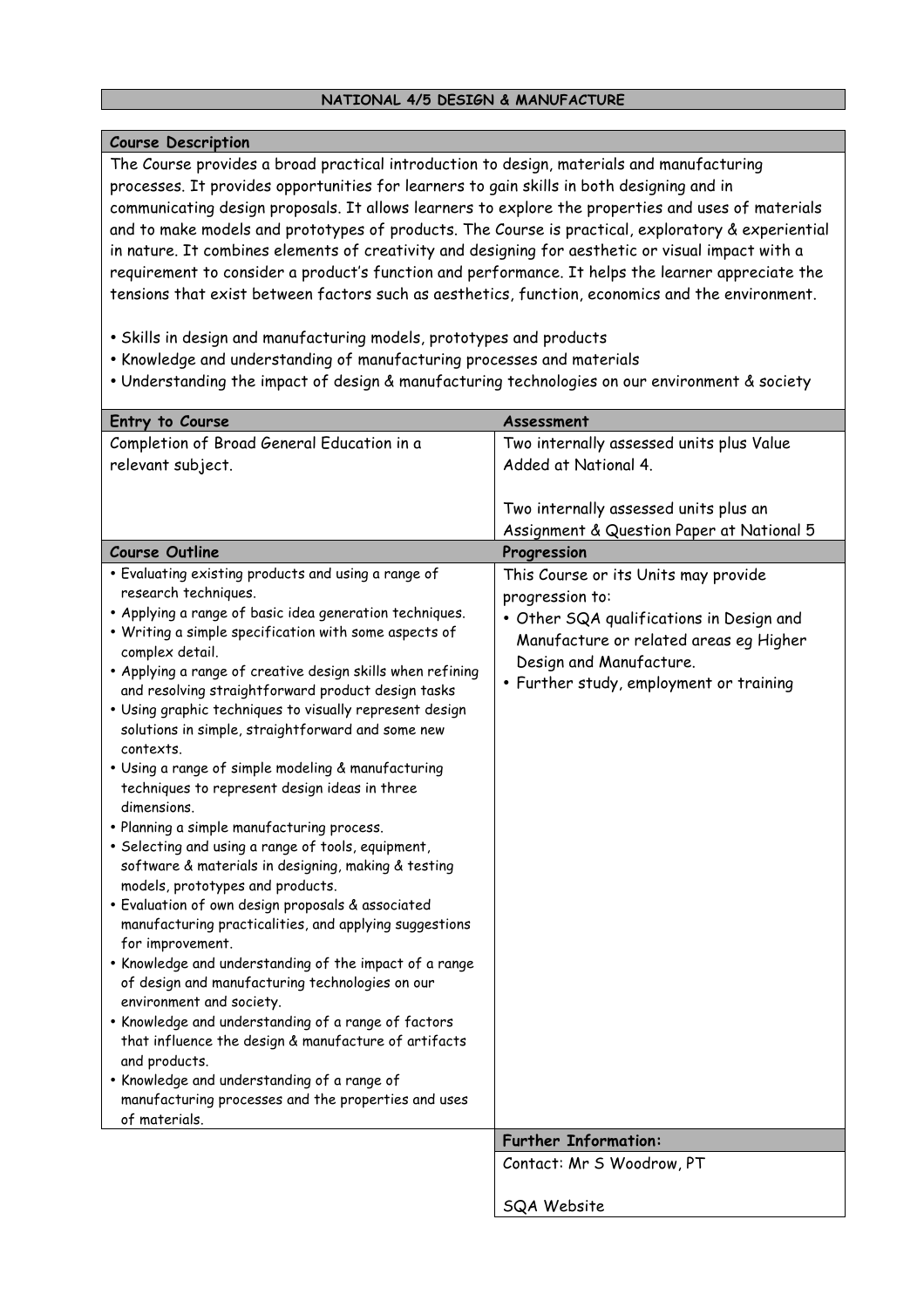#### **NATIONAL 4/5 DESIGN & MANUFACTURE**

#### **Course Description**

The Course provides a broad practical introduction to design, materials and manufacturing processes. It provides opportunities for learners to gain skills in both designing and in communicating design proposals. It allows learners to explore the properties and uses of materials and to make models and prototypes of products. The Course is practical, exploratory & experiential in nature. It combines elements of creativity and designing for aesthetic or visual impact with a requirement to consider a product's function and performance. It helps the learner appreciate the tensions that exist between factors such as aesthetics, function, economics and the environment.

- Skills in design and manufacturing models, prototypes and products
- Knowledge and understanding of manufacturing processes and materials
- Understanding the impact of design & manufacturing technologies on our environment & society

| Entry to Course                                                                                  | Assessment                                |
|--------------------------------------------------------------------------------------------------|-------------------------------------------|
| Completion of Broad General Education in a                                                       | Two internally assessed units plus Value  |
| relevant subject.                                                                                | Added at National 4.                      |
|                                                                                                  |                                           |
|                                                                                                  | Two internally assessed units plus an     |
|                                                                                                  | Assignment & Question Paper at National 5 |
| <b>Course Outline</b>                                                                            | Progression                               |
| . Evaluating existing products and using a range of                                              | This Course or its Units may provide      |
| research techniques.                                                                             | progression to:                           |
| . Applying a range of basic idea generation techniques.                                          | • Other SQA qualifications in Design and  |
| . Writing a simple specification with some aspects of<br>complex detail.                         | Manufacture or related areas eg Higher    |
| . Applying a range of creative design skills when refining                                       | Design and Manufacture.                   |
| and resolving straightforward product design tasks                                               | • Further study, employment or training   |
| . Using graphic techniques to visually represent design                                          |                                           |
| solutions in simple, straightforward and some new                                                |                                           |
| contexts.                                                                                        |                                           |
| • Using a range of simple modeling & manufacturing                                               |                                           |
| techniques to represent design ideas in three                                                    |                                           |
| dimensions.                                                                                      |                                           |
| • Planning a simple manufacturing process.<br>· Selecting and using a range of tools, equipment, |                                           |
| software & materials in designing, making & testing                                              |                                           |
| models, prototypes and products.                                                                 |                                           |
| · Evaluation of own design proposals & associated                                                |                                           |
| manufacturing practicalities, and applying suggestions                                           |                                           |
| for improvement.                                                                                 |                                           |
| . Knowledge and understanding of the impact of a range                                           |                                           |
| of design and manufacturing technologies on our                                                  |                                           |
| environment and society.<br>. Knowledge and understanding of a range of factors                  |                                           |
| that influence the design & manufacture of artifacts                                             |                                           |
| and products.                                                                                    |                                           |
| • Knowledge and understanding of a range of                                                      |                                           |
| manufacturing processes and the properties and uses                                              |                                           |
| of materials.                                                                                    |                                           |
|                                                                                                  | <b>Further Information:</b>               |
|                                                                                                  | Contact: Mr S Woodrow, PT                 |
|                                                                                                  | SQA Website                               |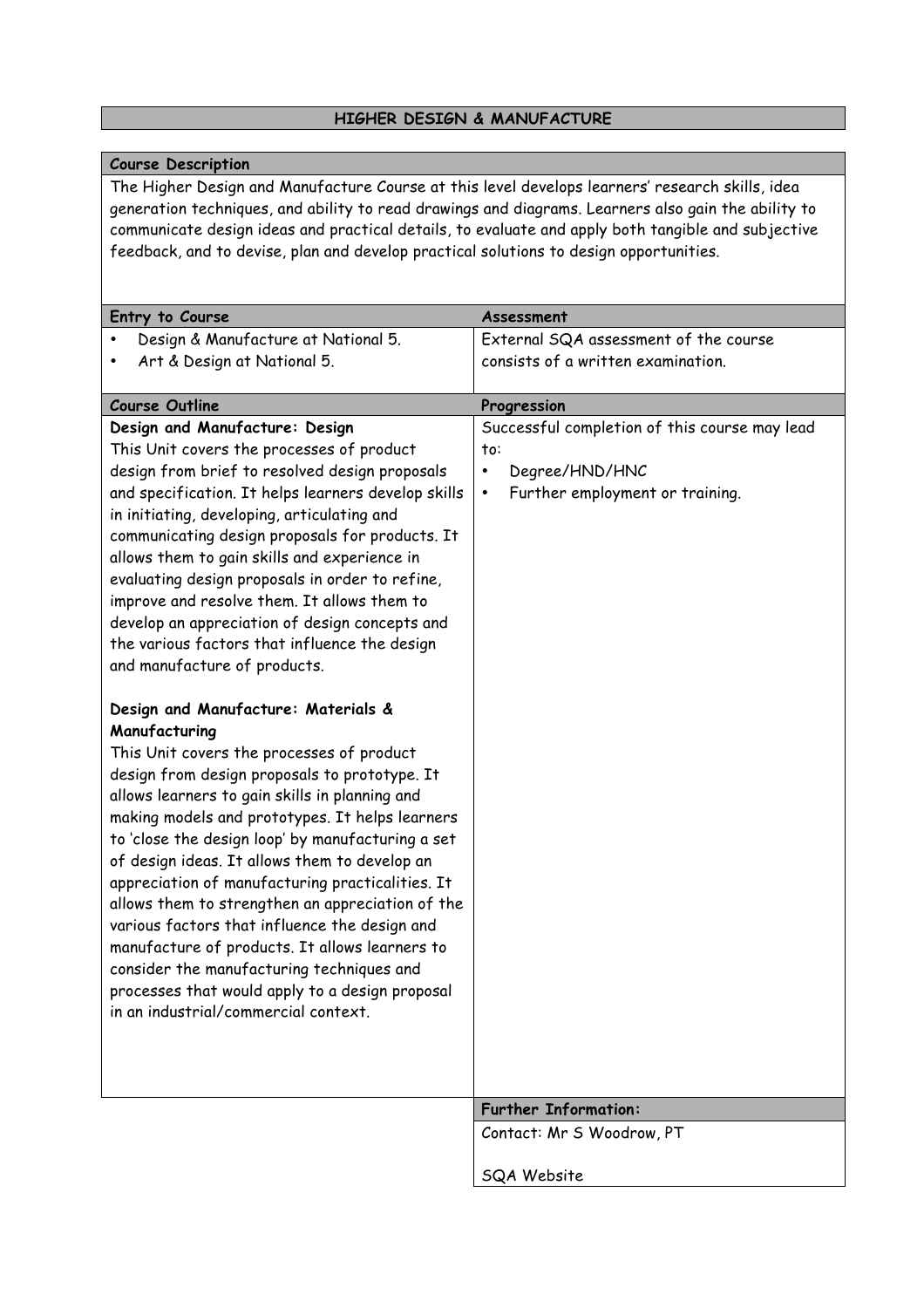#### **HIGHER DESIGN & MANUFACTURE**

#### **Course Description**

The Higher Design and Manufacture Course at this level develops learners' research skills, idea generation techniques, and ability to read drawings and diagrams. Learners also gain the ability to communicate design ideas and practical details, to evaluate and apply both tangible and subjective feedback, and to devise, plan and develop practical solutions to design opportunities.

| Entry to Course                                                                                                                                                                                                                                                                                                                                                                                                                                                                                                                                                                                                                                                                                                  | Assessment                                                                                                                          |
|------------------------------------------------------------------------------------------------------------------------------------------------------------------------------------------------------------------------------------------------------------------------------------------------------------------------------------------------------------------------------------------------------------------------------------------------------------------------------------------------------------------------------------------------------------------------------------------------------------------------------------------------------------------------------------------------------------------|-------------------------------------------------------------------------------------------------------------------------------------|
| Design & Manufacture at National 5.                                                                                                                                                                                                                                                                                                                                                                                                                                                                                                                                                                                                                                                                              | External SQA assessment of the course                                                                                               |
| Art & Design at National 5.                                                                                                                                                                                                                                                                                                                                                                                                                                                                                                                                                                                                                                                                                      | consists of a written examination.                                                                                                  |
|                                                                                                                                                                                                                                                                                                                                                                                                                                                                                                                                                                                                                                                                                                                  |                                                                                                                                     |
| <b>Course Outline</b>                                                                                                                                                                                                                                                                                                                                                                                                                                                                                                                                                                                                                                                                                            | Progression                                                                                                                         |
| Design and Manufacture: Design<br>This Unit covers the processes of product<br>design from brief to resolved design proposals<br>and specification. It helps learners develop skills<br>in initiating, developing, articulating and<br>communicating design proposals for products. It<br>allows them to gain skills and experience in<br>evaluating design proposals in order to refine,<br>improve and resolve them. It allows them to                                                                                                                                                                                                                                                                         | Successful completion of this course may lead<br>to:<br>Degree/HND/HNC<br>$\bullet$<br>Further employment or training.<br>$\bullet$ |
| develop an appreciation of design concepts and<br>the various factors that influence the design<br>and manufacture of products.                                                                                                                                                                                                                                                                                                                                                                                                                                                                                                                                                                                  |                                                                                                                                     |
| Design and Manufacture: Materials &<br>Manufacturing<br>This Unit covers the processes of product<br>design from design proposals to prototype. It<br>allows learners to gain skills in planning and<br>making models and prototypes. It helps learners<br>to 'close the design loop' by manufacturing a set<br>of design ideas. It allows them to develop an<br>appreciation of manufacturing practicalities. It<br>allows them to strengthen an appreciation of the<br>various factors that influence the design and<br>manufacture of products. It allows learners to<br>consider the manufacturing techniques and<br>processes that would apply to a design proposal<br>in an industrial/commercial context. |                                                                                                                                     |
|                                                                                                                                                                                                                                                                                                                                                                                                                                                                                                                                                                                                                                                                                                                  | <b>Further Information:</b>                                                                                                         |
|                                                                                                                                                                                                                                                                                                                                                                                                                                                                                                                                                                                                                                                                                                                  | Contact: Mr S Woodrow, PT                                                                                                           |
|                                                                                                                                                                                                                                                                                                                                                                                                                                                                                                                                                                                                                                                                                                                  | SQA Website                                                                                                                         |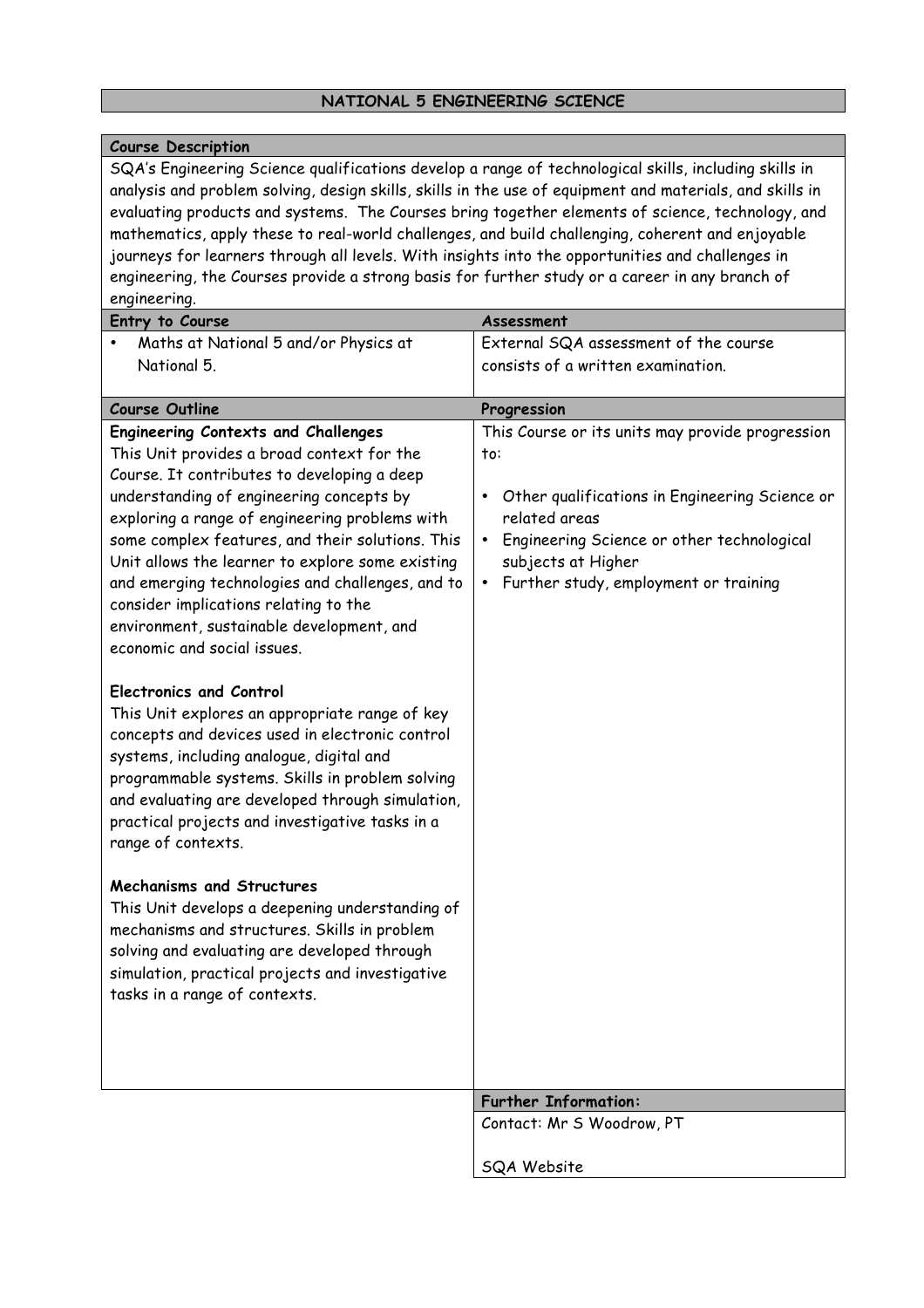#### **NATIONAL 5 ENGINEERING SCIENCE**

#### **Course Description**

SQA's Engineering Science qualifications develop a range of technological skills, including skills in analysis and problem solving, design skills, skills in the use of equipment and materials, and skills in evaluating products and systems. The Courses bring together elements of science, technology, and mathematics, apply these to real-world challenges, and build challenging, coherent and enjoyable journeys for learners through all levels. With insights into the opportunities and challenges in engineering, the Courses provide a strong basis for further study or a career in any branch of engineering.

| Entry to Course                                                                                                                                                                                                                                                                                                                                                                                                                                                                                                        | Assessment                                                                                                                                                                                                                                                                     |
|------------------------------------------------------------------------------------------------------------------------------------------------------------------------------------------------------------------------------------------------------------------------------------------------------------------------------------------------------------------------------------------------------------------------------------------------------------------------------------------------------------------------|--------------------------------------------------------------------------------------------------------------------------------------------------------------------------------------------------------------------------------------------------------------------------------|
| Maths at National 5 and/or Physics at                                                                                                                                                                                                                                                                                                                                                                                                                                                                                  | External SQA assessment of the course                                                                                                                                                                                                                                          |
| National 5.                                                                                                                                                                                                                                                                                                                                                                                                                                                                                                            | consists of a written examination.                                                                                                                                                                                                                                             |
|                                                                                                                                                                                                                                                                                                                                                                                                                                                                                                                        |                                                                                                                                                                                                                                                                                |
| <b>Course Outline</b>                                                                                                                                                                                                                                                                                                                                                                                                                                                                                                  | Progression                                                                                                                                                                                                                                                                    |
| <b>Engineering Contexts and Challenges</b><br>This Unit provides a broad context for the<br>Course. It contributes to developing a deep<br>understanding of engineering concepts by<br>exploring a range of engineering problems with<br>some complex features, and their solutions. This<br>Unit allows the learner to explore some existing<br>and emerging technologies and challenges, and to<br>consider implications relating to the<br>environment, sustainable development, and<br>economic and social issues. | This Course or its units may provide progression<br>to:<br>Other qualifications in Engineering Science or<br>$\bullet$<br>related areas<br>Engineering Science or other technological<br>$\bullet$<br>subjects at Higher<br>Further study, employment or training<br>$\bullet$ |
| <b>Electronics and Control</b><br>This Unit explores an appropriate range of key<br>concepts and devices used in electronic control<br>systems, including analogue, digital and<br>programmable systems. Skills in problem solving<br>and evaluating are developed through simulation,<br>practical projects and investigative tasks in a<br>range of contexts.                                                                                                                                                        |                                                                                                                                                                                                                                                                                |
| <b>Mechanisms and Structures</b><br>This Unit develops a deepening understanding of<br>mechanisms and structures. Skills in problem<br>solving and evaluating are developed through<br>simulation, practical projects and investigative<br>tasks in a range of contexts.                                                                                                                                                                                                                                               |                                                                                                                                                                                                                                                                                |
|                                                                                                                                                                                                                                                                                                                                                                                                                                                                                                                        | <b>Further Information:</b>                                                                                                                                                                                                                                                    |
|                                                                                                                                                                                                                                                                                                                                                                                                                                                                                                                        | Contact: Mr S Woodrow, PT                                                                                                                                                                                                                                                      |
|                                                                                                                                                                                                                                                                                                                                                                                                                                                                                                                        |                                                                                                                                                                                                                                                                                |
|                                                                                                                                                                                                                                                                                                                                                                                                                                                                                                                        | SQA Website                                                                                                                                                                                                                                                                    |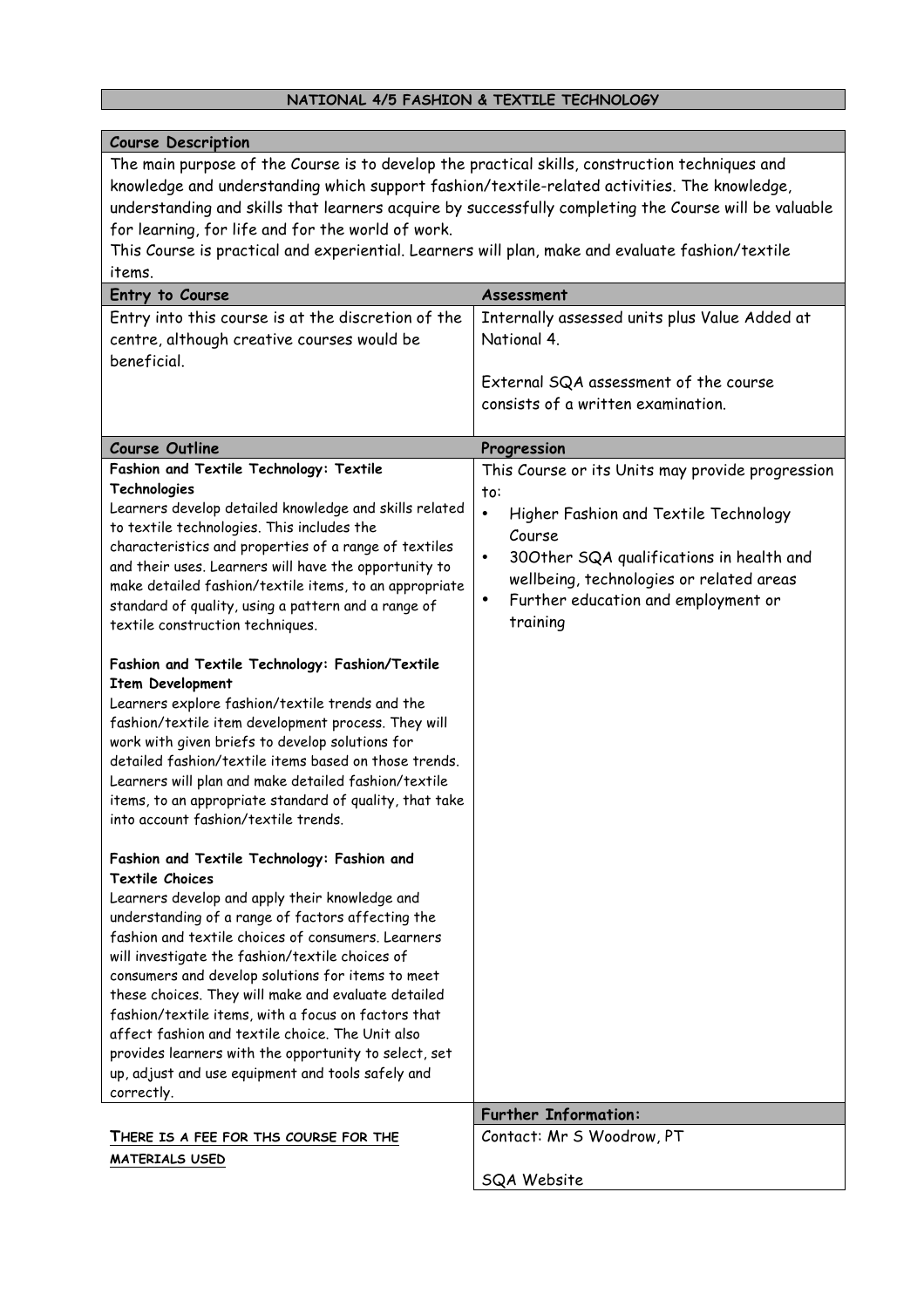#### **NATIONAL 4/5 FASHION & TEXTILE TECHNOLOGY**

#### **Course Description** The main purpose of the Course is to develop the practical skills, construction techniques and knowledge and understanding which support fashion/textile-related activities. The knowledge, understanding and skills that learners acquire by successfully completing the Course will be valuable for learning, for life and for the world of work. This Course is practical and experiential. Learners will plan, make and evaluate fashion/textile items. **Entry to Course Assessment** Entry into this course is at the discretion of the centre, although creative courses would be beneficial. Internally assessed units plus Value Added at National 4. External SQA assessment of the course consists of a written examination. **Course Outline Progression Fashion and Textile Technology: Textile Technologies** Learners develop detailed knowledge and skills related to textile technologies. This includes the characteristics and properties of a range of textiles and their uses. Learners will have the opportunity to make detailed fashion/textile items, to an appropriate standard of quality, using a pattern and a range of textile construction techniques. **Fashion and Textile Technology: Fashion/Textile Item Development** Learners explore fashion/textile trends and the fashion/textile item development process. They will work with given briefs to develop solutions for detailed fashion/textile items based on those trends. Learners will plan and make detailed fashion/textile items, to an appropriate standard of quality, that take into account fashion/textile trends. **Fashion and Textile Technology: Fashion and Textile Choices** Learners develop and apply their knowledge and understanding of a range of factors affecting the fashion and textile choices of consumers. Learners will investigate the fashion/textile choices of consumers and develop solutions for items to meet these choices. They will make and evaluate detailed fashion/textile items, with a focus on factors that affect fashion and textile choice. The Unit also provides learners with the opportunity to select, set up, adjust and use equipment and tools safely and correctly. This Course or its Units may provide progression to: • Higher Fashion and Textile Technology Course • 30Other SQA qualifications in health and wellbeing, technologies or related areas • Further education and employment or training **Further Information: THERE IS A FEE FOR THS COURSE FOR THE MATERIALS USED** Contact: Mr S Woodrow, PT SQA Website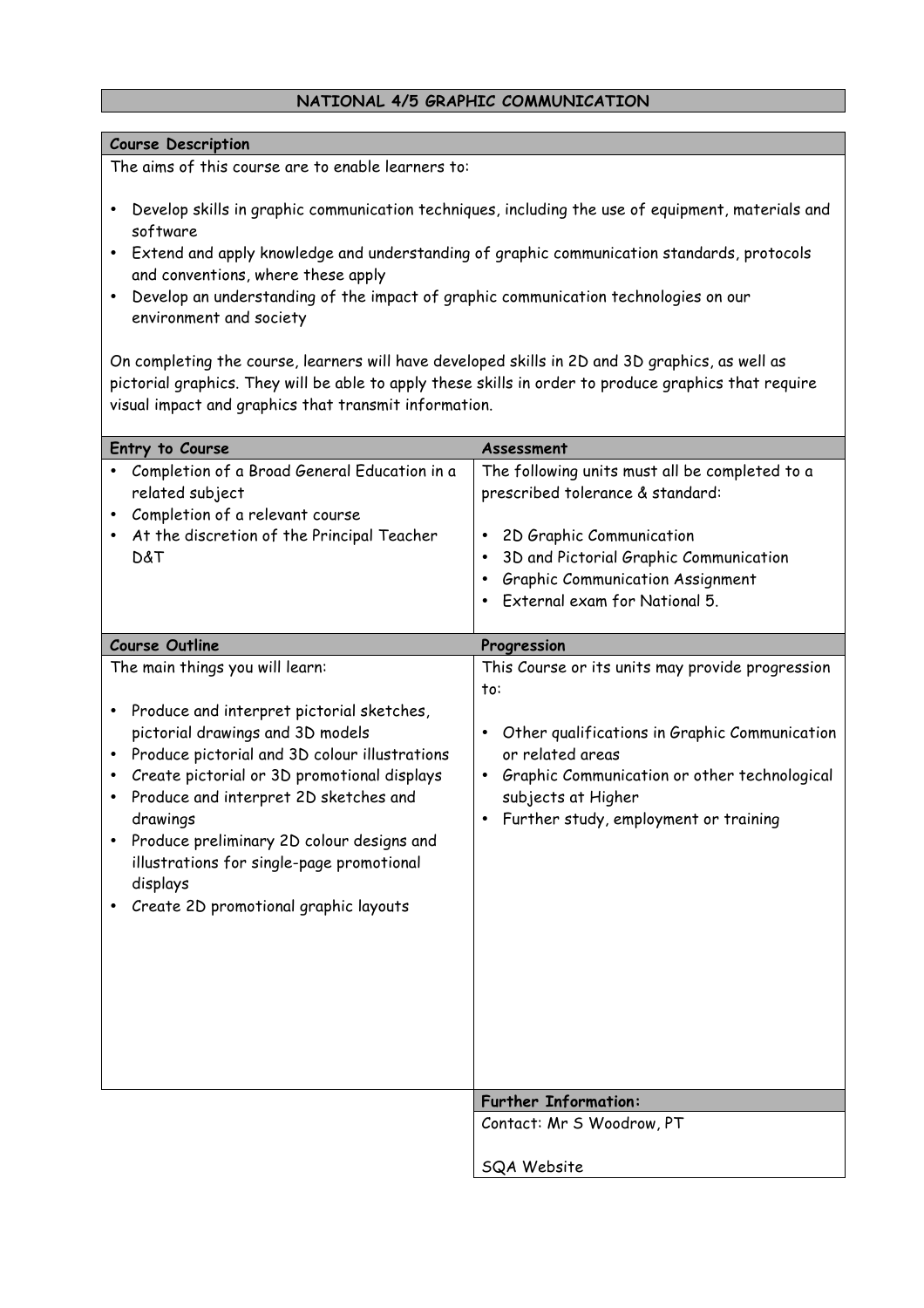#### **NATIONAL 4/5 GRAPHIC COMMUNICATION**

#### **Course Description**

The aims of this course are to enable learners to:

- Develop skills in graphic communication techniques, including the use of equipment, materials and software
- Extend and apply knowledge and understanding of graphic communication standards, protocols and conventions, where these apply
- Develop an understanding of the impact of graphic communication technologies on our environment and society

On completing the course, learners will have developed skills in 2D and 3D graphics, as well as pictorial graphics. They will be able to apply these skills in order to produce graphics that require visual impact and graphics that transmit information.

| Entry to Course                                                                                                                                                                                                                                                                                                                                                                                                                        | Assessment                                                                                                                                                                                                                                                                         |
|----------------------------------------------------------------------------------------------------------------------------------------------------------------------------------------------------------------------------------------------------------------------------------------------------------------------------------------------------------------------------------------------------------------------------------------|------------------------------------------------------------------------------------------------------------------------------------------------------------------------------------------------------------------------------------------------------------------------------------|
| Completion of a Broad General Education in a<br>related subject<br>Completion of a relevant course<br>At the discretion of the Principal Teacher<br>D&T                                                                                                                                                                                                                                                                                | The following units must all be completed to a<br>prescribed tolerance & standard:<br>2D Graphic Communication<br>$\bullet$<br>3D and Pictorial Graphic Communication<br>$\bullet$<br><b>Graphic Communication Assignment</b><br>$\bullet$<br>External exam for National 5.        |
| <b>Course Outline</b>                                                                                                                                                                                                                                                                                                                                                                                                                  | Progression                                                                                                                                                                                                                                                                        |
| The main things you will learn:<br>Produce and interpret pictorial sketches,<br>٠<br>pictorial drawings and 3D models<br>Produce pictorial and 3D colour illustrations<br>Create pictorial or 3D promotional displays<br>Produce and interpret 2D sketches and<br>$\bullet$<br>drawings<br>Produce preliminary 2D colour designs and<br>illustrations for single-page promotional<br>displays<br>Create 2D promotional graphic layouts | This Course or its units may provide progression<br>to:<br>Other qualifications in Graphic Communication<br>$\bullet$<br>or related areas<br>Graphic Communication or other technological<br>$\bullet$<br>subjects at Higher<br>Further study, employment or training<br>$\bullet$ |
|                                                                                                                                                                                                                                                                                                                                                                                                                                        | <b>Further Information:</b>                                                                                                                                                                                                                                                        |
|                                                                                                                                                                                                                                                                                                                                                                                                                                        | Contact: Mr S Woodrow, PT                                                                                                                                                                                                                                                          |
|                                                                                                                                                                                                                                                                                                                                                                                                                                        | <b>SQA Website</b>                                                                                                                                                                                                                                                                 |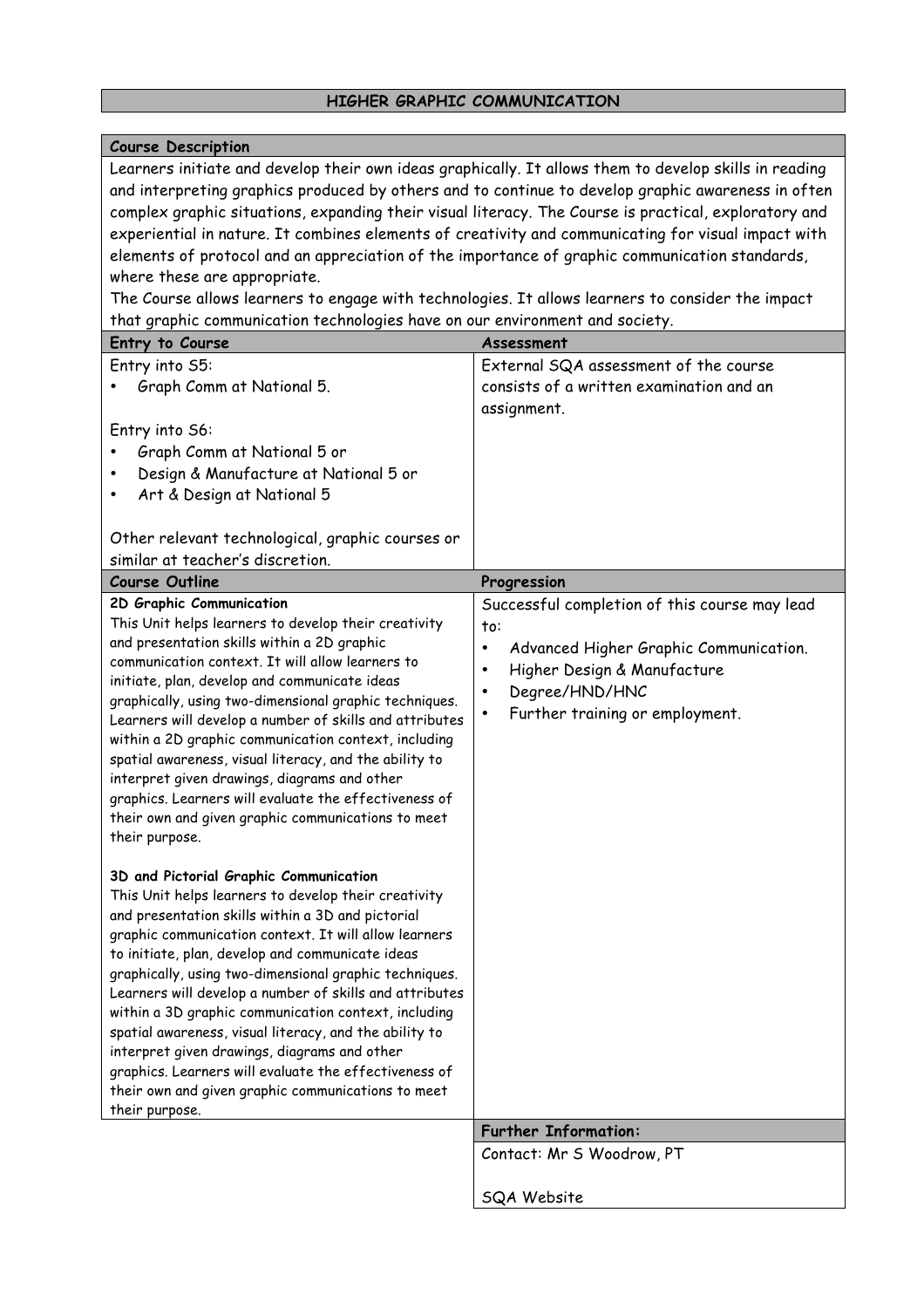## **HIGHER GRAPHIC COMMUNICATION**

| <b>Course Description</b>                                                                                                                                                                                                                                                                                                                                                                                                                                                                                                                                                                                                                                                                                                                                      |                                                                                                                                                                                                                                |  |
|----------------------------------------------------------------------------------------------------------------------------------------------------------------------------------------------------------------------------------------------------------------------------------------------------------------------------------------------------------------------------------------------------------------------------------------------------------------------------------------------------------------------------------------------------------------------------------------------------------------------------------------------------------------------------------------------------------------------------------------------------------------|--------------------------------------------------------------------------------------------------------------------------------------------------------------------------------------------------------------------------------|--|
| Learners initiate and develop their own ideas graphically. It allows them to develop skills in reading<br>and interpreting graphics produced by others and to continue to develop graphic awareness in often<br>complex graphic situations, expanding their visual literacy. The Course is practical, exploratory and<br>experiential in nature. It combines elements of creativity and communicating for visual impact with<br>elements of protocol and an appreciation of the importance of graphic communication standards,<br>where these are appropriate.<br>The Course allows learners to engage with technologies. It allows learners to consider the impact<br>that graphic communication technologies have on our environment and society.            |                                                                                                                                                                                                                                |  |
| Entry to Course                                                                                                                                                                                                                                                                                                                                                                                                                                                                                                                                                                                                                                                                                                                                                | Assessment                                                                                                                                                                                                                     |  |
| Entry into S5:<br>Graph Comm at National 5.                                                                                                                                                                                                                                                                                                                                                                                                                                                                                                                                                                                                                                                                                                                    | External SQA assessment of the course<br>consists of a written examination and an<br>assignment.                                                                                                                               |  |
| Entry into S6:<br>Graph Comm at National 5 or<br>Design & Manufacture at National 5 or<br>Art & Design at National 5<br>٠<br>Other relevant technological, graphic courses or                                                                                                                                                                                                                                                                                                                                                                                                                                                                                                                                                                                  |                                                                                                                                                                                                                                |  |
| similar at teacher's discretion.                                                                                                                                                                                                                                                                                                                                                                                                                                                                                                                                                                                                                                                                                                                               |                                                                                                                                                                                                                                |  |
| <b>Course Outline</b>                                                                                                                                                                                                                                                                                                                                                                                                                                                                                                                                                                                                                                                                                                                                          | Progression                                                                                                                                                                                                                    |  |
| 2D Graphic Communication<br>This Unit helps learners to develop their creativity<br>and presentation skills within a 2D graphic<br>communication context. It will allow learners to<br>initiate, plan, develop and communicate ideas<br>graphically, using two-dimensional graphic techniques.<br>Learners will develop a number of skills and attributes<br>within a 2D graphic communication context, including<br>spatial awareness, visual literacy, and the ability to<br>interpret given drawings, diagrams and other<br>graphics. Learners will evaluate the effectiveness of<br>their own and given graphic communications to meet<br>their purpose.<br>3D and Pictorial Graphic Communication<br>This Unit helps learners to develop their creativity | Successful completion of this course may lead<br>to:<br>Advanced Higher Graphic Communication.<br>$\bullet$<br>Higher Design & Manufacture<br>٠<br>Degree/HND/HNC<br>$\bullet$<br>Further training or employment.<br>$\bullet$ |  |
| and presentation skills within a 3D and pictorial<br>graphic communication context. It will allow learners<br>to initiate, plan, develop and communicate ideas<br>graphically, using two-dimensional graphic techniques.<br>Learners will develop a number of skills and attributes<br>within a 3D graphic communication context, including<br>spatial awareness, visual literacy, and the ability to<br>interpret given drawings, diagrams and other<br>graphics. Learners will evaluate the effectiveness of<br>their own and given graphic communications to meet<br>their purpose.                                                                                                                                                                         |                                                                                                                                                                                                                                |  |
|                                                                                                                                                                                                                                                                                                                                                                                                                                                                                                                                                                                                                                                                                                                                                                | <b>Further Information:</b>                                                                                                                                                                                                    |  |
|                                                                                                                                                                                                                                                                                                                                                                                                                                                                                                                                                                                                                                                                                                                                                                | Contact: Mr S Woodrow, PT                                                                                                                                                                                                      |  |
|                                                                                                                                                                                                                                                                                                                                                                                                                                                                                                                                                                                                                                                                                                                                                                | SQA Website                                                                                                                                                                                                                    |  |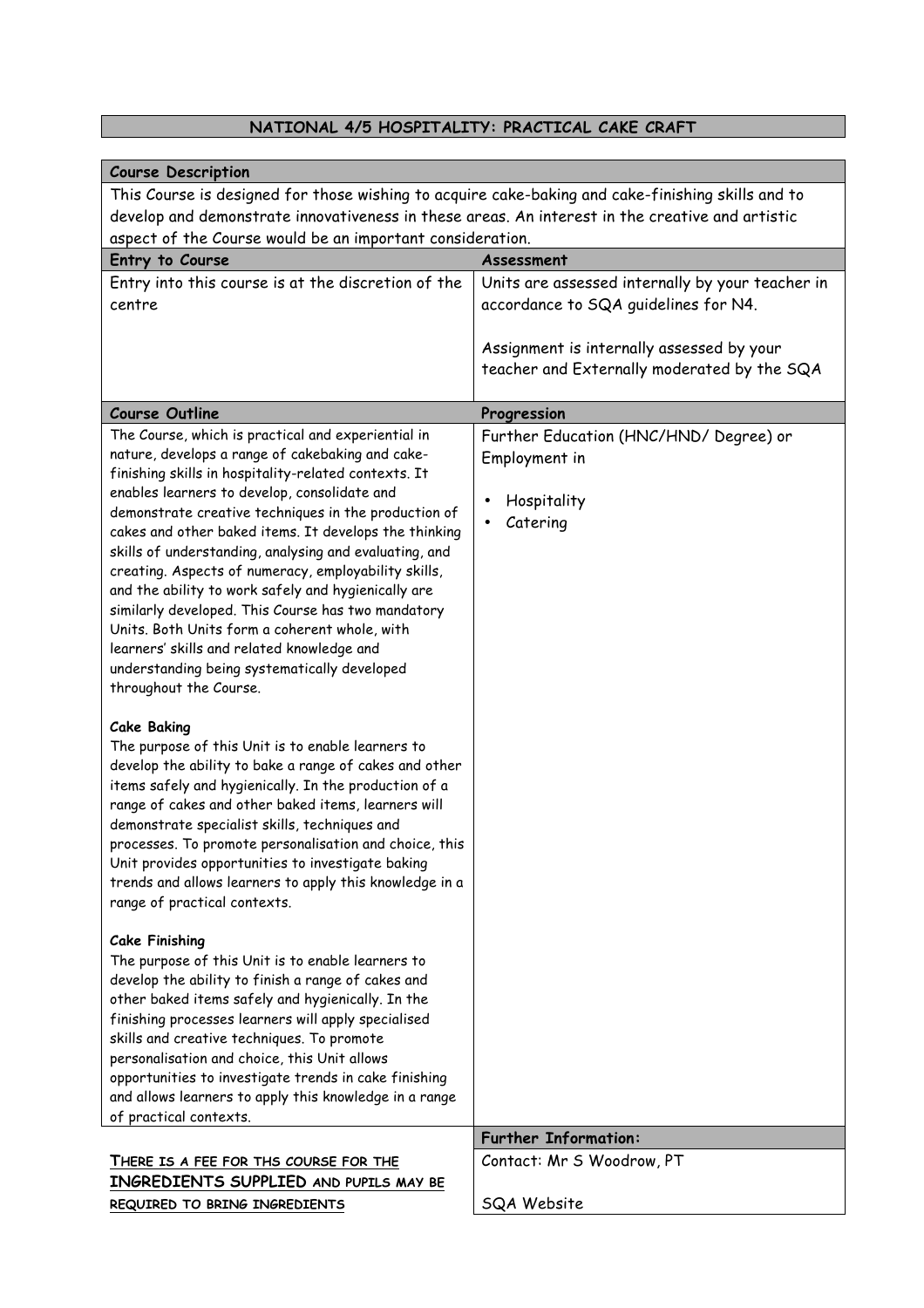## **NATIONAL 4/5 HOSPITALITY: PRACTICAL CAKE CRAFT**

| <b>Course Description</b>                                                                                       |                                                  |  |
|-----------------------------------------------------------------------------------------------------------------|--------------------------------------------------|--|
| This Course is designed for those wishing to acquire cake-baking and cake-finishing skills and to               |                                                  |  |
| develop and demonstrate innovativeness in these areas. An interest in the creative and artistic                 |                                                  |  |
| aspect of the Course would be an important consideration.                                                       |                                                  |  |
| Entry to Course                                                                                                 | Assessment                                       |  |
| Entry into this course is at the discretion of the                                                              | Units are assessed internally by your teacher in |  |
| centre                                                                                                          | accordance to SQA guidelines for N4.             |  |
|                                                                                                                 |                                                  |  |
|                                                                                                                 | Assignment is internally assessed by your        |  |
|                                                                                                                 | teacher and Externally moderated by the SQA      |  |
|                                                                                                                 |                                                  |  |
| <b>Course Outline</b>                                                                                           | Progression                                      |  |
| The Course, which is practical and experiential in                                                              | Further Education (HNC/HND/ Degree) or           |  |
| nature, develops a range of cakebaking and cake-                                                                | Employment in                                    |  |
| finishing skills in hospitality-related contexts. It                                                            |                                                  |  |
| enables learners to develop, consolidate and                                                                    | Hospitality                                      |  |
| demonstrate creative techniques in the production of                                                            | Catering                                         |  |
| cakes and other baked items. It develops the thinking<br>skills of understanding, analysing and evaluating, and |                                                  |  |
| creating. Aspects of numeracy, employability skills,                                                            |                                                  |  |
| and the ability to work safely and hygienically are                                                             |                                                  |  |
| similarly developed. This Course has two mandatory                                                              |                                                  |  |
| Units. Both Units form a coherent whole, with                                                                   |                                                  |  |
| learners' skills and related knowledge and                                                                      |                                                  |  |
| understanding being systematically developed                                                                    |                                                  |  |
| throughout the Course.                                                                                          |                                                  |  |
|                                                                                                                 |                                                  |  |
| <b>Cake Baking</b><br>The purpose of this Unit is to enable learners to                                         |                                                  |  |
| develop the ability to bake a range of cakes and other                                                          |                                                  |  |
| items safely and hygienically. In the production of a                                                           |                                                  |  |
| range of cakes and other baked items, learners will                                                             |                                                  |  |
| demonstrate specialist skills, techniques and                                                                   |                                                  |  |
| processes. To promote personalisation and choice, this                                                          |                                                  |  |
| Unit provides opportunities to investigate baking                                                               |                                                  |  |
| trends and allows learners to apply this knowledge in a                                                         |                                                  |  |
| range of practical contexts.                                                                                    |                                                  |  |
| <b>Cake Finishing</b>                                                                                           |                                                  |  |
| The purpose of this Unit is to enable learners to                                                               |                                                  |  |
| develop the ability to finish a range of cakes and                                                              |                                                  |  |
| other baked items safely and hygienically. In the                                                               |                                                  |  |
| finishing processes learners will apply specialised                                                             |                                                  |  |
| skills and creative techniques. To promote                                                                      |                                                  |  |
| personalisation and choice, this Unit allows                                                                    |                                                  |  |
| opportunities to investigate trends in cake finishing                                                           |                                                  |  |
| and allows learners to apply this knowledge in a range                                                          |                                                  |  |
| of practical contexts.                                                                                          |                                                  |  |
|                                                                                                                 | <b>Further Information:</b>                      |  |
| THERE IS A FEE FOR THS COURSE FOR THE                                                                           | Contact: Mr S Woodrow, PT                        |  |
| INGREDIENTS SUPPLIED AND PUPILS MAY BE                                                                          |                                                  |  |
| REQUIRED TO BRING INGREDIENTS                                                                                   | SQA Website                                      |  |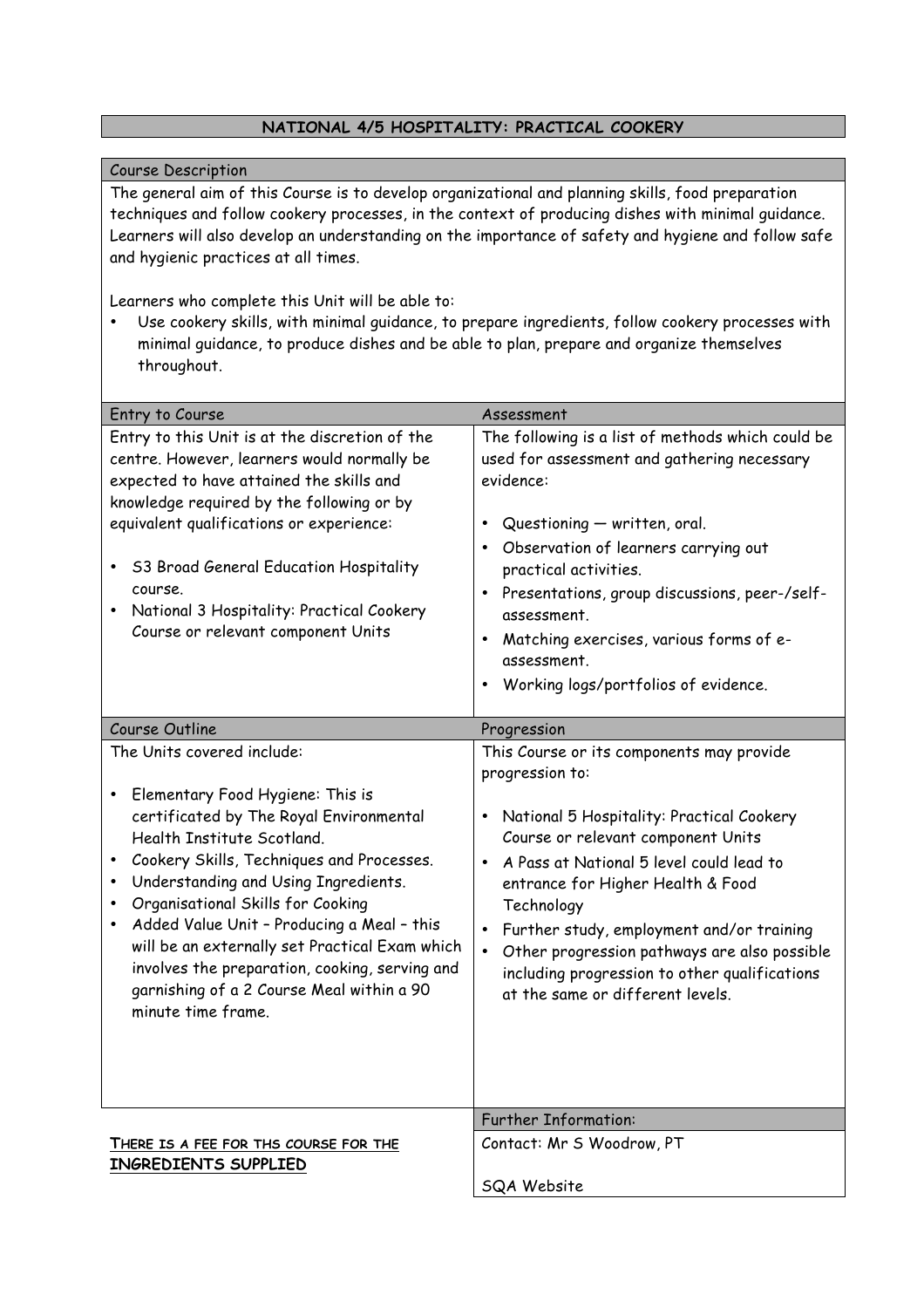#### **NATIONAL 4/5 HOSPITALITY: PRACTICAL COOKERY**

#### Course Description

The general aim of this Course is to develop organizational and planning skills, food preparation techniques and follow cookery processes, in the context of producing dishes with minimal guidance. Learners will also develop an understanding on the importance of safety and hygiene and follow safe and hygienic practices at all times.

Learners who complete this Unit will be able to:

• Use cookery skills, with minimal guidance, to prepare ingredients, follow cookery processes with minimal guidance, to produce dishes and be able to plan, prepare and organize themselves throughout.

| Entry to Course                                                                                                                                                                                                                                                                                                                                                                                                                                                                             | Assessment                                                                                                                                                                                                                                                                                                                                                                                                                                                 |
|---------------------------------------------------------------------------------------------------------------------------------------------------------------------------------------------------------------------------------------------------------------------------------------------------------------------------------------------------------------------------------------------------------------------------------------------------------------------------------------------|------------------------------------------------------------------------------------------------------------------------------------------------------------------------------------------------------------------------------------------------------------------------------------------------------------------------------------------------------------------------------------------------------------------------------------------------------------|
| Entry to this Unit is at the discretion of the<br>centre. However, learners would normally be<br>expected to have attained the skills and<br>knowledge required by the following or by<br>equivalent qualifications or experience:<br>53 Broad General Education Hospitality<br>course.<br>National 3 Hospitality: Practical Cookery<br>Course or relevant component Units                                                                                                                  | The following is a list of methods which could be<br>used for assessment and gathering necessary<br>evidence:<br>Questioning - written, oral.<br>$\bullet$<br>Observation of learners carrying out<br>practical activities.<br>Presentations, group discussions, peer-/self-<br>٠<br>assessment.<br>Matching exercises, various forms of e-<br>assessment.<br>Working logs/portfolios of evidence.                                                         |
| Course Outline                                                                                                                                                                                                                                                                                                                                                                                                                                                                              | Progression                                                                                                                                                                                                                                                                                                                                                                                                                                                |
| The Units covered include:<br>Elementary Food Hygiene: This is<br>٠<br>certificated by The Royal Environmental<br>Health Institute Scotland.<br>Cookery Skills, Techniques and Processes.<br>Understanding and Using Ingredients.<br>Organisational Skills for Cooking<br>Added Value Unit - Producing a Meal - this<br>will be an externally set Practical Exam which<br>involves the preparation, cooking, serving and<br>garnishing of a 2 Course Meal within a 90<br>minute time frame. | This Course or its components may provide<br>progression to:<br>National 5 Hospitality: Practical Cookery<br>$\bullet$<br>Course or relevant component Units<br>A Pass at National 5 level could lead to<br>$\bullet$<br>entrance for Higher Health & Food<br>Technology<br>Further study, employment and/or training<br>Other progression pathways are also possible<br>including progression to other qualifications<br>at the same or different levels. |
|                                                                                                                                                                                                                                                                                                                                                                                                                                                                                             | <b>Further Information:</b>                                                                                                                                                                                                                                                                                                                                                                                                                                |
| THERE IS A FEE FOR THS COURSE FOR THE<br>INGREDIENTS SUPPLIED                                                                                                                                                                                                                                                                                                                                                                                                                               | Contact: Mr S Woodrow, PT<br><b>SQA Website</b>                                                                                                                                                                                                                                                                                                                                                                                                            |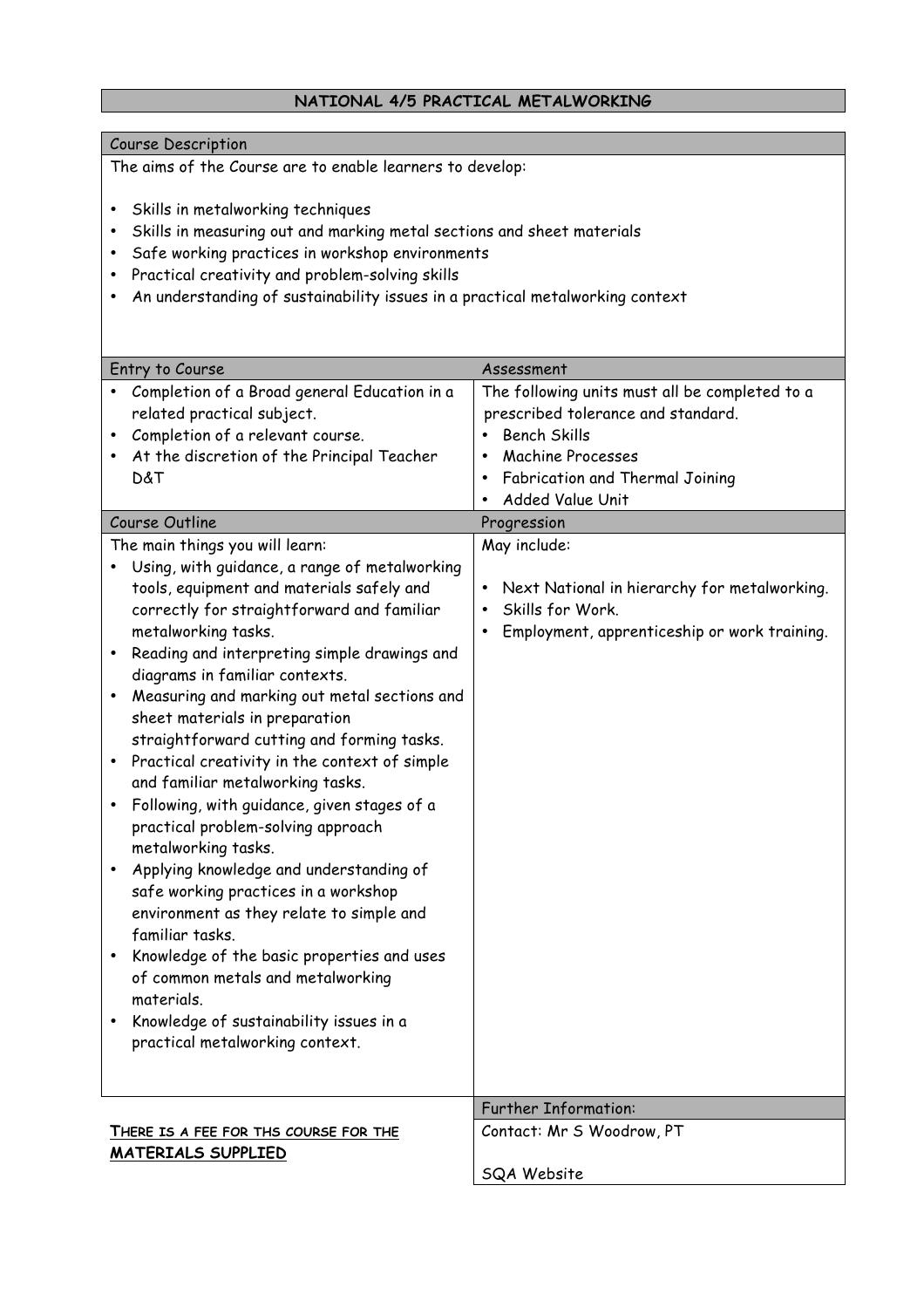#### **NATIONAL 4/5 PRACTICAL METALWORKING**

#### Course Description

The aims of the Course are to enable learners to develop:

- Skills in metalworking techniques
- Skills in measuring out and marking metal sections and sheet materials
- Safe working practices in workshop environments
- Practical creativity and problem-solving skills
- An understanding of sustainability issues in a practical metalworking context

| Entry to Course                                         | Assessment                                                |
|---------------------------------------------------------|-----------------------------------------------------------|
| Completion of a Broad general Education in a            | The following units must all be completed to a            |
| related practical subject.                              | prescribed tolerance and standard.                        |
| Completion of a relevant course.                        | <b>Bench Skills</b><br>$\bullet$                          |
| At the discretion of the Principal Teacher              | <b>Machine Processes</b><br>٠                             |
| D&T                                                     | Fabrication and Thermal Joining<br>$\bullet$              |
|                                                         | Added Value Unit                                          |
| Course Outline                                          | Progression                                               |
| The main things you will learn:                         | May include:                                              |
| Using, with guidance, a range of metalworking           |                                                           |
| tools, equipment and materials safely and               | Next National in hierarchy for metalworking.<br>$\bullet$ |
| correctly for straightforward and familiar              | Skills for Work.<br>$\bullet$                             |
| metalworking tasks.                                     | Employment, apprenticeship or work training.<br>٠         |
| Reading and interpreting simple drawings and<br>٠       |                                                           |
| diagrams in familiar contexts.                          |                                                           |
| Measuring and marking out metal sections and            |                                                           |
| sheet materials in preparation                          |                                                           |
| straightforward cutting and forming tasks.              |                                                           |
| Practical creativity in the context of simple<br>٠      |                                                           |
| and familiar metalworking tasks.                        |                                                           |
| Following, with guidance, given stages of a             |                                                           |
| practical problem-solving approach                      |                                                           |
| metalworking tasks.                                     |                                                           |
| Applying knowledge and understanding of                 |                                                           |
| safe working practices in a workshop                    |                                                           |
| environment as they relate to simple and                |                                                           |
| familiar tasks.                                         |                                                           |
| Knowledge of the basic properties and uses<br>$\bullet$ |                                                           |
| of common metals and metalworking                       |                                                           |
| materials.                                              |                                                           |
| Knowledge of sustainability issues in a                 |                                                           |
| practical metalworking context.                         |                                                           |
|                                                         |                                                           |
|                                                         |                                                           |
|                                                         | <b>Further Information:</b>                               |
| THERE IS A FEE FOR THS COURSE FOR THE                   | Contact: Mr S Woodrow, PT                                 |
| <b>MATERIALS SUPPLIED</b>                               |                                                           |
|                                                         | SQA Website                                               |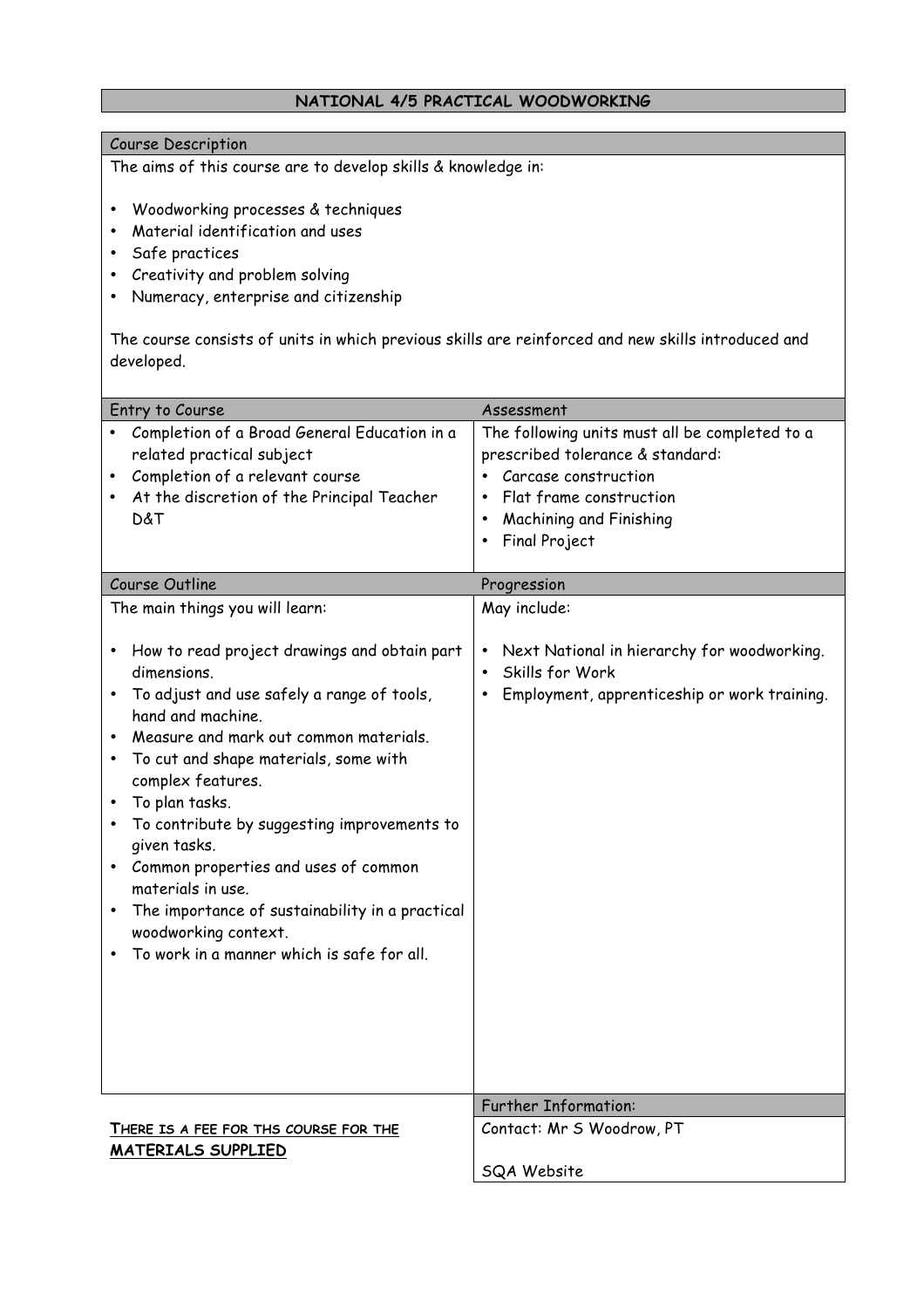#### **NATIONAL 4/5 PRACTICAL WOODWORKING**

#### Course Description

The aims of this course are to develop skills & knowledge in:

- Woodworking processes & techniques
- Material identification and uses
- Safe practices
- Creativity and problem solving
- Numeracy, enterprise and citizenship

The course consists of units in which previous skills are reinforced and new skills introduced and developed.

|                                       | Entry to Course                                                         | Assessment                                                |
|---------------------------------------|-------------------------------------------------------------------------|-----------------------------------------------------------|
|                                       | Completion of a Broad General Education in a                            | The following units must all be completed to a            |
|                                       | related practical subject                                               | prescribed tolerance & standard:                          |
|                                       | Completion of a relevant course                                         | Carcase construction<br>$\bullet$                         |
|                                       | At the discretion of the Principal Teacher                              | Flat frame construction<br>$\bullet$                      |
|                                       | D&T                                                                     | Machining and Finishing<br>$\bullet$                      |
|                                       |                                                                         | Final Project<br>$\bullet$                                |
|                                       |                                                                         |                                                           |
|                                       | Course Outline                                                          | Progression                                               |
|                                       | The main things you will learn:                                         | May include:                                              |
| ٠                                     | How to read project drawings and obtain part                            | Next National in hierarchy for woodworking.<br>$\bullet$  |
|                                       | dimensions.                                                             | Skills for Work<br>$\bullet$                              |
|                                       | To adjust and use safely a range of tools,<br>hand and machine.         | Employment, apprenticeship or work training.<br>$\bullet$ |
|                                       | Measure and mark out common materials.                                  |                                                           |
| $\bullet$                             | To cut and shape materials, some with                                   |                                                           |
|                                       | complex features.                                                       |                                                           |
|                                       | To plan tasks.                                                          |                                                           |
|                                       | To contribute by suggesting improvements to                             |                                                           |
|                                       | given tasks.                                                            |                                                           |
|                                       | Common properties and uses of common<br>materials in use.               |                                                           |
|                                       | The importance of sustainability in a practical<br>woodworking context. |                                                           |
|                                       | To work in a manner which is safe for all.                              |                                                           |
|                                       |                                                                         |                                                           |
|                                       |                                                                         |                                                           |
|                                       |                                                                         |                                                           |
|                                       |                                                                         |                                                           |
|                                       |                                                                         |                                                           |
|                                       |                                                                         |                                                           |
|                                       |                                                                         | <b>Further Information:</b>                               |
| THERE IS A FEE FOR THS COURSE FOR THE |                                                                         | Contact: Mr S Woodrow, PT                                 |
|                                       | <b>MATERIALS SUPPLIED</b>                                               |                                                           |
|                                       |                                                                         | <b>SQA Website</b>                                        |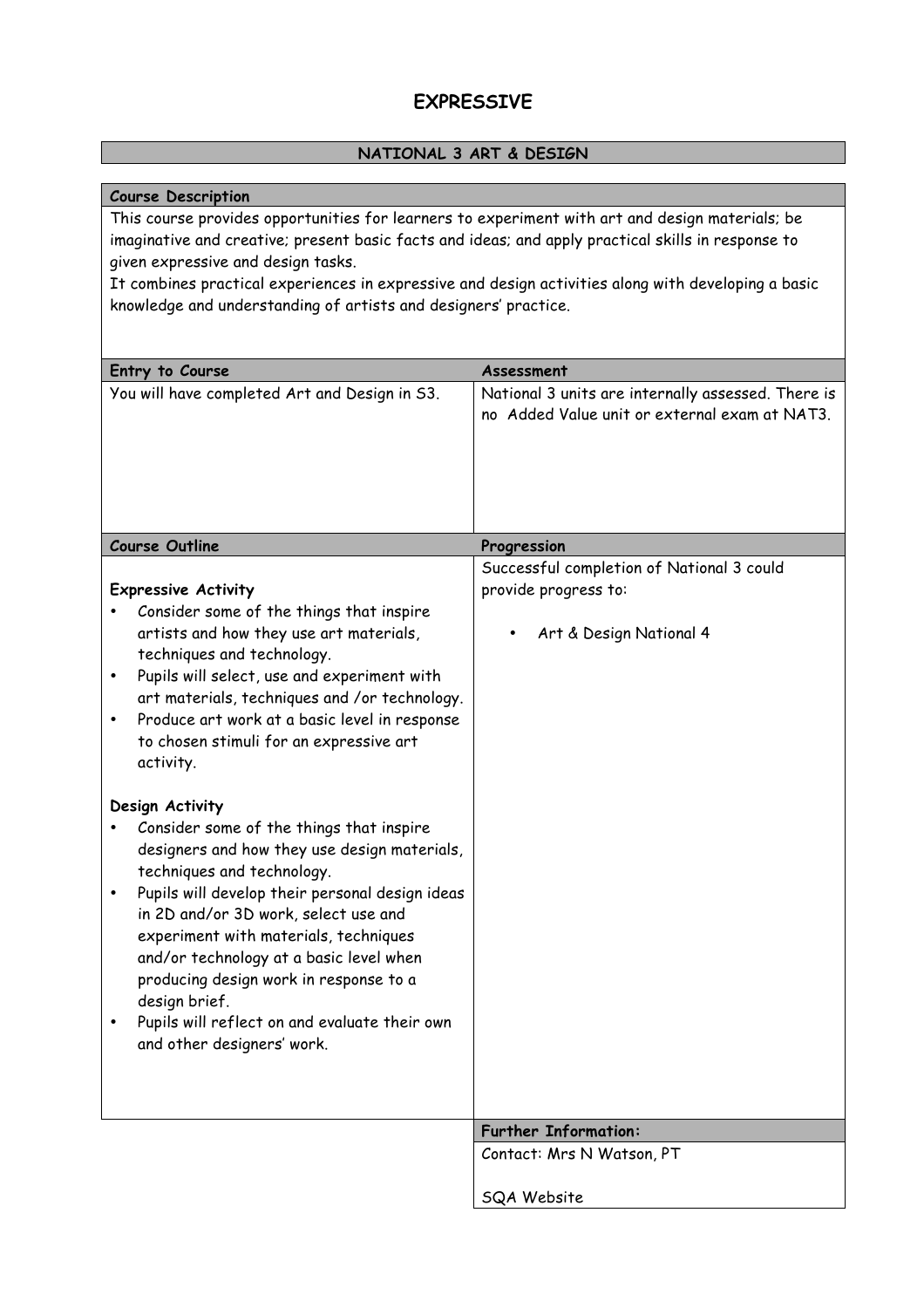# **EXPRESSIVE**

### **NATIONAL 3 ART & DESIGN**

### **Course Description**

This course provides opportunities for learners to experiment with art and design materials; be imaginative and creative; present basic facts and ideas; and apply practical skills in response to given expressive and design tasks.

It combines practical experiences in expressive and design activities along with developing a basic knowledge and understanding of artists and designers' practice.

| Entry to Course                                                                                                                                                                                                                                                                                                                                                                                                                                                    | Assessment                                                                                          |
|--------------------------------------------------------------------------------------------------------------------------------------------------------------------------------------------------------------------------------------------------------------------------------------------------------------------------------------------------------------------------------------------------------------------------------------------------------------------|-----------------------------------------------------------------------------------------------------|
| You will have completed Art and Design in S3.                                                                                                                                                                                                                                                                                                                                                                                                                      | National 3 units are internally assessed. There is<br>no Added Value unit or external exam at NAT3. |
| <b>Course Outline</b>                                                                                                                                                                                                                                                                                                                                                                                                                                              | Progression                                                                                         |
| <b>Expressive Activity</b><br>Consider some of the things that inspire<br>artists and how they use art materials,<br>techniques and technology.<br>Pupils will select, use and experiment with<br>٠<br>art materials, techniques and /or technology.<br>Produce art work at a basic level in response<br>to chosen stimuli for an expressive art<br>activity.                                                                                                      | Successful completion of National 3 could<br>provide progress to:<br>Art & Design National 4        |
| Design Activity<br>Consider some of the things that inspire<br>designers and how they use design materials,<br>techniques and technology.<br>Pupils will develop their personal design ideas<br>in 2D and/or 3D work, select use and<br>experiment with materials, techniques<br>and/or technology at a basic level when<br>producing design work in response to a<br>design brief.<br>Pupils will reflect on and evaluate their own<br>and other designers' work. |                                                                                                     |
|                                                                                                                                                                                                                                                                                                                                                                                                                                                                    | <b>Further Information:</b>                                                                         |
|                                                                                                                                                                                                                                                                                                                                                                                                                                                                    | Contact: Mrs N Watson, PT                                                                           |
|                                                                                                                                                                                                                                                                                                                                                                                                                                                                    | <b>SQA Website</b>                                                                                  |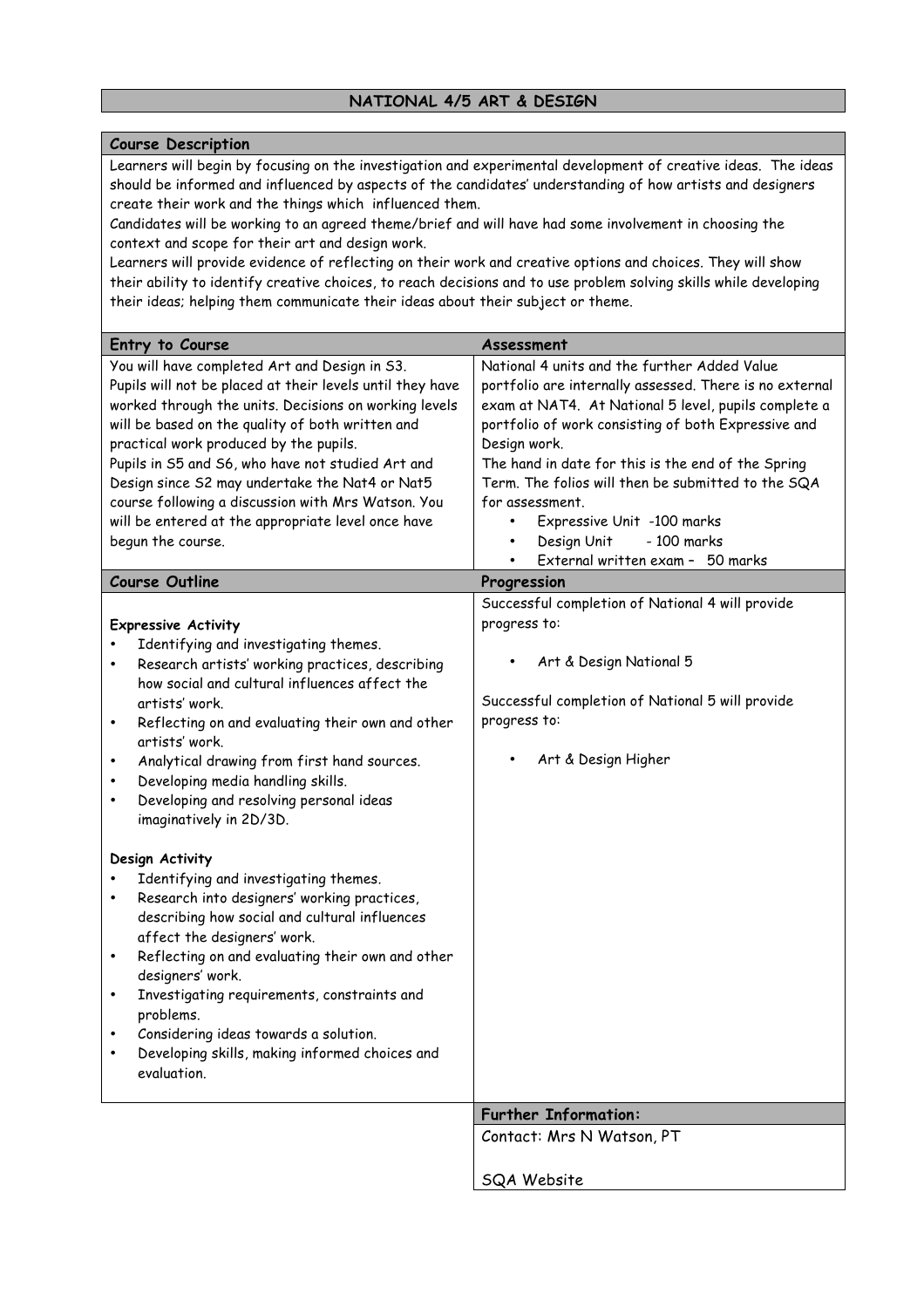# **NATIONAL 4/5 ART & DESIGN**

#### **Course Description**

Learners will begin by focusing on the investigation and experimental development of creative ideas. The ideas should be informed and influenced by aspects of the candidates' understanding of how artists and designers create their work and the things which influenced them.

Candidates will be working to an agreed theme/brief and will have had some involvement in choosing the context and scope for their art and design work.

Learners will provide evidence of reflecting on their work and creative options and choices. They will show their ability to identify creative choices, to reach decisions and to use problem solving skills while developing their ideas; helping them communicate their ideas about their subject or theme.

| Entry to Course                                                                                                                                                                                                                                                                                                                                                                                                                                                                                           | Assessment                                                                                                                                                                                                                                                                                                                                                                                                                                                                                       |
|-----------------------------------------------------------------------------------------------------------------------------------------------------------------------------------------------------------------------------------------------------------------------------------------------------------------------------------------------------------------------------------------------------------------------------------------------------------------------------------------------------------|--------------------------------------------------------------------------------------------------------------------------------------------------------------------------------------------------------------------------------------------------------------------------------------------------------------------------------------------------------------------------------------------------------------------------------------------------------------------------------------------------|
| You will have completed Art and Design in S3.<br>Pupils will not be placed at their levels until they have<br>worked through the units. Decisions on working levels<br>will be based on the quality of both written and<br>practical work produced by the pupils.<br>Pupils in S5 and S6, who have not studied Art and<br>Design since S2 may undertake the Nat4 or Nat5<br>course following a discussion with Mrs Watson. You<br>will be entered at the appropriate level once have<br>begun the course. | National 4 units and the further Added Value<br>portfolio are internally assessed. There is no external<br>exam at NAT4. At National 5 level, pupils complete a<br>portfolio of work consisting of both Expressive and<br>Design work.<br>The hand in date for this is the end of the Spring<br>Term. The folios will then be submitted to the SQA<br>for assessment.<br>Expressive Unit -100 marks<br>$\bullet$<br>Design Unit<br>$-100$ marks<br>$\bullet$<br>External written exam - 50 marks |
| <b>Course Outline</b>                                                                                                                                                                                                                                                                                                                                                                                                                                                                                     | Progression                                                                                                                                                                                                                                                                                                                                                                                                                                                                                      |
| <b>Expressive Activity</b><br>Identifying and investigating themes.<br>Research artists' working practices, describing<br>$\bullet$<br>how social and cultural influences affect the<br>artists' work.<br>Reflecting on and evaluating their own and other<br>$\bullet$<br>artists' work.<br>Analytical drawing from first hand sources.<br>$\bullet$<br>Developing media handling skills.<br>$\bullet$<br>Developing and resolving personal ideas<br>$\bullet$<br>imaginatively in 2D/3D.                | Successful completion of National 4 will provide<br>progress to:<br>Art & Design National 5<br>Successful completion of National 5 will provide<br>progress to:<br>Art & Design Higher                                                                                                                                                                                                                                                                                                           |
| Design Activity<br>Identifying and investigating themes.<br>Research into designers' working practices,<br>$\bullet$<br>describing how social and cultural influences<br>affect the designers' work.<br>Reflecting on and evaluating their own and other<br>$\bullet$<br>designers' work.<br>Investigating requirements, constraints and<br>٠<br>problems.<br>Considering ideas towards a solution.<br>Developing skills, making informed choices and<br>evaluation.                                      |                                                                                                                                                                                                                                                                                                                                                                                                                                                                                                  |
|                                                                                                                                                                                                                                                                                                                                                                                                                                                                                                           | <b>Further Information:</b>                                                                                                                                                                                                                                                                                                                                                                                                                                                                      |
|                                                                                                                                                                                                                                                                                                                                                                                                                                                                                                           | Contact: Mrs N Watson, PT                                                                                                                                                                                                                                                                                                                                                                                                                                                                        |
|                                                                                                                                                                                                                                                                                                                                                                                                                                                                                                           | <b>SQA Website</b>                                                                                                                                                                                                                                                                                                                                                                                                                                                                               |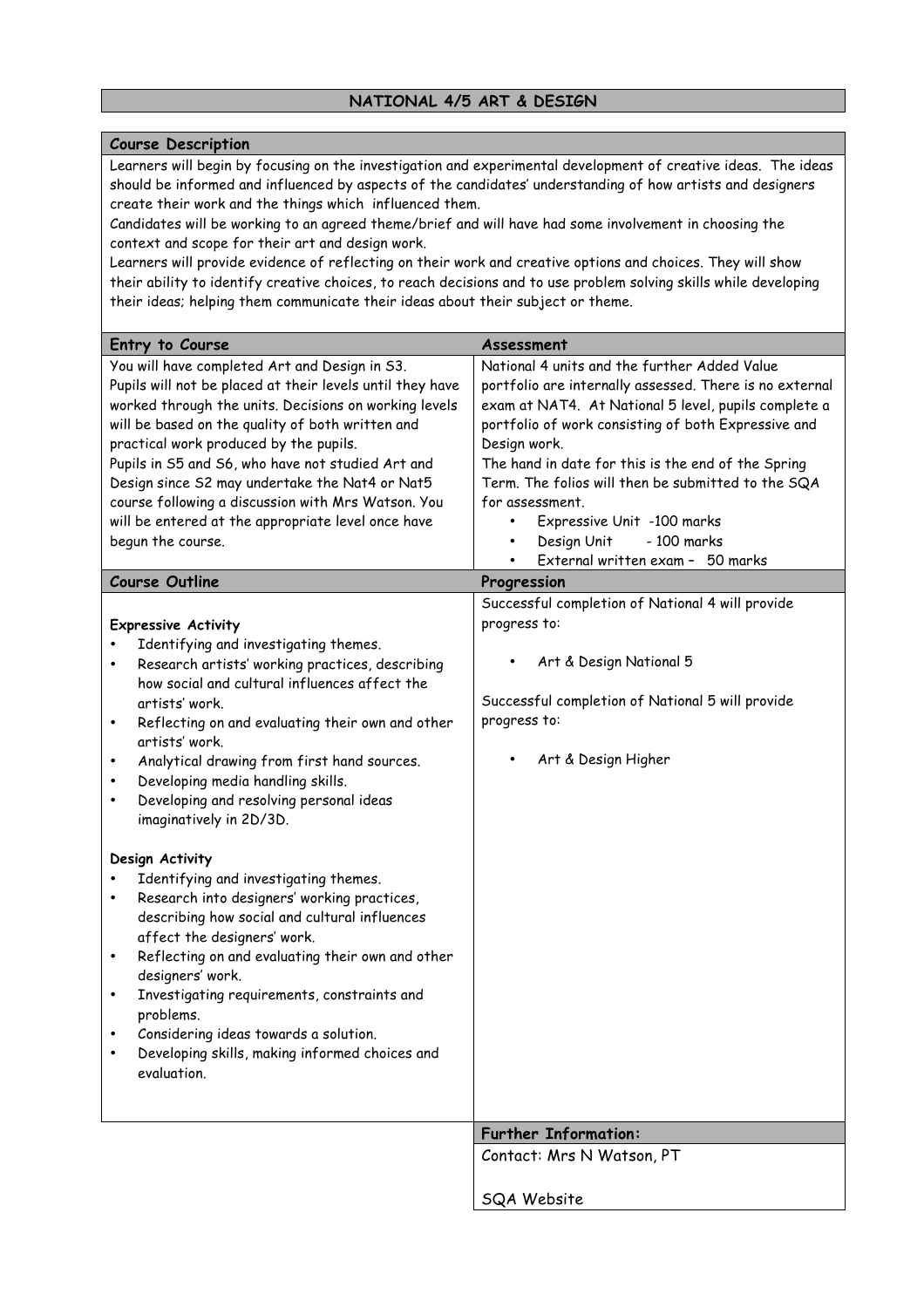# **NATIONAL 4/5 ART & DESIGN**

#### **Course Description**

Learners will begin by focusing on the investigation and experimental development of creative ideas. The ideas should be informed and influenced by aspects of the candidates' understanding of how artists and designers create their work and the things which influenced them.

Candidates will be working to an agreed theme/brief and will have had some involvement in choosing the context and scope for their art and design work.

Learners will provide evidence of reflecting on their work and creative options and choices. They will show their ability to identify creative choices, to reach decisions and to use problem solving skills while developing their ideas; helping them communicate their ideas about their subject or theme.

| Entry to Course                                                         | Assessment                                              |
|-------------------------------------------------------------------------|---------------------------------------------------------|
| You will have completed Art and Design in S3.                           | National 4 units and the further Added Value            |
| Pupils will not be placed at their levels until they have               | portfolio are internally assessed. There is no external |
| worked through the units. Decisions on working levels                   | exam at NAT4. At National 5 level, pupils complete a    |
| will be based on the quality of both written and                        | portfolio of work consisting of both Expressive and     |
| practical work produced by the pupils.                                  | Design work.                                            |
| Pupils in S5 and S6, who have not studied Art and                       | The hand in date for this is the end of the Spring      |
| Design since S2 may undertake the Nat4 or Nat5                          | Term. The folios will then be submitted to the SQA      |
| course following a discussion with Mrs Watson. You                      | for assessment.                                         |
| will be entered at the appropriate level once have                      | Expressive Unit -100 marks<br>$\bullet$                 |
| begun the course.                                                       | Design Unit<br>- 100 marks<br>$\bullet$                 |
|                                                                         | External written exam - 50 marks                        |
| <b>Course Outline</b>                                                   | Progression                                             |
|                                                                         | Successful completion of National 4 will provide        |
| <b>Expressive Activity</b>                                              | progress to:                                            |
| Identifying and investigating themes.                                   |                                                         |
| Research artists' working practices, describing                         | Art & Design National 5                                 |
| how social and cultural influences affect the                           |                                                         |
| artists' work.                                                          | Successful completion of National 5 will provide        |
| Reflecting on and evaluating their own and other<br>$\bullet$           | progress to:                                            |
| artists' work.                                                          |                                                         |
| Analytical drawing from first hand sources.<br>$\bullet$                | Art & Design Higher                                     |
| Developing media handling skills.<br>$\bullet$                          |                                                         |
| Developing and resolving personal ideas<br>٠<br>imaginatively in 2D/3D. |                                                         |
|                                                                         |                                                         |
| Design Activity                                                         |                                                         |
| Identifying and investigating themes.                                   |                                                         |
| Research into designers' working practices,<br>$\bullet$                |                                                         |
| describing how social and cultural influences                           |                                                         |
| affect the designers' work.                                             |                                                         |
| Reflecting on and evaluating their own and other<br>$\bullet$           |                                                         |
| designers' work.                                                        |                                                         |
| Investigating requirements, constraints and<br>$\bullet$                |                                                         |
| problems.                                                               |                                                         |
| Considering ideas towards a solution.                                   |                                                         |
| Developing skills, making informed choices and                          |                                                         |
| evaluation.                                                             |                                                         |
|                                                                         |                                                         |
|                                                                         |                                                         |
|                                                                         | <b>Further Information:</b>                             |
|                                                                         | Contact: Mrs N Watson, PT                               |
|                                                                         |                                                         |
|                                                                         | <b>SQA Website</b>                                      |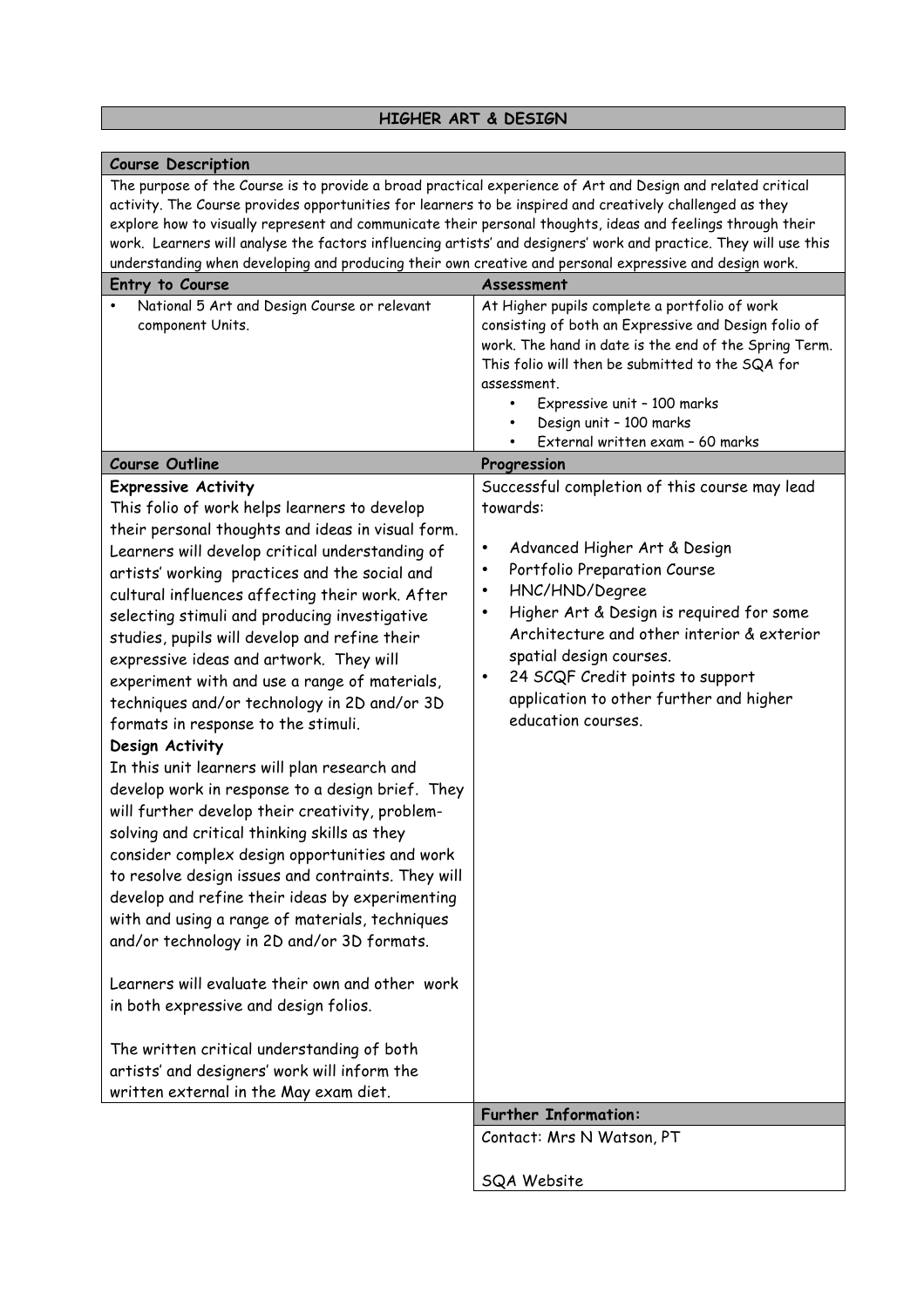# **HIGHER ART & DESIGN**

| <b>Course Description</b>                                                                                                                                                                                                                                                                                                                                                                                                                                                                                                                                                                                                                                                                                                                                                                                                                                                                                                                                                                                                                                                                                                                                                                                                                                               |                                                                                                                                                                                                                                                                                                                                                                                       |
|-------------------------------------------------------------------------------------------------------------------------------------------------------------------------------------------------------------------------------------------------------------------------------------------------------------------------------------------------------------------------------------------------------------------------------------------------------------------------------------------------------------------------------------------------------------------------------------------------------------------------------------------------------------------------------------------------------------------------------------------------------------------------------------------------------------------------------------------------------------------------------------------------------------------------------------------------------------------------------------------------------------------------------------------------------------------------------------------------------------------------------------------------------------------------------------------------------------------------------------------------------------------------|---------------------------------------------------------------------------------------------------------------------------------------------------------------------------------------------------------------------------------------------------------------------------------------------------------------------------------------------------------------------------------------|
| The purpose of the Course is to provide a broad practical experience of Art and Design and related critical<br>activity. The Course provides opportunities for learners to be inspired and creatively challenged as they<br>explore how to visually represent and communicate their personal thoughts, ideas and feelings through their<br>work. Learners will analyse the factors influencing artists' and designers' work and practice. They will use this<br>understanding when developing and producing their own creative and personal expressive and design work.                                                                                                                                                                                                                                                                                                                                                                                                                                                                                                                                                                                                                                                                                                 |                                                                                                                                                                                                                                                                                                                                                                                       |
| Entry to Course                                                                                                                                                                                                                                                                                                                                                                                                                                                                                                                                                                                                                                                                                                                                                                                                                                                                                                                                                                                                                                                                                                                                                                                                                                                         | Assessment                                                                                                                                                                                                                                                                                                                                                                            |
| National 5 Art and Design Course or relevant<br>component Units.<br><b>Course Outline</b>                                                                                                                                                                                                                                                                                                                                                                                                                                                                                                                                                                                                                                                                                                                                                                                                                                                                                                                                                                                                                                                                                                                                                                               | At Higher pupils complete a portfolio of work<br>consisting of both an Expressive and Design folio of<br>work. The hand in date is the end of the Spring Term.<br>This folio will then be submitted to the SQA for<br>assessment.<br>Expressive unit - 100 marks<br>Design unit - 100 marks<br>External written exam - 60 marks<br>Progression                                        |
| <b>Expressive Activity</b>                                                                                                                                                                                                                                                                                                                                                                                                                                                                                                                                                                                                                                                                                                                                                                                                                                                                                                                                                                                                                                                                                                                                                                                                                                              | Successful completion of this course may lead                                                                                                                                                                                                                                                                                                                                         |
| This folio of work helps learners to develop<br>their personal thoughts and ideas in visual form.<br>Learners will develop critical understanding of<br>artists' working practices and the social and<br>cultural influences affecting their work. After<br>selecting stimuli and producing investigative<br>studies, pupils will develop and refine their<br>expressive ideas and artwork. They will<br>experiment with and use a range of materials,<br>techniques and/or technology in 2D and/or 3D<br>formats in response to the stimuli.<br>Design Activity<br>In this unit learners will plan research and<br>develop work in response to a design brief. They<br>will further develop their creativity, problem-<br>solving and critical thinking skills as they<br>consider complex design opportunities and work<br>to resolve design issues and contraints. They will<br>develop and refine their ideas by experimenting<br>with and using a range of materials, techniques<br>and/or technology in 2D and/or 3D formats.<br>Learners will evaluate their own and other work<br>in both expressive and design folios.<br>The written critical understanding of both<br>artists' and designers' work will inform the<br>written external in the May exam diet. | towards:<br>Advanced Higher Art & Design<br>$\bullet$<br>Portfolio Preparation Course<br>$\bullet$<br>HNC/HND/Degree<br>$\bullet$<br>Higher Art & Design is required for some<br>$\bullet$<br>Architecture and other interior & exterior<br>spatial design courses.<br>24 SCQF Credit points to support<br>$\bullet$<br>application to other further and higher<br>education courses. |
|                                                                                                                                                                                                                                                                                                                                                                                                                                                                                                                                                                                                                                                                                                                                                                                                                                                                                                                                                                                                                                                                                                                                                                                                                                                                         | <b>Further Information:</b>                                                                                                                                                                                                                                                                                                                                                           |
|                                                                                                                                                                                                                                                                                                                                                                                                                                                                                                                                                                                                                                                                                                                                                                                                                                                                                                                                                                                                                                                                                                                                                                                                                                                                         | Contact: Mrs N Watson, PT                                                                                                                                                                                                                                                                                                                                                             |
|                                                                                                                                                                                                                                                                                                                                                                                                                                                                                                                                                                                                                                                                                                                                                                                                                                                                                                                                                                                                                                                                                                                                                                                                                                                                         | SQA Website                                                                                                                                                                                                                                                                                                                                                                           |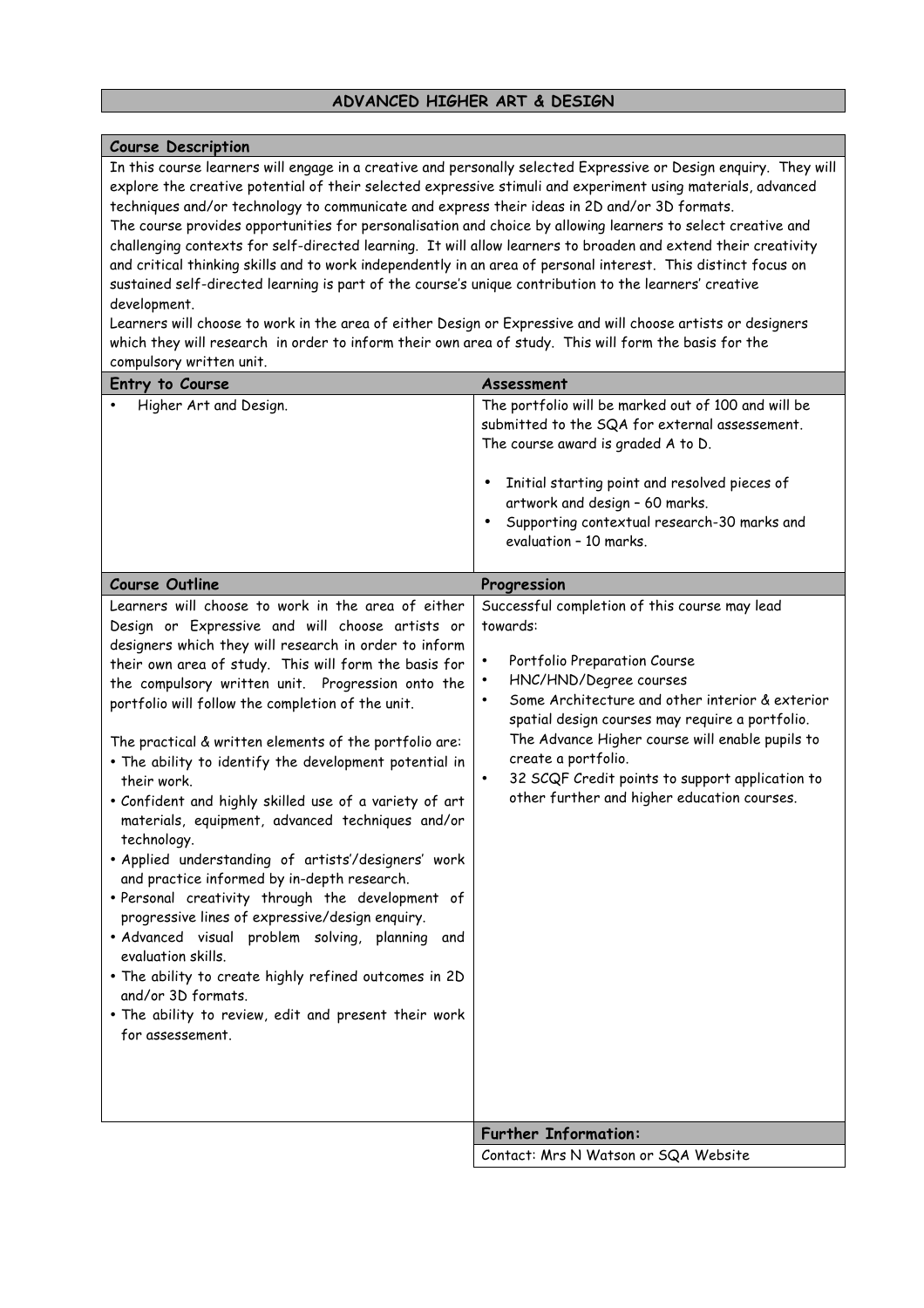### **ADVANCED HIGHER ART & DESIGN**

#### **Course Description**

In this course learners will engage in a creative and personally selected Expressive or Design enquiry. They will explore the creative potential of their selected expressive stimuli and experiment using materials, advanced techniques and/or technology to communicate and express their ideas in 2D and/or 3D formats.

The course provides opportunities for personalisation and choice by allowing learners to select creative and challenging contexts for self-directed learning. It will allow learners to broaden and extend their creativity and critical thinking skills and to work independently in an area of personal interest. This distinct focus on sustained self-directed learning is part of the course's unique contribution to the learners' creative development.

Learners will choose to work in the area of either Design or Expressive and will choose artists or designers which they will research in order to inform their own area of study. This will form the basis for the compulsory written unit.

| Entry to Course                                                                                                                                                                                                                                                                                                                                                                                                                                                                                                                                                                                                                                                                                                                                                                                                                                                                                                                                                                                                                                    | Assessment                                                                                                                                                                                                                                                                                                                                                                                                                      |
|----------------------------------------------------------------------------------------------------------------------------------------------------------------------------------------------------------------------------------------------------------------------------------------------------------------------------------------------------------------------------------------------------------------------------------------------------------------------------------------------------------------------------------------------------------------------------------------------------------------------------------------------------------------------------------------------------------------------------------------------------------------------------------------------------------------------------------------------------------------------------------------------------------------------------------------------------------------------------------------------------------------------------------------------------|---------------------------------------------------------------------------------------------------------------------------------------------------------------------------------------------------------------------------------------------------------------------------------------------------------------------------------------------------------------------------------------------------------------------------------|
| Higher Art and Design.                                                                                                                                                                                                                                                                                                                                                                                                                                                                                                                                                                                                                                                                                                                                                                                                                                                                                                                                                                                                                             | The portfolio will be marked out of 100 and will be<br>submitted to the SQA for external assessement.<br>The course award is graded A to D.<br>Initial starting point and resolved pieces of<br>artwork and design - 60 marks.<br>Supporting contextual research-30 marks and<br>evaluation - 10 marks.                                                                                                                         |
| <b>Course Outline</b>                                                                                                                                                                                                                                                                                                                                                                                                                                                                                                                                                                                                                                                                                                                                                                                                                                                                                                                                                                                                                              | Progression                                                                                                                                                                                                                                                                                                                                                                                                                     |
| Learners will choose to work in the area of either<br>Design or Expressive and will choose artists or<br>designers which they will research in order to inform<br>their own area of study. This will form the basis for<br>the compulsory written unit. Progression onto the<br>portfolio will follow the completion of the unit.<br>The practical & written elements of the portfolio are:<br>. The ability to identify the development potential in<br>their work.<br>. Confident and highly skilled use of a variety of art<br>materials, equipment, advanced techniques and/or<br>technology.<br>· Applied understanding of artists'/designers' work<br>and practice informed by in-depth research.<br>· Personal creativity through the development of<br>progressive lines of expressive/design enquiry.<br>· Advanced visual problem solving, planning and<br>evaluation skills.<br>. The ability to create highly refined outcomes in 2D<br>and/or 3D formats.<br>. The ability to review, edit and present their work<br>for assessement. | Successful completion of this course may lead<br>towards:<br>Portfolio Preparation Course<br>HNC/HND/Degree courses<br>Some Architecture and other interior & exterior<br>$\bullet$<br>spatial design courses may require a portfolio.<br>The Advance Higher course will enable pupils to<br>create a portfolio.<br>32 SCQF Credit points to support application to<br>$\bullet$<br>other further and higher education courses. |
|                                                                                                                                                                                                                                                                                                                                                                                                                                                                                                                                                                                                                                                                                                                                                                                                                                                                                                                                                                                                                                                    | <b>Further Information:</b>                                                                                                                                                                                                                                                                                                                                                                                                     |
|                                                                                                                                                                                                                                                                                                                                                                                                                                                                                                                                                                                                                                                                                                                                                                                                                                                                                                                                                                                                                                                    | Contact: Mrs N Watson or SQA Website                                                                                                                                                                                                                                                                                                                                                                                            |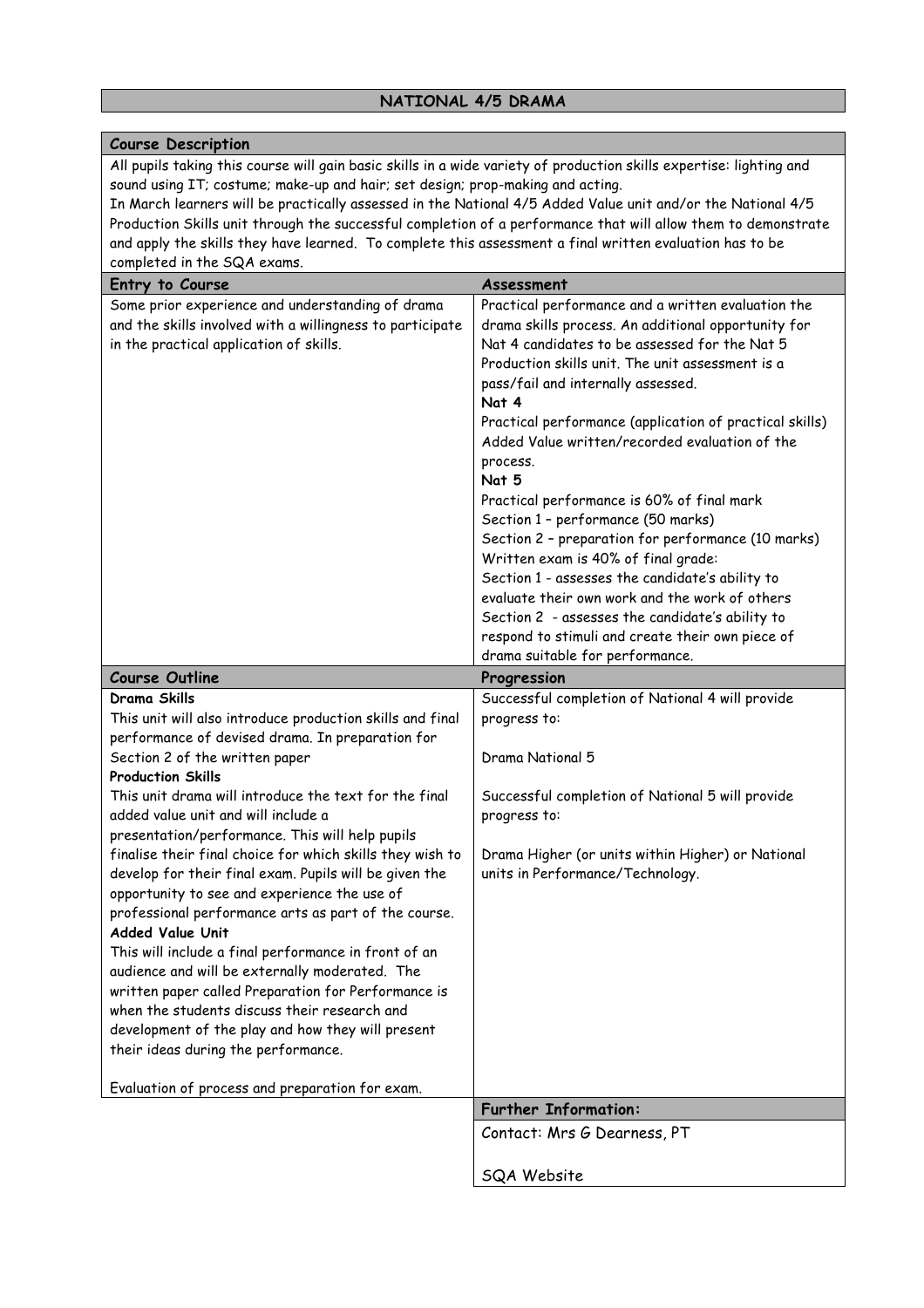# **NATIONAL 4/5 DRAMA**

| <b>Course Description</b>                                                                                                                                                                                                                                                                                                                                                                                                                                                                                                                                                                                                                                                                                                                                                                                                                                                                                      |                                                                                                                                                                                                                                                                                                                                                                                                                                                                                                                                                                                                                                                                                                                                                                                              |
|----------------------------------------------------------------------------------------------------------------------------------------------------------------------------------------------------------------------------------------------------------------------------------------------------------------------------------------------------------------------------------------------------------------------------------------------------------------------------------------------------------------------------------------------------------------------------------------------------------------------------------------------------------------------------------------------------------------------------------------------------------------------------------------------------------------------------------------------------------------------------------------------------------------|----------------------------------------------------------------------------------------------------------------------------------------------------------------------------------------------------------------------------------------------------------------------------------------------------------------------------------------------------------------------------------------------------------------------------------------------------------------------------------------------------------------------------------------------------------------------------------------------------------------------------------------------------------------------------------------------------------------------------------------------------------------------------------------------|
| All pupils taking this course will gain basic skills in a wide variety of production skills expertise: lighting and<br>sound using IT; costume; make-up and hair; set design; prop-making and acting.<br>In March learners will be practically assessed in the National 4/5 Added Value unit and/or the National 4/5<br>Production Skills unit through the successful completion of a performance that will allow them to demonstrate<br>and apply the skills they have learned. To complete this assessment a final written evaluation has to be<br>completed in the SQA exams.                                                                                                                                                                                                                                                                                                                               |                                                                                                                                                                                                                                                                                                                                                                                                                                                                                                                                                                                                                                                                                                                                                                                              |
| Entry to Course                                                                                                                                                                                                                                                                                                                                                                                                                                                                                                                                                                                                                                                                                                                                                                                                                                                                                                | Assessment                                                                                                                                                                                                                                                                                                                                                                                                                                                                                                                                                                                                                                                                                                                                                                                   |
| Some prior experience and understanding of drama<br>and the skills involved with a willingness to participate<br>in the practical application of skills.                                                                                                                                                                                                                                                                                                                                                                                                                                                                                                                                                                                                                                                                                                                                                       | Practical performance and a written evaluation the<br>drama skills process. An additional opportunity for<br>Nat 4 candidates to be assessed for the Nat 5<br>Production skills unit. The unit assessment is a<br>pass/fail and internally assessed.<br>Nat 4<br>Practical performance (application of practical skills)<br>Added Value written/recorded evaluation of the<br>process.<br>Nat 5<br>Practical performance is 60% of final mark<br>Section 1 - performance (50 marks)<br>Section 2 - preparation for performance (10 marks)<br>Written exam is 40% of final grade:<br>Section 1 - assesses the candidate's ability to<br>evaluate their own work and the work of others<br>Section 2 - assesses the candidate's ability to<br>respond to stimuli and create their own piece of |
|                                                                                                                                                                                                                                                                                                                                                                                                                                                                                                                                                                                                                                                                                                                                                                                                                                                                                                                |                                                                                                                                                                                                                                                                                                                                                                                                                                                                                                                                                                                                                                                                                                                                                                                              |
| <b>Course Outline</b>                                                                                                                                                                                                                                                                                                                                                                                                                                                                                                                                                                                                                                                                                                                                                                                                                                                                                          | drama suitable for performance.<br>Progression                                                                                                                                                                                                                                                                                                                                                                                                                                                                                                                                                                                                                                                                                                                                               |
| Drama Skills<br>This unit will also introduce production skills and final<br>performance of devised drama. In preparation for<br>Section 2 of the written paper<br><b>Production Skills</b><br>This unit drama will introduce the text for the final<br>added value unit and will include a<br>presentation/performance. This will help pupils<br>finalise their final choice for which skills they wish to<br>develop for their final exam. Pupils will be given the<br>opportunity to see and experience the use of<br>professional performance arts as part of the course.<br>Added Value Unit<br>This will include a final performance in front of an<br>audience and will be externally moderated. The<br>written paper called Preparation for Performance is<br>when the students discuss their research and<br>development of the play and how they will present<br>their ideas during the performance. | Successful completion of National 4 will provide<br>progress to:<br>Drama National 5<br>Successful completion of National 5 will provide<br>progress to:<br>Drama Higher (or units within Higher) or National<br>units in Performance/Technology.                                                                                                                                                                                                                                                                                                                                                                                                                                                                                                                                            |
| Evaluation of process and preparation for exam.                                                                                                                                                                                                                                                                                                                                                                                                                                                                                                                                                                                                                                                                                                                                                                                                                                                                | <b>Further Information:</b>                                                                                                                                                                                                                                                                                                                                                                                                                                                                                                                                                                                                                                                                                                                                                                  |
|                                                                                                                                                                                                                                                                                                                                                                                                                                                                                                                                                                                                                                                                                                                                                                                                                                                                                                                | Contact: Mrs G Dearness, PT                                                                                                                                                                                                                                                                                                                                                                                                                                                                                                                                                                                                                                                                                                                                                                  |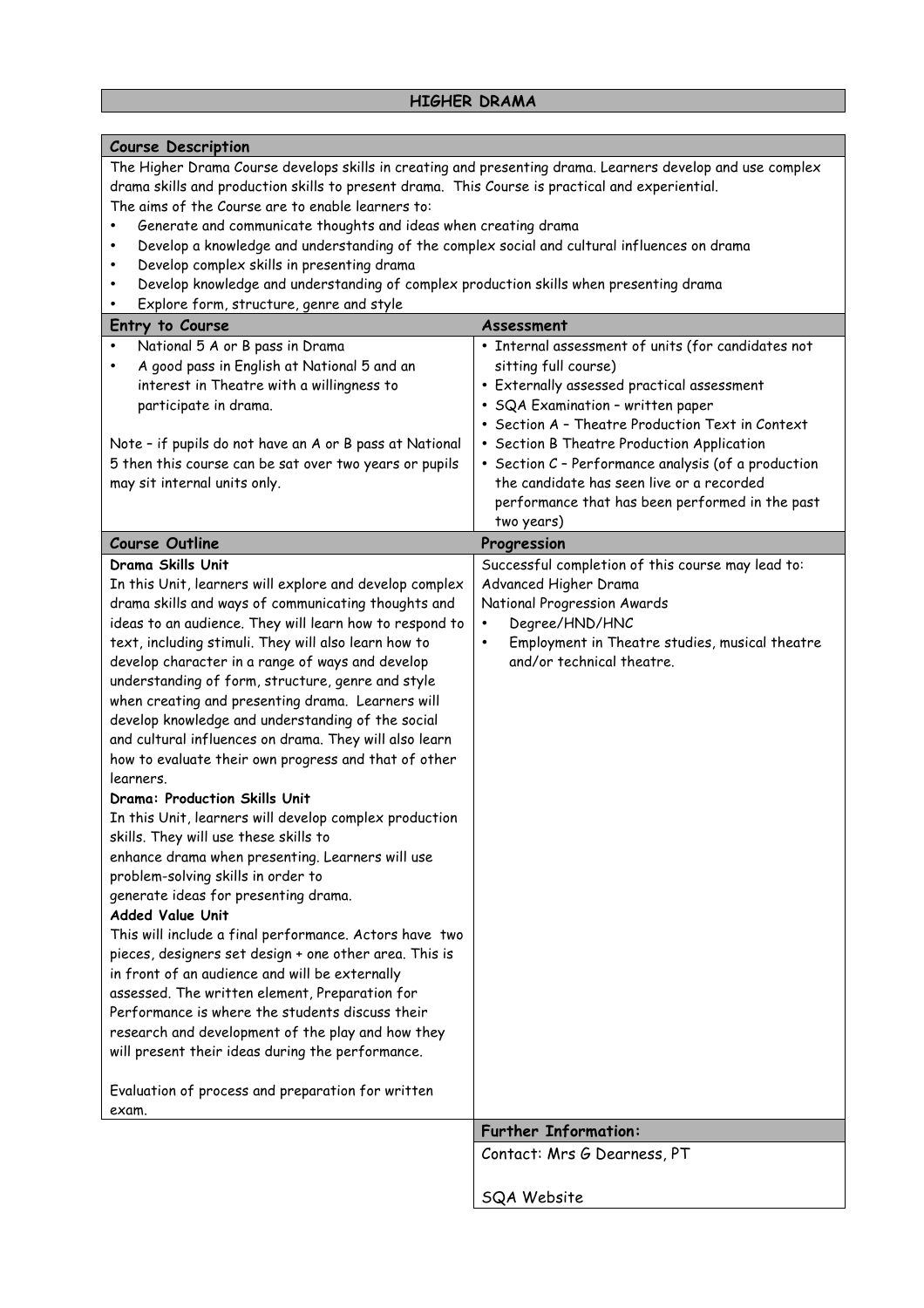### **HIGHER DRAMA**

#### **Course Description**

The Higher Drama Course develops skills in creating and presenting drama. Learners develop and use complex drama skills and production skills to present drama. This Course is practical and experiential. The aims of the Course are to enable learners to:

- Generate and communicate thoughts and ideas when creating drama
- Develop a knowledge and understanding of the complex social and cultural influences on drama
- Develop complex skills in presenting drama
- Develop knowledge and understanding of complex production skills when presenting drama
- Explore form, structure, genre and style

| Entry to Course                                                                                                                                                                                                                                                                                                                                                                                                                                                                                                                                                                                                                                                                                                                                                                                                                                                                                                                                                                                                                                                                                                                                                                                                                                                                                                                                                    | Assessment                                                                                                                                                                                                                                                                                                                                                                                                                           |
|--------------------------------------------------------------------------------------------------------------------------------------------------------------------------------------------------------------------------------------------------------------------------------------------------------------------------------------------------------------------------------------------------------------------------------------------------------------------------------------------------------------------------------------------------------------------------------------------------------------------------------------------------------------------------------------------------------------------------------------------------------------------------------------------------------------------------------------------------------------------------------------------------------------------------------------------------------------------------------------------------------------------------------------------------------------------------------------------------------------------------------------------------------------------------------------------------------------------------------------------------------------------------------------------------------------------------------------------------------------------|--------------------------------------------------------------------------------------------------------------------------------------------------------------------------------------------------------------------------------------------------------------------------------------------------------------------------------------------------------------------------------------------------------------------------------------|
| National 5 A or B pass in Drama<br>A good pass in English at National 5 and an<br>interest in Theatre with a willingness to<br>participate in drama.<br>Note - if pupils do not have an A or B pass at National<br>5 then this course can be sat over two years or pupils<br>may sit internal units only.                                                                                                                                                                                                                                                                                                                                                                                                                                                                                                                                                                                                                                                                                                                                                                                                                                                                                                                                                                                                                                                          | • Internal assessment of units (for candidates not<br>sitting full course)<br>• Externally assessed practical assessment<br>· SQA Examination - written paper<br>• Section A - Theatre Production Text in Context<br>• Section B Theatre Production Application<br>• Section C - Performance analysis (of a production<br>the candidate has seen live or a recorded<br>performance that has been performed in the past<br>two years) |
| <b>Course Outline</b>                                                                                                                                                                                                                                                                                                                                                                                                                                                                                                                                                                                                                                                                                                                                                                                                                                                                                                                                                                                                                                                                                                                                                                                                                                                                                                                                              | Progression                                                                                                                                                                                                                                                                                                                                                                                                                          |
| Drama Skills Unit<br>In this Unit, learners will explore and develop complex<br>drama skills and ways of communicating thoughts and<br>ideas to an audience. They will learn how to respond to<br>text, including stimuli. They will also learn how to<br>develop character in a range of ways and develop<br>understanding of form, structure, genre and style<br>when creating and presenting drama. Learners will<br>develop knowledge and understanding of the social<br>and cultural influences on drama. They will also learn<br>how to evaluate their own progress and that of other<br>learners.<br><b>Drama: Production Skills Unit</b><br>In this Unit, learners will develop complex production<br>skills. They will use these skills to<br>enhance drama when presenting. Learners will use<br>problem-solving skills in order to<br>generate ideas for presenting drama.<br><b>Added Value Unit</b><br>This will include a final performance. Actors have two<br>pieces, designers set design + one other area. This is<br>in front of an audience and will be externally<br>assessed. The written element, Preparation for<br>Performance is where the students discuss their<br>research and development of the play and how they<br>will present their ideas during the performance.<br>Evaluation of process and preparation for written<br>exam. | Successful completion of this course may lead to:<br>Advanced Higher Drama<br>National Progression Awards<br>Degree/HND/HNC<br>$\bullet$<br>Employment in Theatre studies, musical theatre<br>$\bullet$<br>and/or technical theatre.                                                                                                                                                                                                 |
|                                                                                                                                                                                                                                                                                                                                                                                                                                                                                                                                                                                                                                                                                                                                                                                                                                                                                                                                                                                                                                                                                                                                                                                                                                                                                                                                                                    | <b>Further Information:</b>                                                                                                                                                                                                                                                                                                                                                                                                          |
|                                                                                                                                                                                                                                                                                                                                                                                                                                                                                                                                                                                                                                                                                                                                                                                                                                                                                                                                                                                                                                                                                                                                                                                                                                                                                                                                                                    | Contact: Mrs G Dearness, PT                                                                                                                                                                                                                                                                                                                                                                                                          |
|                                                                                                                                                                                                                                                                                                                                                                                                                                                                                                                                                                                                                                                                                                                                                                                                                                                                                                                                                                                                                                                                                                                                                                                                                                                                                                                                                                    | SQA Website                                                                                                                                                                                                                                                                                                                                                                                                                          |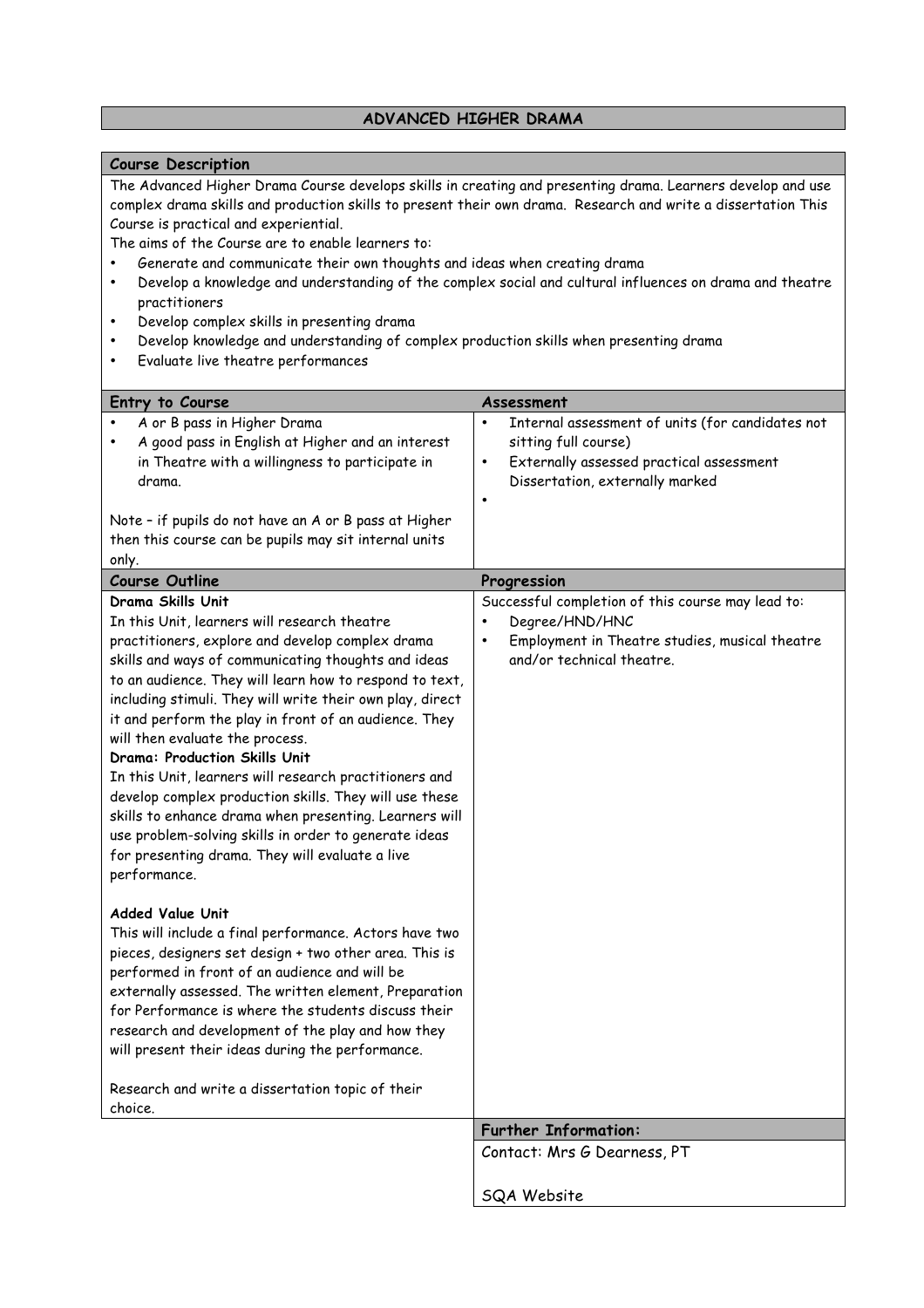#### **ADVANCED HIGHER DRAMA**

#### **Course Description**

The Advanced Higher Drama Course develops skills in creating and presenting drama. Learners develop and use complex drama skills and production skills to present their own drama. Research and write a dissertation This Course is practical and experiential.

The aims of the Course are to enable learners to:

- Generate and communicate their own thoughts and ideas when creating drama
- Develop a knowledge and understanding of the complex social and cultural influences on drama and theatre practitioners
- Develop complex skills in presenting drama
- Develop knowledge and understanding of complex production skills when presenting drama
- Evaluate live theatre performances

| Entry to Course                                                                                                                                                                                                                                                                                                                                                                                                                                                                                                                                                                                                                                                                                                                             | Assessment                                                                                                                                                                                     |
|---------------------------------------------------------------------------------------------------------------------------------------------------------------------------------------------------------------------------------------------------------------------------------------------------------------------------------------------------------------------------------------------------------------------------------------------------------------------------------------------------------------------------------------------------------------------------------------------------------------------------------------------------------------------------------------------------------------------------------------------|------------------------------------------------------------------------------------------------------------------------------------------------------------------------------------------------|
| A or B pass in Higher Drama<br>A good pass in English at Higher and an interest<br>in Theatre with a willingness to participate in<br>drama.<br>Note - if pupils do not have an A or B pass at Higher<br>then this course can be pupils may sit internal units                                                                                                                                                                                                                                                                                                                                                                                                                                                                              | Internal assessment of units (for candidates not<br>$\bullet$<br>sitting full course)<br>Externally assessed practical assessment<br>$\bullet$<br>Dissertation, externally marked<br>$\bullet$ |
| only.                                                                                                                                                                                                                                                                                                                                                                                                                                                                                                                                                                                                                                                                                                                                       |                                                                                                                                                                                                |
| <b>Course Outline</b>                                                                                                                                                                                                                                                                                                                                                                                                                                                                                                                                                                                                                                                                                                                       | Progression                                                                                                                                                                                    |
| Drama Skills Unit<br>In this Unit, learners will research theatre<br>practitioners, explore and develop complex drama<br>skills and ways of communicating thoughts and ideas<br>to an audience. They will learn how to respond to text,<br>including stimuli. They will write their own play, direct<br>it and perform the play in front of an audience. They<br>will then evaluate the process.<br>Drama: Production Skills Unit<br>In this Unit, learners will research practitioners and<br>develop complex production skills. They will use these<br>skills to enhance drama when presenting. Learners will<br>use problem-solving skills in order to generate ideas<br>for presenting drama. They will evaluate a live<br>performance. | Successful completion of this course may lead to:<br>Degree/HND/HNC<br>$\bullet$<br>Employment in Theatre studies, musical theatre<br>$\bullet$<br>and/or technical theatre.                   |
| <b>Added Value Unit</b><br>This will include a final performance. Actors have two<br>pieces, designers set design + two other area. This is<br>performed in front of an audience and will be<br>externally assessed. The written element, Preparation<br>for Performance is where the students discuss their<br>research and development of the play and how they<br>will present their ideas during the performance.<br>Research and write a dissertation topic of their<br>choice.                                                                                                                                                                                                                                                        |                                                                                                                                                                                                |
|                                                                                                                                                                                                                                                                                                                                                                                                                                                                                                                                                                                                                                                                                                                                             | <b>Further Information:</b>                                                                                                                                                                    |
|                                                                                                                                                                                                                                                                                                                                                                                                                                                                                                                                                                                                                                                                                                                                             | Contact: Mrs G Dearness, PT                                                                                                                                                                    |
|                                                                                                                                                                                                                                                                                                                                                                                                                                                                                                                                                                                                                                                                                                                                             | <b>SQA Website</b>                                                                                                                                                                             |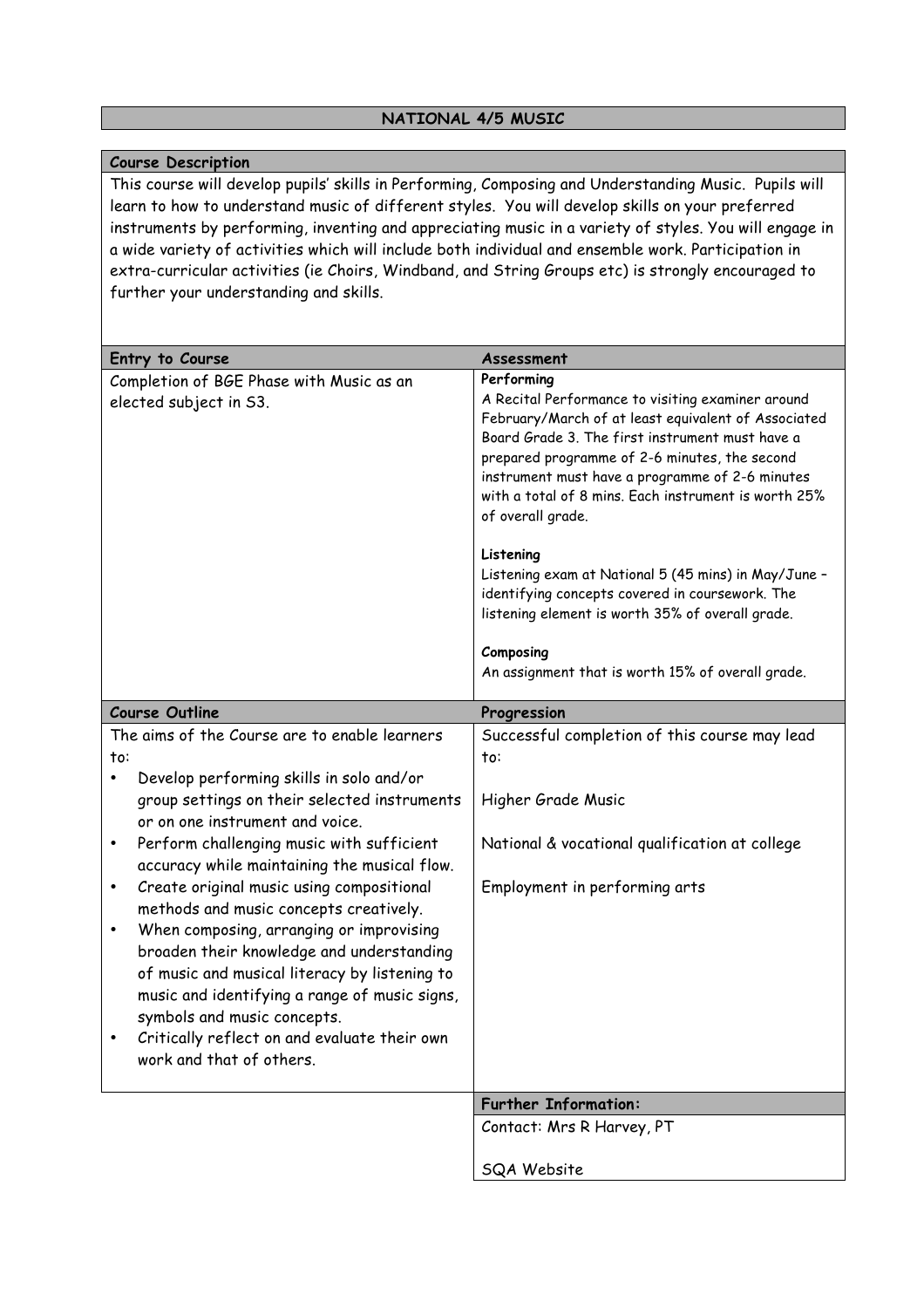### **NATIONAL 4/5 MUSIC**

### **Course Description**

This course will develop pupils' skills in Performing, Composing and Understanding Music. Pupils will learn to how to understand music of different styles. You will develop skills on your preferred instruments by performing, inventing and appreciating music in a variety of styles. You will engage in a wide variety of activities which will include both individual and ensemble work. Participation in extra-curricular activities (ie Choirs, Windband, and String Groups etc) is strongly encouraged to further your understanding and skills.

| Entry to Course                                                                                                                                                                                                        | Assessment                                                                                                                                                                                                                                                                                                                                   |
|------------------------------------------------------------------------------------------------------------------------------------------------------------------------------------------------------------------------|----------------------------------------------------------------------------------------------------------------------------------------------------------------------------------------------------------------------------------------------------------------------------------------------------------------------------------------------|
| Completion of BGE Phase with Music as an                                                                                                                                                                               | Performing                                                                                                                                                                                                                                                                                                                                   |
| elected subject in S3.                                                                                                                                                                                                 | A Recital Performance to visiting examiner around<br>February/March of at least equivalent of Associated<br>Board Grade 3. The first instrument must have a<br>prepared programme of 2-6 minutes, the second<br>instrument must have a programme of 2-6 minutes<br>with a total of 8 mins. Each instrument is worth 25%<br>of overall grade. |
|                                                                                                                                                                                                                        | Listening<br>Listening exam at National 5 (45 mins) in May/June -<br>identifying concepts covered in coursework. The<br>listening element is worth 35% of overall grade.                                                                                                                                                                     |
|                                                                                                                                                                                                                        | Composing<br>An assignment that is worth 15% of overall grade.                                                                                                                                                                                                                                                                               |
| <b>Course Outline</b>                                                                                                                                                                                                  | Progression                                                                                                                                                                                                                                                                                                                                  |
| The aims of the Course are to enable learners                                                                                                                                                                          | Successful completion of this course may lead                                                                                                                                                                                                                                                                                                |
| to:                                                                                                                                                                                                                    | to:                                                                                                                                                                                                                                                                                                                                          |
| Develop performing skills in solo and/or<br>group settings on their selected instruments<br>or on one instrument and voice.                                                                                            | Higher Grade Music                                                                                                                                                                                                                                                                                                                           |
| Perform challenging music with sufficient<br>$\bullet$<br>accuracy while maintaining the musical flow.                                                                                                                 | National & vocational qualification at college                                                                                                                                                                                                                                                                                               |
| Create original music using compositional<br>$\bullet$<br>methods and music concepts creatively.                                                                                                                       | Employment in performing arts                                                                                                                                                                                                                                                                                                                |
| When composing, arranging or improvising<br>broaden their knowledge and understanding<br>of music and musical literacy by listening to<br>music and identifying a range of music signs,<br>symbols and music concepts. |                                                                                                                                                                                                                                                                                                                                              |
| Critically reflect on and evaluate their own<br>work and that of others.                                                                                                                                               |                                                                                                                                                                                                                                                                                                                                              |
|                                                                                                                                                                                                                        | <b>Further Information:</b>                                                                                                                                                                                                                                                                                                                  |
|                                                                                                                                                                                                                        | Contact: Mrs R Harvey, PT                                                                                                                                                                                                                                                                                                                    |
|                                                                                                                                                                                                                        | SQA Website                                                                                                                                                                                                                                                                                                                                  |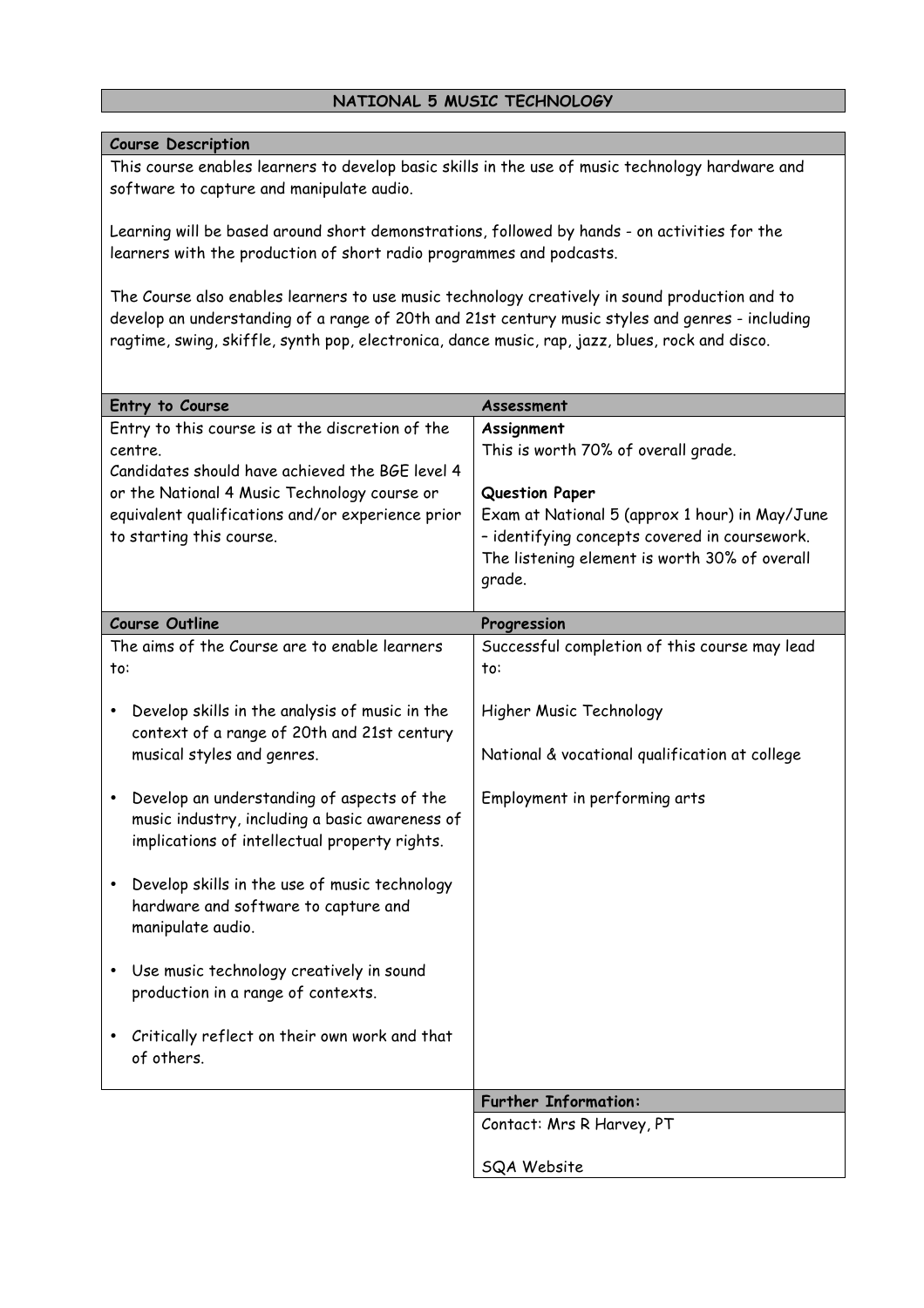# **NATIONAL 5 MUSIC TECHNOLOGY**

### **Course Description**

This course enables learners to develop basic skills in the use of music technology hardware and software to capture and manipulate audio.

Learning will be based around short demonstrations, followed by hands - on activities for the learners with the production of short radio programmes and podcasts.

The Course also enables learners to use music technology creatively in sound production and to develop an understanding of a range of 20th and 21st century music styles and genres - including ragtime, swing, skiffle, synth pop, electronica, dance music, rap, jazz, blues, rock and disco.

| Entry to Course                                                                                                                                                                                                                                 | Assessment                                                                                                                                                                                                                               |
|-------------------------------------------------------------------------------------------------------------------------------------------------------------------------------------------------------------------------------------------------|------------------------------------------------------------------------------------------------------------------------------------------------------------------------------------------------------------------------------------------|
| Entry to this course is at the discretion of the<br>centre.<br>Candidates should have achieved the BGE level 4<br>or the National 4 Music Technology course or<br>equivalent qualifications and/or experience prior<br>to starting this course. | Assignment<br>This is worth 70% of overall grade.<br><b>Question Paper</b><br>Exam at National 5 (approx 1 hour) in May/June<br>- identifying concepts covered in coursework.<br>The listening element is worth 30% of overall<br>grade. |
| <b>Course Outline</b>                                                                                                                                                                                                                           | Progression                                                                                                                                                                                                                              |
| The aims of the Course are to enable learners<br>to:                                                                                                                                                                                            | Successful completion of this course may lead<br>to:                                                                                                                                                                                     |
| Develop skills in the analysis of music in the<br>$\bullet$                                                                                                                                                                                     | Higher Music Technology                                                                                                                                                                                                                  |
| context of a range of 20th and 21st century<br>musical styles and genres.                                                                                                                                                                       | National & vocational qualification at college                                                                                                                                                                                           |
| Develop an understanding of aspects of the<br>music industry, including a basic awareness of<br>implications of intellectual property rights.                                                                                                   | Employment in performing arts                                                                                                                                                                                                            |
| Develop skills in the use of music technology<br>$\bullet$<br>hardware and software to capture and<br>manipulate audio.                                                                                                                         |                                                                                                                                                                                                                                          |
| Use music technology creatively in sound<br>production in a range of contexts.                                                                                                                                                                  |                                                                                                                                                                                                                                          |
| Critically reflect on their own work and that<br>of others.                                                                                                                                                                                     |                                                                                                                                                                                                                                          |
|                                                                                                                                                                                                                                                 | <b>Further Information:</b>                                                                                                                                                                                                              |
|                                                                                                                                                                                                                                                 | Contact: Mrs R Harvey, PT                                                                                                                                                                                                                |
|                                                                                                                                                                                                                                                 | SQA Website                                                                                                                                                                                                                              |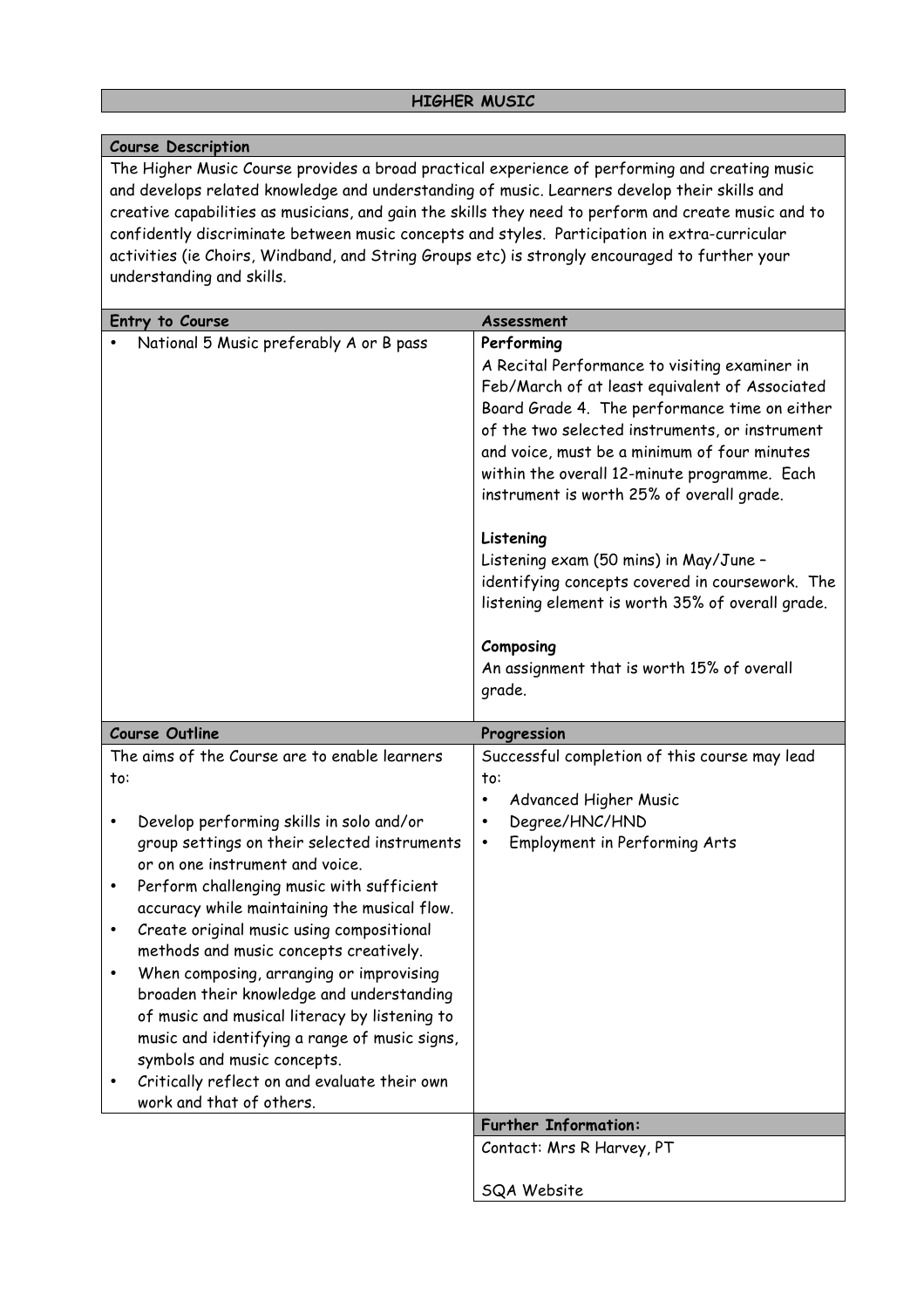# **Course Description**

The Higher Music Course provides a broad practical experience of performing and creating music and develops related knowledge and understanding of music. Learners develop their skills and creative capabilities as musicians, and gain the skills they need to perform and create music and to confidently discriminate between music concepts and styles. Participation in extra-curricular activities (ie Choirs, Windband, and String Groups etc) is strongly encouraged to further your understanding and skills.

| Entry to Course                                                                                                                                                                                                                                                                                                                                                                                                                                                                                                                                                                                                                                                                                                                | Assessment                                                                                                                                                                                                                                                                                                                                                                                                                                                                                                                                                                                       |
|--------------------------------------------------------------------------------------------------------------------------------------------------------------------------------------------------------------------------------------------------------------------------------------------------------------------------------------------------------------------------------------------------------------------------------------------------------------------------------------------------------------------------------------------------------------------------------------------------------------------------------------------------------------------------------------------------------------------------------|--------------------------------------------------------------------------------------------------------------------------------------------------------------------------------------------------------------------------------------------------------------------------------------------------------------------------------------------------------------------------------------------------------------------------------------------------------------------------------------------------------------------------------------------------------------------------------------------------|
| National 5 Music preferably A or B pass                                                                                                                                                                                                                                                                                                                                                                                                                                                                                                                                                                                                                                                                                        | Performing<br>A Recital Performance to visiting examiner in<br>Feb/March of at least equivalent of Associated<br>Board Grade 4. The performance time on either<br>of the two selected instruments, or instrument<br>and voice, must be a minimum of four minutes<br>within the overall 12-minute programme. Each<br>instrument is worth 25% of overall grade.<br>Listening<br>Listening exam (50 mins) in May/June -<br>identifying concepts covered in coursework. The<br>listening element is worth 35% of overall grade.<br>Composing<br>An assignment that is worth 15% of overall<br>grade. |
| <b>Course Outline</b>                                                                                                                                                                                                                                                                                                                                                                                                                                                                                                                                                                                                                                                                                                          | Progression                                                                                                                                                                                                                                                                                                                                                                                                                                                                                                                                                                                      |
| The aims of the Course are to enable learners<br>to:<br>Develop performing skills in solo and/or<br>۰<br>group settings on their selected instruments<br>or on one instrument and voice.<br>Perform challenging music with sufficient<br>$\bullet$<br>accuracy while maintaining the musical flow.<br>Create original music using compositional<br>$\bullet$<br>methods and music concepts creatively.<br>When composing, arranging or improvising<br>$\bullet$<br>broaden their knowledge and understanding<br>of music and musical literacy by listening to<br>music and identifying a range of music signs,<br>symbols and music concepts.<br>Critically reflect on and evaluate their own<br>٠<br>work and that of others. | Successful completion of this course may lead<br>to:<br>Advanced Higher Music<br>$\bullet$<br>Degree/HNC/HND<br>٠<br>Employment in Performing Arts<br>$\bullet$                                                                                                                                                                                                                                                                                                                                                                                                                                  |
|                                                                                                                                                                                                                                                                                                                                                                                                                                                                                                                                                                                                                                                                                                                                | <b>Further Information:</b>                                                                                                                                                                                                                                                                                                                                                                                                                                                                                                                                                                      |
|                                                                                                                                                                                                                                                                                                                                                                                                                                                                                                                                                                                                                                                                                                                                | Contact: Mrs R Harvey, PT                                                                                                                                                                                                                                                                                                                                                                                                                                                                                                                                                                        |
|                                                                                                                                                                                                                                                                                                                                                                                                                                                                                                                                                                                                                                                                                                                                | SQA Website                                                                                                                                                                                                                                                                                                                                                                                                                                                                                                                                                                                      |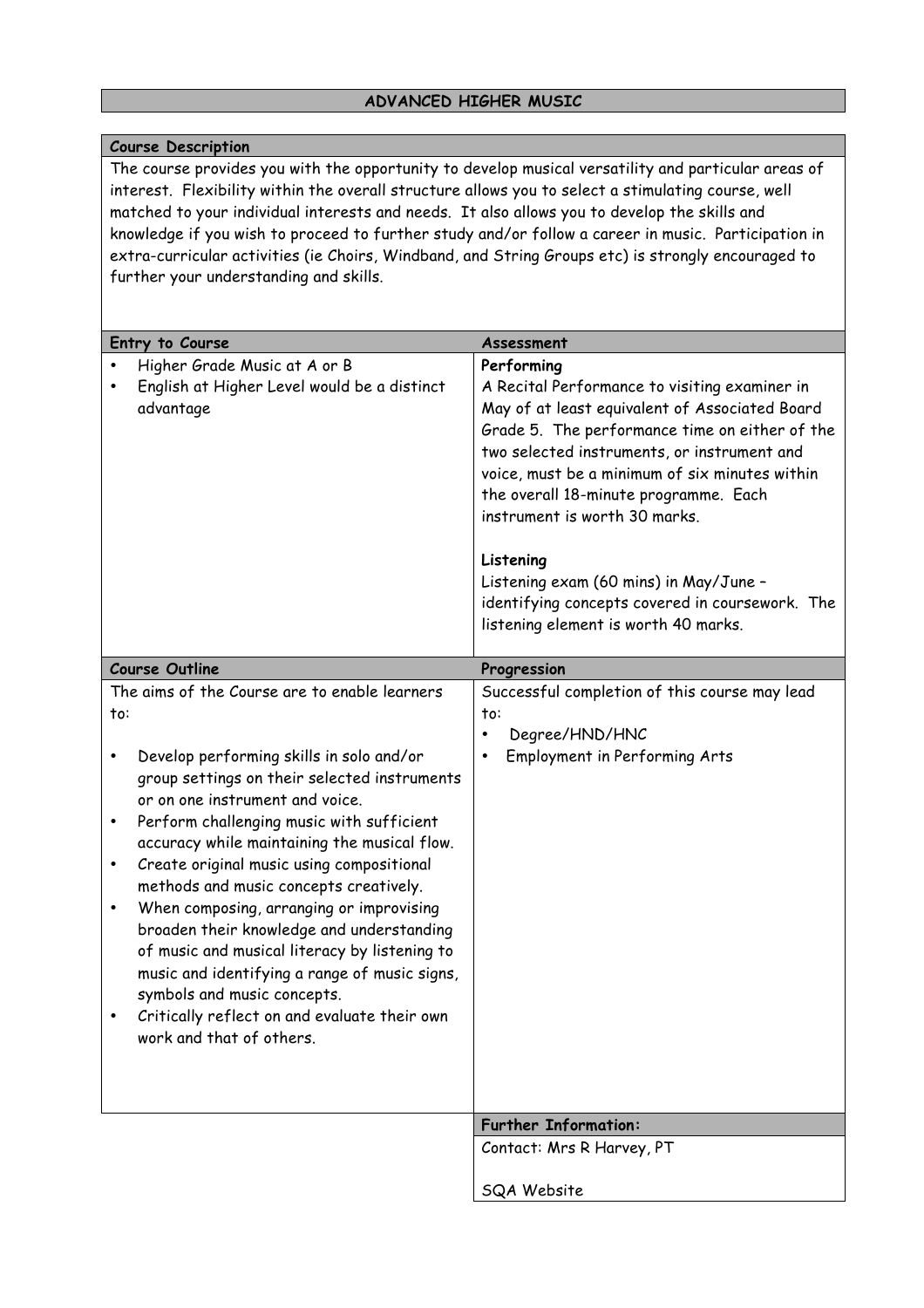### **ADVANCED HIGHER MUSIC**

### **Course Description**

The course provides you with the opportunity to develop musical versatility and particular areas of interest. Flexibility within the overall structure allows you to select a stimulating course, well matched to your individual interests and needs. It also allows you to develop the skills and knowledge if you wish to proceed to further study and/or follow a career in music. Participation in extra-curricular activities (ie Choirs, Windband, and String Groups etc) is strongly encouraged to further your understanding and skills.

| Entry to Course                                                                                                                                                                                                                                                                                                                                                                                                                                                                                                                                                                                                                                                                         | Assessment                                                                                                                                                                                                                                                                                                                                                                                                                                                                                   |
|-----------------------------------------------------------------------------------------------------------------------------------------------------------------------------------------------------------------------------------------------------------------------------------------------------------------------------------------------------------------------------------------------------------------------------------------------------------------------------------------------------------------------------------------------------------------------------------------------------------------------------------------------------------------------------------------|----------------------------------------------------------------------------------------------------------------------------------------------------------------------------------------------------------------------------------------------------------------------------------------------------------------------------------------------------------------------------------------------------------------------------------------------------------------------------------------------|
| Higher Grade Music at A or B<br>English at Higher Level would be a distinct<br>advantage                                                                                                                                                                                                                                                                                                                                                                                                                                                                                                                                                                                                | Performing<br>A Recital Performance to visiting examiner in<br>May of at least equivalent of Associated Board<br>Grade 5. The performance time on either of the<br>two selected instruments, or instrument and<br>voice, must be a minimum of six minutes within<br>the overall 18-minute programme. Each<br>instrument is worth 30 marks.<br>Listening<br>Listening exam (60 mins) in May/June -<br>identifying concepts covered in coursework. The<br>listening element is worth 40 marks. |
| <b>Course Outline</b>                                                                                                                                                                                                                                                                                                                                                                                                                                                                                                                                                                                                                                                                   | Progression                                                                                                                                                                                                                                                                                                                                                                                                                                                                                  |
| The aims of the Course are to enable learners<br>to:<br>Develop performing skills in solo and/or<br>group settings on their selected instruments<br>or on one instrument and voice.<br>Perform challenging music with sufficient<br>٠<br>accuracy while maintaining the musical flow.<br>Create original music using compositional<br>methods and music concepts creatively.<br>When composing, arranging or improvising<br>٠<br>broaden their knowledge and understanding<br>of music and musical literacy by listening to<br>music and identifying a range of music signs,<br>symbols and music concepts.<br>Critically reflect on and evaluate their own<br>work and that of others. | Successful completion of this course may lead<br>to:<br>Degree/HND/HNC<br>$\bullet$<br>Employment in Performing Arts<br>٠                                                                                                                                                                                                                                                                                                                                                                    |
|                                                                                                                                                                                                                                                                                                                                                                                                                                                                                                                                                                                                                                                                                         | <b>Further Information:</b><br>Contact: Mrs R Harvey, PT                                                                                                                                                                                                                                                                                                                                                                                                                                     |
|                                                                                                                                                                                                                                                                                                                                                                                                                                                                                                                                                                                                                                                                                         |                                                                                                                                                                                                                                                                                                                                                                                                                                                                                              |
|                                                                                                                                                                                                                                                                                                                                                                                                                                                                                                                                                                                                                                                                                         | <b>SQA Website</b>                                                                                                                                                                                                                                                                                                                                                                                                                                                                           |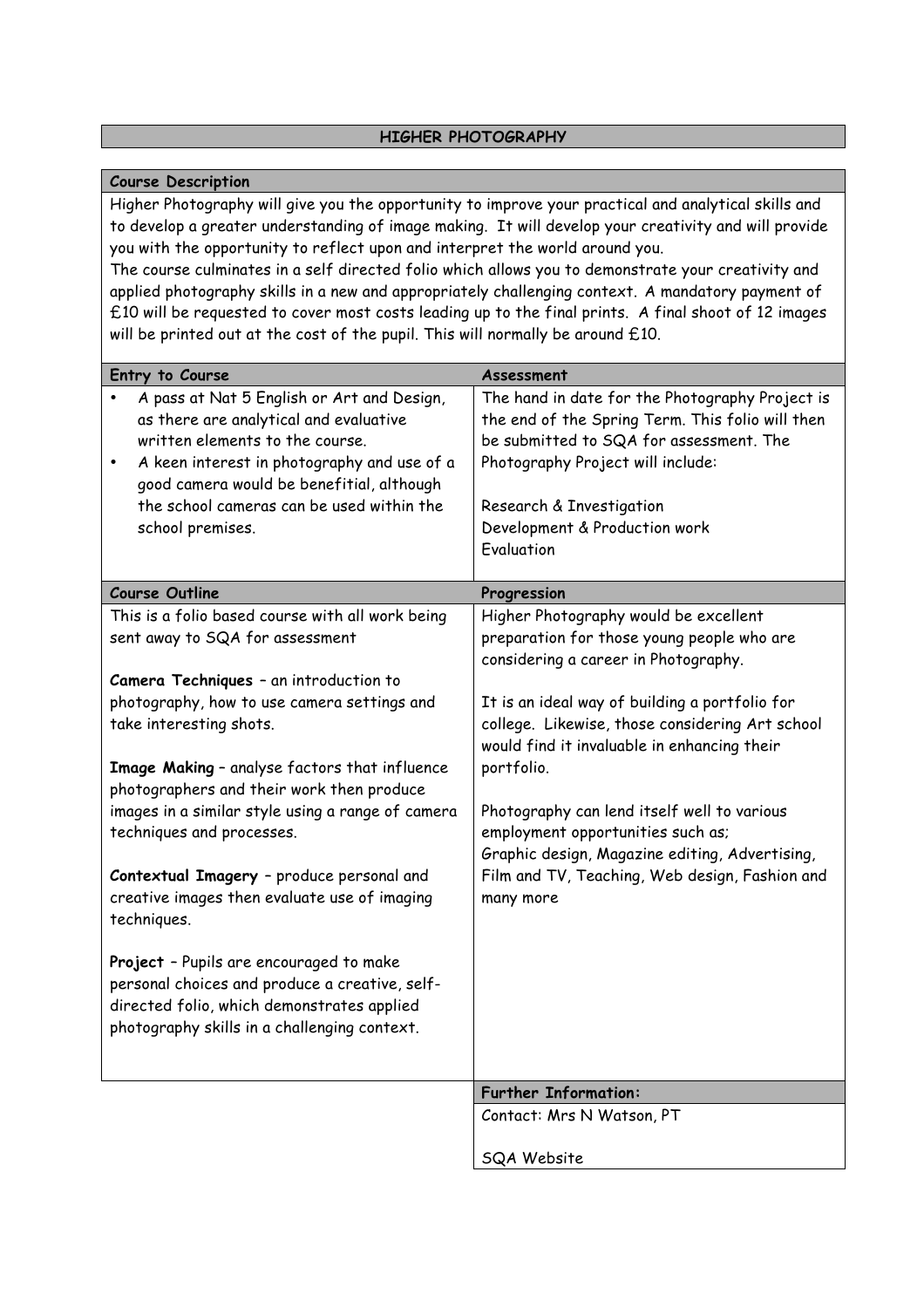# **HIGHER PHOTOGRAPHY**

### **Course Description**

Higher Photography will give you the opportunity to improve your practical and analytical skills and to develop a greater understanding of image making. It will develop your creativity and will provide you with the opportunity to reflect upon and interpret the world around you.

The course culminates in a self directed folio which allows you to demonstrate your creativity and applied photography skills in a new and appropriately challenging context. A mandatory payment of £10 will be requested to cover most costs leading up to the final prints. A final shoot of 12 images will be printed out at the cost of the pupil. This will normally be around £10.

| Entry to Course                                                                                                                                                                                                                                                                                                                                                                                                                                                                                               | Assessment                                                                                                                                                                                                                                                                                                                                                                                                                                                                              |
|---------------------------------------------------------------------------------------------------------------------------------------------------------------------------------------------------------------------------------------------------------------------------------------------------------------------------------------------------------------------------------------------------------------------------------------------------------------------------------------------------------------|-----------------------------------------------------------------------------------------------------------------------------------------------------------------------------------------------------------------------------------------------------------------------------------------------------------------------------------------------------------------------------------------------------------------------------------------------------------------------------------------|
| A pass at Nat 5 English or Art and Design,                                                                                                                                                                                                                                                                                                                                                                                                                                                                    | The hand in date for the Photography Project is                                                                                                                                                                                                                                                                                                                                                                                                                                         |
| as there are analytical and evaluative                                                                                                                                                                                                                                                                                                                                                                                                                                                                        | the end of the Spring Term. This folio will then                                                                                                                                                                                                                                                                                                                                                                                                                                        |
| written elements to the course.                                                                                                                                                                                                                                                                                                                                                                                                                                                                               | be submitted to SQA for assessment. The                                                                                                                                                                                                                                                                                                                                                                                                                                                 |
| A keen interest in photography and use of a<br>$\bullet$                                                                                                                                                                                                                                                                                                                                                                                                                                                      | Photography Project will include:                                                                                                                                                                                                                                                                                                                                                                                                                                                       |
| good camera would be benefitial, although                                                                                                                                                                                                                                                                                                                                                                                                                                                                     |                                                                                                                                                                                                                                                                                                                                                                                                                                                                                         |
| the school cameras can be used within the                                                                                                                                                                                                                                                                                                                                                                                                                                                                     | Research & Investigation                                                                                                                                                                                                                                                                                                                                                                                                                                                                |
| school premises.                                                                                                                                                                                                                                                                                                                                                                                                                                                                                              | Development & Production work                                                                                                                                                                                                                                                                                                                                                                                                                                                           |
|                                                                                                                                                                                                                                                                                                                                                                                                                                                                                                               | Evaluation                                                                                                                                                                                                                                                                                                                                                                                                                                                                              |
| <b>Course Outline</b>                                                                                                                                                                                                                                                                                                                                                                                                                                                                                         | Progression                                                                                                                                                                                                                                                                                                                                                                                                                                                                             |
| This is a folio based course with all work being                                                                                                                                                                                                                                                                                                                                                                                                                                                              |                                                                                                                                                                                                                                                                                                                                                                                                                                                                                         |
| sent away to SQA for assessment                                                                                                                                                                                                                                                                                                                                                                                                                                                                               | preparation for those young people who are                                                                                                                                                                                                                                                                                                                                                                                                                                              |
|                                                                                                                                                                                                                                                                                                                                                                                                                                                                                                               | considering a career in Photography.                                                                                                                                                                                                                                                                                                                                                                                                                                                    |
| Camera Techniques - an introduction to                                                                                                                                                                                                                                                                                                                                                                                                                                                                        |                                                                                                                                                                                                                                                                                                                                                                                                                                                                                         |
|                                                                                                                                                                                                                                                                                                                                                                                                                                                                                                               |                                                                                                                                                                                                                                                                                                                                                                                                                                                                                         |
|                                                                                                                                                                                                                                                                                                                                                                                                                                                                                                               |                                                                                                                                                                                                                                                                                                                                                                                                                                                                                         |
|                                                                                                                                                                                                                                                                                                                                                                                                                                                                                                               |                                                                                                                                                                                                                                                                                                                                                                                                                                                                                         |
|                                                                                                                                                                                                                                                                                                                                                                                                                                                                                                               |                                                                                                                                                                                                                                                                                                                                                                                                                                                                                         |
|                                                                                                                                                                                                                                                                                                                                                                                                                                                                                                               |                                                                                                                                                                                                                                                                                                                                                                                                                                                                                         |
|                                                                                                                                                                                                                                                                                                                                                                                                                                                                                                               |                                                                                                                                                                                                                                                                                                                                                                                                                                                                                         |
|                                                                                                                                                                                                                                                                                                                                                                                                                                                                                                               |                                                                                                                                                                                                                                                                                                                                                                                                                                                                                         |
|                                                                                                                                                                                                                                                                                                                                                                                                                                                                                                               |                                                                                                                                                                                                                                                                                                                                                                                                                                                                                         |
|                                                                                                                                                                                                                                                                                                                                                                                                                                                                                                               |                                                                                                                                                                                                                                                                                                                                                                                                                                                                                         |
|                                                                                                                                                                                                                                                                                                                                                                                                                                                                                                               |                                                                                                                                                                                                                                                                                                                                                                                                                                                                                         |
|                                                                                                                                                                                                                                                                                                                                                                                                                                                                                                               |                                                                                                                                                                                                                                                                                                                                                                                                                                                                                         |
|                                                                                                                                                                                                                                                                                                                                                                                                                                                                                                               |                                                                                                                                                                                                                                                                                                                                                                                                                                                                                         |
|                                                                                                                                                                                                                                                                                                                                                                                                                                                                                                               |                                                                                                                                                                                                                                                                                                                                                                                                                                                                                         |
|                                                                                                                                                                                                                                                                                                                                                                                                                                                                                                               |                                                                                                                                                                                                                                                                                                                                                                                                                                                                                         |
| photography skills in a challenging context.                                                                                                                                                                                                                                                                                                                                                                                                                                                                  |                                                                                                                                                                                                                                                                                                                                                                                                                                                                                         |
|                                                                                                                                                                                                                                                                                                                                                                                                                                                                                                               |                                                                                                                                                                                                                                                                                                                                                                                                                                                                                         |
|                                                                                                                                                                                                                                                                                                                                                                                                                                                                                                               |                                                                                                                                                                                                                                                                                                                                                                                                                                                                                         |
|                                                                                                                                                                                                                                                                                                                                                                                                                                                                                                               |                                                                                                                                                                                                                                                                                                                                                                                                                                                                                         |
|                                                                                                                                                                                                                                                                                                                                                                                                                                                                                                               |                                                                                                                                                                                                                                                                                                                                                                                                                                                                                         |
|                                                                                                                                                                                                                                                                                                                                                                                                                                                                                                               |                                                                                                                                                                                                                                                                                                                                                                                                                                                                                         |
| photography, how to use camera settings and<br>take interesting shots.<br>Image Making - analyse factors that influence<br>photographers and their work then produce<br>images in a similar style using a range of camera<br>techniques and processes.<br>Contextual Imagery - produce personal and<br>creative images then evaluate use of imaging<br>techniques.<br>Project - Pupils are encouraged to make<br>personal choices and produce a creative, self-<br>directed folio, which demonstrates applied | Higher Photography would be excellent<br>It is an ideal way of building a portfolio for<br>college. Likewise, those considering Art school<br>would find it invaluable in enhancing their<br>portfolio.<br>Photography can lend itself well to various<br>employment opportunities such as;<br>Graphic design, Magazine editing, Advertising,<br>Film and TV, Teaching, Web design, Fashion and<br>many more<br><b>Further Information:</b><br>Contact: Mrs N Watson, PT<br>SQA Website |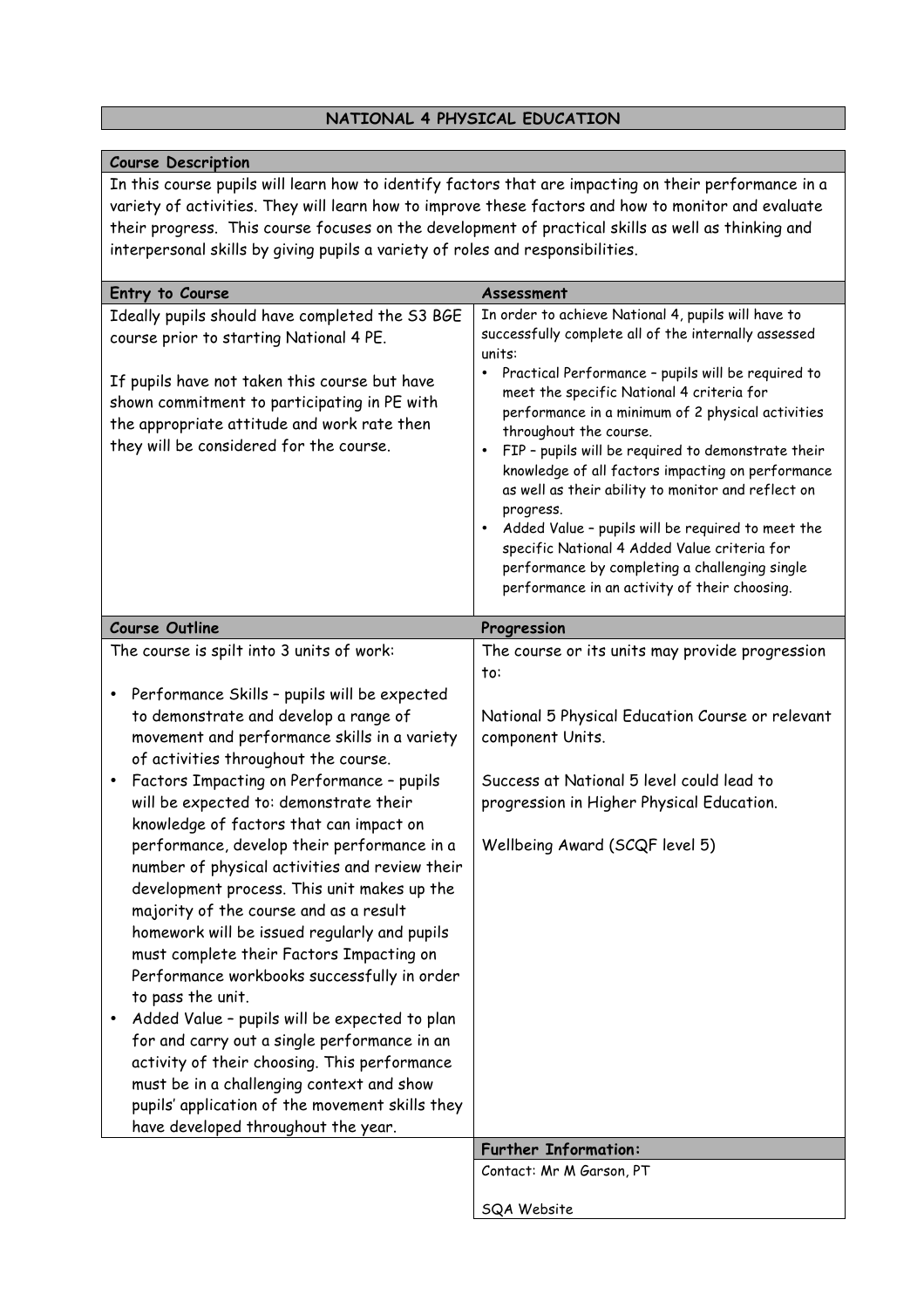# **NATIONAL 4 PHYSICAL EDUCATION**

### **Course Description**

In this course pupils will learn how to identify factors that are impacting on their performance in a variety of activities. They will learn how to improve these factors and how to monitor and evaluate their progress. This course focuses on the development of practical skills as well as thinking and interpersonal skills by giving pupils a variety of roles and responsibilities.

| Entry to Course                                                                                                                                                                                                                                                                                                                                                                                                                                                                                                                                                                                                                                                                                                                                                                                                                                                                                                                                                                                                     | Assessment                                                                                                                                                                                                                                                                                                                                                                                                                                                                                                                                                                                                  |
|---------------------------------------------------------------------------------------------------------------------------------------------------------------------------------------------------------------------------------------------------------------------------------------------------------------------------------------------------------------------------------------------------------------------------------------------------------------------------------------------------------------------------------------------------------------------------------------------------------------------------------------------------------------------------------------------------------------------------------------------------------------------------------------------------------------------------------------------------------------------------------------------------------------------------------------------------------------------------------------------------------------------|-------------------------------------------------------------------------------------------------------------------------------------------------------------------------------------------------------------------------------------------------------------------------------------------------------------------------------------------------------------------------------------------------------------------------------------------------------------------------------------------------------------------------------------------------------------------------------------------------------------|
| Ideally pupils should have completed the S3 BGE                                                                                                                                                                                                                                                                                                                                                                                                                                                                                                                                                                                                                                                                                                                                                                                                                                                                                                                                                                     | In order to achieve National 4, pupils will have to                                                                                                                                                                                                                                                                                                                                                                                                                                                                                                                                                         |
| course prior to starting National 4 PE.                                                                                                                                                                                                                                                                                                                                                                                                                                                                                                                                                                                                                                                                                                                                                                                                                                                                                                                                                                             | successfully complete all of the internally assessed<br>units:                                                                                                                                                                                                                                                                                                                                                                                                                                                                                                                                              |
| If pupils have not taken this course but have<br>shown commitment to participating in PE with<br>the appropriate attitude and work rate then<br>they will be considered for the course.                                                                                                                                                                                                                                                                                                                                                                                                                                                                                                                                                                                                                                                                                                                                                                                                                             | Practical Performance - pupils will be required to<br>$\bullet$<br>meet the specific National 4 criteria for<br>performance in a minimum of 2 physical activities<br>throughout the course.<br>FIP - pupils will be required to demonstrate their<br>$\bullet$<br>knowledge of all factors impacting on performance<br>as well as their ability to monitor and reflect on<br>progress.<br>Added Value - pupils will be required to meet the<br>$\bullet$<br>specific National 4 Added Value criteria for<br>performance by completing a challenging single<br>performance in an activity of their choosing. |
| <b>Course Outline</b>                                                                                                                                                                                                                                                                                                                                                                                                                                                                                                                                                                                                                                                                                                                                                                                                                                                                                                                                                                                               | Progression                                                                                                                                                                                                                                                                                                                                                                                                                                                                                                                                                                                                 |
| The course is spilt into 3 units of work:<br>Performance Skills - pupils will be expected<br>٠<br>to demonstrate and develop a range of<br>movement and performance skills in a variety<br>of activities throughout the course.<br>Factors Impacting on Performance - pupils<br>will be expected to: demonstrate their<br>knowledge of factors that can impact on<br>performance, develop their performance in a<br>number of physical activities and review their<br>development process. This unit makes up the<br>majority of the course and as a result<br>homework will be issued regularly and pupils<br>must complete their Factors Impacting on<br>Performance workbooks successfully in order<br>to pass the unit.<br>Added Value - pupils will be expected to plan<br>for and carry out a single performance in an<br>activity of their choosing. This performance<br>must be in a challenging context and show<br>pupils' application of the movement skills they<br>have developed throughout the year. | The course or its units may provide progression<br>to:<br>National 5 Physical Education Course or relevant<br>component Units.<br>Success at National 5 level could lead to<br>progression in Higher Physical Education.<br>Wellbeing Award (SCQF level 5)                                                                                                                                                                                                                                                                                                                                                  |
|                                                                                                                                                                                                                                                                                                                                                                                                                                                                                                                                                                                                                                                                                                                                                                                                                                                                                                                                                                                                                     | <b>Further Information:</b>                                                                                                                                                                                                                                                                                                                                                                                                                                                                                                                                                                                 |
|                                                                                                                                                                                                                                                                                                                                                                                                                                                                                                                                                                                                                                                                                                                                                                                                                                                                                                                                                                                                                     | Contact: Mr M Garson, PT                                                                                                                                                                                                                                                                                                                                                                                                                                                                                                                                                                                    |
|                                                                                                                                                                                                                                                                                                                                                                                                                                                                                                                                                                                                                                                                                                                                                                                                                                                                                                                                                                                                                     | SQA Website                                                                                                                                                                                                                                                                                                                                                                                                                                                                                                                                                                                                 |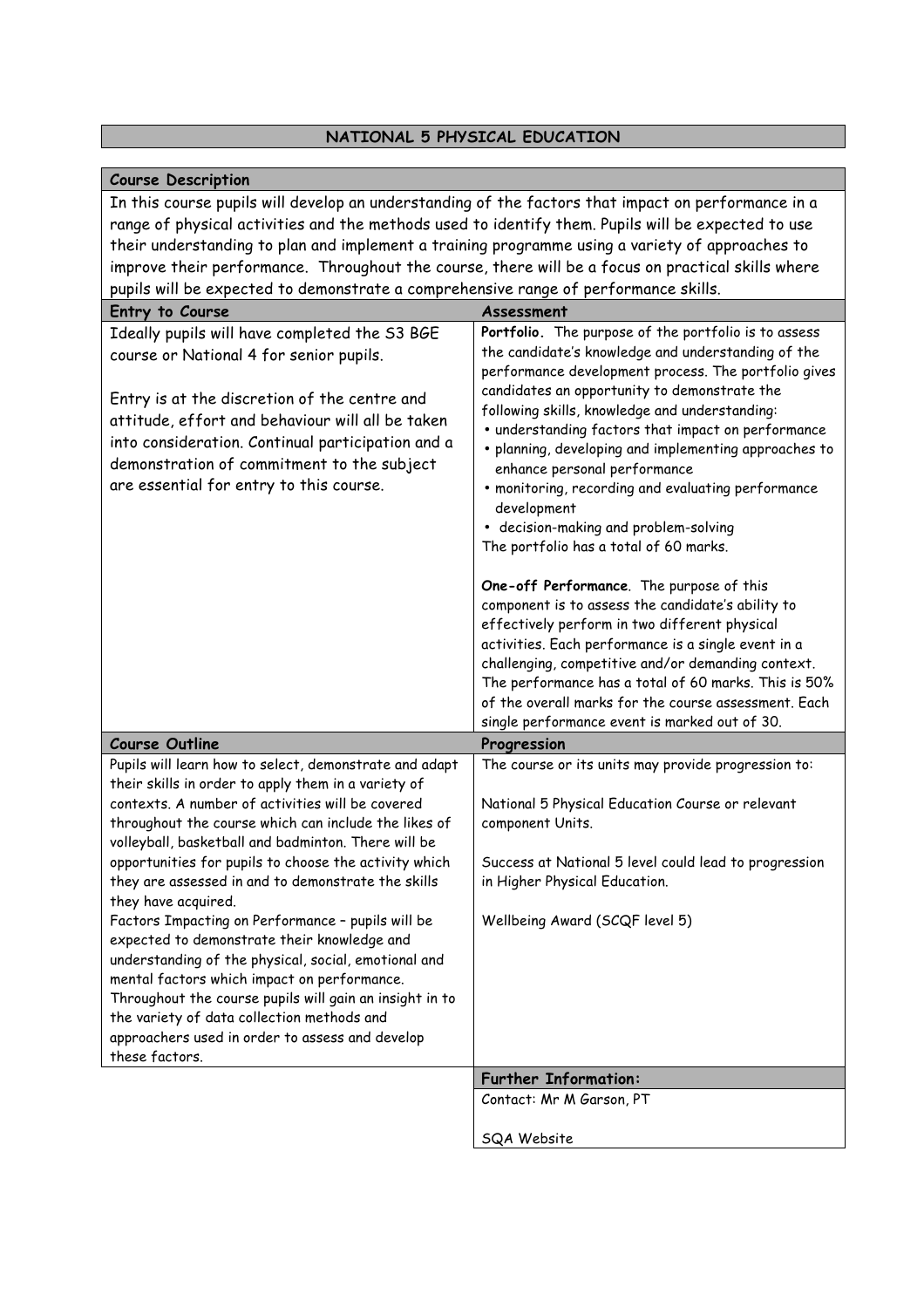# **NATIONAL 5 PHYSICAL EDUCATION**

# **Course Description**

In this course pupils will develop an understanding of the factors that impact on performance in a range of physical activities and the methods used to identify them. Pupils will be expected to use their understanding to plan and implement a training programme using a variety of approaches to improve their performance. Throughout the course, there will be a focus on practical skills where pupils will be expected to demonstrate a comprehensive range of performance skills.

| Entry to Course                                         | Assessment                                            |
|---------------------------------------------------------|-------------------------------------------------------|
| Ideally pupils will have completed the S3 BGE           | Portfolio. The purpose of the portfolio is to assess  |
| course or National 4 for senior pupils.                 | the candidate's knowledge and understanding of the    |
|                                                         | performance development process. The portfolio gives  |
| Entry is at the discretion of the centre and            | candidates an opportunity to demonstrate the          |
| attitude, effort and behaviour will all be taken        | following skills, knowledge and understanding:        |
|                                                         | • understanding factors that impact on performance    |
| into consideration. Continual participation and a       | · planning, developing and implementing approaches to |
| demonstration of commitment to the subject              | enhance personal performance                          |
| are essential for entry to this course.                 | · monitoring, recording and evaluating performance    |
|                                                         | development                                           |
|                                                         | • decision-making and problem-solving                 |
|                                                         | The portfolio has a total of 60 marks.                |
|                                                         | One-off Performance. The purpose of this              |
|                                                         | component is to assess the candidate's ability to     |
|                                                         | effectively perform in two different physical         |
|                                                         | activities. Each performance is a single event in a   |
|                                                         | challenging, competitive and/or demanding context.    |
|                                                         | The performance has a total of 60 marks. This is 50%  |
|                                                         | of the overall marks for the course assessment. Each  |
|                                                         | single performance event is marked out of 30.         |
| <b>Course Outline</b>                                   | Progression                                           |
| Pupils will learn how to select, demonstrate and adapt  | The course or its units may provide progression to:   |
| their skills in order to apply them in a variety of     |                                                       |
| contexts. A number of activities will be covered        | National 5 Physical Education Course or relevant      |
| throughout the course which can include the likes of    | component Units.                                      |
| volleyball, basketball and badminton. There will be     |                                                       |
| opportunities for pupils to choose the activity which   | Success at National 5 level could lead to progression |
| they are assessed in and to demonstrate the skills      | in Higher Physical Education.                         |
| they have acquired.                                     |                                                       |
| Factors Impacting on Performance - pupils will be       | Wellbeing Award (SCQF level 5)                        |
| expected to demonstrate their knowledge and             |                                                       |
| understanding of the physical, social, emotional and    |                                                       |
| mental factors which impact on performance.             |                                                       |
| Throughout the course pupils will gain an insight in to |                                                       |
| the variety of data collection methods and              |                                                       |
| approachers used in order to assess and develop         |                                                       |
| these factors.                                          |                                                       |
|                                                         |                                                       |
|                                                         | <b>Further Information:</b>                           |
|                                                         | Contact: Mr M Garson, PT                              |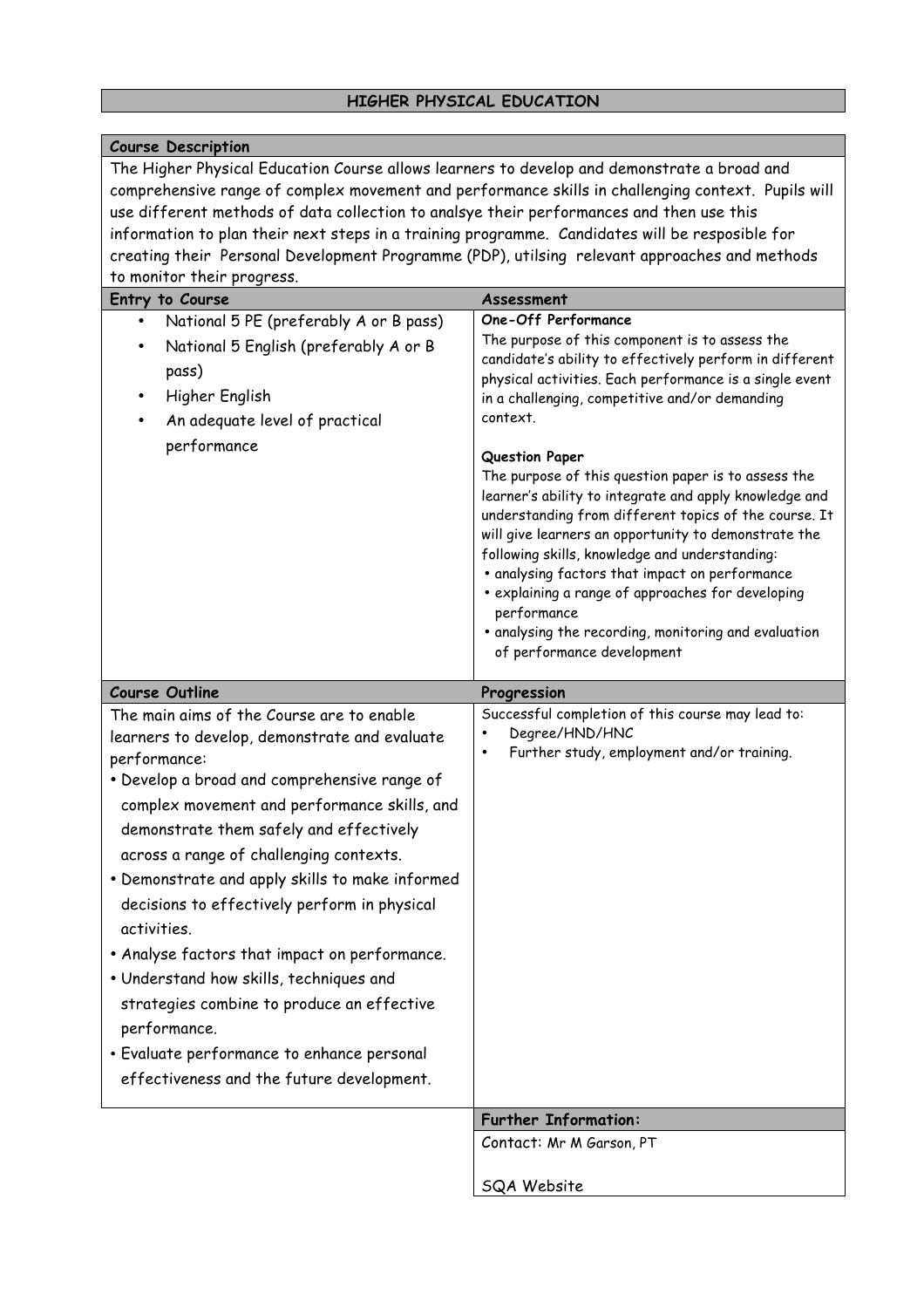# **HIGHER PHYSICAL EDUCATION**

| <b>Course Description</b>                                                                                                                                                                                                                                                                                                                                                                                                                                                                                                                                                                                                                                                                        |                                                                                                                                                                                                                                                                                                                                                                                                                                                                                                                                                                                                                                                                                                                                                                             |
|--------------------------------------------------------------------------------------------------------------------------------------------------------------------------------------------------------------------------------------------------------------------------------------------------------------------------------------------------------------------------------------------------------------------------------------------------------------------------------------------------------------------------------------------------------------------------------------------------------------------------------------------------------------------------------------------------|-----------------------------------------------------------------------------------------------------------------------------------------------------------------------------------------------------------------------------------------------------------------------------------------------------------------------------------------------------------------------------------------------------------------------------------------------------------------------------------------------------------------------------------------------------------------------------------------------------------------------------------------------------------------------------------------------------------------------------------------------------------------------------|
| The Higher Physical Education Course allows learners to develop and demonstrate a broad and<br>comprehensive range of complex movement and performance skills in challenging context. Pupils will<br>use different methods of data collection to analsye their performances and then use this<br>information to plan their next steps in a training programme. Candidates will be resposible for<br>creating their Personal Development Programme (PDP), utilsing relevant approaches and methods<br>to monitor their progress.                                                                                                                                                                  |                                                                                                                                                                                                                                                                                                                                                                                                                                                                                                                                                                                                                                                                                                                                                                             |
| Entry to Course                                                                                                                                                                                                                                                                                                                                                                                                                                                                                                                                                                                                                                                                                  | Assessment                                                                                                                                                                                                                                                                                                                                                                                                                                                                                                                                                                                                                                                                                                                                                                  |
| National 5 PE (preferably A or B pass)<br>$\bullet$<br>National 5 English (preferably A or B<br>pass)<br>Higher English<br>٠<br>An adequate level of practical<br>performance                                                                                                                                                                                                                                                                                                                                                                                                                                                                                                                    | One-Off Performance<br>The purpose of this component is to assess the<br>candidate's ability to effectively perform in different<br>physical activities. Each performance is a single event<br>in a challenging, competitive and/or demanding<br>context.<br>Question Paper<br>The purpose of this question paper is to assess the<br>learner's ability to integrate and apply knowledge and<br>understanding from different topics of the course. It<br>will give learners an opportunity to demonstrate the<br>following skills, knowledge and understanding:<br>· analysing factors that impact on performance<br>· explaining a range of approaches for developing<br>performance<br>· analysing the recording, monitoring and evaluation<br>of performance development |
|                                                                                                                                                                                                                                                                                                                                                                                                                                                                                                                                                                                                                                                                                                  |                                                                                                                                                                                                                                                                                                                                                                                                                                                                                                                                                                                                                                                                                                                                                                             |
|                                                                                                                                                                                                                                                                                                                                                                                                                                                                                                                                                                                                                                                                                                  |                                                                                                                                                                                                                                                                                                                                                                                                                                                                                                                                                                                                                                                                                                                                                                             |
| <b>Course Outline</b><br>The main aims of the Course are to enable<br>learners to develop, demonstrate and evaluate<br>performance:<br>· Develop a broad and comprehensive range of<br>complex movement and performance skills, and<br>demonstrate them safely and effectively<br>across a range of challenging contexts.<br>• Demonstrate and apply skills to make informed<br>decisions to effectively perform in physical<br>activities.<br>• Analyse factors that impact on performance.<br>. Understand how skills, techniques and<br>strategies combine to produce an effective<br>performance.<br>• Evaluate performance to enhance personal<br>effectiveness and the future development. | Progression<br>Successful completion of this course may lead to:<br>Degree/HND/HNC<br>Further study, employment and/or training.<br>$\bullet$                                                                                                                                                                                                                                                                                                                                                                                                                                                                                                                                                                                                                               |
|                                                                                                                                                                                                                                                                                                                                                                                                                                                                                                                                                                                                                                                                                                  | <b>Further Information:</b><br>Contact: Mr M Garson, PT                                                                                                                                                                                                                                                                                                                                                                                                                                                                                                                                                                                                                                                                                                                     |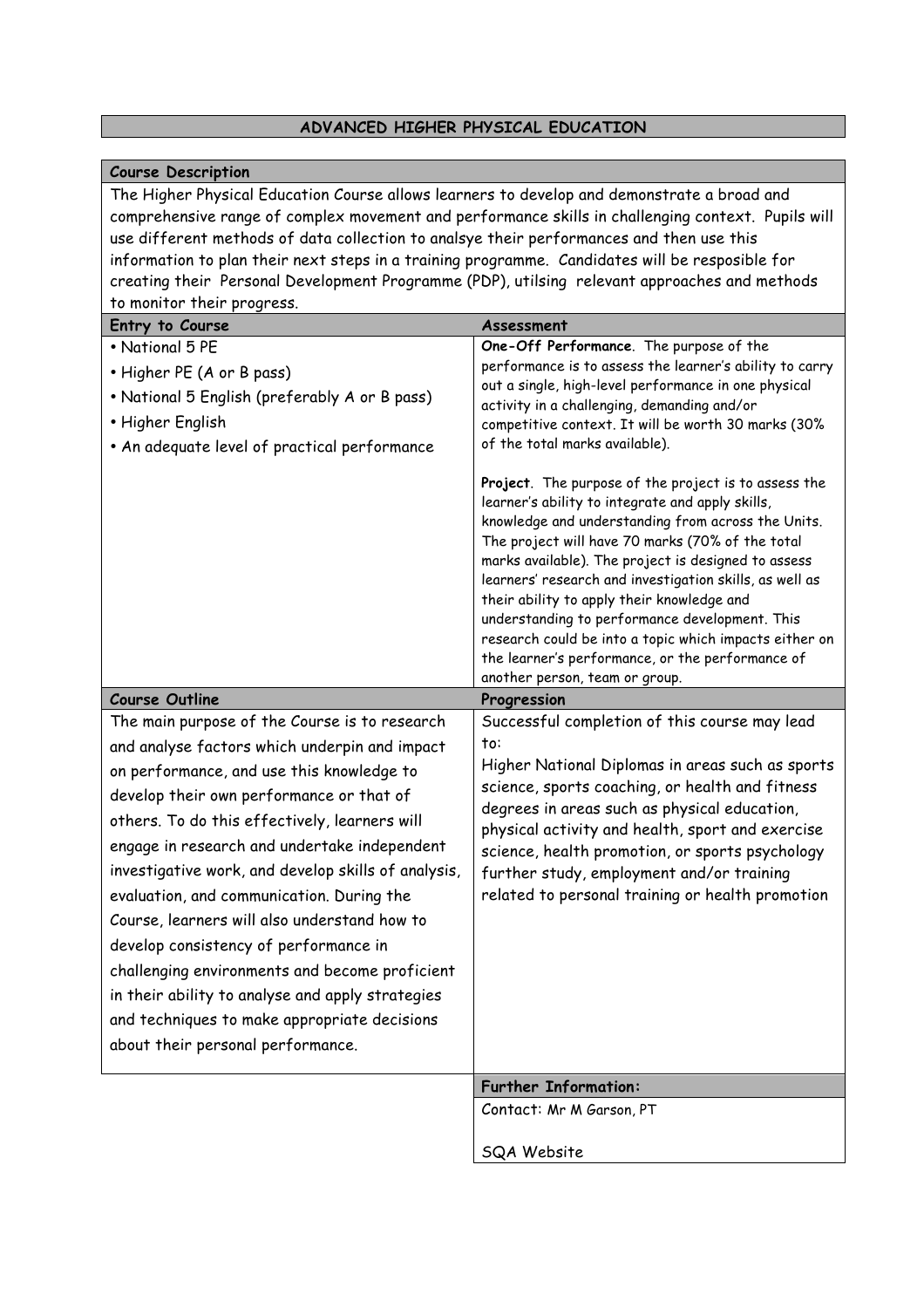### **ADVANCED HIGHER PHYSICAL EDUCATION**

#### **Course Description**

The Higher Physical Education Course allows learners to develop and demonstrate a broad and comprehensive range of complex movement and performance skills in challenging context. Pupils will use different methods of data collection to analsye their performances and then use this information to plan their next steps in a training programme. Candidates will be resposible for creating their Personal Development Programme (PDP), utilsing relevant approaches and methods to monitor their progress.

| Entry to Course                                                                                                                                                                                                                                                                                                                                                                                                                                                                                                                                                                                                                                                                  | Assessment                                                                                                                                                                                                                                                                                                                                                                                                                                                                                                                                                                           |
|----------------------------------------------------------------------------------------------------------------------------------------------------------------------------------------------------------------------------------------------------------------------------------------------------------------------------------------------------------------------------------------------------------------------------------------------------------------------------------------------------------------------------------------------------------------------------------------------------------------------------------------------------------------------------------|--------------------------------------------------------------------------------------------------------------------------------------------------------------------------------------------------------------------------------------------------------------------------------------------------------------------------------------------------------------------------------------------------------------------------------------------------------------------------------------------------------------------------------------------------------------------------------------|
| • National 5 PE                                                                                                                                                                                                                                                                                                                                                                                                                                                                                                                                                                                                                                                                  | One-Off Performance. The purpose of the                                                                                                                                                                                                                                                                                                                                                                                                                                                                                                                                              |
| • Higher PE (A or B pass)                                                                                                                                                                                                                                                                                                                                                                                                                                                                                                                                                                                                                                                        | performance is to assess the learner's ability to carry                                                                                                                                                                                                                                                                                                                                                                                                                                                                                                                              |
| • National 5 English (preferably A or B pass)                                                                                                                                                                                                                                                                                                                                                                                                                                                                                                                                                                                                                                    | out a single, high-level performance in one physical<br>activity in a challenging, demanding and/or                                                                                                                                                                                                                                                                                                                                                                                                                                                                                  |
| • Higher English                                                                                                                                                                                                                                                                                                                                                                                                                                                                                                                                                                                                                                                                 | competitive context. It will be worth 30 marks (30%                                                                                                                                                                                                                                                                                                                                                                                                                                                                                                                                  |
| • An adequate level of practical performance                                                                                                                                                                                                                                                                                                                                                                                                                                                                                                                                                                                                                                     | of the total marks available).                                                                                                                                                                                                                                                                                                                                                                                                                                                                                                                                                       |
|                                                                                                                                                                                                                                                                                                                                                                                                                                                                                                                                                                                                                                                                                  | Project. The purpose of the project is to assess the<br>learner's ability to integrate and apply skills,<br>knowledge and understanding from across the Units.<br>The project will have 70 marks (70% of the total<br>marks available). The project is designed to assess<br>learners' research and investigation skills, as well as<br>their ability to apply their knowledge and<br>understanding to performance development. This<br>research could be into a topic which impacts either on<br>the learner's performance, or the performance of<br>another person, team or group. |
| <b>Course Outline</b>                                                                                                                                                                                                                                                                                                                                                                                                                                                                                                                                                                                                                                                            | Progression                                                                                                                                                                                                                                                                                                                                                                                                                                                                                                                                                                          |
| The main purpose of the Course is to research<br>and analyse factors which underpin and impact<br>on performance, and use this knowledge to<br>develop their own performance or that of<br>others. To do this effectively, learners will<br>engage in research and undertake independent<br>investigative work, and develop skills of analysis,<br>evaluation, and communication. During the<br>Course, learners will also understand how to<br>develop consistency of performance in<br>challenging environments and become proficient<br>in their ability to analyse and apply strategies<br>and techniques to make appropriate decisions<br>about their personal performance. | Successful completion of this course may lead<br>to:<br>Higher National Diplomas in areas such as sports<br>science, sports coaching, or health and fitness<br>degrees in areas such as physical education,<br>physical activity and health, sport and exercise<br>science, health promotion, or sports psychology<br>further study, employment and/or training<br>related to personal training or health promotion                                                                                                                                                                  |
|                                                                                                                                                                                                                                                                                                                                                                                                                                                                                                                                                                                                                                                                                  | <b>Further Information:</b>                                                                                                                                                                                                                                                                                                                                                                                                                                                                                                                                                          |
|                                                                                                                                                                                                                                                                                                                                                                                                                                                                                                                                                                                                                                                                                  | Contact: Mr M Garson, PT                                                                                                                                                                                                                                                                                                                                                                                                                                                                                                                                                             |
|                                                                                                                                                                                                                                                                                                                                                                                                                                                                                                                                                                                                                                                                                  | SQA Website                                                                                                                                                                                                                                                                                                                                                                                                                                                                                                                                                                          |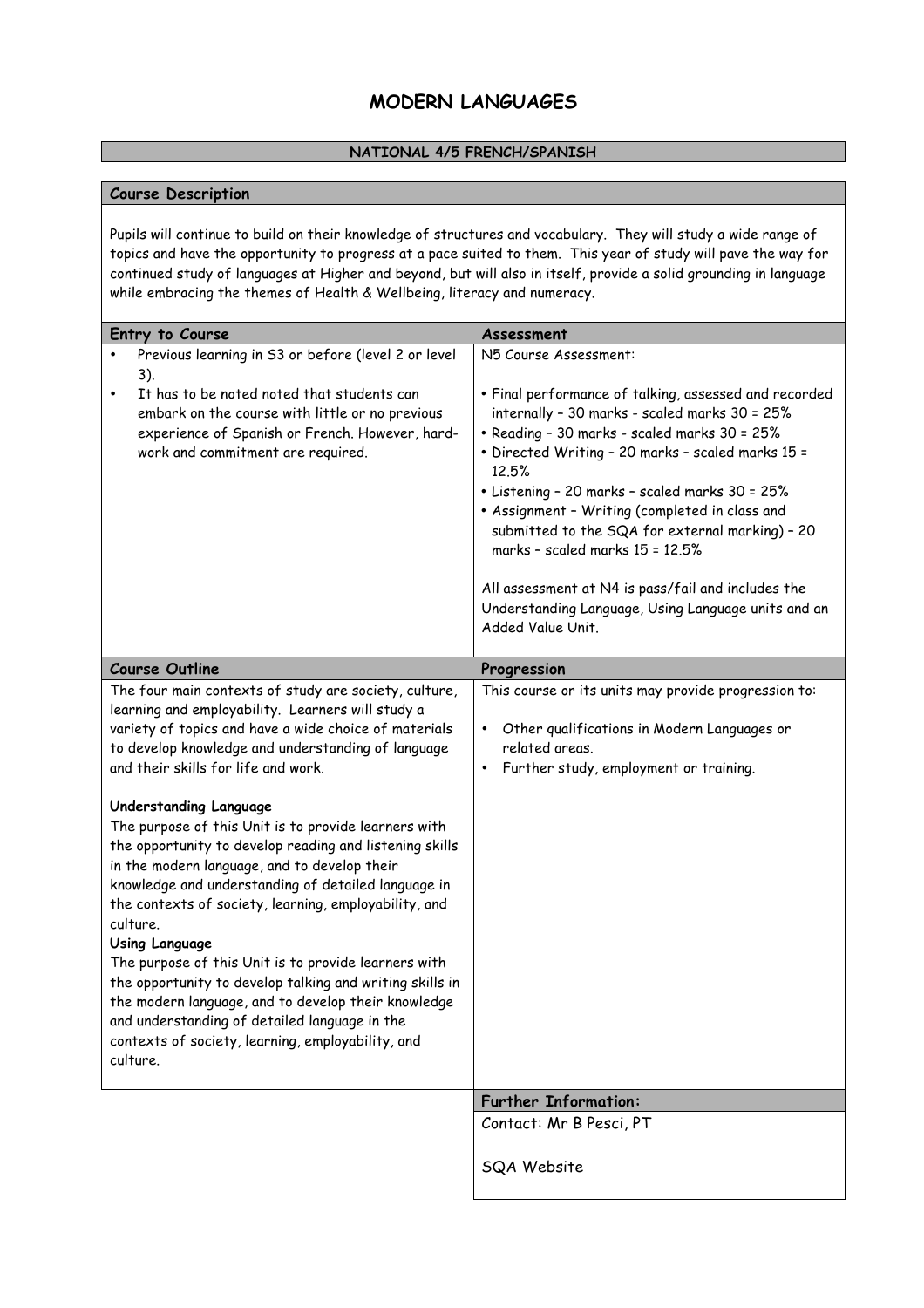# **MODERN LANGUAGES**

#### **NATIONAL 4/5 FRENCH/SPANISH**

#### **Course Description**

Pupils will continue to build on their knowledge of structures and vocabulary. They will study a wide range of topics and have the opportunity to progress at a pace suited to them. This year of study will pave the way for continued study of languages at Higher and beyond, but will also in itself, provide a solid grounding in language while embracing the themes of Health & Wellbeing, literacy and numeracy.

| Entry to Course                                                                                                                                                                                                                                                                                                                                                                                                                                                                                                                                                                                                                                                                                                                                                                                                                                                                                                 | Assessment                                                                                                                                                                                                                                                                                                                                                                                                                                                                                                                                                                |
|-----------------------------------------------------------------------------------------------------------------------------------------------------------------------------------------------------------------------------------------------------------------------------------------------------------------------------------------------------------------------------------------------------------------------------------------------------------------------------------------------------------------------------------------------------------------------------------------------------------------------------------------------------------------------------------------------------------------------------------------------------------------------------------------------------------------------------------------------------------------------------------------------------------------|---------------------------------------------------------------------------------------------------------------------------------------------------------------------------------------------------------------------------------------------------------------------------------------------------------------------------------------------------------------------------------------------------------------------------------------------------------------------------------------------------------------------------------------------------------------------------|
| Previous learning in S3 or before (level 2 or level<br>$3)$ .<br>It has to be noted noted that students can<br>embark on the course with little or no previous<br>experience of Spanish or French. However, hard-<br>work and commitment are required.                                                                                                                                                                                                                                                                                                                                                                                                                                                                                                                                                                                                                                                          | N5 Course Assessment:<br>· Final performance of talking, assessed and recorded<br>internally - 30 marks - scaled marks 30 = 25%<br>• Reading - 30 marks - scaled marks 30 = 25%<br>· Directed Writing - 20 marks - scaled marks 15 =<br>12.5%<br>• Listening - 20 marks - scaled marks 30 = 25%<br>• Assignment - Writing (completed in class and<br>submitted to the SQA for external marking) - 20<br>marks - scaled marks 15 = 12.5%<br>All assessment at N4 is pass/fail and includes the<br>Understanding Language, Using Language units and an<br>Added Value Unit. |
| <b>Course Outline</b>                                                                                                                                                                                                                                                                                                                                                                                                                                                                                                                                                                                                                                                                                                                                                                                                                                                                                           | Progression                                                                                                                                                                                                                                                                                                                                                                                                                                                                                                                                                               |
| The four main contexts of study are society, culture,<br>learning and employability. Learners will study a<br>variety of topics and have a wide choice of materials<br>to develop knowledge and understanding of language<br>and their skills for life and work.<br>Understanding Language<br>The purpose of this Unit is to provide learners with<br>the opportunity to develop reading and listening skills<br>in the modern language, and to develop their<br>knowledge and understanding of detailed language in<br>the contexts of society, learning, employability, and<br>culture.<br><b>Using Language</b><br>The purpose of this Unit is to provide learners with<br>the opportunity to develop talking and writing skills in<br>the modern language, and to develop their knowledge<br>and understanding of detailed language in the<br>contexts of society, learning, employability, and<br>culture. | This course or its units may provide progression to:<br>Other qualifications in Modern Languages or<br>$\bullet$<br>related areas.<br>Further study, employment or training.                                                                                                                                                                                                                                                                                                                                                                                              |
|                                                                                                                                                                                                                                                                                                                                                                                                                                                                                                                                                                                                                                                                                                                                                                                                                                                                                                                 | <b>Further Information:</b>                                                                                                                                                                                                                                                                                                                                                                                                                                                                                                                                               |
|                                                                                                                                                                                                                                                                                                                                                                                                                                                                                                                                                                                                                                                                                                                                                                                                                                                                                                                 | Contact: Mr B Pesci, PT                                                                                                                                                                                                                                                                                                                                                                                                                                                                                                                                                   |
|                                                                                                                                                                                                                                                                                                                                                                                                                                                                                                                                                                                                                                                                                                                                                                                                                                                                                                                 | SQA Website                                                                                                                                                                                                                                                                                                                                                                                                                                                                                                                                                               |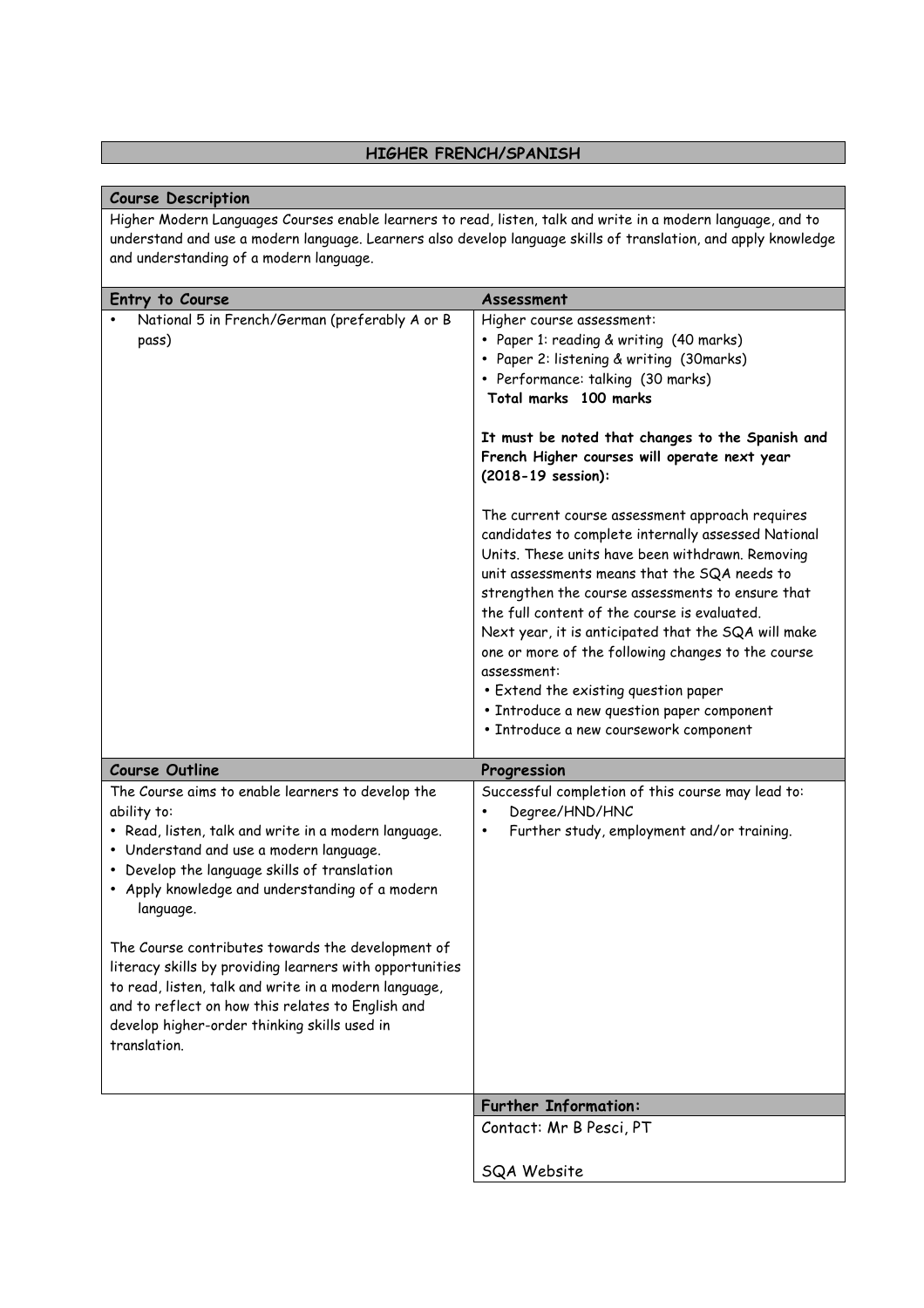# **HIGHER FRENCH/SPANISH**

| <b>Course Description</b>                                                                                                                                                                                                                                                                                                                                                                                                                                                                                                                                                          |                                                                                                                                                                                                                                                                                                                                                                                                                                                                                                                                                                                                                                                                                                                                                                                                                                                                                        |  |
|------------------------------------------------------------------------------------------------------------------------------------------------------------------------------------------------------------------------------------------------------------------------------------------------------------------------------------------------------------------------------------------------------------------------------------------------------------------------------------------------------------------------------------------------------------------------------------|----------------------------------------------------------------------------------------------------------------------------------------------------------------------------------------------------------------------------------------------------------------------------------------------------------------------------------------------------------------------------------------------------------------------------------------------------------------------------------------------------------------------------------------------------------------------------------------------------------------------------------------------------------------------------------------------------------------------------------------------------------------------------------------------------------------------------------------------------------------------------------------|--|
| Higher Modern Languages Courses enable learners to read, listen, talk and write in a modern language, and to<br>understand and use a modern language. Learners also develop language skills of translation, and apply knowledge<br>and understanding of a modern language.                                                                                                                                                                                                                                                                                                         |                                                                                                                                                                                                                                                                                                                                                                                                                                                                                                                                                                                                                                                                                                                                                                                                                                                                                        |  |
| Entry to Course                                                                                                                                                                                                                                                                                                                                                                                                                                                                                                                                                                    | Assessment                                                                                                                                                                                                                                                                                                                                                                                                                                                                                                                                                                                                                                                                                                                                                                                                                                                                             |  |
| National 5 in French/German (preferably A or B<br>pass)                                                                                                                                                                                                                                                                                                                                                                                                                                                                                                                            | Higher course assessment:<br>• Paper 1: reading & writing (40 marks)<br>• Paper 2: listening & writing (30marks)<br>• Performance: talking (30 marks)<br>Total marks 100 marks<br>It must be noted that changes to the Spanish and<br>French Higher courses will operate next year<br>(2018-19 session):<br>The current course assessment approach requires<br>candidates to complete internally assessed National<br>Units. These units have been withdrawn. Removing<br>unit assessments means that the SQA needs to<br>strengthen the course assessments to ensure that<br>the full content of the course is evaluated.<br>Next year, it is anticipated that the SQA will make<br>one or more of the following changes to the course<br>assessment:<br>• Extend the existing question paper<br>• Introduce a new question paper component<br>· Introduce a new coursework component |  |
| <b>Course Outline</b>                                                                                                                                                                                                                                                                                                                                                                                                                                                                                                                                                              | Progression                                                                                                                                                                                                                                                                                                                                                                                                                                                                                                                                                                                                                                                                                                                                                                                                                                                                            |  |
| The Course aims to enable learners to develop the<br>ability to:<br>• Read, listen, talk and write in a modern language.<br>• Understand and use a modern language.<br>• Develop the language skills of translation<br>• Apply knowledge and understanding of a modern<br>language.<br>The Course contributes towards the development of<br>literacy skills by providing learners with opportunities<br>to read, listen, talk and write in a modern language,<br>and to reflect on how this relates to English and<br>develop higher-order thinking skills used in<br>translation. | Successful completion of this course may lead to:<br>Degree/HND/HNC<br>Further study, employment and/or training.<br>٠                                                                                                                                                                                                                                                                                                                                                                                                                                                                                                                                                                                                                                                                                                                                                                 |  |
|                                                                                                                                                                                                                                                                                                                                                                                                                                                                                                                                                                                    | <b>Further Information:</b>                                                                                                                                                                                                                                                                                                                                                                                                                                                                                                                                                                                                                                                                                                                                                                                                                                                            |  |
|                                                                                                                                                                                                                                                                                                                                                                                                                                                                                                                                                                                    | Contact: Mr B Pesci, PT                                                                                                                                                                                                                                                                                                                                                                                                                                                                                                                                                                                                                                                                                                                                                                                                                                                                |  |
|                                                                                                                                                                                                                                                                                                                                                                                                                                                                                                                                                                                    | SQA Website                                                                                                                                                                                                                                                                                                                                                                                                                                                                                                                                                                                                                                                                                                                                                                                                                                                                            |  |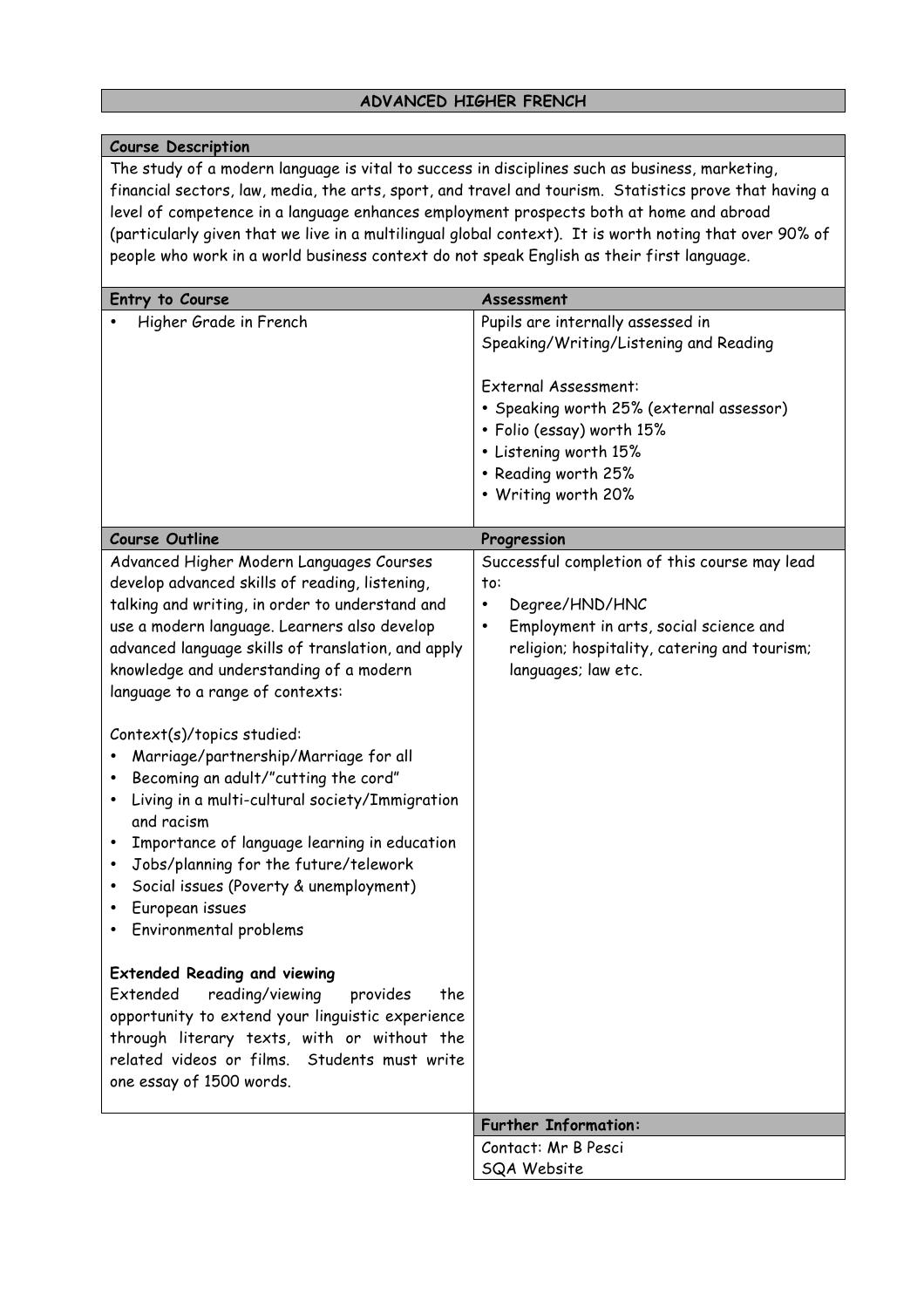# **ADVANCED HIGHER FRENCH**

| <b>Course Description</b>                                                                                                                                                                                                                                                                                                                                                                                                                                                                                                                                                                                                                                                                         |                                                                                                                                                                                                                                                     |  |
|---------------------------------------------------------------------------------------------------------------------------------------------------------------------------------------------------------------------------------------------------------------------------------------------------------------------------------------------------------------------------------------------------------------------------------------------------------------------------------------------------------------------------------------------------------------------------------------------------------------------------------------------------------------------------------------------------|-----------------------------------------------------------------------------------------------------------------------------------------------------------------------------------------------------------------------------------------------------|--|
| The study of a modern language is vital to success in disciplines such as business, marketing,<br>financial sectors, law, media, the arts, sport, and travel and tourism. Statistics prove that having a<br>level of competence in a language enhances employment prospects both at home and abroad<br>(particularly given that we live in a multilingual global context). It is worth noting that over 90% of<br>people who work in a world business context do not speak English as their first language.                                                                                                                                                                                       |                                                                                                                                                                                                                                                     |  |
| Entry to Course                                                                                                                                                                                                                                                                                                                                                                                                                                                                                                                                                                                                                                                                                   | Assessment                                                                                                                                                                                                                                          |  |
| Higher Grade in French                                                                                                                                                                                                                                                                                                                                                                                                                                                                                                                                                                                                                                                                            | Pupils are internally assessed in<br>Speaking/Writing/Listening and Reading<br>External Assessment:<br>• Speaking worth 25% (external assessor)<br>• Folio (essay) worth 15%<br>• Listening worth 15%<br>• Reading worth 25%<br>• Writing worth 20% |  |
| <b>Course Outline</b>                                                                                                                                                                                                                                                                                                                                                                                                                                                                                                                                                                                                                                                                             | Progression                                                                                                                                                                                                                                         |  |
| Advanced Higher Modern Languages Courses<br>develop advanced skills of reading, listening,<br>talking and writing, in order to understand and<br>use a modern language. Learners also develop<br>advanced language skills of translation, and apply<br>knowledge and understanding of a modern<br>language to a range of contexts:<br>Context(s)/topics studied:<br>Marriage/partnership/Marriage for all<br>Becoming an adult/"cutting the cord"<br>Living in a multi-cultural society/Immigration<br>and racism<br>Importance of language learning in education<br>Jobs/planning for the future/telework<br>Social issues (Poverty & unemployment)<br>European issues<br>Environmental problems | Successful completion of this course may lead<br>to:<br>Degree/HND/HNC<br>٠<br>Employment in arts, social science and<br>٠<br>religion; hospitality, catering and tourism;<br>languages; law etc.                                                   |  |
| <b>Extended Reading and viewing</b><br>Extended<br>reading/viewing<br>provides<br>the<br>opportunity to extend your linguistic experience<br>through literary texts, with or without the<br>related videos or films. Students must write<br>one essay of 1500 words.                                                                                                                                                                                                                                                                                                                                                                                                                              |                                                                                                                                                                                                                                                     |  |
|                                                                                                                                                                                                                                                                                                                                                                                                                                                                                                                                                                                                                                                                                                   | <b>Further Information:</b>                                                                                                                                                                                                                         |  |
|                                                                                                                                                                                                                                                                                                                                                                                                                                                                                                                                                                                                                                                                                                   | Contact: Mr B Pesci                                                                                                                                                                                                                                 |  |
|                                                                                                                                                                                                                                                                                                                                                                                                                                                                                                                                                                                                                                                                                                   | SQA Website                                                                                                                                                                                                                                         |  |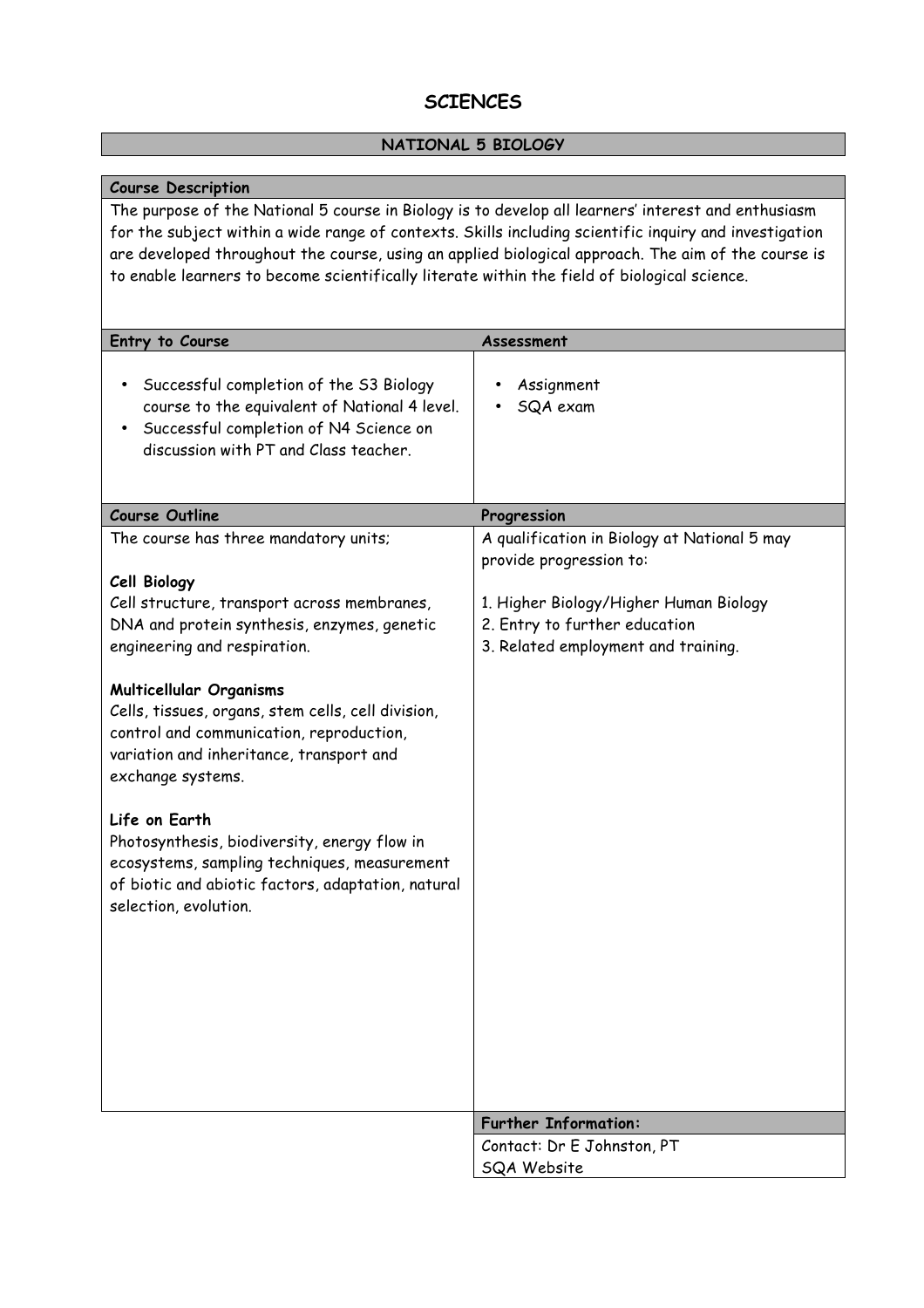# **SCIENCES**

# **NATIONAL 5 BIOLOGY**

| <b>Course Description</b>                                                                                                                                                                                                                                                                                                                                                                                                                                                                                                                                                         |                                                                                                                                                                                           |  |
|-----------------------------------------------------------------------------------------------------------------------------------------------------------------------------------------------------------------------------------------------------------------------------------------------------------------------------------------------------------------------------------------------------------------------------------------------------------------------------------------------------------------------------------------------------------------------------------|-------------------------------------------------------------------------------------------------------------------------------------------------------------------------------------------|--|
| The purpose of the National 5 course in Biology is to develop all learners' interest and enthusiasm<br>for the subject within a wide range of contexts. Skills including scientific inquiry and investigation<br>are developed throughout the course, using an applied biological approach. The aim of the course is<br>to enable learners to become scientifically literate within the field of biological science.                                                                                                                                                              |                                                                                                                                                                                           |  |
| Entry to Course                                                                                                                                                                                                                                                                                                                                                                                                                                                                                                                                                                   | Assessment                                                                                                                                                                                |  |
| Successful completion of the S3 Biology<br>course to the equivalent of National 4 level.<br>Successful completion of N4 Science on<br>discussion with PT and Class teacher.                                                                                                                                                                                                                                                                                                                                                                                                       | Assignment<br>SQA exam                                                                                                                                                                    |  |
| <b>Course Outline</b>                                                                                                                                                                                                                                                                                                                                                                                                                                                                                                                                                             | Progression                                                                                                                                                                               |  |
| The course has three mandatory units;<br>Cell Biology<br>Cell structure, transport across membranes,<br>DNA and protein synthesis, enzymes, genetic<br>engineering and respiration.<br>Multicellular Organisms<br>Cells, tissues, organs, stem cells, cell division,<br>control and communication, reproduction,<br>variation and inheritance, transport and<br>exchange systems.<br>Life on Earth<br>Photosynthesis, biodiversity, energy flow in<br>ecosystems, sampling techniques, measurement<br>of biotic and abiotic factors, adaptation, natural<br>selection, evolution. | A qualification in Biology at National 5 may<br>provide progression to:<br>1. Higher Biology/Higher Human Biology<br>2. Entry to further education<br>3. Related employment and training. |  |
|                                                                                                                                                                                                                                                                                                                                                                                                                                                                                                                                                                                   | <b>Further Information:</b>                                                                                                                                                               |  |
|                                                                                                                                                                                                                                                                                                                                                                                                                                                                                                                                                                                   | Contact: Dr E Johnston, PT                                                                                                                                                                |  |
|                                                                                                                                                                                                                                                                                                                                                                                                                                                                                                                                                                                   | SQA Website                                                                                                                                                                               |  |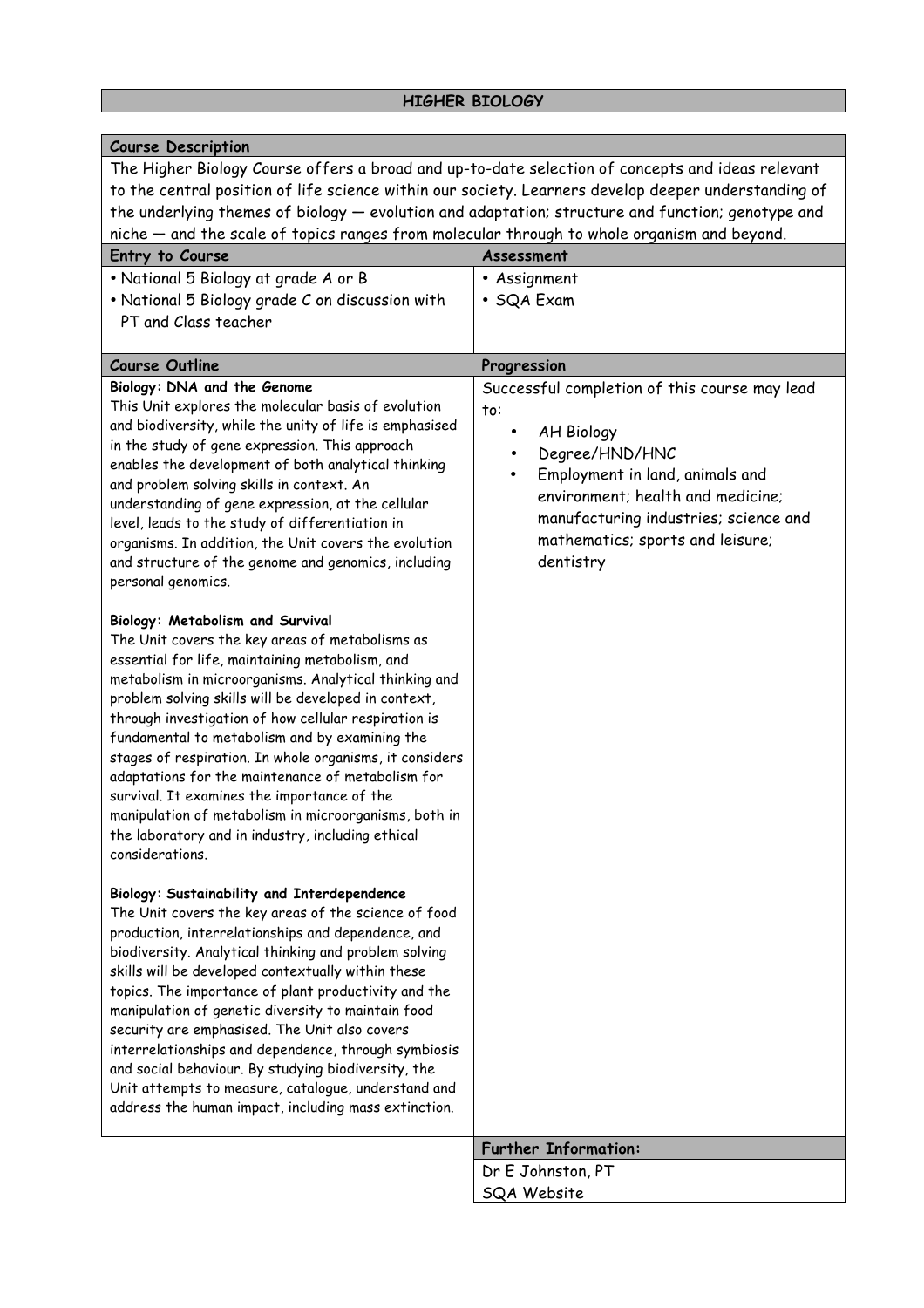| <b>Course Description</b>                                                                                                                                                                                                                                                                                                                                                                                                                                                                                                                                                                                                                                                |                                                                                                                                                                                                                                                                                 |  |
|--------------------------------------------------------------------------------------------------------------------------------------------------------------------------------------------------------------------------------------------------------------------------------------------------------------------------------------------------------------------------------------------------------------------------------------------------------------------------------------------------------------------------------------------------------------------------------------------------------------------------------------------------------------------------|---------------------------------------------------------------------------------------------------------------------------------------------------------------------------------------------------------------------------------------------------------------------------------|--|
| The Higher Biology Course offers a broad and up-to-date selection of concepts and ideas relevant<br>to the central position of life science within our society. Learners develop deeper understanding of<br>the underlying themes of biology - evolution and adaptation; structure and function; genotype and<br>niche – and the scale of topics ranges from molecular through to whole organism and beyond.                                                                                                                                                                                                                                                             |                                                                                                                                                                                                                                                                                 |  |
| Entry to Course                                                                                                                                                                                                                                                                                                                                                                                                                                                                                                                                                                                                                                                          | Assessment                                                                                                                                                                                                                                                                      |  |
| • National 5 Biology at grade A or B<br>• National 5 Biology grade C on discussion with<br>PT and Class teacher                                                                                                                                                                                                                                                                                                                                                                                                                                                                                                                                                          | • Assignment<br>• SQA Exam                                                                                                                                                                                                                                                      |  |
| <b>Course Outline</b>                                                                                                                                                                                                                                                                                                                                                                                                                                                                                                                                                                                                                                                    | Progression                                                                                                                                                                                                                                                                     |  |
| Biology: DNA and the Genome<br>This Unit explores the molecular basis of evolution<br>and biodiversity, while the unity of life is emphasised<br>in the study of gene expression. This approach<br>enables the development of both analytical thinking<br>and problem solving skills in context. An<br>understanding of gene expression, at the cellular<br>level, leads to the study of differentiation in<br>organisms. In addition, the Unit covers the evolution<br>and structure of the genome and genomics, including<br>personal genomics.                                                                                                                        | Successful completion of this course may lead<br>to:<br><b>AH Biology</b><br>٠<br>Degree/HND/HNC<br>Employment in land, animals and<br>$\bullet$<br>environment; health and medicine;<br>manufacturing industries; science and<br>mathematics; sports and leisure;<br>dentistry |  |
| <b>Biology: Metabolism and Survival</b><br>The Unit covers the key areas of metabolisms as<br>essential for life, maintaining metabolism, and<br>metabolism in microorganisms. Analytical thinking and<br>problem solving skills will be developed in context,<br>through investigation of how cellular respiration is<br>fundamental to metabolism and by examining the<br>stages of respiration. In whole organisms, it considers<br>adaptations for the maintenance of metabolism for<br>survival. It examines the importance of the<br>manipulation of metabolism in microorganisms, both in<br>the laboratory and in industry, including ethical<br>considerations. |                                                                                                                                                                                                                                                                                 |  |
| Biology: Sustainability and Interdependence<br>The Unit covers the key areas of the science of food<br>production, interrelationships and dependence, and<br>biodiversity. Analytical thinking and problem solving<br>skills will be developed contextually within these<br>topics. The importance of plant productivity and the<br>manipulation of genetic diversity to maintain food<br>security are emphasised. The Unit also covers<br>interrelationships and dependence, through symbiosis<br>and social behaviour. By studying biodiversity, the<br>Unit attempts to measure, catalogue, understand and<br>address the human impact, including mass extinction.    |                                                                                                                                                                                                                                                                                 |  |
|                                                                                                                                                                                                                                                                                                                                                                                                                                                                                                                                                                                                                                                                          | <b>Further Information:</b>                                                                                                                                                                                                                                                     |  |
|                                                                                                                                                                                                                                                                                                                                                                                                                                                                                                                                                                                                                                                                          | Dr E Johnston, PT                                                                                                                                                                                                                                                               |  |
|                                                                                                                                                                                                                                                                                                                                                                                                                                                                                                                                                                                                                                                                          | SQA Website                                                                                                                                                                                                                                                                     |  |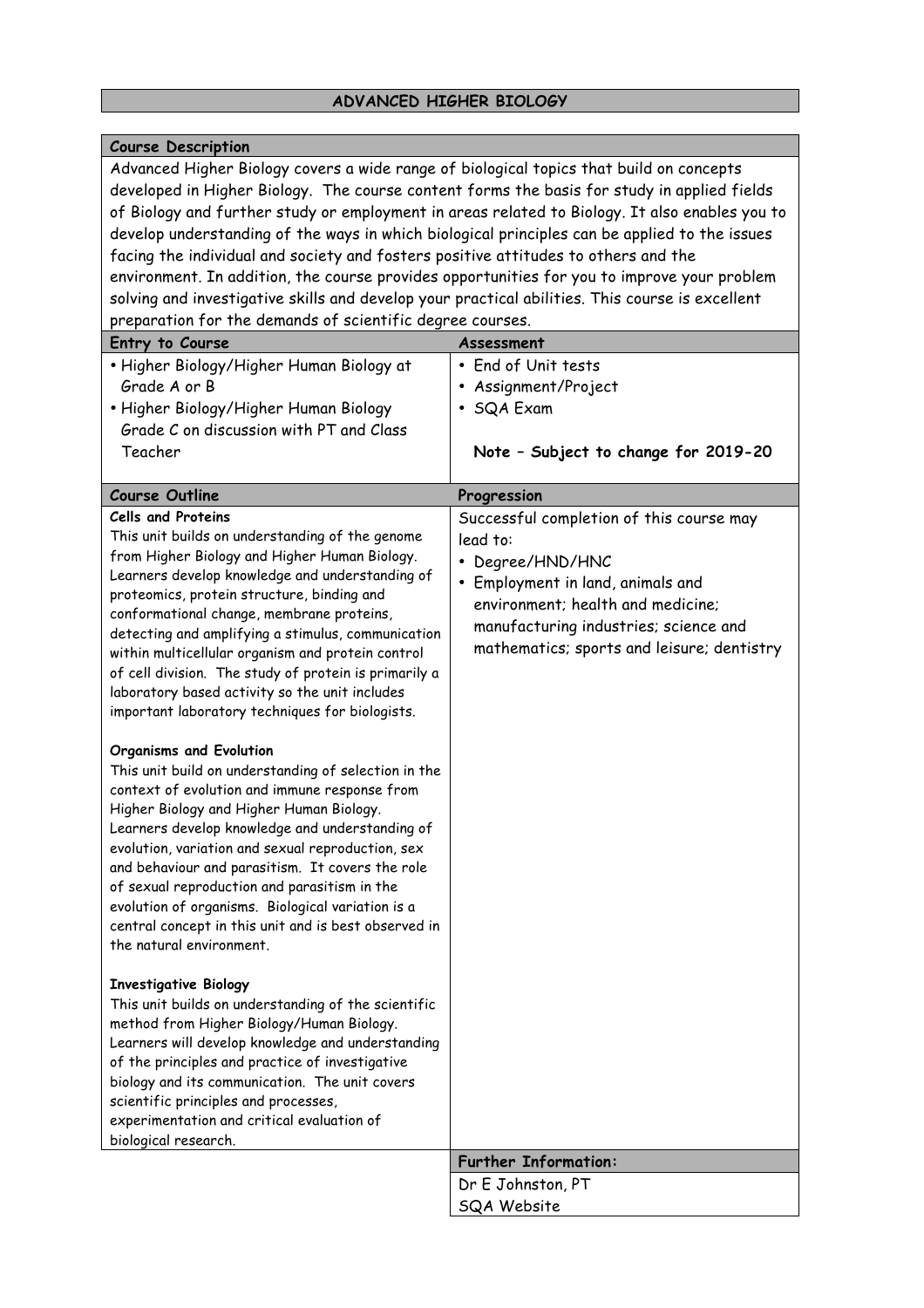# **ADVANCED HIGHER BIOLOGY**

| <b>Course Description</b>                                                                                                                                                                                                                                                                                                                                                                                                                                                                                                                                                                                                                                                                                                                                                       |                                            |
|---------------------------------------------------------------------------------------------------------------------------------------------------------------------------------------------------------------------------------------------------------------------------------------------------------------------------------------------------------------------------------------------------------------------------------------------------------------------------------------------------------------------------------------------------------------------------------------------------------------------------------------------------------------------------------------------------------------------------------------------------------------------------------|--------------------------------------------|
| Advanced Higher Biology covers a wide range of biological topics that build on concepts<br>developed in Higher Biology. The course content forms the basis for study in applied fields<br>of Biology and further study or employment in areas related to Biology. It also enables you to<br>develop understanding of the ways in which biological principles can be applied to the issues<br>facing the individual and society and fosters positive attitudes to others and the<br>environment. In addition, the course provides opportunities for you to improve your problem<br>solving and investigative skills and develop your practical abilities. This course is excellent<br>preparation for the demands of scientific degree courses.<br>Entry to Course<br>Assessment |                                            |
| • Higher Biology/Higher Human Biology at                                                                                                                                                                                                                                                                                                                                                                                                                                                                                                                                                                                                                                                                                                                                        | • End of Unit tests                        |
| Grade A or B                                                                                                                                                                                                                                                                                                                                                                                                                                                                                                                                                                                                                                                                                                                                                                    | • Assignment/Project                       |
| • Higher Biology/Higher Human Biology                                                                                                                                                                                                                                                                                                                                                                                                                                                                                                                                                                                                                                                                                                                                           | • SQA Exam                                 |
| Grade C on discussion with PT and Class                                                                                                                                                                                                                                                                                                                                                                                                                                                                                                                                                                                                                                                                                                                                         |                                            |
| Teacher                                                                                                                                                                                                                                                                                                                                                                                                                                                                                                                                                                                                                                                                                                                                                                         | Note - Subject to change for 2019-20       |
|                                                                                                                                                                                                                                                                                                                                                                                                                                                                                                                                                                                                                                                                                                                                                                                 |                                            |
| <b>Course Outline</b>                                                                                                                                                                                                                                                                                                                                                                                                                                                                                                                                                                                                                                                                                                                                                           | Progression                                |
| <b>Cells and Proteins</b>                                                                                                                                                                                                                                                                                                                                                                                                                                                                                                                                                                                                                                                                                                                                                       | Successful completion of this course may   |
| This unit builds on understanding of the genome<br>from Higher Biology and Higher Human Biology.                                                                                                                                                                                                                                                                                                                                                                                                                                                                                                                                                                                                                                                                                | lead to:                                   |
| Learners develop knowledge and understanding of                                                                                                                                                                                                                                                                                                                                                                                                                                                                                                                                                                                                                                                                                                                                 | • Degree/HND/HNC                           |
| proteomics, protein structure, binding and                                                                                                                                                                                                                                                                                                                                                                                                                                                                                                                                                                                                                                                                                                                                      | • Employment in land, animals and          |
| conformational change, membrane proteins,                                                                                                                                                                                                                                                                                                                                                                                                                                                                                                                                                                                                                                                                                                                                       | environment; health and medicine;          |
| detecting and amplifying a stimulus, communication                                                                                                                                                                                                                                                                                                                                                                                                                                                                                                                                                                                                                                                                                                                              | manufacturing industries; science and      |
| within multicellular organism and protein control                                                                                                                                                                                                                                                                                                                                                                                                                                                                                                                                                                                                                                                                                                                               | mathematics; sports and leisure; dentistry |
| of cell division. The study of protein is primarily a                                                                                                                                                                                                                                                                                                                                                                                                                                                                                                                                                                                                                                                                                                                           |                                            |
| laboratory based activity so the unit includes                                                                                                                                                                                                                                                                                                                                                                                                                                                                                                                                                                                                                                                                                                                                  |                                            |
| important laboratory techniques for biologists.                                                                                                                                                                                                                                                                                                                                                                                                                                                                                                                                                                                                                                                                                                                                 |                                            |
| <b>Organisms and Evolution</b>                                                                                                                                                                                                                                                                                                                                                                                                                                                                                                                                                                                                                                                                                                                                                  |                                            |
| This unit build on understanding of selection in the                                                                                                                                                                                                                                                                                                                                                                                                                                                                                                                                                                                                                                                                                                                            |                                            |
| context of evolution and immune response from                                                                                                                                                                                                                                                                                                                                                                                                                                                                                                                                                                                                                                                                                                                                   |                                            |
| Higher Biology and Higher Human Biology.                                                                                                                                                                                                                                                                                                                                                                                                                                                                                                                                                                                                                                                                                                                                        |                                            |
| Learners develop knowledge and understanding of                                                                                                                                                                                                                                                                                                                                                                                                                                                                                                                                                                                                                                                                                                                                 |                                            |
| evolution, variation and sexual reproduction, sex                                                                                                                                                                                                                                                                                                                                                                                                                                                                                                                                                                                                                                                                                                                               |                                            |
| and behaviour and parasitism. It covers the role                                                                                                                                                                                                                                                                                                                                                                                                                                                                                                                                                                                                                                                                                                                                |                                            |
| of sexual reproduction and parasitism in the<br>evolution of organisms. Biological variation is a                                                                                                                                                                                                                                                                                                                                                                                                                                                                                                                                                                                                                                                                               |                                            |
| central concept in this unit and is best observed in                                                                                                                                                                                                                                                                                                                                                                                                                                                                                                                                                                                                                                                                                                                            |                                            |
| the natural environment.                                                                                                                                                                                                                                                                                                                                                                                                                                                                                                                                                                                                                                                                                                                                                        |                                            |
|                                                                                                                                                                                                                                                                                                                                                                                                                                                                                                                                                                                                                                                                                                                                                                                 |                                            |
| <b>Investigative Biology</b><br>This unit builds on understanding of the scientific                                                                                                                                                                                                                                                                                                                                                                                                                                                                                                                                                                                                                                                                                             |                                            |
| method from Higher Biology/Human Biology.                                                                                                                                                                                                                                                                                                                                                                                                                                                                                                                                                                                                                                                                                                                                       |                                            |
| Learners will develop knowledge and understanding                                                                                                                                                                                                                                                                                                                                                                                                                                                                                                                                                                                                                                                                                                                               |                                            |
| of the principles and practice of investigative                                                                                                                                                                                                                                                                                                                                                                                                                                                                                                                                                                                                                                                                                                                                 |                                            |
| biology and its communication. The unit covers                                                                                                                                                                                                                                                                                                                                                                                                                                                                                                                                                                                                                                                                                                                                  |                                            |
| scientific principles and processes,                                                                                                                                                                                                                                                                                                                                                                                                                                                                                                                                                                                                                                                                                                                                            |                                            |
| experimentation and critical evaluation of                                                                                                                                                                                                                                                                                                                                                                                                                                                                                                                                                                                                                                                                                                                                      |                                            |
| biological research.                                                                                                                                                                                                                                                                                                                                                                                                                                                                                                                                                                                                                                                                                                                                                            | <b>Further Information:</b>                |
|                                                                                                                                                                                                                                                                                                                                                                                                                                                                                                                                                                                                                                                                                                                                                                                 | Dr E Johnston, PT                          |
|                                                                                                                                                                                                                                                                                                                                                                                                                                                                                                                                                                                                                                                                                                                                                                                 | <b>SQA Website</b>                         |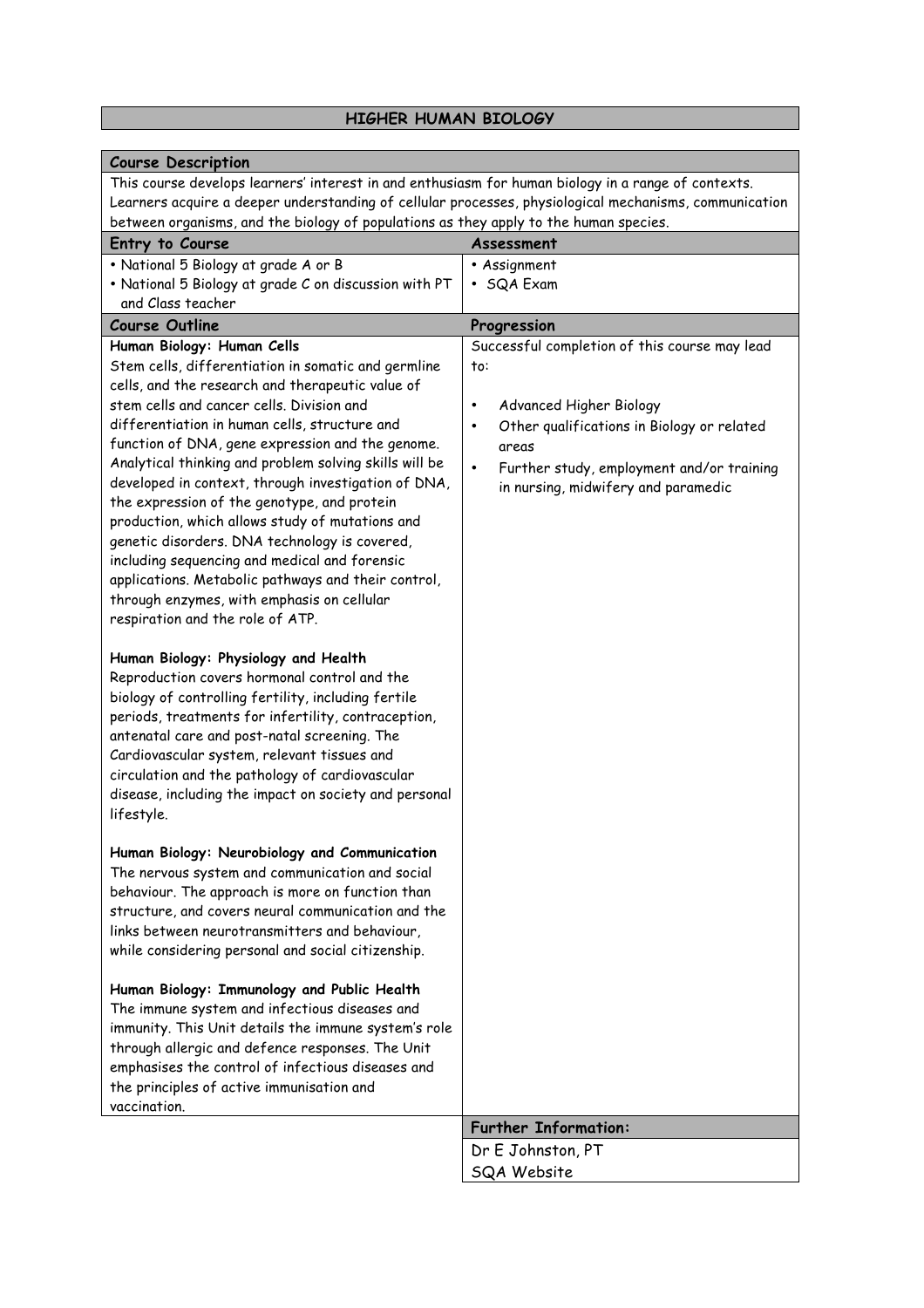### **HIGHER HUMAN BIOLOGY**

| <b>Course Description</b>                                                                                                                                                                                                                                                                                                                                                                                                                                                                                                                                                                                                                 |                                                         |
|-------------------------------------------------------------------------------------------------------------------------------------------------------------------------------------------------------------------------------------------------------------------------------------------------------------------------------------------------------------------------------------------------------------------------------------------------------------------------------------------------------------------------------------------------------------------------------------------------------------------------------------------|---------------------------------------------------------|
| This course develops learners' interest in and enthusiasm for human biology in a range of contexts.                                                                                                                                                                                                                                                                                                                                                                                                                                                                                                                                       |                                                         |
| Learners acquire a deeper understanding of cellular processes, physiological mechanisms, communication                                                                                                                                                                                                                                                                                                                                                                                                                                                                                                                                    |                                                         |
| between organisms, and the biology of populations as they apply to the human species.                                                                                                                                                                                                                                                                                                                                                                                                                                                                                                                                                     |                                                         |
| Entry to Course                                                                                                                                                                                                                                                                                                                                                                                                                                                                                                                                                                                                                           | Assessment                                              |
| · National 5 Biology at grade A or B                                                                                                                                                                                                                                                                                                                                                                                                                                                                                                                                                                                                      | • Assignment                                            |
| • National 5 Biology at grade C on discussion with PT                                                                                                                                                                                                                                                                                                                                                                                                                                                                                                                                                                                     | • SQA Exam                                              |
| and Class teacher                                                                                                                                                                                                                                                                                                                                                                                                                                                                                                                                                                                                                         |                                                         |
| <b>Course Outline</b>                                                                                                                                                                                                                                                                                                                                                                                                                                                                                                                                                                                                                     | Progression                                             |
| Human Biology: Human Cells                                                                                                                                                                                                                                                                                                                                                                                                                                                                                                                                                                                                                | Successful completion of this course may lead           |
| Stem cells, differentiation in somatic and germline                                                                                                                                                                                                                                                                                                                                                                                                                                                                                                                                                                                       | to:                                                     |
| cells, and the research and therapeutic value of                                                                                                                                                                                                                                                                                                                                                                                                                                                                                                                                                                                          |                                                         |
| stem cells and cancer cells. Division and                                                                                                                                                                                                                                                                                                                                                                                                                                                                                                                                                                                                 | Advanced Higher Biology<br>٠                            |
| differentiation in human cells, structure and                                                                                                                                                                                                                                                                                                                                                                                                                                                                                                                                                                                             | Other qualifications in Biology or related<br>$\bullet$ |
| function of DNA, gene expression and the genome.                                                                                                                                                                                                                                                                                                                                                                                                                                                                                                                                                                                          | areas                                                   |
| Analytical thinking and problem solving skills will be                                                                                                                                                                                                                                                                                                                                                                                                                                                                                                                                                                                    | Further study, employment and/or training<br>$\bullet$  |
| developed in context, through investigation of DNA,                                                                                                                                                                                                                                                                                                                                                                                                                                                                                                                                                                                       | in nursing, midwifery and paramedic                     |
| the expression of the genotype, and protein                                                                                                                                                                                                                                                                                                                                                                                                                                                                                                                                                                                               |                                                         |
| production, which allows study of mutations and                                                                                                                                                                                                                                                                                                                                                                                                                                                                                                                                                                                           |                                                         |
| genetic disorders. DNA technology is covered,<br>including sequencing and medical and forensic                                                                                                                                                                                                                                                                                                                                                                                                                                                                                                                                            |                                                         |
| applications. Metabolic pathways and their control,                                                                                                                                                                                                                                                                                                                                                                                                                                                                                                                                                                                       |                                                         |
| through enzymes, with emphasis on cellular                                                                                                                                                                                                                                                                                                                                                                                                                                                                                                                                                                                                |                                                         |
| respiration and the role of ATP.                                                                                                                                                                                                                                                                                                                                                                                                                                                                                                                                                                                                          |                                                         |
|                                                                                                                                                                                                                                                                                                                                                                                                                                                                                                                                                                                                                                           |                                                         |
| Human Biology: Physiology and Health<br>Reproduction covers hormonal control and the<br>biology of controlling fertility, including fertile<br>periods, treatments for infertility, contraception,<br>antenatal care and post-natal screening. The<br>Cardiovascular system, relevant tissues and<br>circulation and the pathology of cardiovascular<br>disease, including the impact on society and personal<br>lifestyle.<br>Human Biology: Neurobiology and Communication<br>The nervous system and communication and social<br>behaviour. The approach is more on function than<br>structure, and covers neural communication and the |                                                         |
| links between neurotransmitters and behaviour,<br>while considering personal and social citizenship.                                                                                                                                                                                                                                                                                                                                                                                                                                                                                                                                      |                                                         |
| Human Biology: Immunology and Public Health<br>The immune system and infectious diseases and<br>immunity. This Unit details the immune system's role<br>through allergic and defence responses. The Unit<br>emphasises the control of infectious diseases and<br>the principles of active immunisation and<br>vaccination.                                                                                                                                                                                                                                                                                                                |                                                         |
|                                                                                                                                                                                                                                                                                                                                                                                                                                                                                                                                                                                                                                           | <b>Further Information:</b>                             |
|                                                                                                                                                                                                                                                                                                                                                                                                                                                                                                                                                                                                                                           | Dr E Johnston, PT                                       |
|                                                                                                                                                                                                                                                                                                                                                                                                                                                                                                                                                                                                                                           | SQA Website                                             |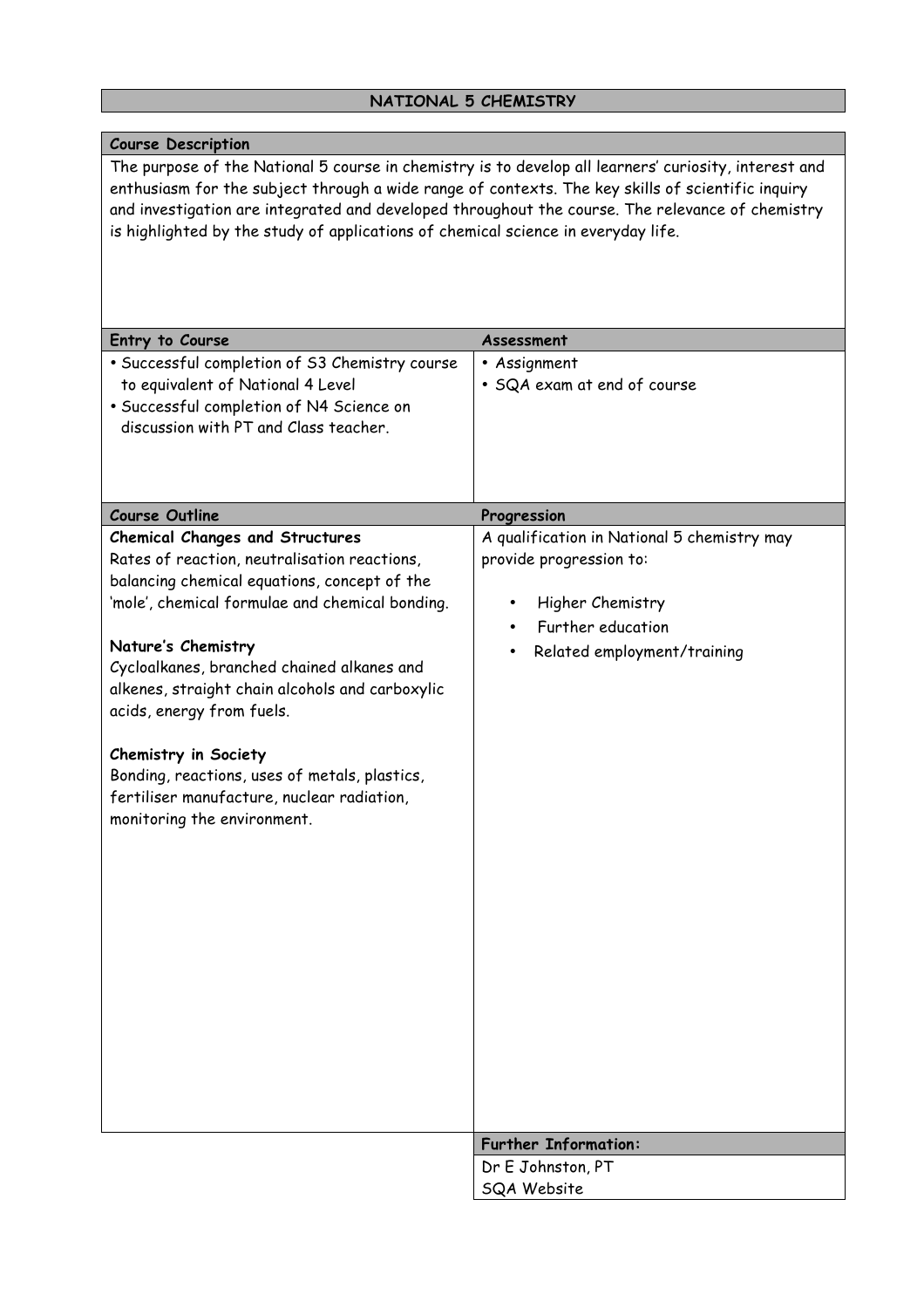# **NATIONAL 5 CHEMISTRY**

| <b>Course Description</b>                                                                                                                                                                                                                                                                                                                                                                                                                                                                                                                                 |                                                                                                                                                |
|-----------------------------------------------------------------------------------------------------------------------------------------------------------------------------------------------------------------------------------------------------------------------------------------------------------------------------------------------------------------------------------------------------------------------------------------------------------------------------------------------------------------------------------------------------------|------------------------------------------------------------------------------------------------------------------------------------------------|
| The purpose of the National 5 course in chemistry is to develop all learners' curiosity, interest and<br>enthusiasm for the subject through a wide range of contexts. The key skills of scientific inquiry<br>and investigation are integrated and developed throughout the course. The relevance of chemistry<br>is highlighted by the study of applications of chemical science in everyday life.<br>Entry to Course<br>· Successful completion of S3 Chemistry course<br>to equivalent of National 4 Level<br>· Successful completion of N4 Science on | Assessment<br>• Assignment<br>· SQA exam at end of course                                                                                      |
| discussion with PT and Class teacher.                                                                                                                                                                                                                                                                                                                                                                                                                                                                                                                     |                                                                                                                                                |
| <b>Course Outline</b>                                                                                                                                                                                                                                                                                                                                                                                                                                                                                                                                     | Progression                                                                                                                                    |
| <b>Chemical Changes and Structures</b><br>Rates of reaction, neutralisation reactions,<br>balancing chemical equations, concept of the<br>'mole', chemical formulae and chemical bonding.<br>Nature's Chemistry<br>Cycloalkanes, branched chained alkanes and<br>alkenes, straight chain alcohols and carboxylic<br>acids, energy from fuels.<br>Chemistry in Society<br>Bonding, reactions, uses of metals, plastics,<br>fertiliser manufacture, nuclear radiation,<br>monitoring the environment.                                                       | A qualification in National 5 chemistry may<br>provide progression to:<br>Higher Chemistry<br>Further education<br>Related employment/training |
|                                                                                                                                                                                                                                                                                                                                                                                                                                                                                                                                                           | <b>Further Information:</b>                                                                                                                    |
|                                                                                                                                                                                                                                                                                                                                                                                                                                                                                                                                                           | Dr E Johnston, PT                                                                                                                              |
|                                                                                                                                                                                                                                                                                                                                                                                                                                                                                                                                                           | <b>SQA Website</b>                                                                                                                             |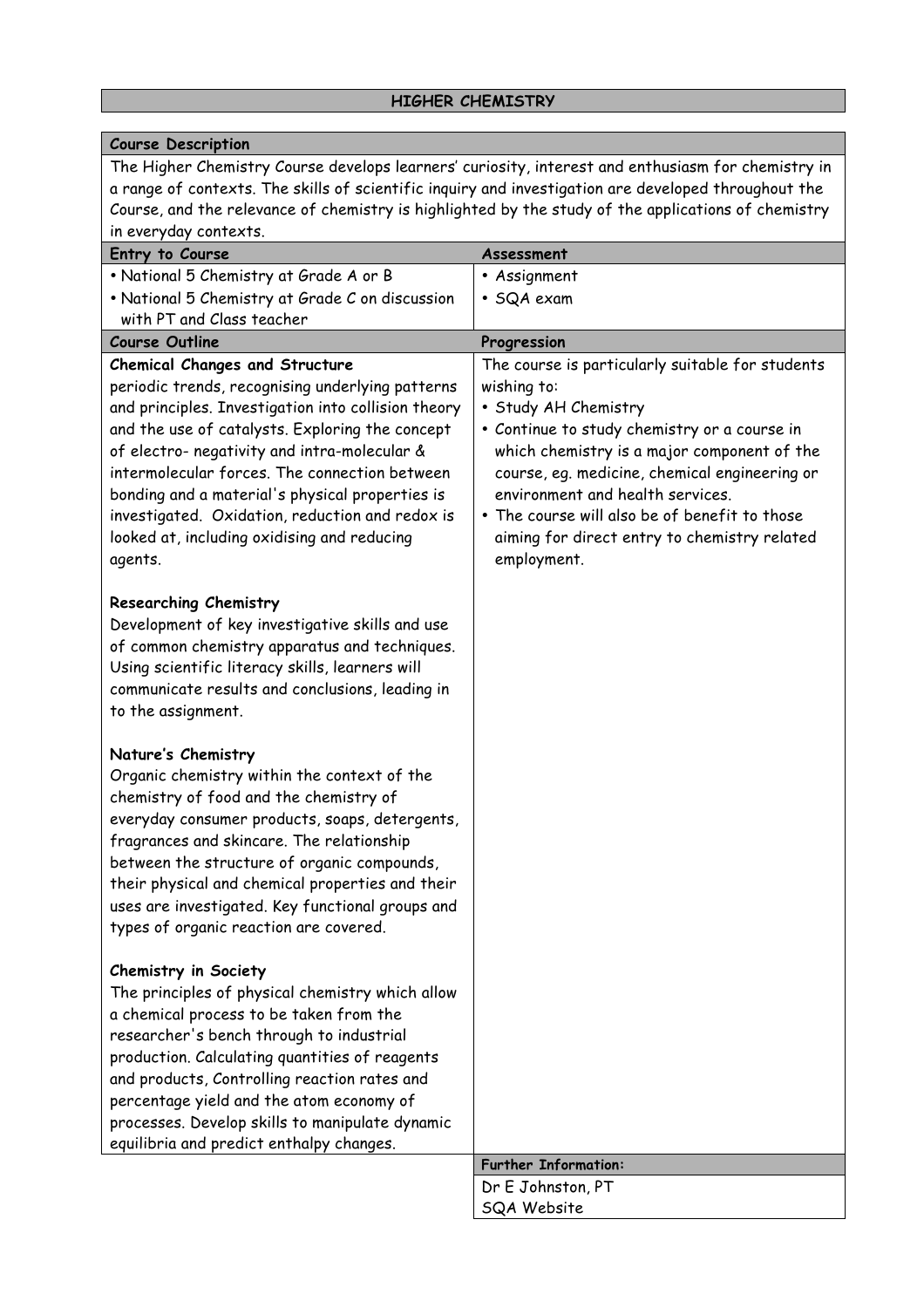#### **Course Description** The Higher Chemistry Course develops learners' curiosity, interest and enthusiasm for chemistry in a range of contexts. The skills of scientific inquiry and investigation are developed throughout the Course, and the relevance of chemistry is highlighted by the study of the applications of chemistry in everyday contexts. **Entry to Course Assessment** • National 5 Chemistry at Grade A or B • National 5 Chemistry at Grade C on discussion with PT and Class teacher • Assignment • SQA exam **Course Outline Progression Chemical Changes and Structure**  periodic trends, recognising underlying patterns and principles. Investigation into collision theory and the use of catalysts. Exploring the concept of electro- negativity and intra-molecular & intermolecular forces. The connection between bonding and a material's physical properties is investigated. Oxidation, reduction and redox is looked at, including oxidising and reducing agents. **Researching Chemistry** Development of key investigative skills and use of common chemistry apparatus and techniques. Using scientific literacy skills, learners will communicate results and conclusions, leading in to the assignment. **Nature's Chemistry**  Organic chemistry within the context of the chemistry of food and the chemistry of everyday consumer products, soaps, detergents, fragrances and skincare. The relationship between the structure of organic compounds, their physical and chemical properties and their uses are investigated. Key functional groups and types of organic reaction are covered. **Chemistry in Society** The principles of physical chemistry which allow a chemical process to be taken from the researcher's bench through to industrial production. Calculating quantities of reagents and products, Controlling reaction rates and percentage yield and the atom economy of processes. Develop skills to manipulate dynamic equilibria and predict enthalpy changes. The course is particularly suitable for students wishing to: • Study AH Chemistry • Continue to study chemistry or a course in which chemistry is a major component of the course, eg. medicine, chemical engineering or environment and health services. • The course will also be of benefit to those aiming for direct entry to chemistry related employment. **Further Information:** Dr E Johnston, PT

SQA Website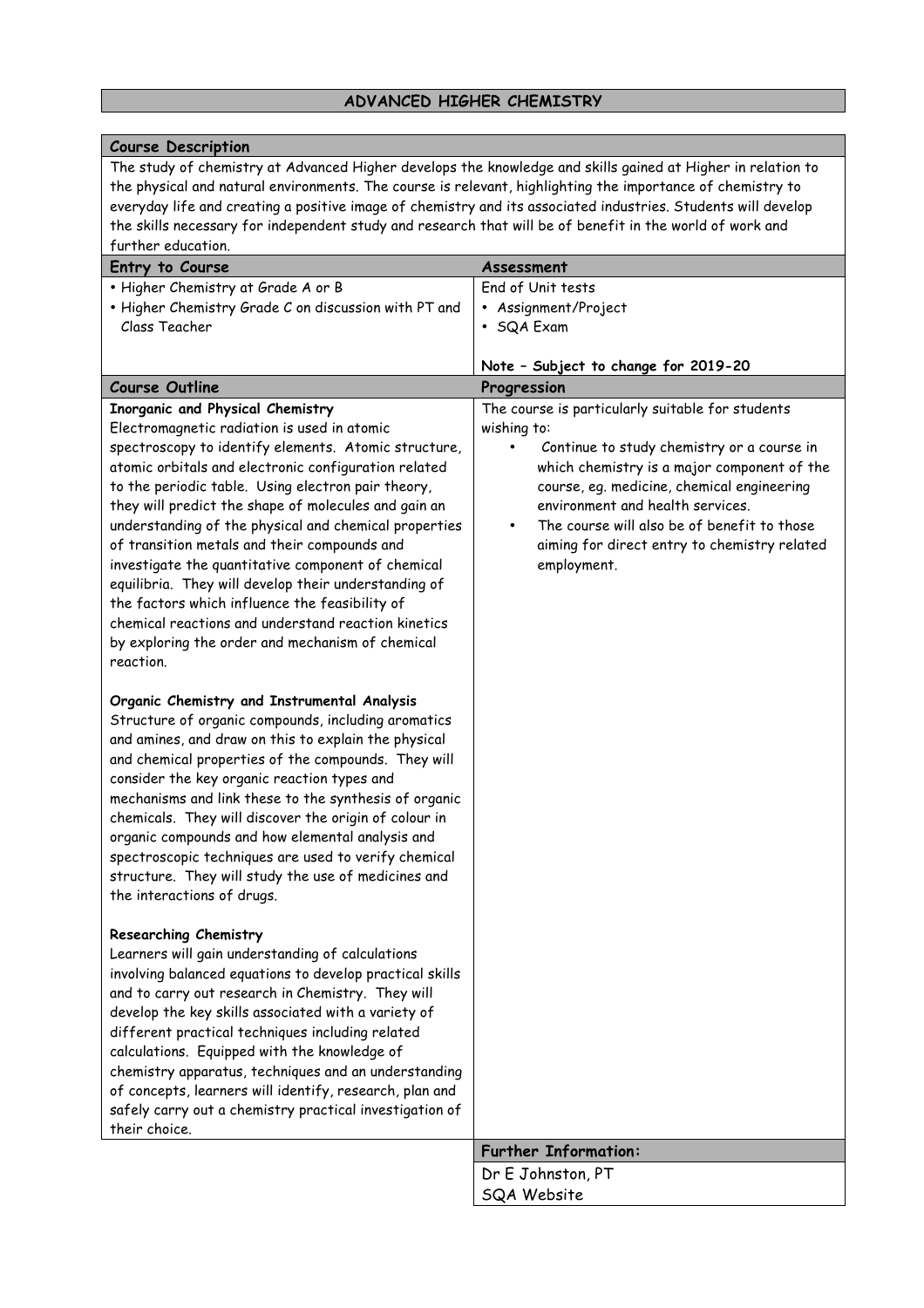# **ADVANCED HIGHER CHEMISTRY**

| <b>Course Description</b>                                                                                                                                                                                                   |                                                  |
|-----------------------------------------------------------------------------------------------------------------------------------------------------------------------------------------------------------------------------|--------------------------------------------------|
| The study of chemistry at Advanced Higher develops the knowledge and skills gained at Higher in relation to                                                                                                                 |                                                  |
| the physical and natural environments. The course is relevant, highlighting the importance of chemistry to<br>everyday life and creating a positive image of chemistry and its associated industries. Students will develop |                                                  |
| the skills necessary for independent study and research that will be of benefit in the world of work and                                                                                                                    |                                                  |
| further education.                                                                                                                                                                                                          |                                                  |
| Entry to Course                                                                                                                                                                                                             | Assessment                                       |
| . Higher Chemistry at Grade A or B                                                                                                                                                                                          | End of Unit tests                                |
| . Higher Chemistry Grade C on discussion with PT and                                                                                                                                                                        | • Assignment/Project                             |
| Class Teacher                                                                                                                                                                                                               | • SQA Exam                                       |
|                                                                                                                                                                                                                             |                                                  |
|                                                                                                                                                                                                                             | Note - Subject to change for 2019-20             |
| <b>Course Outline</b>                                                                                                                                                                                                       | Progression                                      |
| Inorganic and Physical Chemistry                                                                                                                                                                                            | The course is particularly suitable for students |
| Electromagnetic radiation is used in atomic                                                                                                                                                                                 | wishing to:                                      |
| spectroscopy to identify elements. Atomic structure,                                                                                                                                                                        | Continue to study chemistry or a course in       |
| atomic orbitals and electronic configuration related                                                                                                                                                                        | which chemistry is a major component of the      |
| to the periodic table. Using electron pair theory,                                                                                                                                                                          | course, eq. medicine, chemical engineering       |
| they will predict the shape of molecules and gain an                                                                                                                                                                        | environment and health services.                 |
| understanding of the physical and chemical properties                                                                                                                                                                       | The course will also be of benefit to those<br>٠ |
| of transition metals and their compounds and<br>investigate the quantitative component of chemical                                                                                                                          | aiming for direct entry to chemistry related     |
| equilibria. They will develop their understanding of                                                                                                                                                                        | employment.                                      |
| the factors which influence the feasibility of                                                                                                                                                                              |                                                  |
| chemical reactions and understand reaction kinetics                                                                                                                                                                         |                                                  |
| by exploring the order and mechanism of chemical                                                                                                                                                                            |                                                  |
| reaction.                                                                                                                                                                                                                   |                                                  |
|                                                                                                                                                                                                                             |                                                  |
| Organic Chemistry and Instrumental Analysis                                                                                                                                                                                 |                                                  |
| Structure of organic compounds, including aromatics                                                                                                                                                                         |                                                  |
| and amines, and draw on this to explain the physical                                                                                                                                                                        |                                                  |
| and chemical properties of the compounds. They will                                                                                                                                                                         |                                                  |
| consider the key organic reaction types and                                                                                                                                                                                 |                                                  |
| mechanisms and link these to the synthesis of organic                                                                                                                                                                       |                                                  |
| chemicals. They will discover the origin of colour in                                                                                                                                                                       |                                                  |
| organic compounds and how elemental analysis and                                                                                                                                                                            |                                                  |
| spectroscopic techniques are used to verify chemical<br>structure. They will study the use of medicines and                                                                                                                 |                                                  |
| the interactions of drugs.                                                                                                                                                                                                  |                                                  |
|                                                                                                                                                                                                                             |                                                  |
| <b>Researching Chemistry</b>                                                                                                                                                                                                |                                                  |
| Learners will gain understanding of calculations                                                                                                                                                                            |                                                  |
| involving balanced equations to develop practical skills                                                                                                                                                                    |                                                  |
| and to carry out research in Chemistry. They will                                                                                                                                                                           |                                                  |
| develop the key skills associated with a variety of                                                                                                                                                                         |                                                  |
| different practical techniques including related                                                                                                                                                                            |                                                  |
| calculations. Equipped with the knowledge of                                                                                                                                                                                |                                                  |
| chemistry apparatus, techniques and an understanding                                                                                                                                                                        |                                                  |
| of concepts, learners will identify, research, plan and                                                                                                                                                                     |                                                  |
| safely carry out a chemistry practical investigation of<br>their choice.                                                                                                                                                    |                                                  |
|                                                                                                                                                                                                                             | <b>Further Information:</b>                      |
|                                                                                                                                                                                                                             | Dr E Johnston, PT                                |
|                                                                                                                                                                                                                             | SQA Website                                      |
|                                                                                                                                                                                                                             |                                                  |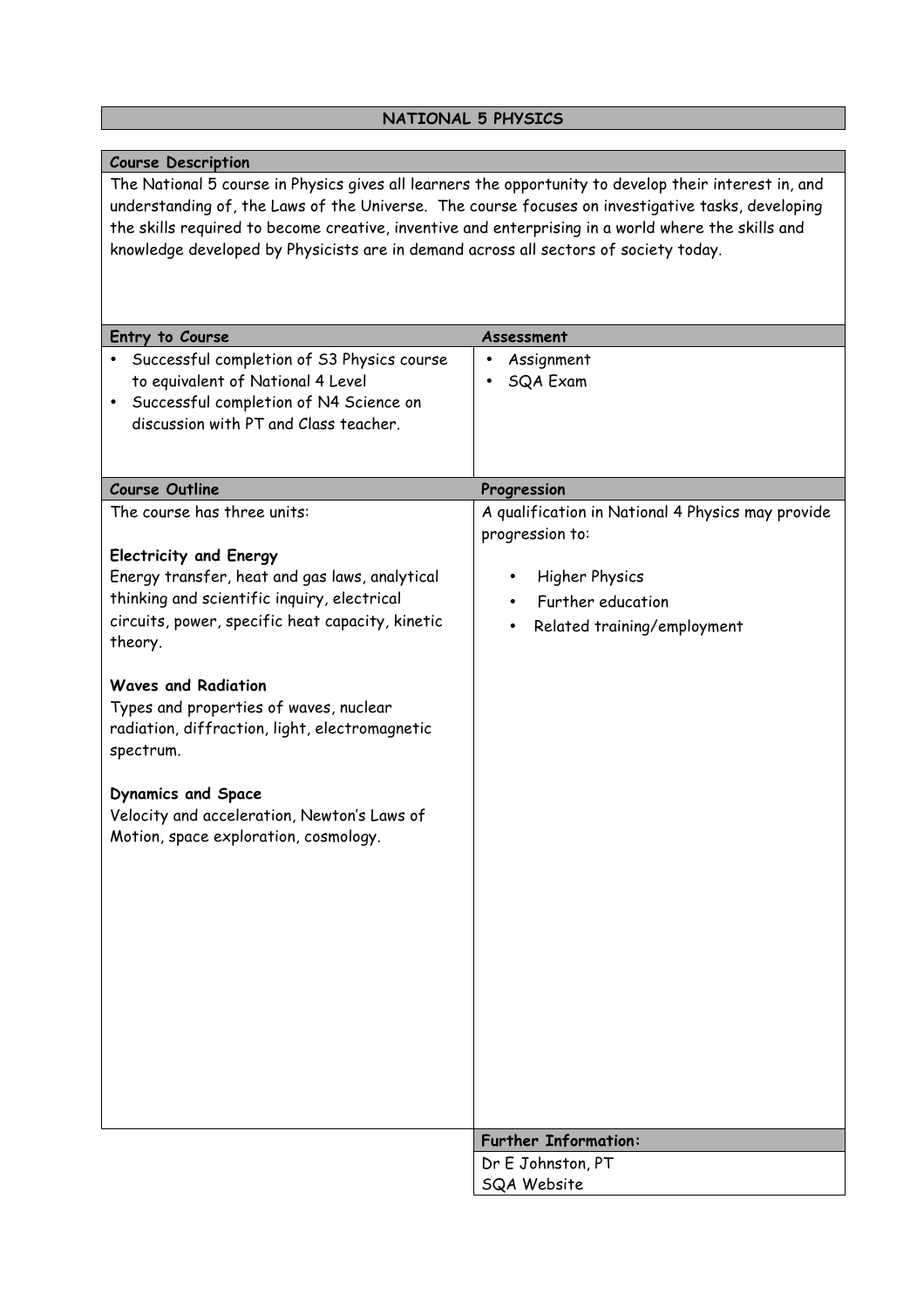# **NATIONAL 5 PHYSICS**

| <b>Course Description</b>                                                                             |                                                   |
|-------------------------------------------------------------------------------------------------------|---------------------------------------------------|
| The National 5 course in Physics gives all learners the opportunity to develop their interest in, and |                                                   |
| understanding of, the Laws of the Universe. The course focuses on investigative tasks, developing     |                                                   |
| the skills required to become creative, inventive and enterprising in a world where the skills and    |                                                   |
| knowledge developed by Physicists are in demand across all sectors of society today.                  |                                                   |
|                                                                                                       |                                                   |
|                                                                                                       |                                                   |
|                                                                                                       |                                                   |
| Entry to Course                                                                                       |                                                   |
|                                                                                                       | Assessment                                        |
| Successful completion of S3 Physics course<br>$\bullet$                                               | Assignment                                        |
| to equivalent of National 4 Level                                                                     | SQA Exam                                          |
| Successful completion of N4 Science on                                                                |                                                   |
| discussion with PT and Class teacher.                                                                 |                                                   |
|                                                                                                       |                                                   |
|                                                                                                       |                                                   |
| <b>Course Outline</b>                                                                                 | Progression                                       |
| The course has three units:                                                                           | A qualification in National 4 Physics may provide |
|                                                                                                       | progression to:                                   |
| <b>Electricity and Energy</b>                                                                         |                                                   |
| Energy transfer, heat and gas laws, analytical                                                        | <b>Higher Physics</b><br>٠                        |
| thinking and scientific inquiry, electrical                                                           | Further education                                 |
| circuits, power, specific heat capacity, kinetic                                                      |                                                   |
| theory.                                                                                               | Related training/employment                       |
|                                                                                                       |                                                   |
| <b>Waves and Radiation</b>                                                                            |                                                   |
|                                                                                                       |                                                   |
| Types and properties of waves, nuclear                                                                |                                                   |
| radiation, diffraction, light, electromagnetic                                                        |                                                   |
| spectrum.                                                                                             |                                                   |
|                                                                                                       |                                                   |
| <b>Dynamics and Space</b>                                                                             |                                                   |
| Velocity and acceleration, Newton's Laws of                                                           |                                                   |
| Motion, space exploration, cosmology.                                                                 |                                                   |
|                                                                                                       |                                                   |
|                                                                                                       |                                                   |
|                                                                                                       |                                                   |
|                                                                                                       |                                                   |
|                                                                                                       |                                                   |
|                                                                                                       |                                                   |
|                                                                                                       |                                                   |
|                                                                                                       |                                                   |
|                                                                                                       |                                                   |
|                                                                                                       |                                                   |
|                                                                                                       |                                                   |
|                                                                                                       |                                                   |
|                                                                                                       |                                                   |
|                                                                                                       |                                                   |
|                                                                                                       | <b>Further Information:</b>                       |
|                                                                                                       | Dr E Johnston, PT                                 |
|                                                                                                       | <b>SQA Website</b>                                |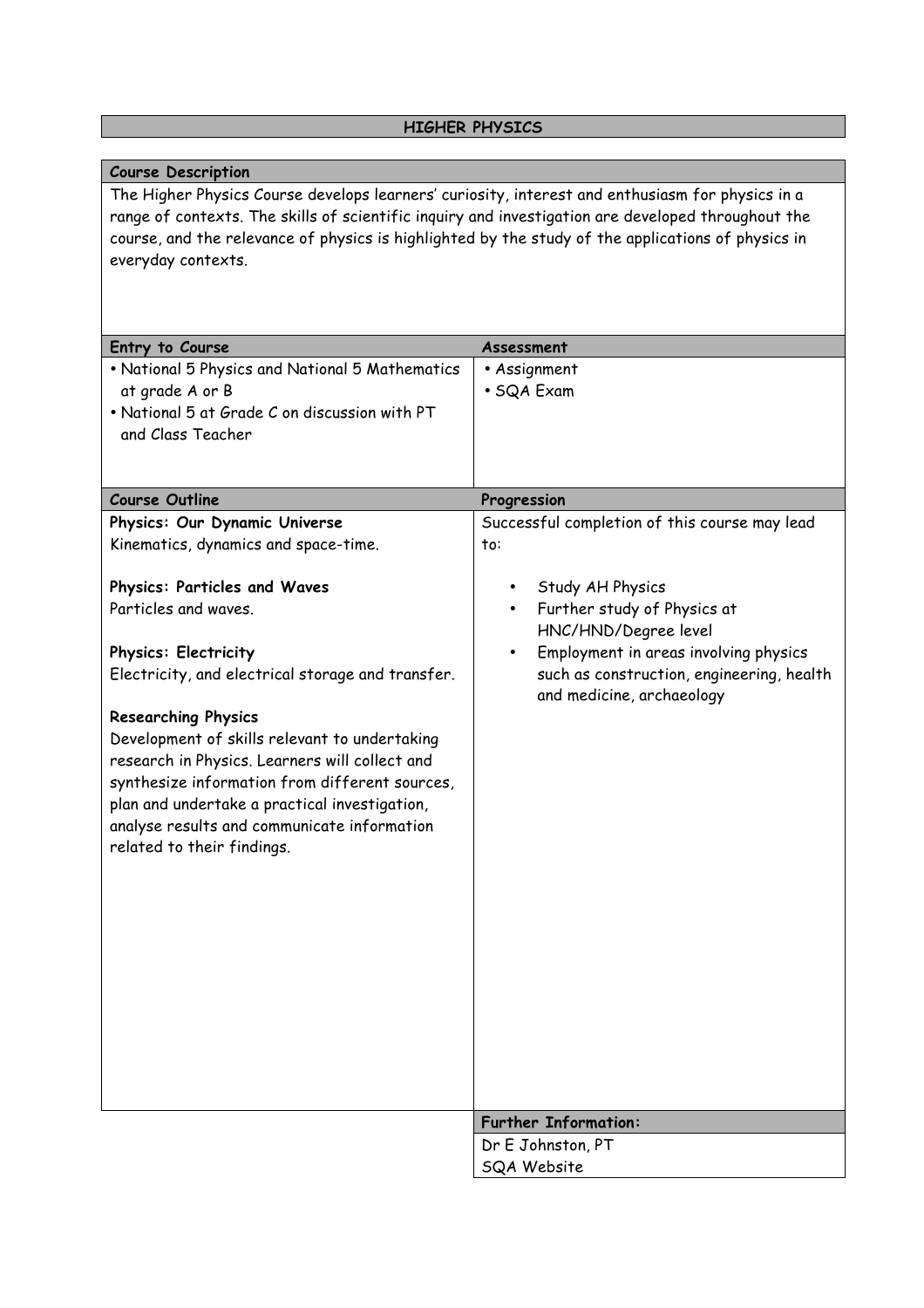# **HIGHER PHYSICS**

| <b>Course Description</b>                                                                          |                                                    |
|----------------------------------------------------------------------------------------------------|----------------------------------------------------|
| The Higher Physics Course develops learners' curiosity, interest and enthusiasm for physics in a   |                                                    |
| range of contexts. The skills of scientific inquiry and investigation are developed throughout the |                                                    |
| course, and the relevance of physics is highlighted by the study of the applications of physics in |                                                    |
| everyday contexts.                                                                                 |                                                    |
|                                                                                                    |                                                    |
|                                                                                                    |                                                    |
|                                                                                                    |                                                    |
| Entry to Course                                                                                    | Assessment                                         |
| • National 5 Physics and National 5 Mathematics                                                    | • Assignment                                       |
| at grade A or B                                                                                    | • SQA Exam                                         |
| . National 5 at Grade C on discussion with PT                                                      |                                                    |
| and Class Teacher                                                                                  |                                                    |
|                                                                                                    |                                                    |
|                                                                                                    |                                                    |
| <b>Course Outline</b>                                                                              | Progression                                        |
| Physics: Our Dynamic Universe                                                                      | Successful completion of this course may lead      |
| Kinematics, dynamics and space-time.                                                               | to:                                                |
|                                                                                                    |                                                    |
| Physics: Particles and Waves                                                                       | Study AH Physics<br>$\bullet$                      |
| Particles and waves.                                                                               | Further study of Physics at<br>$\bullet$           |
|                                                                                                    | HNC/HND/Degree level                               |
| <b>Physics: Electricity</b>                                                                        | Employment in areas involving physics<br>$\bullet$ |
| Electricity, and electrical storage and transfer.                                                  | such as construction, engineering, health          |
|                                                                                                    | and medicine, archaeology                          |
| <b>Researching Physics</b>                                                                         |                                                    |
| Development of skills relevant to undertaking                                                      |                                                    |
| research in Physics. Learners will collect and                                                     |                                                    |
| synthesize information from different sources,                                                     |                                                    |
| plan and undertake a practical investigation,                                                      |                                                    |
| analyse results and communicate information                                                        |                                                    |
| related to their findings.                                                                         |                                                    |
|                                                                                                    |                                                    |
|                                                                                                    |                                                    |
|                                                                                                    |                                                    |
|                                                                                                    |                                                    |
|                                                                                                    |                                                    |
|                                                                                                    |                                                    |
|                                                                                                    |                                                    |
|                                                                                                    |                                                    |
|                                                                                                    |                                                    |
|                                                                                                    |                                                    |
|                                                                                                    |                                                    |
|                                                                                                    |                                                    |
|                                                                                                    | <b>Further Information:</b>                        |
|                                                                                                    | Dr E Johnston, PT                                  |
|                                                                                                    | <b>SQA Website</b>                                 |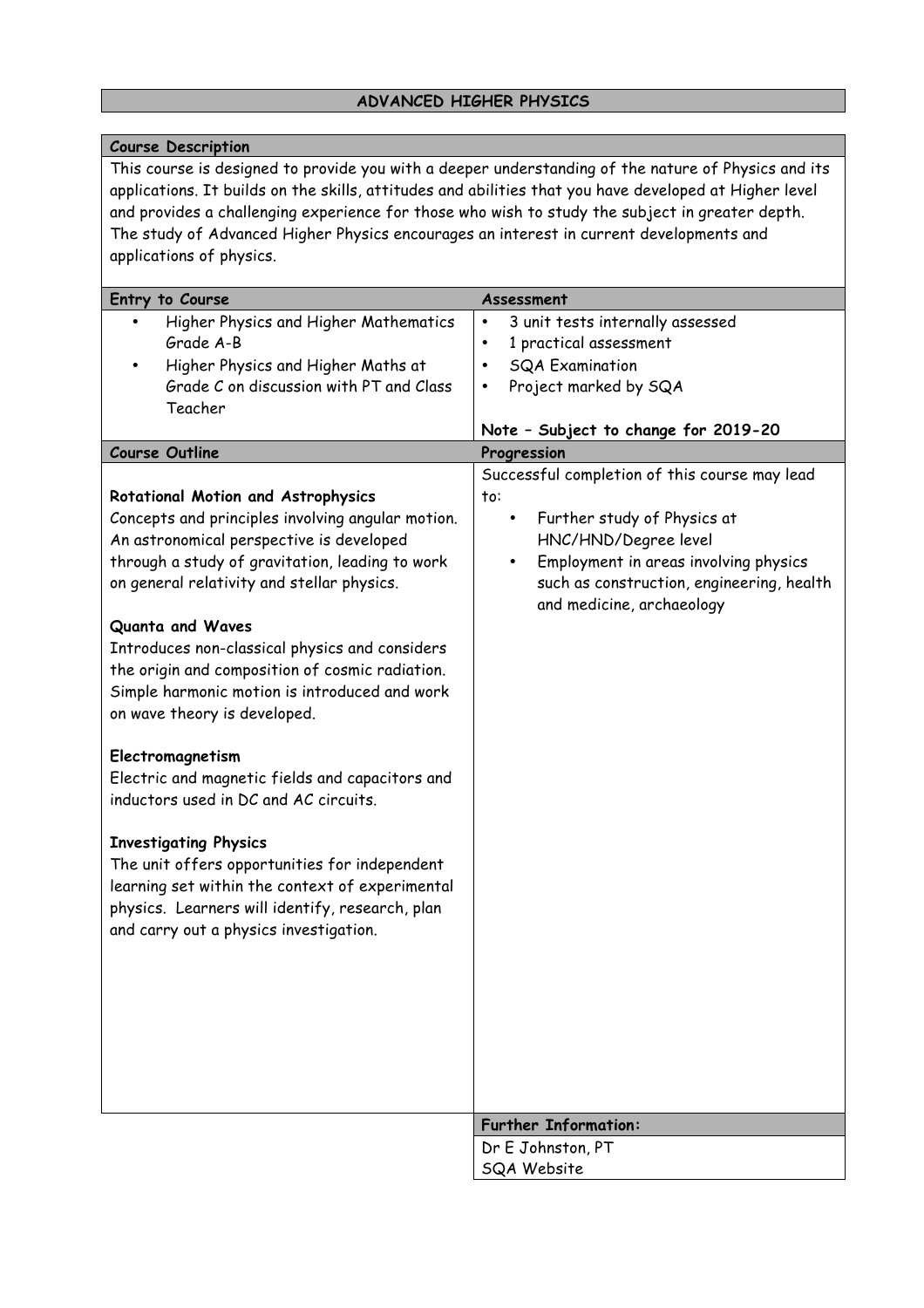# **ADVANCED HIGHER PHYSICS**

| <b>Course Description</b>                                                                              |                                                    |
|--------------------------------------------------------------------------------------------------------|----------------------------------------------------|
| This course is designed to provide you with a deeper understanding of the nature of Physics and its    |                                                    |
| applications. It builds on the skills, attitudes and abilities that you have developed at Higher level |                                                    |
| and provides a challenging experience for those who wish to study the subject in greater depth.        |                                                    |
| The study of Advanced Higher Physics encourages an interest in current developments and                |                                                    |
| applications of physics.                                                                               |                                                    |
| Entry to Course                                                                                        | Assessment                                         |
| Higher Physics and Higher Mathematics                                                                  | 3 unit tests internally assessed<br>$\bullet$      |
| Grade A-B                                                                                              | 1 practical assessment<br>$\bullet$                |
| Higher Physics and Higher Maths at                                                                     | <b>SQA Examination</b><br>$\bullet$                |
| Grade C on discussion with PT and Class                                                                | Project marked by SQA<br>$\bullet$                 |
| Teacher                                                                                                | Note - Subject to change for 2019-20               |
| <b>Course Outline</b>                                                                                  | Progression                                        |
|                                                                                                        | Successful completion of this course may lead      |
| <b>Rotational Motion and Astrophysics</b>                                                              | to:                                                |
| Concepts and principles involving angular motion.                                                      | Further study of Physics at<br>$\bullet$           |
| An astronomical perspective is developed                                                               | HNC/HND/Degree level                               |
| through a study of gravitation, leading to work                                                        | Employment in areas involving physics<br>$\bullet$ |
| on general relativity and stellar physics.                                                             | such as construction, engineering, health          |
|                                                                                                        | and medicine, archaeology                          |
| Quanta and Waves                                                                                       |                                                    |
| Introduces non-classical physics and considers                                                         |                                                    |
| the origin and composition of cosmic radiation.                                                        |                                                    |
| Simple harmonic motion is introduced and work                                                          |                                                    |
| on wave theory is developed.                                                                           |                                                    |
| Electromagnetism                                                                                       |                                                    |
| Electric and magnetic fields and capacitors and                                                        |                                                    |
| inductors used in DC and AC circuits.                                                                  |                                                    |
|                                                                                                        |                                                    |
| <b>Investigating Physics</b>                                                                           |                                                    |
| The unit offers opportunities for independent                                                          |                                                    |
| learning set within the context of experimental                                                        |                                                    |
| physics. Learners will identify, research, plan                                                        |                                                    |
| and carry out a physics investigation.                                                                 |                                                    |
|                                                                                                        |                                                    |
|                                                                                                        |                                                    |
|                                                                                                        |                                                    |
|                                                                                                        |                                                    |
|                                                                                                        |                                                    |
|                                                                                                        |                                                    |
|                                                                                                        |                                                    |
|                                                                                                        | <b>Further Information:</b>                        |
|                                                                                                        | Dr E Johnston, PT                                  |
|                                                                                                        | SQA Website                                        |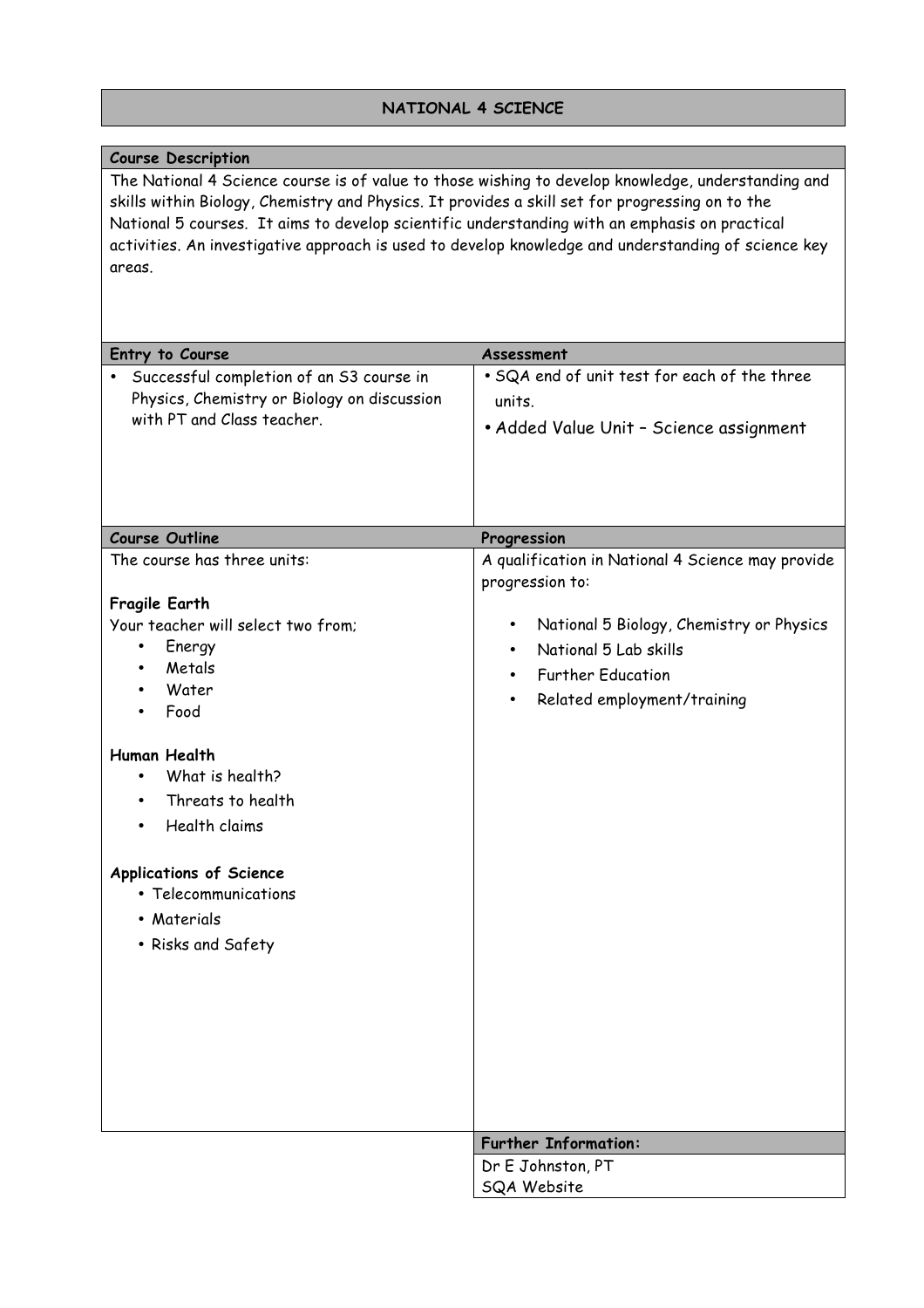# **NATIONAL 4 SCIENCE**

| <b>Course Description</b>                                                                                                                                                                                                                                                                                                                                                                                               |                                                                      |
|-------------------------------------------------------------------------------------------------------------------------------------------------------------------------------------------------------------------------------------------------------------------------------------------------------------------------------------------------------------------------------------------------------------------------|----------------------------------------------------------------------|
| The National 4 Science course is of value to those wishing to develop knowledge, understanding and<br>skills within Biology, Chemistry and Physics. It provides a skill set for progressing on to the<br>National 5 courses. It aims to develop scientific understanding with an emphasis on practical<br>activities. An investigative approach is used to develop knowledge and understanding of science key<br>areas. |                                                                      |
| Entry to Course                                                                                                                                                                                                                                                                                                                                                                                                         | Assessment                                                           |
| Successful completion of an S3 course in                                                                                                                                                                                                                                                                                                                                                                                | . SQA end of unit test for each of the three                         |
| Physics, Chemistry or Biology on discussion                                                                                                                                                                                                                                                                                                                                                                             | units.                                                               |
| with PT and Class teacher.                                                                                                                                                                                                                                                                                                                                                                                              | • Added Value Unit - Science assignment                              |
| <b>Course Outline</b>                                                                                                                                                                                                                                                                                                                                                                                                   | Progression                                                          |
| The course has three units:                                                                                                                                                                                                                                                                                                                                                                                             | A qualification in National 4 Science may provide<br>progression to: |
| Fragile Earth                                                                                                                                                                                                                                                                                                                                                                                                           |                                                                      |
| Your teacher will select two from:                                                                                                                                                                                                                                                                                                                                                                                      | National 5 Biology, Chemistry or Physics<br>٠                        |
| Energy<br>$\bullet$                                                                                                                                                                                                                                                                                                                                                                                                     | National 5 Lab skills<br>$\bullet$                                   |
| Metals<br>Water                                                                                                                                                                                                                                                                                                                                                                                                         | <b>Further Education</b><br>$\bullet$                                |
| Food                                                                                                                                                                                                                                                                                                                                                                                                                    | Related employment/training                                          |
| <b>Human Health</b>                                                                                                                                                                                                                                                                                                                                                                                                     |                                                                      |
| What is health?                                                                                                                                                                                                                                                                                                                                                                                                         |                                                                      |
| Threats to health                                                                                                                                                                                                                                                                                                                                                                                                       |                                                                      |
| Health claims<br>$\bullet$                                                                                                                                                                                                                                                                                                                                                                                              |                                                                      |
| <b>Applications of Science</b>                                                                                                                                                                                                                                                                                                                                                                                          |                                                                      |
| • Telecommunications                                                                                                                                                                                                                                                                                                                                                                                                    |                                                                      |
| • Materials                                                                                                                                                                                                                                                                                                                                                                                                             |                                                                      |
| • Risks and Safety                                                                                                                                                                                                                                                                                                                                                                                                      |                                                                      |
|                                                                                                                                                                                                                                                                                                                                                                                                                         | <b>Further Information:</b>                                          |
|                                                                                                                                                                                                                                                                                                                                                                                                                         | Dr E Johnston, PT                                                    |
|                                                                                                                                                                                                                                                                                                                                                                                                                         | <b>SQA Website</b>                                                   |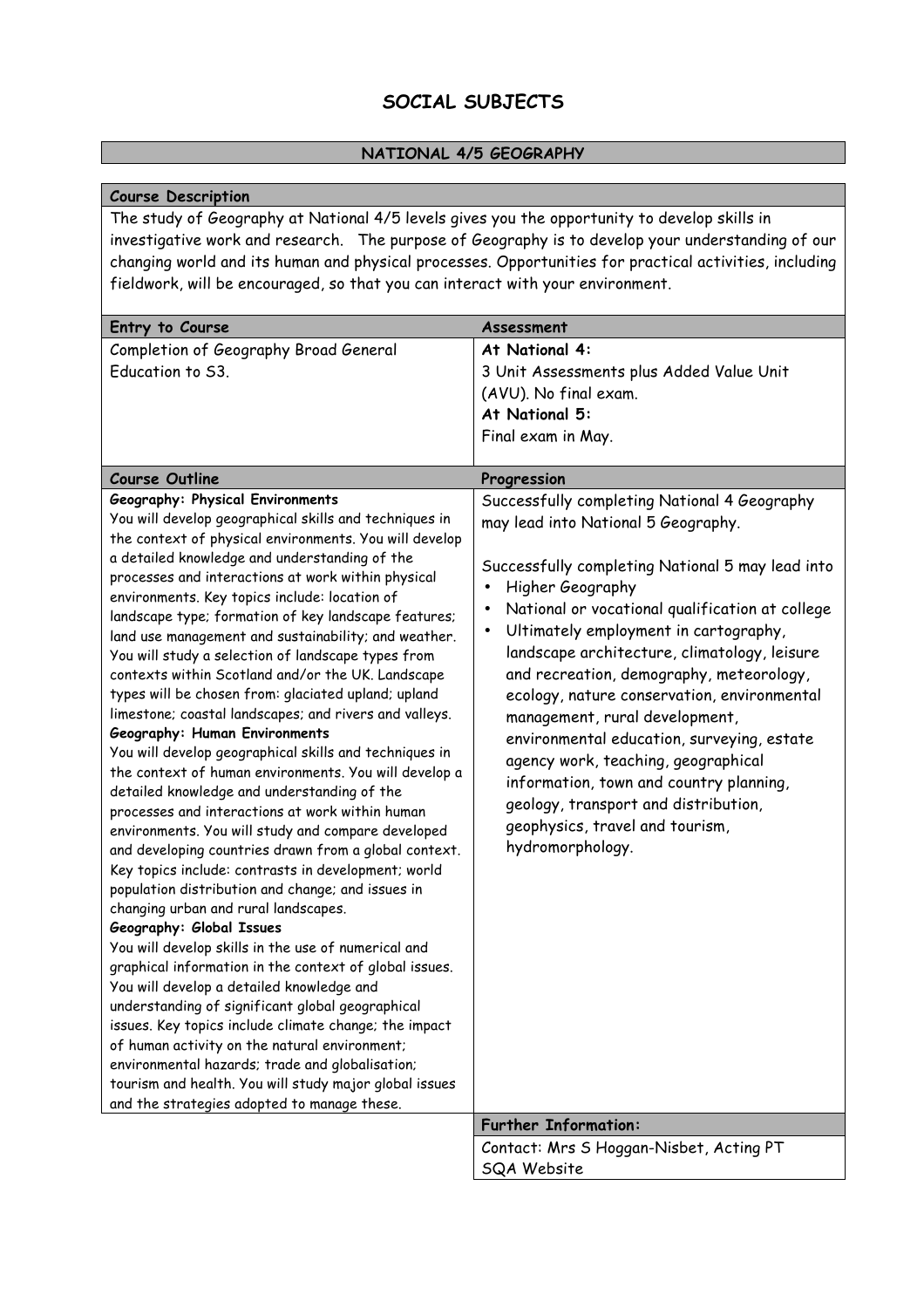# **SOCIAL SUBJECTS**

### **NATIONAL 4/5 GEOGRAPHY**

### **Course Description**

The study of Geography at National 4/5 levels gives you the opportunity to develop skills in investigative work and research. The purpose of Geography is to develop your understanding of our changing world and its human and physical processes. Opportunities for practical activities, including fieldwork, will be encouraged, so that you can interact with your environment.

| Entry to Course                                                                                                                                                                                                                                                                                                                                                                                                                                                                                                                                                                                                                                                                                                                                                                                                                                                                                                                                                                                                                                                                                                                                                                                                      | Assessment                                                                                                                                                                                                                                                                                                                                                                                                                                                                                                                                                                                                                                                                                                 |
|----------------------------------------------------------------------------------------------------------------------------------------------------------------------------------------------------------------------------------------------------------------------------------------------------------------------------------------------------------------------------------------------------------------------------------------------------------------------------------------------------------------------------------------------------------------------------------------------------------------------------------------------------------------------------------------------------------------------------------------------------------------------------------------------------------------------------------------------------------------------------------------------------------------------------------------------------------------------------------------------------------------------------------------------------------------------------------------------------------------------------------------------------------------------------------------------------------------------|------------------------------------------------------------------------------------------------------------------------------------------------------------------------------------------------------------------------------------------------------------------------------------------------------------------------------------------------------------------------------------------------------------------------------------------------------------------------------------------------------------------------------------------------------------------------------------------------------------------------------------------------------------------------------------------------------------|
| Completion of Geography Broad General                                                                                                                                                                                                                                                                                                                                                                                                                                                                                                                                                                                                                                                                                                                                                                                                                                                                                                                                                                                                                                                                                                                                                                                | At National 4:                                                                                                                                                                                                                                                                                                                                                                                                                                                                                                                                                                                                                                                                                             |
| Education to S3.                                                                                                                                                                                                                                                                                                                                                                                                                                                                                                                                                                                                                                                                                                                                                                                                                                                                                                                                                                                                                                                                                                                                                                                                     | 3 Unit Assessments plus Added Value Unit                                                                                                                                                                                                                                                                                                                                                                                                                                                                                                                                                                                                                                                                   |
|                                                                                                                                                                                                                                                                                                                                                                                                                                                                                                                                                                                                                                                                                                                                                                                                                                                                                                                                                                                                                                                                                                                                                                                                                      | (AVU). No final exam.                                                                                                                                                                                                                                                                                                                                                                                                                                                                                                                                                                                                                                                                                      |
|                                                                                                                                                                                                                                                                                                                                                                                                                                                                                                                                                                                                                                                                                                                                                                                                                                                                                                                                                                                                                                                                                                                                                                                                                      | At National 5:                                                                                                                                                                                                                                                                                                                                                                                                                                                                                                                                                                                                                                                                                             |
|                                                                                                                                                                                                                                                                                                                                                                                                                                                                                                                                                                                                                                                                                                                                                                                                                                                                                                                                                                                                                                                                                                                                                                                                                      | Final exam in May.                                                                                                                                                                                                                                                                                                                                                                                                                                                                                                                                                                                                                                                                                         |
| <b>Course Outline</b>                                                                                                                                                                                                                                                                                                                                                                                                                                                                                                                                                                                                                                                                                                                                                                                                                                                                                                                                                                                                                                                                                                                                                                                                | Progression                                                                                                                                                                                                                                                                                                                                                                                                                                                                                                                                                                                                                                                                                                |
| <b>Geography: Physical Environments</b><br>You will develop geographical skills and techniques in<br>the context of physical environments. You will develop<br>a detailed knowledge and understanding of the<br>processes and interactions at work within physical<br>environments. Key topics include: location of<br>landscape type; formation of key landscape features;<br>land use management and sustainability; and weather.<br>You will study a selection of landscape types from<br>contexts within Scotland and/or the UK. Landscape<br>types will be chosen from: glaciated upland; upland<br>limestone; coastal landscapes; and rivers and valleys.<br>Geography: Human Environments<br>You will develop geographical skills and techniques in<br>the context of human environments. You will develop a<br>detailed knowledge and understanding of the<br>processes and interactions at work within human<br>environments. You will study and compare developed<br>and developing countries drawn from a global context.<br>Key topics include: contrasts in development; world<br>population distribution and change; and issues in<br>changing urban and rural landscapes.<br>Geography: Global Issues | Successfully completing National 4 Geography<br>may lead into National 5 Geography.<br>Successfully completing National 5 may lead into<br>Higher Geography<br>$\bullet$<br>National or vocational qualification at college<br>$\bullet$<br>Ultimately employment in cartography,<br>$\bullet$<br>landscape architecture, climatology, leisure<br>and recreation, demography, meteorology,<br>ecology, nature conservation, environmental<br>management, rural development,<br>environmental education, surveying, estate<br>agency work, teaching, geographical<br>information, town and country planning,<br>geology, transport and distribution,<br>geophysics, travel and tourism,<br>hydromorphology. |
| You will develop skills in the use of numerical and<br>graphical information in the context of global issues.<br>You will develop a detailed knowledge and<br>understanding of significant global geographical<br>issues. Key topics include climate change; the impact<br>of human activity on the natural environment;<br>environmental hazards; trade and globalisation;<br>tourism and health. You will study major global issues                                                                                                                                                                                                                                                                                                                                                                                                                                                                                                                                                                                                                                                                                                                                                                                |                                                                                                                                                                                                                                                                                                                                                                                                                                                                                                                                                                                                                                                                                                            |
| and the strategies adopted to manage these.                                                                                                                                                                                                                                                                                                                                                                                                                                                                                                                                                                                                                                                                                                                                                                                                                                                                                                                                                                                                                                                                                                                                                                          |                                                                                                                                                                                                                                                                                                                                                                                                                                                                                                                                                                                                                                                                                                            |
|                                                                                                                                                                                                                                                                                                                                                                                                                                                                                                                                                                                                                                                                                                                                                                                                                                                                                                                                                                                                                                                                                                                                                                                                                      | <b>Further Information:</b>                                                                                                                                                                                                                                                                                                                                                                                                                                                                                                                                                                                                                                                                                |
|                                                                                                                                                                                                                                                                                                                                                                                                                                                                                                                                                                                                                                                                                                                                                                                                                                                                                                                                                                                                                                                                                                                                                                                                                      | Contact: Mrs S Hoggan-Nisbet, Acting PT                                                                                                                                                                                                                                                                                                                                                                                                                                                                                                                                                                                                                                                                    |
|                                                                                                                                                                                                                                                                                                                                                                                                                                                                                                                                                                                                                                                                                                                                                                                                                                                                                                                                                                                                                                                                                                                                                                                                                      | <b>SQA Website</b>                                                                                                                                                                                                                                                                                                                                                                                                                                                                                                                                                                                                                                                                                         |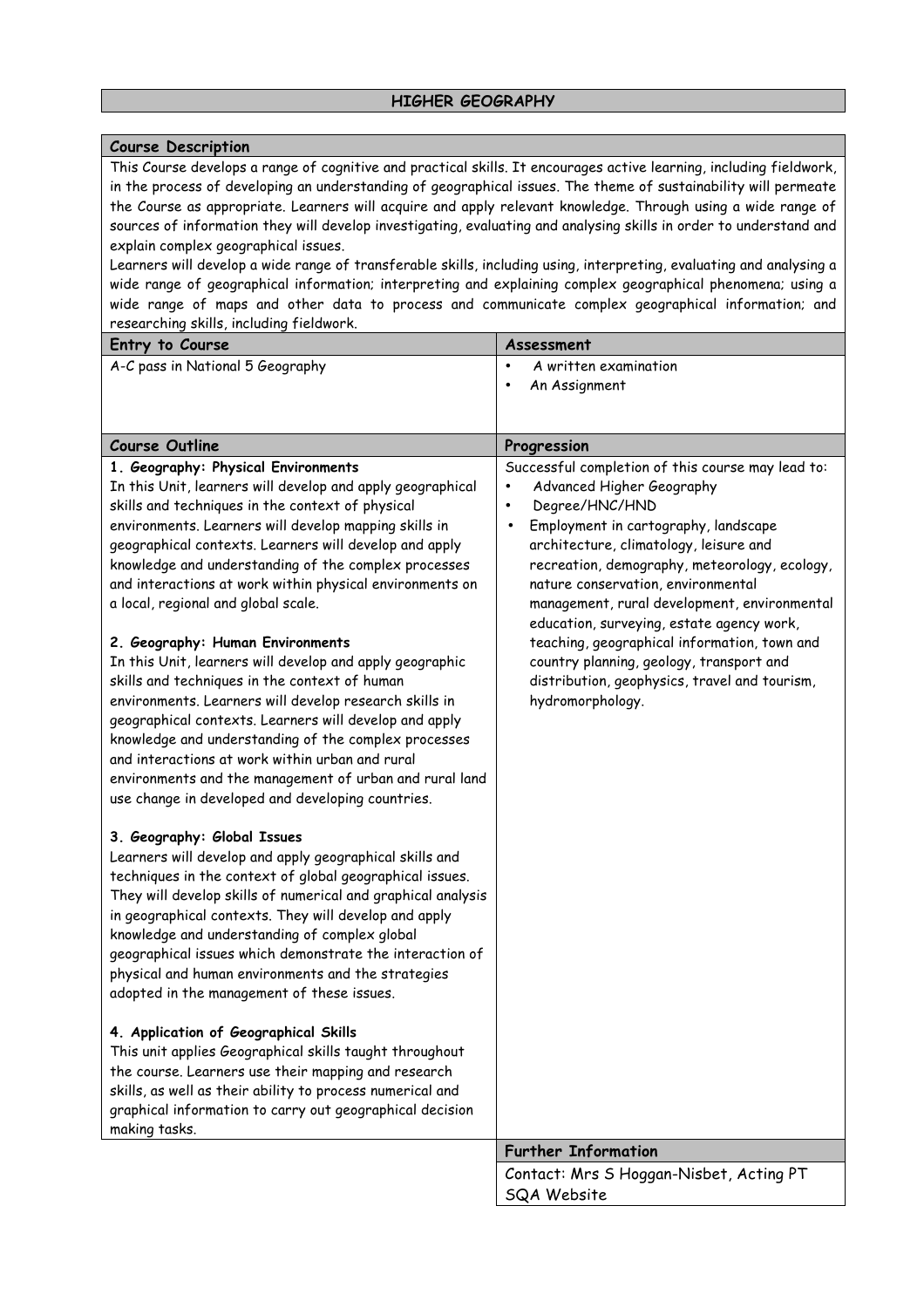### **Course Description**

This Course develops a range of cognitive and practical skills. It encourages active learning, including fieldwork, in the process of developing an understanding of geographical issues. The theme of sustainability will permeate the Course as appropriate. Learners will acquire and apply relevant knowledge. Through using a wide range of sources of information they will develop investigating, evaluating and analysing skills in order to understand and explain complex geographical issues.

Learners will develop a wide range of transferable skills, including using, interpreting, evaluating and analysing a wide range of geographical information; interpreting and explaining complex geographical phenomena; using a wide range of maps and other data to process and communicate complex geographical information; and researching skills, including fieldwork.

| Entry to Course                                                                                                                                                                                                                                                                                                                                                                                                                                                                                                                                                                                                                                                                                                                                                                                                                                                                | Assessment                                                                                                                                                                                                                                                                                                                                                                                                                                                                                                                                           |
|--------------------------------------------------------------------------------------------------------------------------------------------------------------------------------------------------------------------------------------------------------------------------------------------------------------------------------------------------------------------------------------------------------------------------------------------------------------------------------------------------------------------------------------------------------------------------------------------------------------------------------------------------------------------------------------------------------------------------------------------------------------------------------------------------------------------------------------------------------------------------------|------------------------------------------------------------------------------------------------------------------------------------------------------------------------------------------------------------------------------------------------------------------------------------------------------------------------------------------------------------------------------------------------------------------------------------------------------------------------------------------------------------------------------------------------------|
| A-C pass in National 5 Geography                                                                                                                                                                                                                                                                                                                                                                                                                                                                                                                                                                                                                                                                                                                                                                                                                                               | A written examination<br>$\bullet$                                                                                                                                                                                                                                                                                                                                                                                                                                                                                                                   |
|                                                                                                                                                                                                                                                                                                                                                                                                                                                                                                                                                                                                                                                                                                                                                                                                                                                                                | An Assignment<br>$\bullet$                                                                                                                                                                                                                                                                                                                                                                                                                                                                                                                           |
|                                                                                                                                                                                                                                                                                                                                                                                                                                                                                                                                                                                                                                                                                                                                                                                                                                                                                |                                                                                                                                                                                                                                                                                                                                                                                                                                                                                                                                                      |
| <b>Course Outline</b>                                                                                                                                                                                                                                                                                                                                                                                                                                                                                                                                                                                                                                                                                                                                                                                                                                                          |                                                                                                                                                                                                                                                                                                                                                                                                                                                                                                                                                      |
|                                                                                                                                                                                                                                                                                                                                                                                                                                                                                                                                                                                                                                                                                                                                                                                                                                                                                | Progression                                                                                                                                                                                                                                                                                                                                                                                                                                                                                                                                          |
| 1. Geography: Physical Environments<br>In this Unit, learners will develop and apply geographical<br>skills and techniques in the context of physical<br>environments. Learners will develop mapping skills in<br>geographical contexts. Learners will develop and apply<br>knowledge and understanding of the complex processes<br>and interactions at work within physical environments on<br>a local, regional and global scale.<br>2. Geography: Human Environments<br>In this Unit, learners will develop and apply geographic<br>skills and techniques in the context of human<br>environments. Learners will develop research skills in<br>geographical contexts. Learners will develop and apply<br>knowledge and understanding of the complex processes<br>and interactions at work within urban and rural<br>environments and the management of urban and rural land | Successful completion of this course may lead to:<br>Advanced Higher Geography<br>Degree/HNC/HND<br>$\bullet$<br>Employment in cartography, landscape<br>architecture, climatology, leisure and<br>recreation, demography, meteorology, ecology,<br>nature conservation, environmental<br>management, rural development, environmental<br>education, surveying, estate agency work,<br>teaching, geographical information, town and<br>country planning, geology, transport and<br>distribution, geophysics, travel and tourism,<br>hydromorphology. |
| use change in developed and developing countries.<br>3. Geography: Global Issues<br>Learners will develop and apply geographical skills and<br>techniques in the context of global geographical issues.<br>They will develop skills of numerical and graphical analysis<br>in geographical contexts. They will develop and apply<br>knowledge and understanding of complex global<br>geographical issues which demonstrate the interaction of<br>physical and human environments and the strategies<br>adopted in the management of these issues.<br>4. Application of Geographical Skills<br>This unit applies Geographical skills taught throughout<br>the course. Learners use their mapping and research<br>skills, as well as their ability to process numerical and<br>graphical information to carry out geographical decision                                          |                                                                                                                                                                                                                                                                                                                                                                                                                                                                                                                                                      |
| making tasks.                                                                                                                                                                                                                                                                                                                                                                                                                                                                                                                                                                                                                                                                                                                                                                                                                                                                  | <b>Further Information</b>                                                                                                                                                                                                                                                                                                                                                                                                                                                                                                                           |
|                                                                                                                                                                                                                                                                                                                                                                                                                                                                                                                                                                                                                                                                                                                                                                                                                                                                                | Contact: Mrs S Hoggan-Nisbet, Acting PT                                                                                                                                                                                                                                                                                                                                                                                                                                                                                                              |
|                                                                                                                                                                                                                                                                                                                                                                                                                                                                                                                                                                                                                                                                                                                                                                                                                                                                                | SQA Website                                                                                                                                                                                                                                                                                                                                                                                                                                                                                                                                          |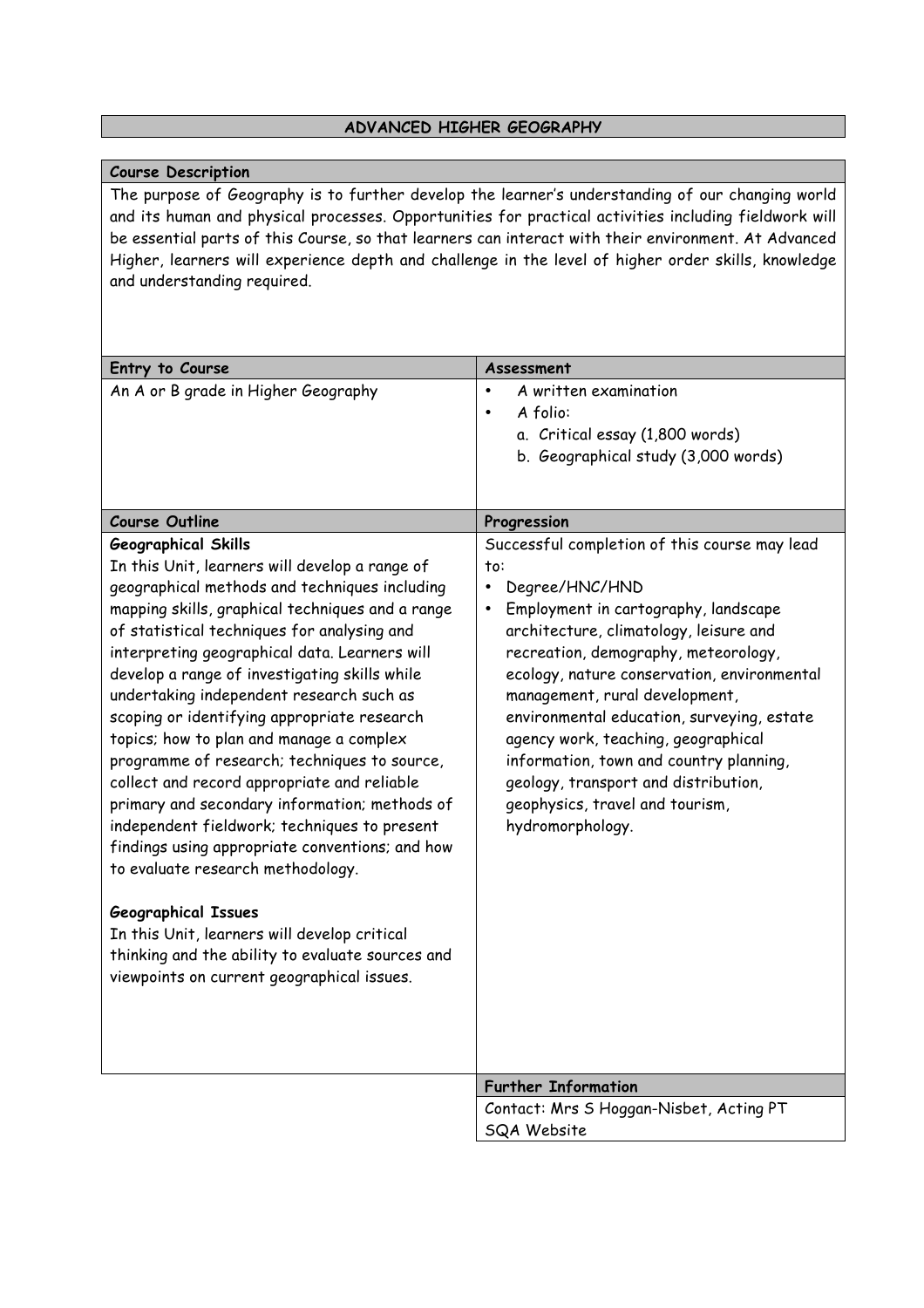#### **ADVANCED HIGHER GEOGRAPHY**

#### **Course Description**

The purpose of Geography is to further develop the learner's understanding of our changing world and its human and physical processes. Opportunities for practical activities including fieldwork will be essential parts of this Course, so that learners can interact with their environment. At Advanced Higher, learners will experience depth and challenge in the level of higher order skills, knowledge and understanding required.

| Entry to Course                                                                                                                                                                                                                                                                                                                                                                                                                                                                                                                                                                                                                                                                                                                                                                                                                                                                                                                                   | Assessment                                                                                                                                                                                                                                                                                                                                                                                                                                                                                                       |
|---------------------------------------------------------------------------------------------------------------------------------------------------------------------------------------------------------------------------------------------------------------------------------------------------------------------------------------------------------------------------------------------------------------------------------------------------------------------------------------------------------------------------------------------------------------------------------------------------------------------------------------------------------------------------------------------------------------------------------------------------------------------------------------------------------------------------------------------------------------------------------------------------------------------------------------------------|------------------------------------------------------------------------------------------------------------------------------------------------------------------------------------------------------------------------------------------------------------------------------------------------------------------------------------------------------------------------------------------------------------------------------------------------------------------------------------------------------------------|
| An A or B grade in Higher Geography                                                                                                                                                                                                                                                                                                                                                                                                                                                                                                                                                                                                                                                                                                                                                                                                                                                                                                               | A written examination<br>$\bullet$<br>A folio:<br>$\bullet$<br>a. Critical essay (1,800 words)                                                                                                                                                                                                                                                                                                                                                                                                                   |
|                                                                                                                                                                                                                                                                                                                                                                                                                                                                                                                                                                                                                                                                                                                                                                                                                                                                                                                                                   | b. Geographical study (3,000 words)                                                                                                                                                                                                                                                                                                                                                                                                                                                                              |
| <b>Course Outline</b>                                                                                                                                                                                                                                                                                                                                                                                                                                                                                                                                                                                                                                                                                                                                                                                                                                                                                                                             | Progression                                                                                                                                                                                                                                                                                                                                                                                                                                                                                                      |
| <b>Geographical Skills</b><br>In this Unit, learners will develop a range of<br>geographical methods and techniques including<br>mapping skills, graphical techniques and a range<br>of statistical techniques for analysing and<br>interpreting geographical data. Learners will<br>develop a range of investigating skills while<br>undertaking independent research such as<br>scoping or identifying appropriate research<br>topics; how to plan and manage a complex<br>programme of research; techniques to source,<br>collect and record appropriate and reliable<br>primary and secondary information; methods of<br>independent fieldwork; techniques to present<br>findings using appropriate conventions; and how<br>to evaluate research methodology.<br><b>Geographical Issues</b><br>In this Unit, learners will develop critical<br>thinking and the ability to evaluate sources and<br>viewpoints on current geographical issues. | Successful completion of this course may lead<br>to:<br>Degree/HNC/HND<br>Employment in cartography, landscape<br>architecture, climatology, leisure and<br>recreation, demography, meteorology,<br>ecology, nature conservation, environmental<br>management, rural development,<br>environmental education, surveying, estate<br>agency work, teaching, geographical<br>information, town and country planning,<br>geology, transport and distribution,<br>geophysics, travel and tourism,<br>hydromorphology. |
|                                                                                                                                                                                                                                                                                                                                                                                                                                                                                                                                                                                                                                                                                                                                                                                                                                                                                                                                                   | <b>Further Information</b>                                                                                                                                                                                                                                                                                                                                                                                                                                                                                       |
|                                                                                                                                                                                                                                                                                                                                                                                                                                                                                                                                                                                                                                                                                                                                                                                                                                                                                                                                                   | Contact: Mrs S Hoggan-Nisbet, Acting PT<br><b>SQA Website</b>                                                                                                                                                                                                                                                                                                                                                                                                                                                    |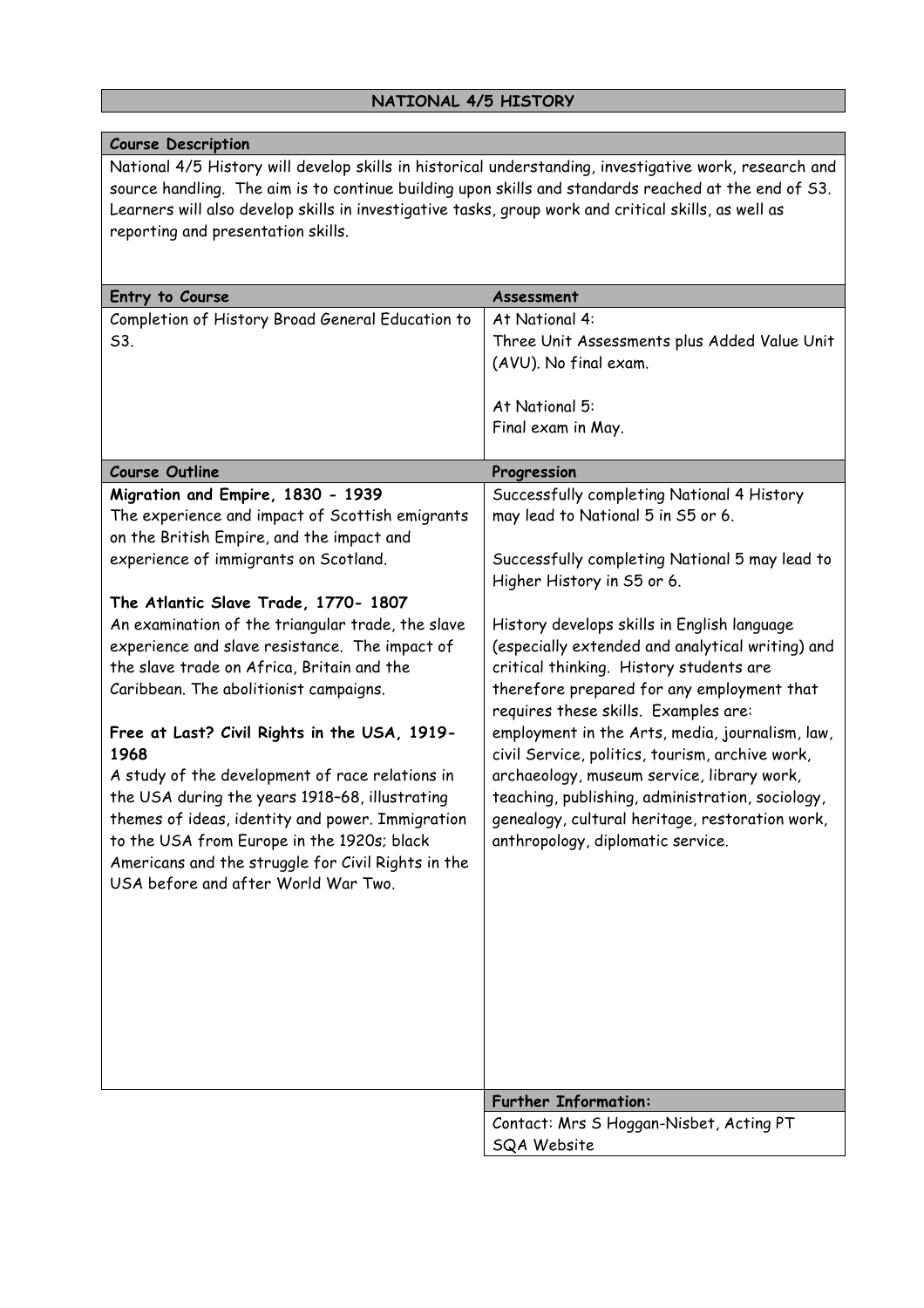# **NATIONAL 4/5 HISTORY**

| <b>Course Description</b>                                                                              |                                                  |
|--------------------------------------------------------------------------------------------------------|--------------------------------------------------|
| National 4/5 History will develop skills in historical understanding, investigative work, research and |                                                  |
| source handling. The aim is to continue building upon skills and standards reached at the end of S3.   |                                                  |
| Learners will also develop skills in investigative tasks, group work and critical skills, as well as   |                                                  |
| reporting and presentation skills.                                                                     |                                                  |
|                                                                                                        |                                                  |
|                                                                                                        |                                                  |
| Entry to Course                                                                                        | Assessment                                       |
| Completion of History Broad General Education to                                                       | At National 4:                                   |
| S3.                                                                                                    | Three Unit Assessments plus Added Value Unit     |
|                                                                                                        | (AVU). No final exam.                            |
|                                                                                                        |                                                  |
|                                                                                                        | At National 5:                                   |
|                                                                                                        | Final exam in May.                               |
| <b>Course Outline</b>                                                                                  | Progression                                      |
| Migration and Empire, 1830 - 1939                                                                      | Successfully completing National 4 History       |
| The experience and impact of Scottish emigrants                                                        | may lead to National 5 in S5 or 6.               |
| on the British Empire, and the impact and                                                              |                                                  |
| experience of immigrants on Scotland.                                                                  | Successfully completing National 5 may lead to   |
|                                                                                                        |                                                  |
|                                                                                                        | Higher History in S5 or 6.                       |
| The Atlantic Slave Trade, 1770- 1807                                                                   |                                                  |
| An examination of the triangular trade, the slave                                                      | History develops skills in English language      |
| experience and slave resistance. The impact of                                                         | (especially extended and analytical writing) and |
| the slave trade on Africa, Britain and the                                                             | critical thinking. History students are          |
| Caribbean. The abolitionist campaigns.                                                                 | therefore prepared for any employment that       |
|                                                                                                        | requires these skills. Examples are:             |
| Free at Last? Civil Rights in the USA, 1919-                                                           | employment in the Arts, media, journalism, law,  |
| 1968                                                                                                   | civil Service, politics, tourism, archive work,  |
| A study of the development of race relations in                                                        | archaeology, museum service, library work,       |
| the USA during the years 1918-68, illustrating                                                         | teaching, publishing, administration, sociology, |
| themes of ideas, identity and power. Immigration                                                       | genealogy, cultural heritage, restoration work,  |
| to the USA from Europe in the 1920s; black                                                             | anthropology, diplomatic service.                |
| Americans and the struggle for Civil Rights in the                                                     |                                                  |
| USA before and after World War Two.                                                                    |                                                  |
|                                                                                                        |                                                  |
|                                                                                                        |                                                  |
|                                                                                                        |                                                  |
|                                                                                                        |                                                  |
|                                                                                                        |                                                  |
|                                                                                                        |                                                  |
|                                                                                                        |                                                  |
|                                                                                                        |                                                  |
|                                                                                                        | <b>Further Information:</b>                      |
|                                                                                                        | Contact: Mrs S Hoggan-Nisbet, Acting PT          |
|                                                                                                        | SQA Website                                      |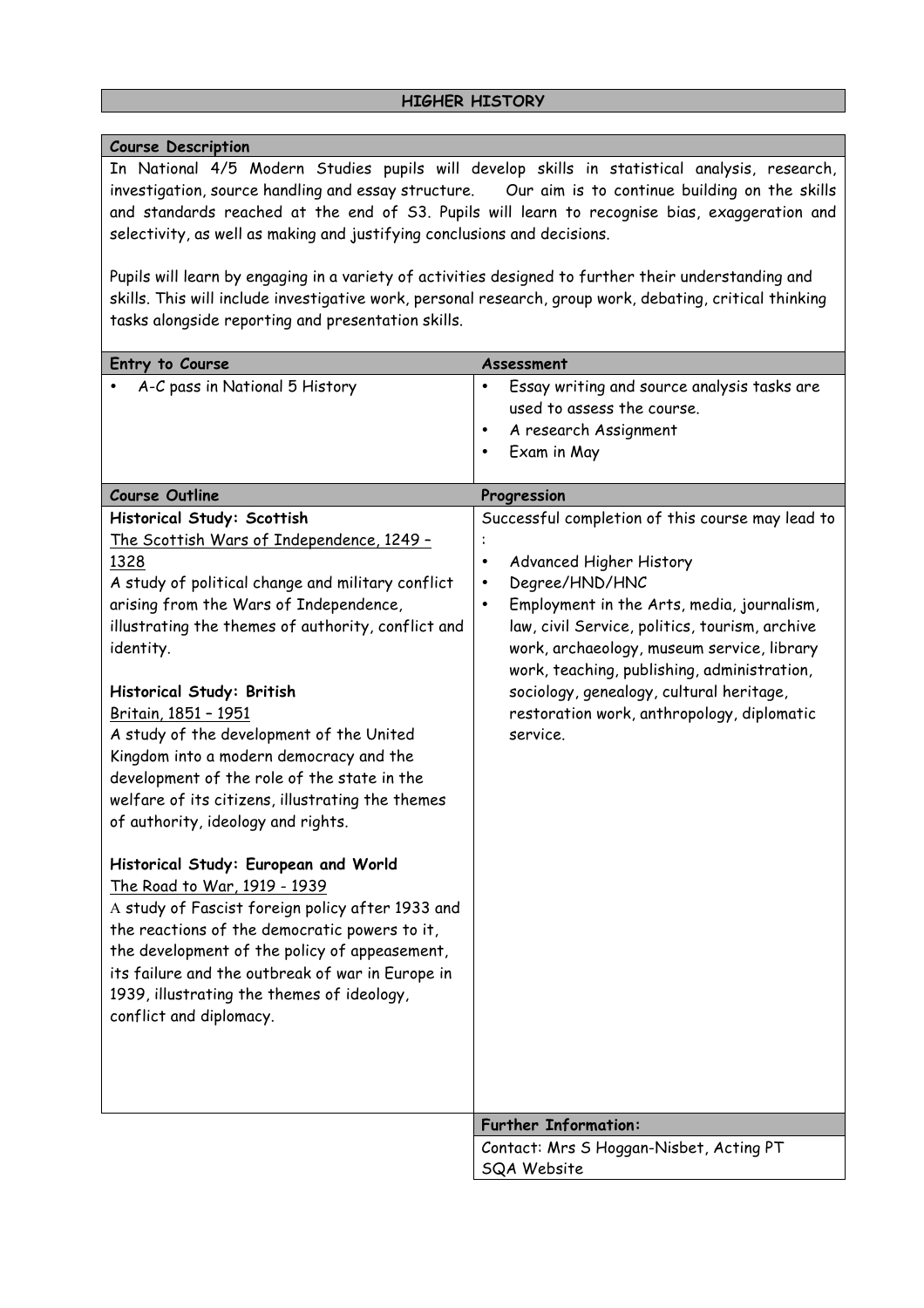### **Course Description**

In National 4/5 Modern Studies pupils will develop skills in statistical analysis, research, investigation, source handling and essay structure. Our aim is to continue building on the skills and standards reached at the end of S3. Pupils will learn to recognise bias, exaggeration and selectivity, as well as making and justifying conclusions and decisions.

Pupils will learn by engaging in a variety of activities designed to further their understanding and skills. This will include investigative work, personal research, group work, debating, critical thinking tasks alongside reporting and presentation skills.

| Entry to Course<br>A-C pass in National 5 History<br><b>Course Outline</b><br>Historical Study: Scottish<br>The Scottish Wars of Independence, 1249 -<br>1328<br>A study of political change and military conflict<br>arising from the Wars of Independence,<br>illustrating the themes of authority, conflict and<br>identity.<br>Historical Study: British<br>Britain, 1851 - 1951<br>A study of the development of the United<br>Kingdom into a modern democracy and the<br>development of the role of the state in the | Assessment<br>Essay writing and source analysis tasks are<br>$\bullet$<br>used to assess the course.<br>A research Assignment<br>$\bullet$<br>Exam in May<br>$\bullet$<br>Progression<br>Successful completion of this course may lead to<br>Advanced Higher History<br>$\bullet$<br>Degree/HND/HNC<br>$\bullet$<br>Employment in the Arts, media, journalism,<br>$\bullet$<br>law, civil Service, politics, tourism, archive<br>work, archaeology, museum service, library<br>work, teaching, publishing, administration,<br>sociology, genealogy, cultural heritage,<br>restoration work, anthropology, diplomatic<br>service. |
|----------------------------------------------------------------------------------------------------------------------------------------------------------------------------------------------------------------------------------------------------------------------------------------------------------------------------------------------------------------------------------------------------------------------------------------------------------------------------------------------------------------------------|----------------------------------------------------------------------------------------------------------------------------------------------------------------------------------------------------------------------------------------------------------------------------------------------------------------------------------------------------------------------------------------------------------------------------------------------------------------------------------------------------------------------------------------------------------------------------------------------------------------------------------|
| welfare of its citizens, illustrating the themes<br>of authority, ideology and rights.<br>Historical Study: European and World<br>The Road to War, 1919 - 1939<br>A study of Fascist foreign policy after 1933 and<br>the reactions of the democratic powers to it,<br>the development of the policy of appeasement,<br>its failure and the outbreak of war in Europe in<br>1939, illustrating the themes of ideology,<br>conflict and diplomacy.                                                                          |                                                                                                                                                                                                                                                                                                                                                                                                                                                                                                                                                                                                                                  |
|                                                                                                                                                                                                                                                                                                                                                                                                                                                                                                                            | <b>Further Information:</b>                                                                                                                                                                                                                                                                                                                                                                                                                                                                                                                                                                                                      |
|                                                                                                                                                                                                                                                                                                                                                                                                                                                                                                                            | Contact: Mrs S Hoggan-Nisbet, Acting PT<br>SQA Website                                                                                                                                                                                                                                                                                                                                                                                                                                                                                                                                                                           |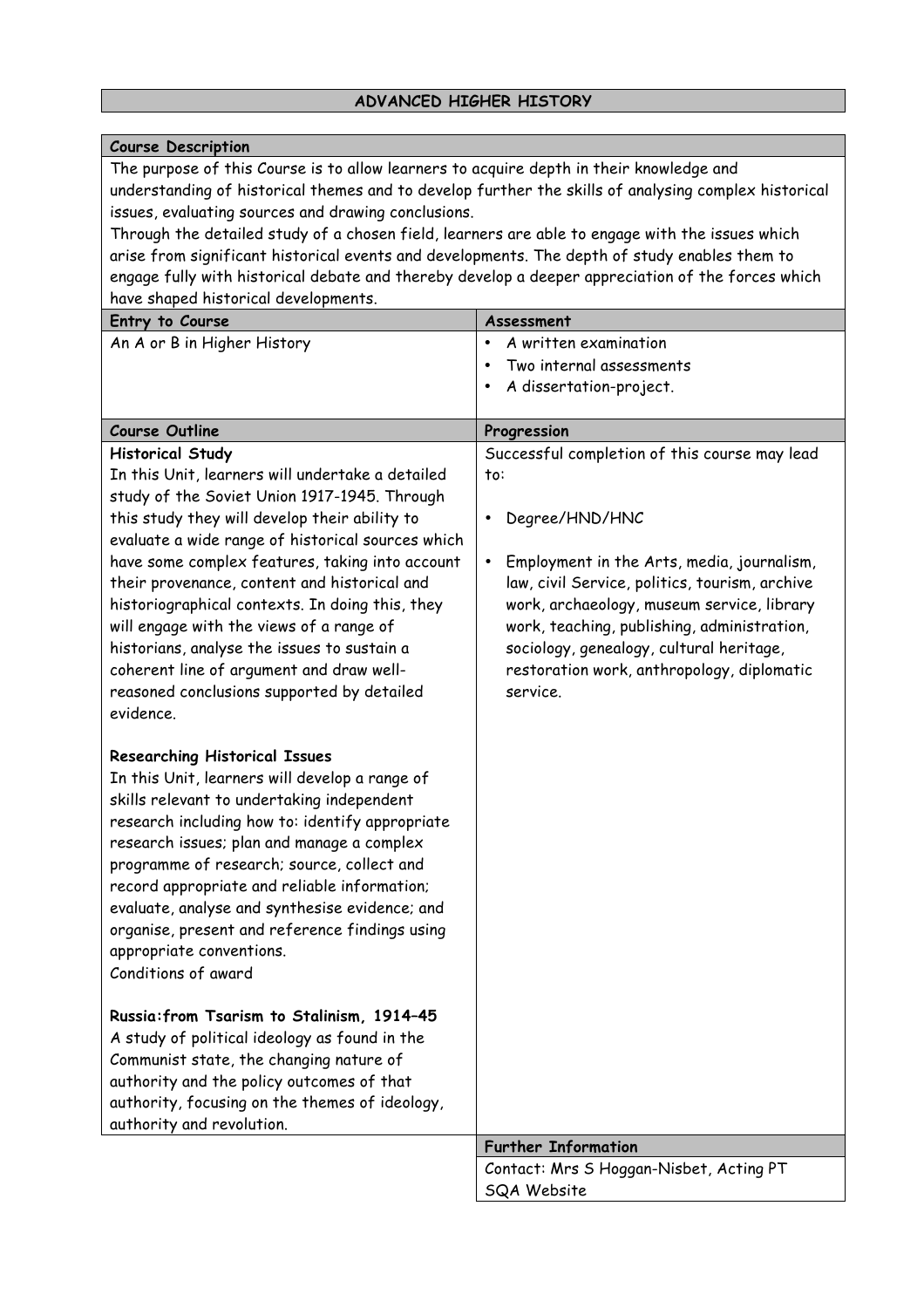# **ADVANCED HIGHER HISTORY**

### **Course Description**

The purpose of this Course is to allow learners to acquire depth in their knowledge and understanding of historical themes and to develop further the skills of analysing complex historical issues, evaluating sources and drawing conclusions.

Through the detailed study of a chosen field, learners are able to engage with the issues which arise from significant historical events and developments. The depth of study enables them to engage fully with historical debate and thereby develop a deeper appreciation of the forces which have shaped historical developments.

| Entry to Course                                                                                                                                                                                                                                                                                                                                                                                                                                                                                                                                                                                                                                                                                                                                                                                                                                                                                                                                                                                                                                                                                                                                                                                                                                                                                                                                               | Assessment                                                                                                                                                                                                                                                                                                                                                                                  |
|---------------------------------------------------------------------------------------------------------------------------------------------------------------------------------------------------------------------------------------------------------------------------------------------------------------------------------------------------------------------------------------------------------------------------------------------------------------------------------------------------------------------------------------------------------------------------------------------------------------------------------------------------------------------------------------------------------------------------------------------------------------------------------------------------------------------------------------------------------------------------------------------------------------------------------------------------------------------------------------------------------------------------------------------------------------------------------------------------------------------------------------------------------------------------------------------------------------------------------------------------------------------------------------------------------------------------------------------------------------|---------------------------------------------------------------------------------------------------------------------------------------------------------------------------------------------------------------------------------------------------------------------------------------------------------------------------------------------------------------------------------------------|
| An A or B in Higher History                                                                                                                                                                                                                                                                                                                                                                                                                                                                                                                                                                                                                                                                                                                                                                                                                                                                                                                                                                                                                                                                                                                                                                                                                                                                                                                                   | A written examination<br>$\bullet$                                                                                                                                                                                                                                                                                                                                                          |
|                                                                                                                                                                                                                                                                                                                                                                                                                                                                                                                                                                                                                                                                                                                                                                                                                                                                                                                                                                                                                                                                                                                                                                                                                                                                                                                                                               | Two internal assessments                                                                                                                                                                                                                                                                                                                                                                    |
|                                                                                                                                                                                                                                                                                                                                                                                                                                                                                                                                                                                                                                                                                                                                                                                                                                                                                                                                                                                                                                                                                                                                                                                                                                                                                                                                                               | A dissertation-project.                                                                                                                                                                                                                                                                                                                                                                     |
|                                                                                                                                                                                                                                                                                                                                                                                                                                                                                                                                                                                                                                                                                                                                                                                                                                                                                                                                                                                                                                                                                                                                                                                                                                                                                                                                                               |                                                                                                                                                                                                                                                                                                                                                                                             |
| <b>Course Outline</b>                                                                                                                                                                                                                                                                                                                                                                                                                                                                                                                                                                                                                                                                                                                                                                                                                                                                                                                                                                                                                                                                                                                                                                                                                                                                                                                                         | Progression                                                                                                                                                                                                                                                                                                                                                                                 |
| <b>Historical Study</b><br>In this Unit, learners will undertake a detailed<br>study of the Soviet Union 1917-1945. Through<br>this study they will develop their ability to<br>evaluate a wide range of historical sources which<br>have some complex features, taking into account<br>their provenance, content and historical and<br>historiographical contexts. In doing this, they<br>will engage with the views of a range of<br>historians, analyse the issues to sustain a<br>coherent line of argument and draw well-<br>reasoned conclusions supported by detailed<br>evidence.<br><b>Researching Historical Issues</b><br>In this Unit, learners will develop a range of<br>skills relevant to undertaking independent<br>research including how to: identify appropriate<br>research issues; plan and manage a complex<br>programme of research; source, collect and<br>record appropriate and reliable information;<br>evaluate, analyse and synthesise evidence; and<br>organise, present and reference findings using<br>appropriate conventions.<br>Conditions of award<br>Russia: from Tsarism to Stalinism, 1914-45<br>A study of political ideology as found in the<br>Communist state, the changing nature of<br>authority and the policy outcomes of that<br>authority, focusing on the themes of ideology,<br>authority and revolution. | Successful completion of this course may lead<br>to:<br>Degree/HND/HNC<br>٠<br>Employment in the Arts, media, journalism,<br>$\bullet$<br>law, civil Service, politics, tourism, archive<br>work, archaeology, museum service, library<br>work, teaching, publishing, administration,<br>sociology, genealogy, cultural heritage,<br>restoration work, anthropology, diplomatic<br>service. |
|                                                                                                                                                                                                                                                                                                                                                                                                                                                                                                                                                                                                                                                                                                                                                                                                                                                                                                                                                                                                                                                                                                                                                                                                                                                                                                                                                               | <b>Further Information</b>                                                                                                                                                                                                                                                                                                                                                                  |
|                                                                                                                                                                                                                                                                                                                                                                                                                                                                                                                                                                                                                                                                                                                                                                                                                                                                                                                                                                                                                                                                                                                                                                                                                                                                                                                                                               | Contact: Mrs S Hoggan-Nisbet, Acting PT                                                                                                                                                                                                                                                                                                                                                     |
|                                                                                                                                                                                                                                                                                                                                                                                                                                                                                                                                                                                                                                                                                                                                                                                                                                                                                                                                                                                                                                                                                                                                                                                                                                                                                                                                                               | SQA Website                                                                                                                                                                                                                                                                                                                                                                                 |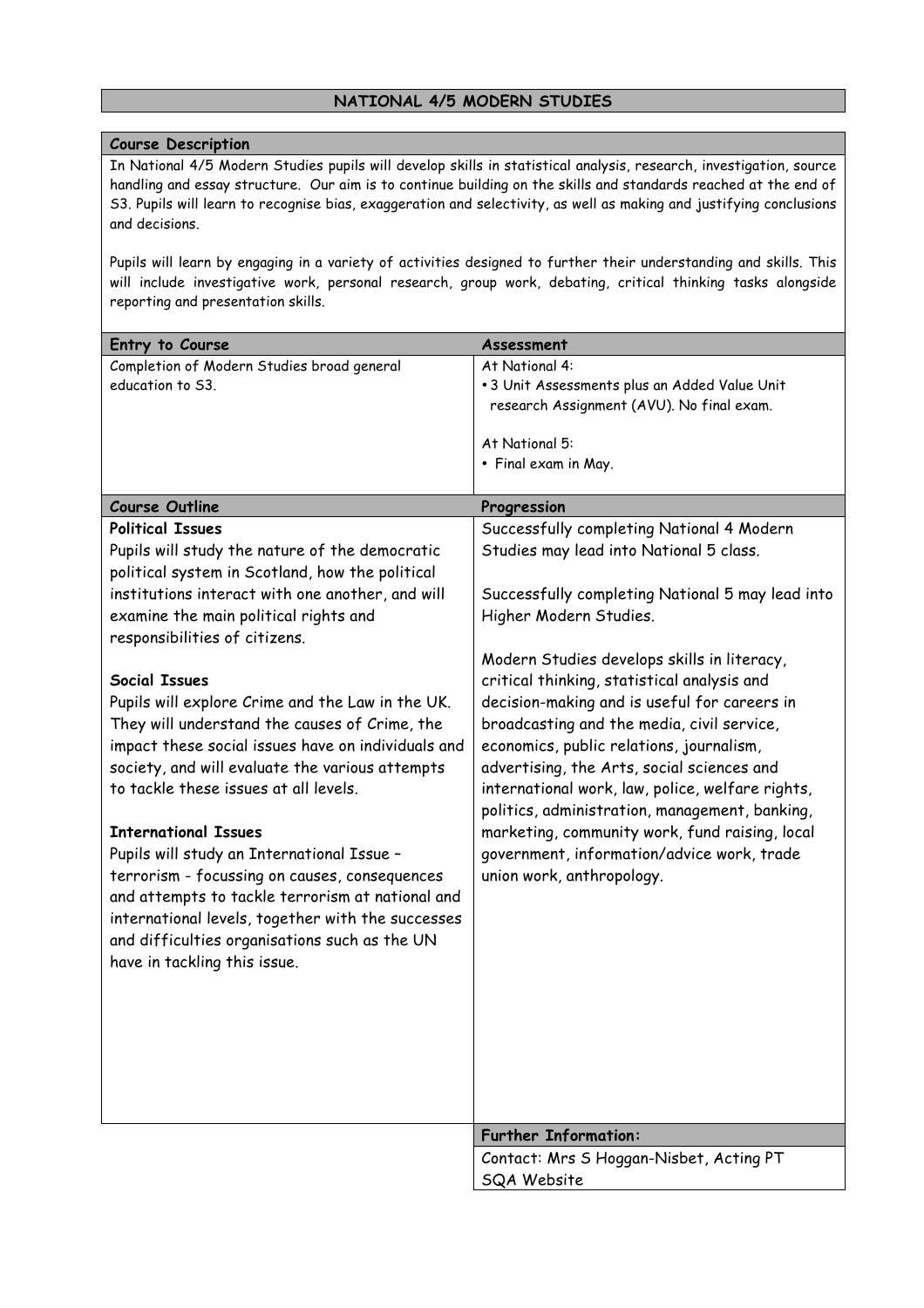### **NATIONAL 4/5 MODERN STUDIES**

#### **Course Description**

In National 4/5 Modern Studies pupils will develop skills in statistical analysis, research, investigation, source handling and essay structure. Our aim is to continue building on the skills and standards reached at the end of S3. Pupils will learn to recognise bias, exaggeration and selectivity, as well as making and justifying conclusions and decisions.

Pupils will learn by engaging in a variety of activities designed to further their understanding and skills. This will include investigative work, personal research, group work, debating, critical thinking tasks alongside reporting and presentation skills.

| Entry to Course                                    | Assessment                                       |
|----------------------------------------------------|--------------------------------------------------|
| Completion of Modern Studies broad general         | At National 4:                                   |
| education to S3.                                   | .3 Unit Assessments plus an Added Value Unit     |
|                                                    | research Assignment (AVU). No final exam.        |
|                                                    |                                                  |
|                                                    | At National 5:                                   |
|                                                    | • Final exam in May.                             |
| <b>Course Outline</b>                              | Progression                                      |
| <b>Political Issues</b>                            | Successfully completing National 4 Modern        |
| Pupils will study the nature of the democratic     | Studies may lead into National 5 class.          |
| political system in Scotland, how the political    |                                                  |
| institutions interact with one another, and will   | Successfully completing National 5 may lead into |
| examine the main political rights and              | Higher Modern Studies.                           |
| responsibilities of citizens.                      |                                                  |
|                                                    | Modern Studies develops skills in literacy,      |
| <b>Social Issues</b>                               | critical thinking, statistical analysis and      |
|                                                    | decision-making and is useful for careers in     |
| Pupils will explore Crime and the Law in the UK.   |                                                  |
| They will understand the causes of Crime, the      | broadcasting and the media, civil service,       |
| impact these social issues have on individuals and | economics, public relations, journalism,         |
| society, and will evaluate the various attempts    | advertising, the Arts, social sciences and       |
| to tackle these issues at all levels.              | international work, law, police, welfare rights, |
|                                                    | politics, administration, management, banking,   |
| <b>International Issues</b>                        | marketing, community work, fund raising, local   |
| Pupils will study an International Issue -         | government, information/advice work, trade       |
| terrorism - focussing on causes, consequences      | union work, anthropology.                        |
| and attempts to tackle terrorism at national and   |                                                  |
| international levels, together with the successes  |                                                  |
| and difficulties organisations such as the UN      |                                                  |
| have in tackling this issue.                       |                                                  |
|                                                    |                                                  |
|                                                    |                                                  |
|                                                    |                                                  |
|                                                    |                                                  |
|                                                    |                                                  |
|                                                    |                                                  |
|                                                    |                                                  |
|                                                    | <b>Further Information:</b>                      |
|                                                    | Contact: Mrs S Hoggan-Nisbet, Acting PT          |
|                                                    | <b>SQA Website</b>                               |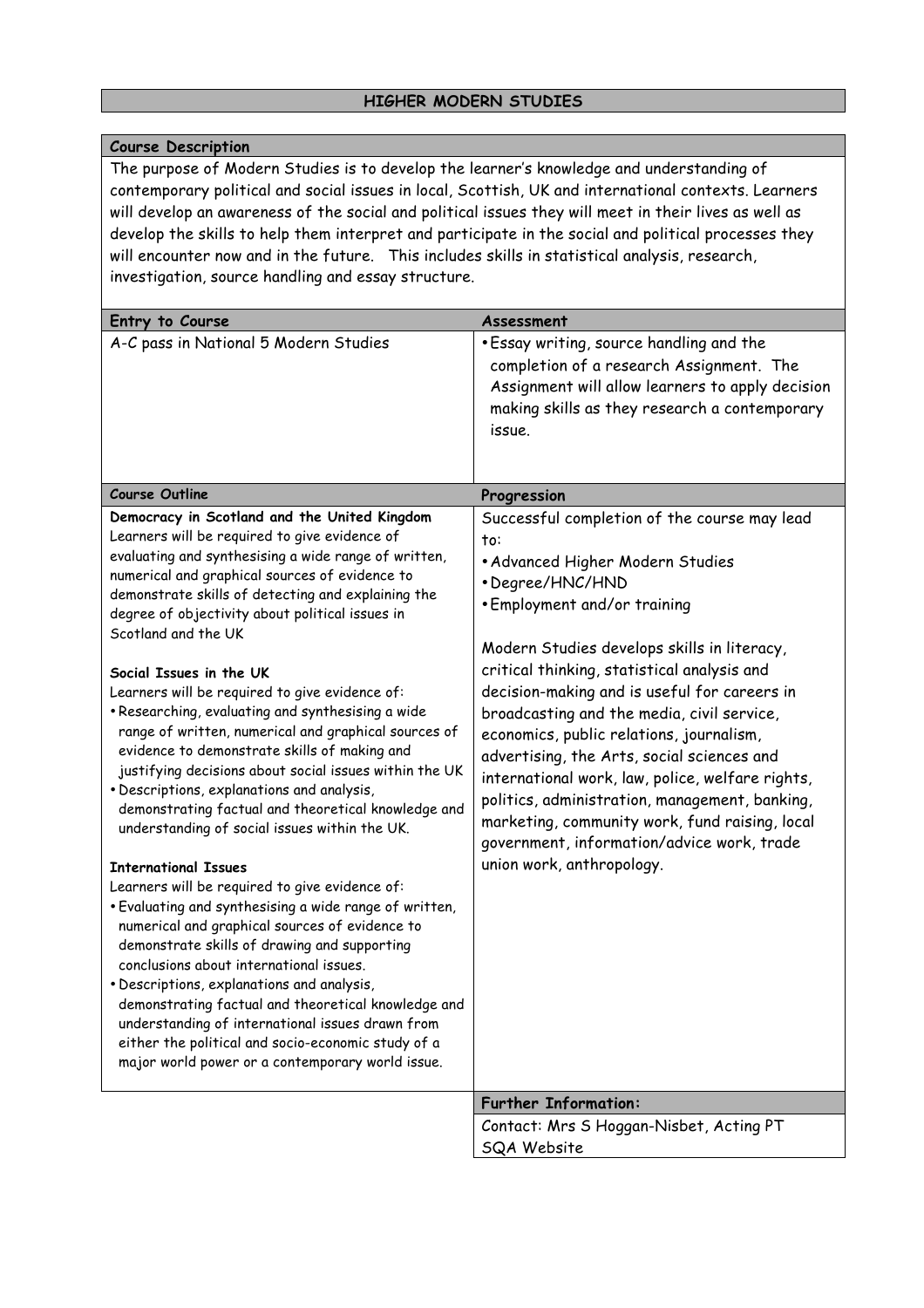### **HIGHER MODERN STUDIES**

### **Course Description**

The purpose of Modern Studies is to develop the learner's knowledge and understanding of contemporary political and social issues in local, Scottish, UK and international contexts. Learners will develop an awareness of the social and political issues they will meet in their lives as well as develop the skills to help them interpret and participate in the social and political processes they will encounter now and in the future. This includes skills in statistical analysis, research, investigation, source handling and essay structure.

| Entry to Course                                                                                                                                                                                                                                                                                                                                                                                                                                                                                                                                                                                                                                                                                                                                                                                                                                                                                                                                                                                                                                                                                                                                                                                                                                                                                                                                              | Assessment                                                                                                                                                                                                                                                                                                                                                                                                                                                                                                                                                                                                                                                           |
|--------------------------------------------------------------------------------------------------------------------------------------------------------------------------------------------------------------------------------------------------------------------------------------------------------------------------------------------------------------------------------------------------------------------------------------------------------------------------------------------------------------------------------------------------------------------------------------------------------------------------------------------------------------------------------------------------------------------------------------------------------------------------------------------------------------------------------------------------------------------------------------------------------------------------------------------------------------------------------------------------------------------------------------------------------------------------------------------------------------------------------------------------------------------------------------------------------------------------------------------------------------------------------------------------------------------------------------------------------------|----------------------------------------------------------------------------------------------------------------------------------------------------------------------------------------------------------------------------------------------------------------------------------------------------------------------------------------------------------------------------------------------------------------------------------------------------------------------------------------------------------------------------------------------------------------------------------------------------------------------------------------------------------------------|
| A-C pass in National 5 Modern Studies                                                                                                                                                                                                                                                                                                                                                                                                                                                                                                                                                                                                                                                                                                                                                                                                                                                                                                                                                                                                                                                                                                                                                                                                                                                                                                                        | . Essay writing, source handling and the<br>completion of a research Assignment. The<br>Assignment will allow learners to apply decision<br>making skills as they research a contemporary<br>issue.                                                                                                                                                                                                                                                                                                                                                                                                                                                                  |
| <b>Course Outline</b>                                                                                                                                                                                                                                                                                                                                                                                                                                                                                                                                                                                                                                                                                                                                                                                                                                                                                                                                                                                                                                                                                                                                                                                                                                                                                                                                        | Progression                                                                                                                                                                                                                                                                                                                                                                                                                                                                                                                                                                                                                                                          |
| Democracy in Scotland and the United Kingdom<br>Learners will be required to give evidence of<br>evaluating and synthesising a wide range of written,<br>numerical and graphical sources of evidence to<br>demonstrate skills of detecting and explaining the<br>degree of objectivity about political issues in<br>Scotland and the UK<br>Social Issues in the UK<br>Learners will be required to give evidence of:<br>. Researching, evaluating and synthesising a wide<br>range of written, numerical and graphical sources of<br>evidence to demonstrate skills of making and<br>justifying decisions about social issues within the UK<br>· Descriptions, explanations and analysis,<br>demonstrating factual and theoretical knowledge and<br>understanding of social issues within the UK.<br><b>International Issues</b><br>Learners will be required to give evidence of:<br>. Evaluating and synthesising a wide range of written,<br>numerical and graphical sources of evidence to<br>demonstrate skills of drawing and supporting<br>conclusions about international issues.<br>· Descriptions, explanations and analysis,<br>demonstrating factual and theoretical knowledge and<br>understanding of international issues drawn from<br>either the political and socio-economic study of a<br>major world power or a contemporary world issue. | Successful completion of the course may lead<br>to:<br>• Advanced Higher Modern Studies<br>• Degree/HNC/HND<br>. Employment and/or training<br>Modern Studies develops skills in literacy,<br>critical thinking, statistical analysis and<br>decision-making and is useful for careers in<br>broadcasting and the media, civil service,<br>economics, public relations, journalism,<br>advertising, the Arts, social sciences and<br>international work, law, police, welfare rights,<br>politics, administration, management, banking,<br>marketing, community work, fund raising, local<br>government, information/advice work, trade<br>union work, anthropology. |
|                                                                                                                                                                                                                                                                                                                                                                                                                                                                                                                                                                                                                                                                                                                                                                                                                                                                                                                                                                                                                                                                                                                                                                                                                                                                                                                                                              | <b>Further Information:</b>                                                                                                                                                                                                                                                                                                                                                                                                                                                                                                                                                                                                                                          |
|                                                                                                                                                                                                                                                                                                                                                                                                                                                                                                                                                                                                                                                                                                                                                                                                                                                                                                                                                                                                                                                                                                                                                                                                                                                                                                                                                              | Contact: Mrs S Hoggan-Nisbet, Acting PT                                                                                                                                                                                                                                                                                                                                                                                                                                                                                                                                                                                                                              |
|                                                                                                                                                                                                                                                                                                                                                                                                                                                                                                                                                                                                                                                                                                                                                                                                                                                                                                                                                                                                                                                                                                                                                                                                                                                                                                                                                              | <b>SQA Website</b>                                                                                                                                                                                                                                                                                                                                                                                                                                                                                                                                                                                                                                                   |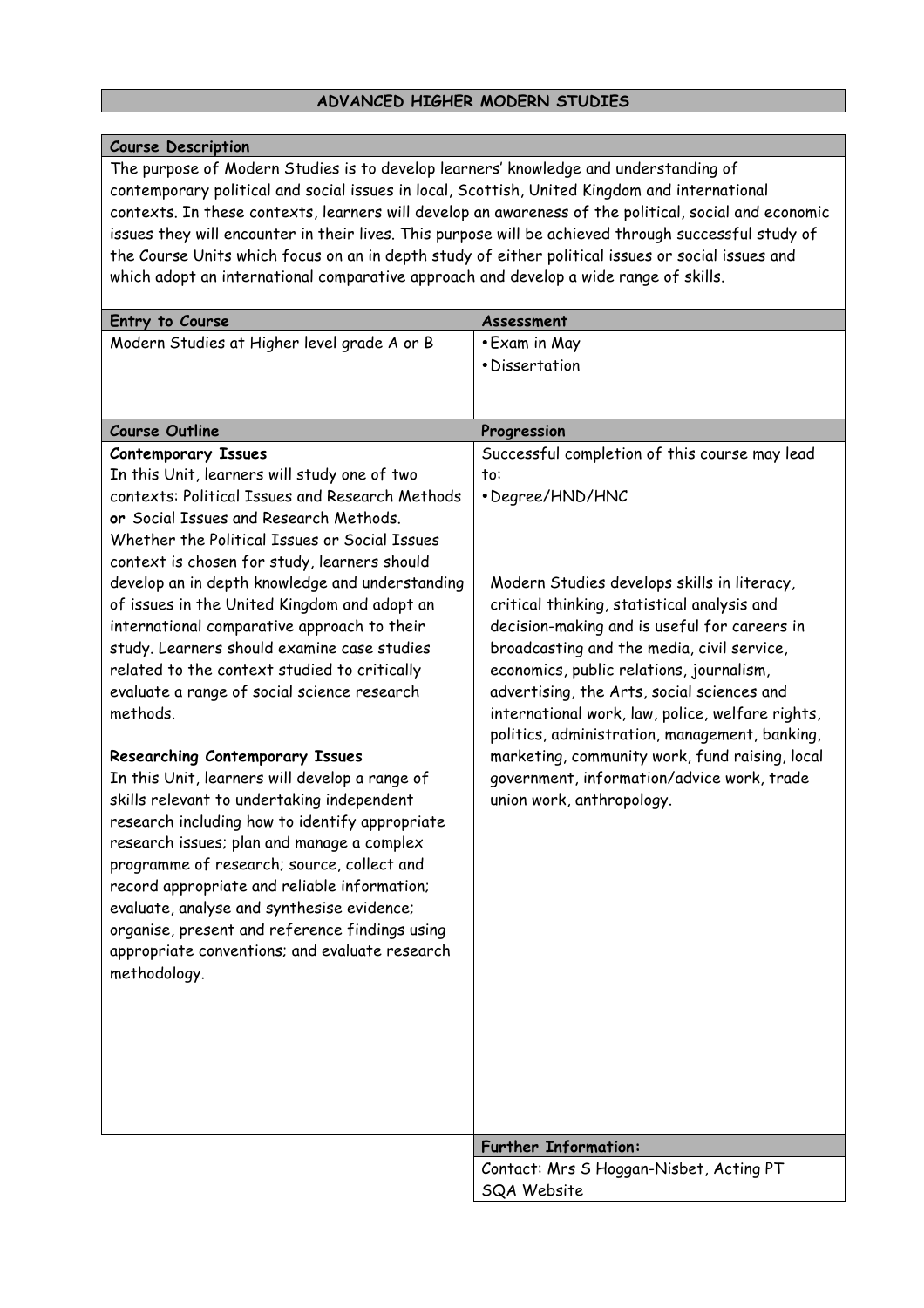# **ADVANCED HIGHER MODERN STUDIES**

### **Course Description**

The purpose of Modern Studies is to develop learners' knowledge and understanding of contemporary political and social issues in local, Scottish, United Kingdom and international contexts. In these contexts, learners will develop an awareness of the political, social and economic issues they will encounter in their lives. This purpose will be achieved through successful study of the Course Units which focus on an in depth study of either political issues or social issues and which adopt an international comparative approach and develop a wide range of skills.

| Entry to Course                                                                                 | Assessment                                                                                  |
|-------------------------------------------------------------------------------------------------|---------------------------------------------------------------------------------------------|
| Modern Studies at Higher level grade A or B                                                     | • Exam in May                                                                               |
|                                                                                                 | • Dissertation                                                                              |
|                                                                                                 |                                                                                             |
|                                                                                                 |                                                                                             |
| <b>Course Outline</b>                                                                           | Progression                                                                                 |
| <b>Contemporary Issues</b>                                                                      | Successful completion of this course may lead                                               |
| In this Unit, learners will study one of two                                                    | to:                                                                                         |
| contexts: Political Issues and Research Methods                                                 | • Degree/HND/HNC                                                                            |
| or Social Issues and Research Methods.                                                          |                                                                                             |
| Whether the Political Issues or Social Issues                                                   |                                                                                             |
| context is chosen for study, learners should                                                    |                                                                                             |
| develop an in depth knowledge and understanding<br>of issues in the United Kingdom and adopt an | Modern Studies develops skills in literacy,                                                 |
| international comparative approach to their                                                     | critical thinking, statistical analysis and<br>decision-making and is useful for careers in |
| study. Learners should examine case studies                                                     | broadcasting and the media, civil service,                                                  |
| related to the context studied to critically                                                    | economics, public relations, journalism,                                                    |
| evaluate a range of social science research                                                     | advertising, the Arts, social sciences and                                                  |
| methods.                                                                                        | international work, law, police, welfare rights,                                            |
|                                                                                                 | politics, administration, management, banking,                                              |
| Researching Contemporary Issues                                                                 | marketing, community work, fund raising, local                                              |
| In this Unit, learners will develop a range of                                                  | government, information/advice work, trade                                                  |
| skills relevant to undertaking independent                                                      | union work, anthropology.                                                                   |
| research including how to identify appropriate                                                  |                                                                                             |
| research issues; plan and manage a complex                                                      |                                                                                             |
| programme of research; source, collect and                                                      |                                                                                             |
| record appropriate and reliable information;                                                    |                                                                                             |
| evaluate, analyse and synthesise evidence;                                                      |                                                                                             |
| organise, present and reference findings using                                                  |                                                                                             |
| appropriate conventions; and evaluate research                                                  |                                                                                             |
| methodology.                                                                                    |                                                                                             |
|                                                                                                 |                                                                                             |
|                                                                                                 |                                                                                             |
|                                                                                                 |                                                                                             |
|                                                                                                 |                                                                                             |
|                                                                                                 |                                                                                             |
|                                                                                                 |                                                                                             |
|                                                                                                 | <b>Further Information:</b>                                                                 |
|                                                                                                 | Contact: Mrs S Hoggan-Nisbet, Acting PT                                                     |
|                                                                                                 | SQA Website                                                                                 |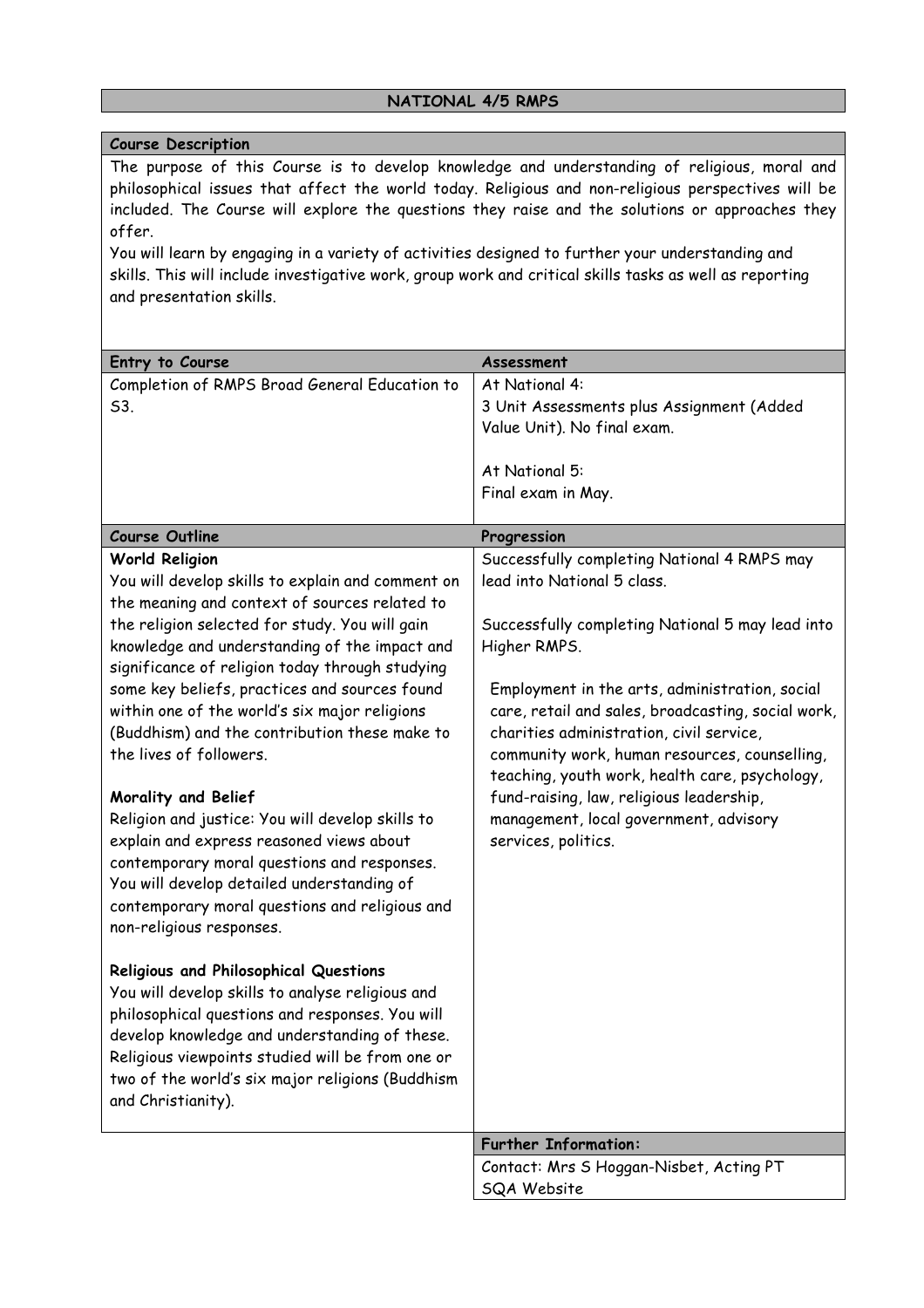# **NATIONAL 4/5 RMPS**

### **Course Description**

The purpose of this Course is to develop knowledge and understanding of religious, moral and philosophical issues that affect the world today. Religious and non-religious perspectives will be included. The Course will explore the questions they raise and the solutions or approaches they offer.

You will learn by engaging in a variety of activities designed to further your understanding and skills. This will include investigative work, group work and critical skills tasks as well as reporting and presentation skills.

| Entry to Course                                                                                                                                                                                                                                                                                                             | Assessment                                                                                                                                                                                                                                          |
|-----------------------------------------------------------------------------------------------------------------------------------------------------------------------------------------------------------------------------------------------------------------------------------------------------------------------------|-----------------------------------------------------------------------------------------------------------------------------------------------------------------------------------------------------------------------------------------------------|
| Completion of RMPS Broad General Education to<br>53.                                                                                                                                                                                                                                                                        | At National 4:<br>3 Unit Assessments plus Assignment (Added<br>Value Unit). No final exam.<br>At National 5:<br>Final exam in May.                                                                                                                  |
|                                                                                                                                                                                                                                                                                                                             |                                                                                                                                                                                                                                                     |
| <b>Course Outline</b>                                                                                                                                                                                                                                                                                                       | Progression                                                                                                                                                                                                                                         |
| <b>World Religion</b><br>You will develop skills to explain and comment on<br>the meaning and context of sources related to                                                                                                                                                                                                 | Successfully completing National 4 RMPS may<br>lead into National 5 class.                                                                                                                                                                          |
| the religion selected for study. You will gain<br>knowledge and understanding of the impact and<br>significance of religion today through studying                                                                                                                                                                          | Successfully completing National 5 may lead into<br>Higher RMPS.                                                                                                                                                                                    |
| some key beliefs, practices and sources found<br>within one of the world's six major religions<br>(Buddhism) and the contribution these make to<br>the lives of followers.                                                                                                                                                  | Employment in the arts, administration, social<br>care, retail and sales, broadcasting, social work,<br>charities administration, civil service,<br>community work, human resources, counselling,<br>teaching, youth work, health care, psychology, |
| Morality and Belief<br>Religion and justice: You will develop skills to<br>explain and express reasoned views about<br>contemporary moral questions and responses.<br>You will develop detailed understanding of<br>contemporary moral questions and religious and<br>non-religious responses.                              | fund-raising, law, religious leadership,<br>management, local government, advisory<br>services, politics.                                                                                                                                           |
| Religious and Philosophical Questions<br>You will develop skills to analyse religious and<br>philosophical questions and responses. You will<br>develop knowledge and understanding of these.<br>Religious viewpoints studied will be from one or<br>two of the world's six major religions (Buddhism<br>and Christianity). |                                                                                                                                                                                                                                                     |
|                                                                                                                                                                                                                                                                                                                             | <b>Further Information:</b>                                                                                                                                                                                                                         |
|                                                                                                                                                                                                                                                                                                                             | Contact: Mrs S Hoggan-Nisbet, Acting PT<br>SQA Website                                                                                                                                                                                              |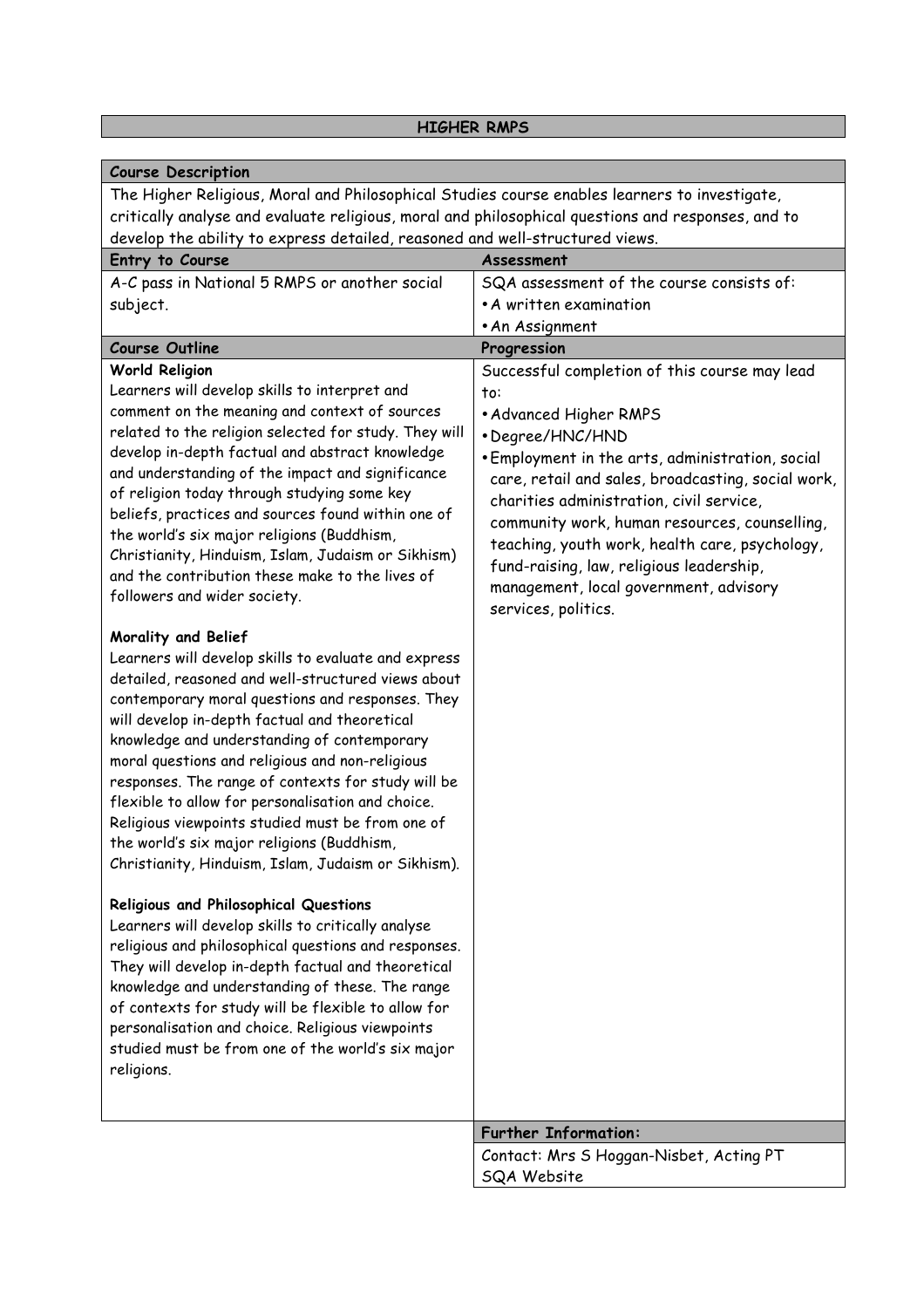# **HIGHER RMPS**

| <b>Course Description</b>                                                                          |                                                    |
|----------------------------------------------------------------------------------------------------|----------------------------------------------------|
| The Higher Religious, Moral and Philosophical Studies course enables learners to investigate,      |                                                    |
| critically analyse and evaluate religious, moral and philosophical questions and responses, and to |                                                    |
| develop the ability to express detailed, reasoned and well-structured views.                       |                                                    |
| Entry to Course                                                                                    | Assessment                                         |
| A-C pass in National 5 RMPS or another social                                                      | SQA assessment of the course consists of:          |
| subject.                                                                                           | • A written examination                            |
|                                                                                                    | • An Assignment                                    |
| <b>Course Outline</b>                                                                              | Progression                                        |
| <b>World Religion</b>                                                                              | Successful completion of this course may lead      |
| Learners will develop skills to interpret and                                                      | to:                                                |
| comment on the meaning and context of sources                                                      | • Advanced Higher RMPS                             |
| related to the religion selected for study. They will                                              | • Degree/HNC/HND                                   |
| develop in-depth factual and abstract knowledge                                                    | . Employment in the arts, administration, social   |
| and understanding of the impact and significance                                                   | care, retail and sales, broadcasting, social work, |
| of religion today through studying some key                                                        | charities administration, civil service,           |
| beliefs, practices and sources found within one of                                                 | community work, human resources, counselling,      |
| the world's six major religions (Buddhism,                                                         | teaching, youth work, health care, psychology,     |
| Christianity, Hinduism, Islam, Judaism or Sikhism)                                                 | fund-raising, law, religious leadership,           |
| and the contribution these make to the lives of                                                    | management, local government, advisory             |
| followers and wider society.                                                                       | services, politics.                                |
|                                                                                                    |                                                    |
| Morality and Belief                                                                                |                                                    |
| Learners will develop skills to evaluate and express                                               |                                                    |
| detailed, reasoned and well-structured views about                                                 |                                                    |
| contemporary moral questions and responses. They                                                   |                                                    |
| will develop in-depth factual and theoretical                                                      |                                                    |
| knowledge and understanding of contemporary                                                        |                                                    |
| moral questions and religious and non-religious                                                    |                                                    |
| responses. The range of contexts for study will be                                                 |                                                    |
| flexible to allow for personalisation and choice.                                                  |                                                    |
| Religious viewpoints studied must be from one of                                                   |                                                    |
| the world's six major religions (Buddhism,                                                         |                                                    |
| Christianity, Hinduism, Islam, Judaism or Sikhism).                                                |                                                    |
| Religious and Philosophical Questions                                                              |                                                    |
| Learners will develop skills to critically analyse                                                 |                                                    |
| religious and philosophical questions and responses.                                               |                                                    |
| They will develop in-depth factual and theoretical                                                 |                                                    |
| knowledge and understanding of these. The range                                                    |                                                    |
| of contexts for study will be flexible to allow for                                                |                                                    |
| personalisation and choice. Religious viewpoints                                                   |                                                    |
| studied must be from one of the world's six major                                                  |                                                    |
| religions.                                                                                         |                                                    |
|                                                                                                    |                                                    |
|                                                                                                    |                                                    |
|                                                                                                    | <b>Further Information:</b>                        |
|                                                                                                    | Contact: Mrs S Hoggan-Nisbet, Acting PT            |
|                                                                                                    | SQA Website                                        |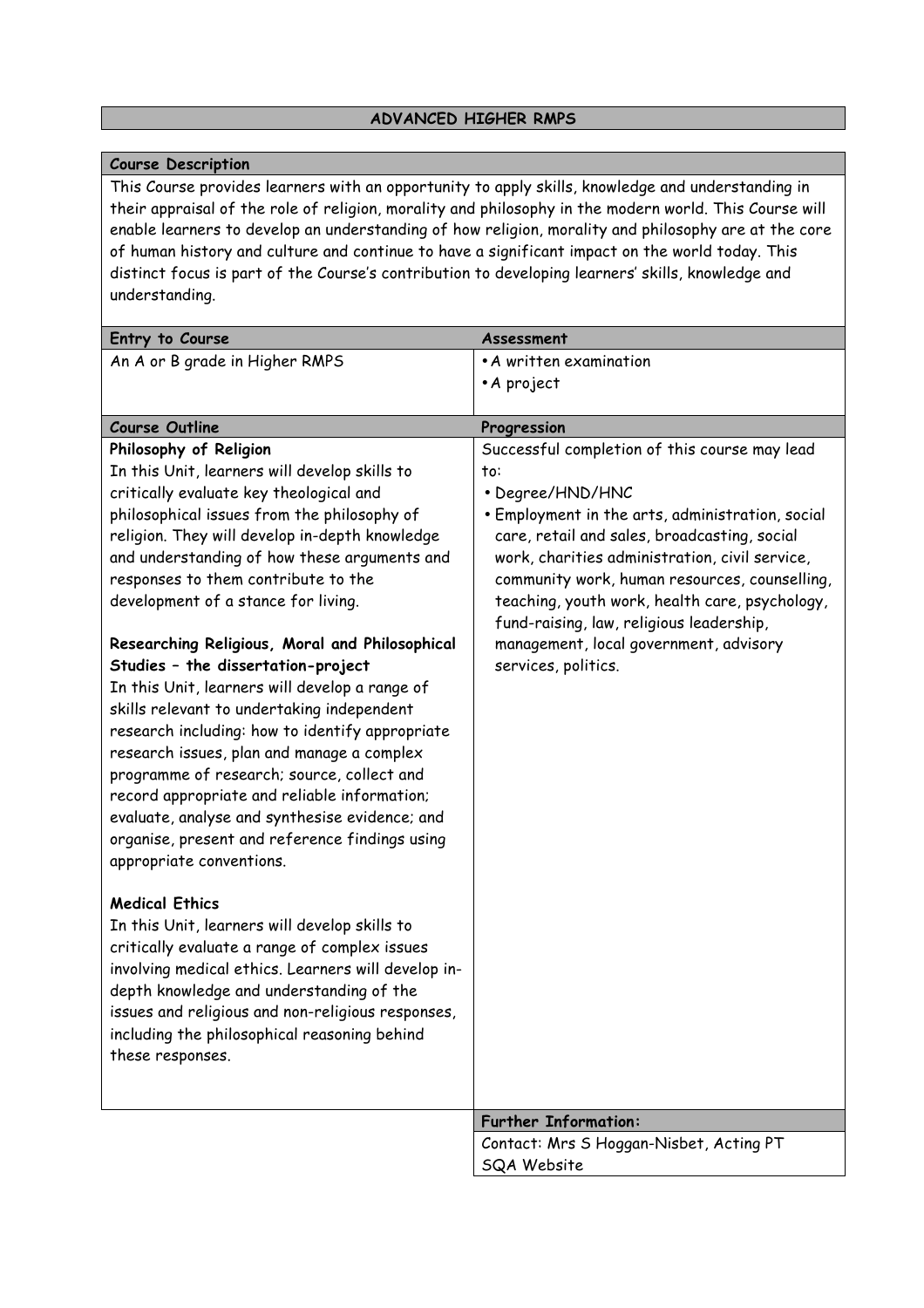### **ADVANCED HIGHER RMPS**

### **Course Description**

This Course provides learners with an opportunity to apply skills, knowledge and understanding in their appraisal of the role of religion, morality and philosophy in the modern world. This Course will enable learners to develop an understanding of how religion, morality and philosophy are at the core of human history and culture and continue to have a significant impact on the world today. This distinct focus is part of the Course's contribution to developing learners' skills, knowledge and understanding.

| Entry to Course                                     | Assessment                                       |
|-----------------------------------------------------|--------------------------------------------------|
| An A or B grade in Higher RMPS                      | • A written examination                          |
|                                                     | • A project                                      |
|                                                     |                                                  |
| <b>Course Outline</b>                               | Progression                                      |
| Philosophy of Religion                              | Successful completion of this course may lead    |
| In this Unit, learners will develop skills to       | to:                                              |
| critically evaluate key theological and             | • Degree/HND/HNC                                 |
| philosophical issues from the philosophy of         | • Employment in the arts, administration, social |
| religion. They will develop in-depth knowledge      | care, retail and sales, broadcasting, social     |
| and understanding of how these arguments and        | work, charities administration, civil service,   |
| responses to them contribute to the                 | community work, human resources, counselling,    |
| development of a stance for living.                 | teaching, youth work, health care, psychology,   |
|                                                     | fund-raising, law, religious leadership,         |
| Researching Religious, Moral and Philosophical      | management, local government, advisory           |
| Studies - the dissertation-project                  | services, politics.                              |
| In this Unit, learners will develop a range of      |                                                  |
| skills relevant to undertaking independent          |                                                  |
| research including: how to identify appropriate     |                                                  |
| research issues, plan and manage a complex          |                                                  |
| programme of research; source, collect and          |                                                  |
| record appropriate and reliable information;        |                                                  |
| evaluate, analyse and synthesise evidence; and      |                                                  |
| organise, present and reference findings using      |                                                  |
| appropriate conventions.                            |                                                  |
| <b>Medical Ethics</b>                               |                                                  |
| In this Unit, learners will develop skills to       |                                                  |
| critically evaluate a range of complex issues       |                                                  |
| involving medical ethics. Learners will develop in- |                                                  |
| depth knowledge and understanding of the            |                                                  |
| issues and religious and non-religious responses,   |                                                  |
| including the philosophical reasoning behind        |                                                  |
| these responses.                                    |                                                  |
|                                                     |                                                  |
|                                                     |                                                  |
|                                                     | <b>Further Information:</b>                      |
|                                                     | Contact: Mrs S Hoggan-Nisbet, Acting PT          |
|                                                     | SQA Website                                      |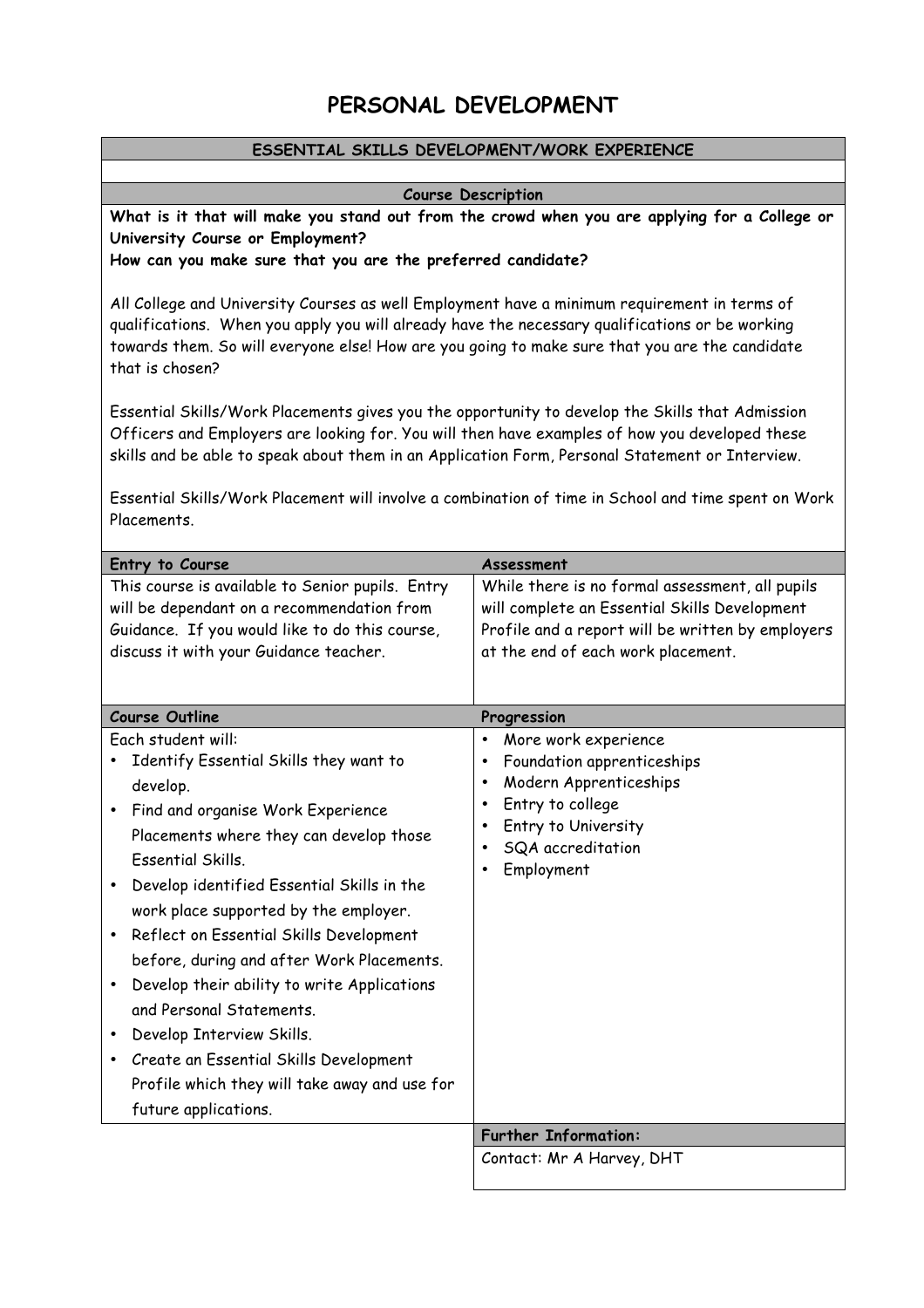# **PERSONAL DEVELOPMENT**

### **ESSENTIAL SKILLS DEVELOPMENT/WORK EXPERIENCE**

### **Course Description**

**What is it that will make you stand out from the crowd when you are applying for a College or University Course or Employment?**

**How can you make sure that you are the preferred candidate?**

All College and University Courses as well Employment have a minimum requirement in terms of qualifications. When you apply you will already have the necessary qualifications or be working towards them. So will everyone else! How are you going to make sure that you are the candidate that is chosen?

Essential Skills/Work Placements gives you the opportunity to develop the Skills that Admission Officers and Employers are looking for. You will then have examples of how you developed these skills and be able to speak about them in an Application Form, Personal Statement or Interview.

Essential Skills/Work Placement will involve a combination of time in School and time spent on Work Placements.

| Entry to Course<br>This course is available to Senior pupils. Entry<br>will be dependant on a recommendation from<br>Guidance. If you would like to do this course,<br>discuss it with your Guidance teacher.<br><b>Course Outline</b><br>Each student will:                                                                                                                                                                                                                                                                                                                          | Assessment<br>While there is no formal assessment, all pupils<br>will complete an Essential Skills Development<br>Profile and a report will be written by employers<br>at the end of each work placement.<br>Progression<br>More work experience<br>$\bullet$ |
|---------------------------------------------------------------------------------------------------------------------------------------------------------------------------------------------------------------------------------------------------------------------------------------------------------------------------------------------------------------------------------------------------------------------------------------------------------------------------------------------------------------------------------------------------------------------------------------|---------------------------------------------------------------------------------------------------------------------------------------------------------------------------------------------------------------------------------------------------------------|
| Identify Essential Skills they want to<br>develop.<br>Find and organise Work Experience<br>Placements where they can develop those<br><b>Essential Skills.</b><br>Develop identified Essential Skills in the<br>work place supported by the employer.<br>Reflect on Essential Skills Development<br>before, during and after Work Placements.<br>Develop their ability to write Applications<br>and Personal Statements.<br>Develop Interview Skills.<br>Create an Essential Skills Development<br>$\bullet$<br>Profile which they will take away and use for<br>future applications. | Foundation apprenticeships<br>$\bullet$<br>Modern Apprenticeships<br>$\bullet$<br>Entry to college<br>$\bullet$<br>Entry to University<br>$\bullet$<br>SQA accreditation<br>$\bullet$<br>Employment                                                           |
|                                                                                                                                                                                                                                                                                                                                                                                                                                                                                                                                                                                       | <b>Further Information:</b>                                                                                                                                                                                                                                   |
|                                                                                                                                                                                                                                                                                                                                                                                                                                                                                                                                                                                       | Contact: Mr A Harvey, DHT                                                                                                                                                                                                                                     |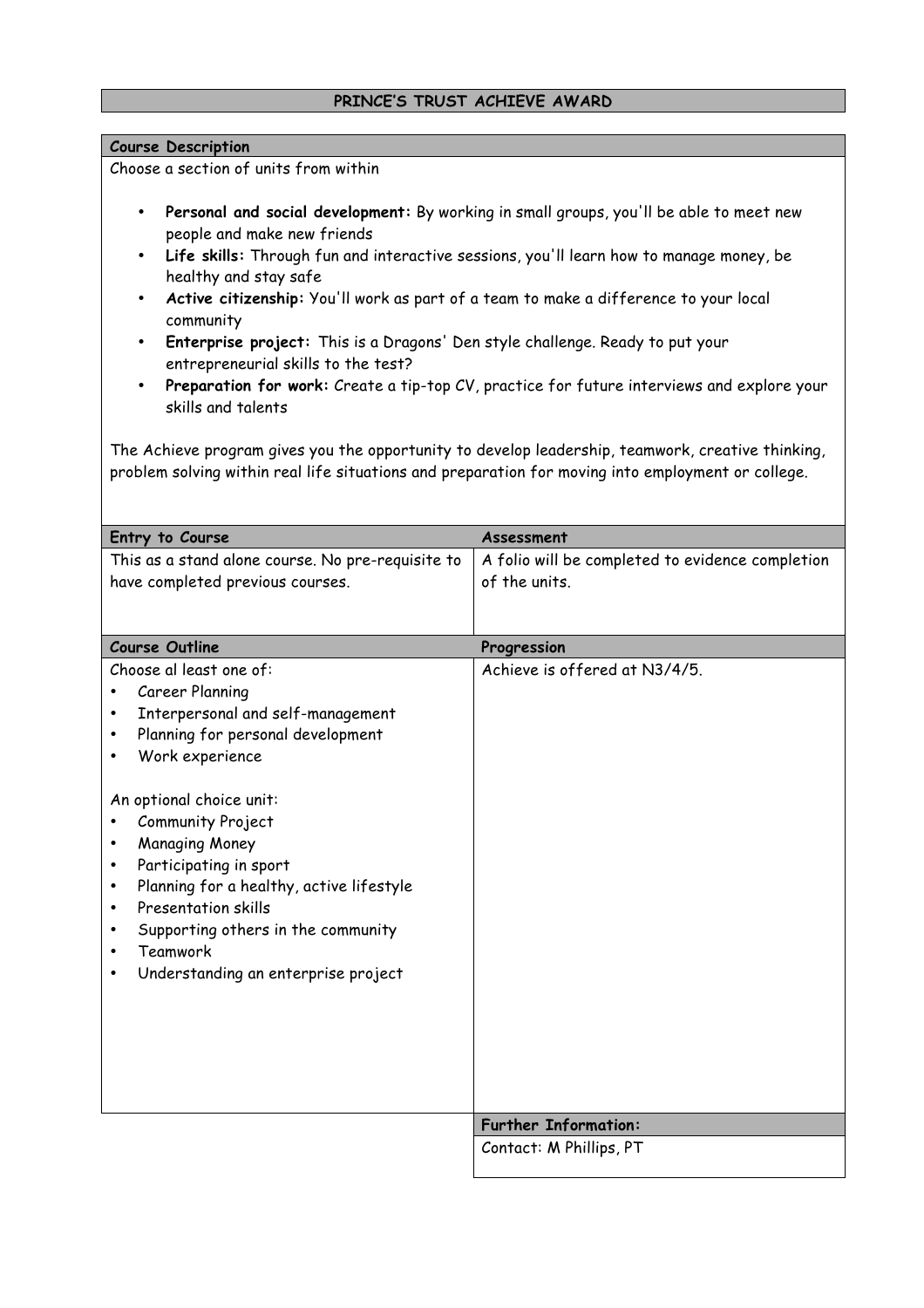# **PRINCE'S TRUST ACHIEVE AWARD**

### **Course Description**

Choose a section of units from within

- **Personal and social development:** By working in small groups, you'll be able to meet new people and make new friends
- **Life skills:** Through fun and interactive sessions, you'll learn how to manage money, be healthy and stay safe
- **Active citizenship:** You'll work as part of a team to make a difference to your local community
- **Enterprise project:** This is a Dragons' Den style challenge. Ready to put your entrepreneurial skills to the test?
- **Preparation for work:** Create a tip-top CV, practice for future interviews and explore your skills and talents

The Achieve program gives you the opportunity to develop leadership, teamwork, creative thinking, problem solving within real life situations and preparation for moving into employment or college.

| Entry to Course                                   | Assessment                                       |
|---------------------------------------------------|--------------------------------------------------|
| This as a stand alone course. No pre-requisite to | A folio will be completed to evidence completion |
| have completed previous courses.                  | of the units.                                    |
|                                                   |                                                  |
|                                                   |                                                  |
| <b>Course Outline</b>                             | Progression                                      |
| Choose al least one of:                           | Achieve is offered at N3/4/5.                    |
| Career Planning                                   |                                                  |
| Interpersonal and self-management                 |                                                  |
| Planning for personal development                 |                                                  |
| Work experience                                   |                                                  |
|                                                   |                                                  |
| An optional choice unit:                          |                                                  |
| Community Project                                 |                                                  |
| <b>Managing Money</b>                             |                                                  |
| Participating in sport                            |                                                  |
| Planning for a healthy, active lifestyle          |                                                  |
| Presentation skills<br>$\bullet$                  |                                                  |
| Supporting others in the community                |                                                  |
| <b>Teamwork</b>                                   |                                                  |
| Understanding an enterprise project               |                                                  |
|                                                   |                                                  |
|                                                   |                                                  |
|                                                   |                                                  |
|                                                   |                                                  |
|                                                   |                                                  |
|                                                   | <b>Further Information:</b>                      |
|                                                   | Contact: M Phillips, PT                          |
|                                                   |                                                  |